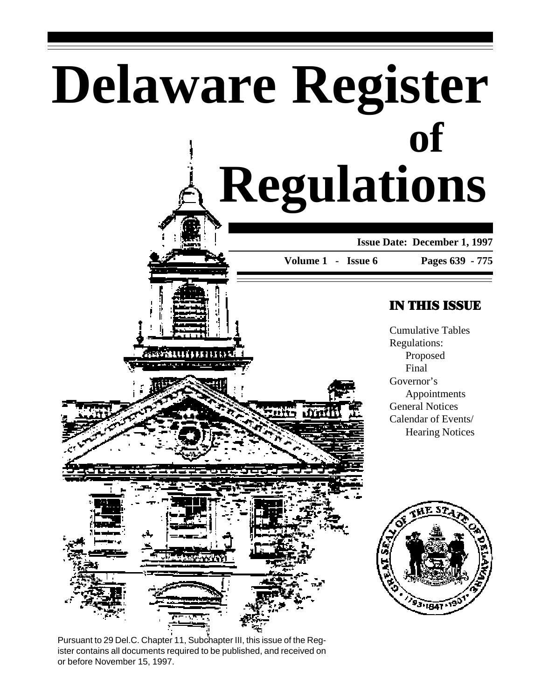# **Delaware Register Regulations of**

### **Issue Date: December 1, 1997**

**Volume 1 - Issue 6**

 **Pages 639 - 775**

### IN THIS ISSUE

Cumulative Tables Regulations: Proposed Final Governor's Appointments General Notices Calendar of Events/ Hearing Notices



0000000

Pursuant to 29 Del.C. Chapter 11, Subchapter III, this issue of the Register contains all documents required to be published, and received on or before November 15, 1997.

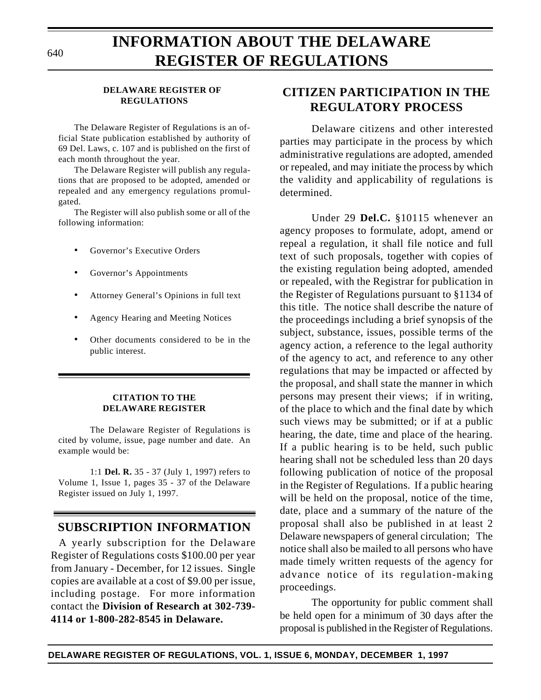### **INFORMATION ABOUT THE DELAWARE REGISTER OF REGULATIONS**

#### **DELAWARE REGISTER OF REGULATIONS**

The Delaware Register of Regulations is an official State publication established by authority of 69 Del. Laws, c. 107 and is published on the first of each month throughout the year.

The Delaware Register will publish any regulations that are proposed to be adopted, amended or repealed and any emergency regulations promulgated.

The Register will also publish some or all of the following information:

- Governor's Executive Orders
- Governor's Appointments
- Attorney General's Opinions in full text
- Agency Hearing and Meeting Notices
- Other documents considered to be in the public interest.

#### **CITATION TO THE DELAWARE REGISTER**

The Delaware Register of Regulations is cited by volume, issue, page number and date. An example would be:

1:1 **Del. R.** 35 - 37 (July 1, 1997) refers to Volume 1, Issue 1, pages 35 - 37 of the Delaware Register issued on July 1, 1997.

### **SUBSCRIPTION INFORMATION**

A yearly subscription for the Delaware Register of Regulations costs \$100.00 per year from January - December, for 12 issues. Single copies are available at a cost of \$9.00 per issue, including postage. For more information contact the **Division of Research at 302-739- 4114 or 1-800-282-8545 in Delaware.**

### **CITIZEN PARTICIPATION IN THE REGULATORY PROCESS**

Delaware citizens and other interested parties may participate in the process by which administrative regulations are adopted, amended or repealed, and may initiate the process by which the validity and applicability of regulations is determined.

Under 29 **Del.C.** §10115 whenever an agency proposes to formulate, adopt, amend or repeal a regulation, it shall file notice and full text of such proposals, together with copies of the existing regulation being adopted, amended or repealed, with the Registrar for publication in the Register of Regulations pursuant to §1134 of this title. The notice shall describe the nature of the proceedings including a brief synopsis of the subject, substance, issues, possible terms of the agency action, a reference to the legal authority of the agency to act, and reference to any other regulations that may be impacted or affected by the proposal, and shall state the manner in which persons may present their views; if in writing, of the place to which and the final date by which such views may be submitted; or if at a public hearing, the date, time and place of the hearing. If a public hearing is to be held, such public hearing shall not be scheduled less than 20 days following publication of notice of the proposal in the Register of Regulations. If a public hearing will be held on the proposal, notice of the time, date, place and a summary of the nature of the proposal shall also be published in at least 2 Delaware newspapers of general circulation; The notice shall also be mailed to all persons who have made timely written requests of the agency for advance notice of its regulation-making proceedings.

The opportunity for public comment shall be held open for a minimum of 30 days after the proposal is published in the Register of Regulations.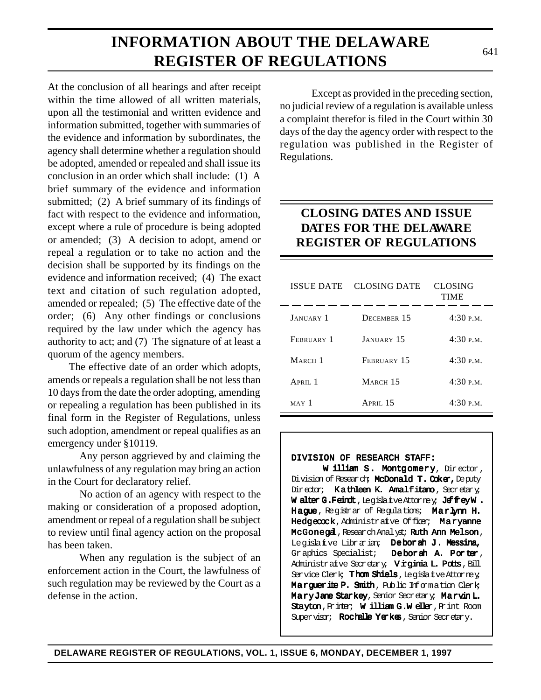# **INFORMATION ABOUT THE DELAWARE REGISTER OF REGULATIONS**

At the conclusion of all hearings and after receipt within the time allowed of all written materials, upon all the testimonial and written evidence and information submitted, together with summaries of the evidence and information by subordinates, the agency shall determine whether a regulation should be adopted, amended or repealed and shall issue its conclusion in an order which shall include: (1) A brief summary of the evidence and information submitted; (2) A brief summary of its findings of fact with respect to the evidence and information, except where a rule of procedure is being adopted or amended; (3) A decision to adopt, amend or repeal a regulation or to take no action and the decision shall be supported by its findings on the evidence and information received; (4) The exact text and citation of such regulation adopted, amended or repealed; (5) The effective date of the order; (6) Any other findings or conclusions required by the law under which the agency has authority to act; and (7) The signature of at least a quorum of the agency members.

The effective date of an order which adopts, amends or repeals a regulation shall be not less than 10 days from the date the order adopting, amending or repealing a regulation has been published in its final form in the Register of Regulations, unless such adoption, amendment or repeal qualifies as an emergency under §10119.

Any person aggrieved by and claiming the unlawfulness of any regulation may bring an action in the Court for declaratory relief.

No action of an agency with respect to the making or consideration of a proposed adoption, amendment or repeal of a regulation shall be subject to review until final agency action on the proposal has been taken.

When any regulation is the subject of an enforcement action in the Court, the lawfulness of such regulation may be reviewed by the Court as a defense in the action.

Except as provided in the preceding section, no judicial review of a regulation is available unless a complaint therefor is filed in the Court within 30 days of the day the agency order with respect to the regulation was published in the Register of Regulations.

### **CLOSING DATES AND ISSUE DATES FOR THE DELAWARE REGISTER OF REGULATIONS**

| ISSUE DATE         | CLOSING DATE        | CLOSING<br><b>TIME</b> |
|--------------------|---------------------|------------------------|
| JANUARY 1          | <b>DECEMBER 15</b>  | 4:30P.M.               |
| FEBRUARY 1         | JANUARY 15          | 4:30P.M.               |
| MARCH <sub>1</sub> | FEBRUARY 15         | 4:30P.M.               |
| APRIL <sub>1</sub> | MARCH <sub>15</sub> | 4:30P.M.               |
| MAX <sub>1</sub>   | APRIL $15$          | 4:30P.M.               |

#### DIVISION OF RESEARCH STAFF:

W illiam S. Montgomery, Director, Division of Research; McDonald T. Coker, Deputy Director; Kathleen K. Amalfitano, Secretary; W alter G.Feindt, Legislatve Attorney; JeffreyW. Hague, Registrar of Regulations; Marlynn H. Hedgecock, Administrative Officer; Maryanne McGonegal, Research Analyst; Ruth Ann Melson, Legislative Librarian; Deborah J. Messina, Graphics Specialist; Deborah A. Porter, Administrative Secretary; Virginia L. Potts, Bill Service Clerk; Thom Shiels, Legislative Attorney; Marquerite P. Smith, Public Information Clerk; Mary Jane Starkey, Senior Secretary; Marvin L. Stayton, Printer; William G.W eller, Print Room Supervisor; Rochelle Yerkes, Senior Secretary.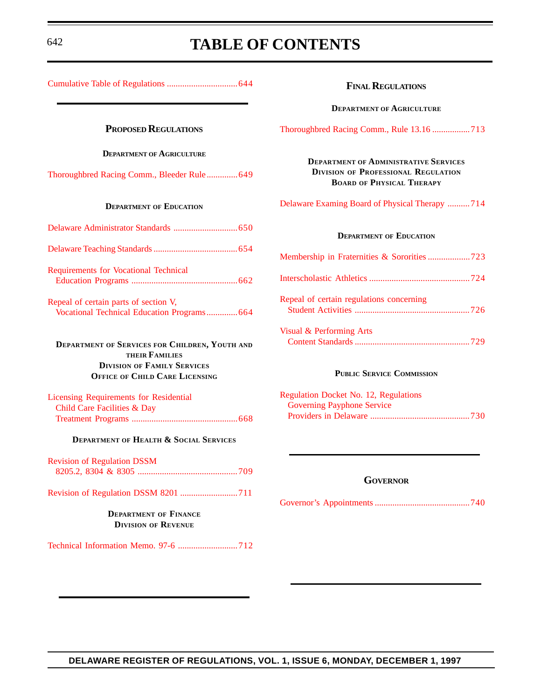### <span id="page-3-0"></span><sup>642</sup> **TABLE OF CONTENTS**

[Cumulative Table of Regulations](#page-5-0) ................................644

#### **PROPOSED REGULATIONS**

#### **DEPARTMENT OF AGRICULTURE**

[Thoroughbred Racing Comm., Bleeder Rule](#page-10-0) ..............649

#### **DEPARTMENT OF EDUCATION**

| <b>Requirements for Vocational Technical</b> |  |
|----------------------------------------------|--|
| Repeal of certain parts of section V,        |  |

#### **DEPARTMENT OF SERVICES FOR CHILDREN, YOUTH AND THEIR FAMILIES DIVISION OF FAMILY SERVICES OFFICE OF CHILD CARE LICENSING**

[Licensing Requirements for Residential](#page-29-0) Child Care Facilities & Day Treatment Programs ................................................668

#### **DEPARTMENT OF HEALTH & SOCIAL SERVICES**

| <b>Revision of Regulation DSSM</b> |  |  |
|------------------------------------|--|--|
|                                    |  |  |

|--|--|--|--|--|

#### **DEPARTMENT OF FINANCE DIVISION OF REVENUE**

[Technical Information Memo. 97-6](#page-73-0) ...........................712

#### **FINAL REGULATIONS**

**DEPARTMENT OF AGRICULTURE**

[Thoroughbred Racing Comm., Rule 13.16](#page-74-0) .................713

**DEPARTMENT OF ADMINISTRATIVE SERVICES DIVISION OF PROFESSIONAL REGULATION BOARD OF PHYSICAL THERAPY**

[Delaware Examing Board of Physical Therapy](#page-75-0) ..........714

#### **DEPARTMENT OF EDUCATION**

| Repeal of certain regulations concerning |  |
|------------------------------------------|--|
| Visual & Performing Arts                 |  |

#### **PUBLIC SERVICE COMMISSION**

| Regulation Docket No. 12, Regulations |  |
|---------------------------------------|--|
| <b>Governing Payphone Service</b>     |  |
|                                       |  |

#### **GOVERNOR**

|--|--|--|--|--|

**DELAWARE REGISTER OF REGULATIONS, VOL. 1, ISSUE 6, MONDAY, DECEMBER 1, 1997**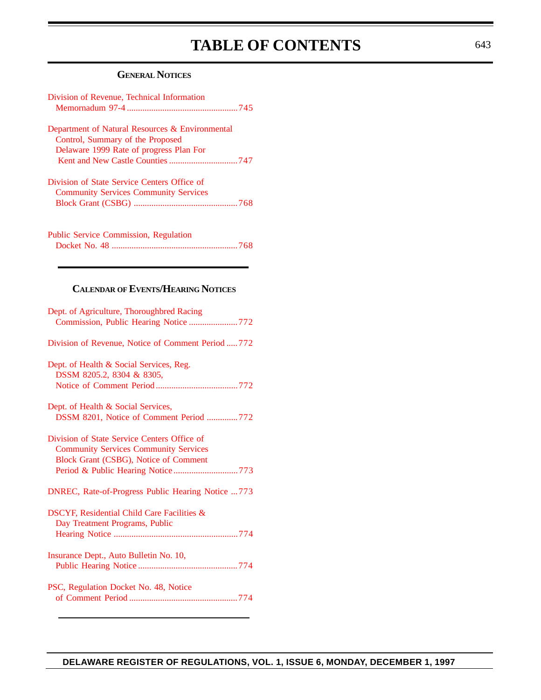### TABLE OF CONTENTS 643

### **GENERAL NOTICES**

| Division of Revenue, Technical Information                                                                                                                                |
|---------------------------------------------------------------------------------------------------------------------------------------------------------------------------|
| Department of Natural Resources & Environmental<br>Control, Summary of the Proposed<br>Delaware 1999 Rate of progress Plan For                                            |
| Division of State Service Centers Office of<br><b>Community Services Community Services</b>                                                                               |
| Public Service Commission, Regulation                                                                                                                                     |
| <b>CALENDAR OF EVENTS/HEARING NOTICES</b>                                                                                                                                 |
| Dept. of Agriculture, Thoroughbred Racing<br>Commission, Public Hearing Notice 772                                                                                        |
| Division of Revenue, Notice of Comment Period  772                                                                                                                        |
| Dept. of Health & Social Services, Reg.<br>DSSM 8205.2, 8304 & 8305,                                                                                                      |
| Dept. of Health & Social Services,<br>DSSM 8201, Notice of Comment Period 772                                                                                             |
| Division of State Service Centers Office of<br><b>Community Services Community Services</b><br>Block Grant (CSBG), Notice of Comment<br>Period & Public Hearing Notice773 |
| DNREC, Rate-of-Progress Public Hearing Notice 773                                                                                                                         |
| DSCYF, Residential Child Care Facilities &<br>Day Treatment Programs, Public                                                                                              |
| Insurance Dept., Auto Bulletin No. 10,                                                                                                                                    |

| PSC, Regulation Docket No. 48, Notice |  |
|---------------------------------------|--|
|                                       |  |

Public Hearing Notice .............................................774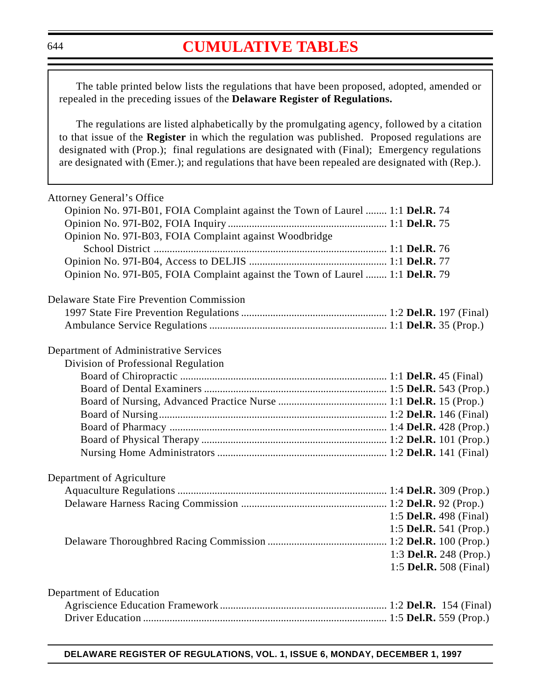The table printed below lists the regulations that have been proposed, adopted, amended or repealed in the preceding issues of the **Delaware Register of Regulations.**

The regulations are listed alphabetically by the promulgating agency, followed by a citation to that issue of the **Register** in which the regulation was published. Proposed regulations are designated with (Prop.); final regulations are designated with (Final); Emergency regulations are designated with (Emer.); and regulations that have been repealed are designated with (Rep.).

| <b>Attorney General's Office</b>                                              |                        |
|-------------------------------------------------------------------------------|------------------------|
| Opinion No. 97I-B01, FOIA Complaint against the Town of Laurel  1:1 Del.R. 74 |                        |
|                                                                               |                        |
| Opinion No. 97I-B03, FOIA Complaint against Woodbridge                        |                        |
|                                                                               |                        |
|                                                                               |                        |
| Opinion No. 97I-B05, FOIA Complaint against the Town of Laurel  1:1 Del.R. 79 |                        |
| <b>Delaware State Fire Prevention Commission</b>                              |                        |
|                                                                               |                        |
|                                                                               |                        |
| Department of Administrative Services                                         |                        |
| Division of Professional Regulation                                           |                        |
|                                                                               |                        |
|                                                                               |                        |
|                                                                               |                        |
|                                                                               |                        |
|                                                                               |                        |
|                                                                               |                        |
|                                                                               |                        |
|                                                                               |                        |
| Department of Agriculture                                                     |                        |
|                                                                               |                        |
|                                                                               |                        |
|                                                                               | 1:5 Del.R. 498 (Final) |
|                                                                               | 1:5 Del.R. 541 (Prop.) |
|                                                                               |                        |
|                                                                               | 1:3 Del.R. 248 (Prop.) |
|                                                                               | 1:5 Del.R. 508 (Final) |
| Department of Education                                                       |                        |
|                                                                               |                        |
|                                                                               |                        |
|                                                                               |                        |

#### **DELAWARE REGISTER OF REGULATIONS, VOL. 1, ISSUE 6, MONDAY, DECEMBER 1, 1997**

<span id="page-5-0"></span>644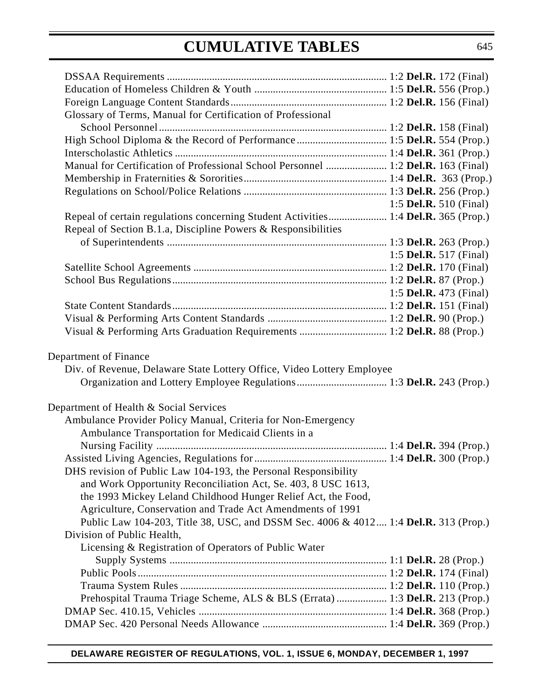| Glossary of Terms, Manual for Certification of Professional                                     |                               |  |
|-------------------------------------------------------------------------------------------------|-------------------------------|--|
|                                                                                                 |                               |  |
|                                                                                                 |                               |  |
|                                                                                                 |                               |  |
| Manual for Certification of Professional School Personnel  1:2 Del.R. 163 (Final)               |                               |  |
|                                                                                                 |                               |  |
|                                                                                                 |                               |  |
|                                                                                                 | 1:5 <b>Del.R.</b> 510 (Final) |  |
| Repeal of certain regulations concerning Student Activities 1:4 Del.R. 365 (Prop.)              |                               |  |
| Repeal of Section B.1.a, Discipline Powers & Responsibilities                                   |                               |  |
|                                                                                                 |                               |  |
|                                                                                                 | 1:5 <b>Del.R.</b> 517 (Final) |  |
|                                                                                                 |                               |  |
|                                                                                                 |                               |  |
|                                                                                                 | 1:5 <b>Del.R.</b> 473 (Final) |  |
|                                                                                                 |                               |  |
|                                                                                                 |                               |  |
|                                                                                                 |                               |  |
| Department of Finance<br>Div. of Revenue, Delaware State Lottery Office, Video Lottery Employee |                               |  |
| Department of Health & Social Services                                                          |                               |  |
| Ambulance Provider Policy Manual, Criteria for Non-Emergency                                    |                               |  |
| Ambulance Transportation for Medicaid Clients in a                                              |                               |  |
|                                                                                                 |                               |  |
|                                                                                                 |                               |  |
| DHS revision of Public Law 104-193, the Personal Responsibility                                 |                               |  |
| and Work Opportunity Reconciliation Act, Se. 403, 8 USC 1613,                                   |                               |  |
| the 1993 Mickey Leland Childhood Hunger Relief Act, the Food,                                   |                               |  |
| Agriculture, Conservation and Trade Act Amendments of 1991                                      |                               |  |
| Public Law 104-203, Title 38, USC, and DSSM Sec. 4006 & 4012 1:4 Del.R. 313 (Prop.)             |                               |  |
| Division of Public Health,                                                                      |                               |  |
| Licensing & Registration of Operators of Public Water                                           |                               |  |
|                                                                                                 |                               |  |
|                                                                                                 |                               |  |
|                                                                                                 |                               |  |
| Prehospital Trauma Triage Scheme, ALS & BLS (Errata)  1:3 Del.R. 213 (Prop.)                    |                               |  |
|                                                                                                 |                               |  |
|                                                                                                 |                               |  |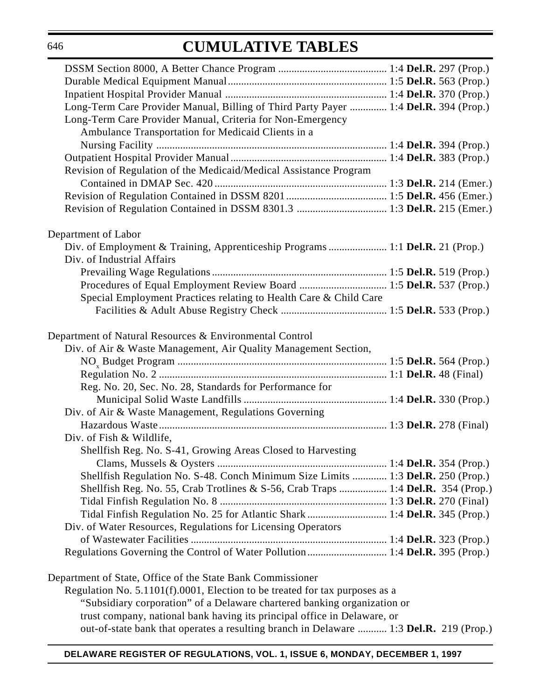| Long-Term Care Provider Manual, Billing of Third Party Payer  1:4 Del.R. 394 (Prop.)   |  |  |
|----------------------------------------------------------------------------------------|--|--|
| Long-Term Care Provider Manual, Criteria for Non-Emergency                             |  |  |
| Ambulance Transportation for Medicaid Clients in a                                     |  |  |
|                                                                                        |  |  |
|                                                                                        |  |  |
| Revision of Regulation of the Medicaid/Medical Assistance Program                      |  |  |
|                                                                                        |  |  |
|                                                                                        |  |  |
|                                                                                        |  |  |
| Department of Labor                                                                    |  |  |
| Div. of Employment & Training, Apprenticeship Programs  1:1 Del.R. 21 (Prop.)          |  |  |
| Div. of Industrial Affairs                                                             |  |  |
|                                                                                        |  |  |
|                                                                                        |  |  |
| Special Employment Practices relating to Health Care & Child Care                      |  |  |
|                                                                                        |  |  |
|                                                                                        |  |  |
| Department of Natural Resources & Environmental Control                                |  |  |
| Div. of Air & Waste Management, Air Quality Management Section,                        |  |  |
|                                                                                        |  |  |
|                                                                                        |  |  |
| Reg. No. 20, Sec. No. 28, Standards for Performance for                                |  |  |
|                                                                                        |  |  |
| Div. of Air & Waste Management, Regulations Governing                                  |  |  |
|                                                                                        |  |  |
| Div. of Fish & Wildlife,                                                               |  |  |
| Shellfish Reg. No. S-41, Growing Areas Closed to Harvesting                            |  |  |
|                                                                                        |  |  |
| Shellfish Regulation No. S-48. Conch Minimum Size Limits  1:3 Del.R. 250 (Prop.)       |  |  |
| Shellfish Reg. No. 55, Crab Trotlines & S-56, Crab Traps  1:4 Del.R. 354 (Prop.)       |  |  |
|                                                                                        |  |  |
| Tidal Finfish Regulation No. 25 for Atlantic Shark  1:4 Del.R. 345 (Prop.)             |  |  |
| Div. of Water Resources, Regulations for Licensing Operators                           |  |  |
|                                                                                        |  |  |
| Regulations Governing the Control of Water Pollution  1:4 Del.R. 395 (Prop.)           |  |  |
| Department of State, Office of the State Bank Commissioner                             |  |  |
| Regulation No. $5.1101(f)$ .0001, Election to be treated for tax purposes as a         |  |  |
| "Subsidiary corporation" of a Delaware chartered banking organization or               |  |  |
| trust company, national bank having its principal office in Delaware, or               |  |  |
| out-of-state bank that operates a resulting branch in Delaware  1:3 Del.R. 219 (Prop.) |  |  |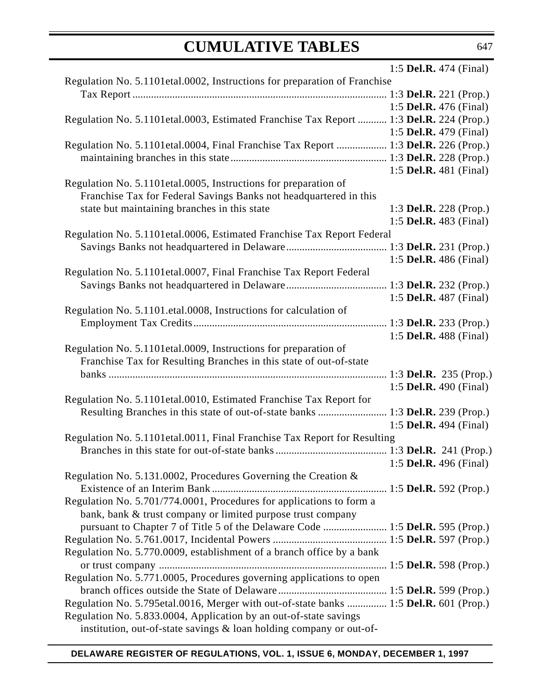|                                                                                        | 1:5 <b>Del.R.</b> 474 (Final) |  |
|----------------------------------------------------------------------------------------|-------------------------------|--|
| Regulation No. 5.1101etal.0002, Instructions for preparation of Franchise              |                               |  |
|                                                                                        |                               |  |
|                                                                                        | 1:5 Del.R. 476 (Final)        |  |
| Regulation No. 5.1101etal.0003, Estimated Franchise Tax Report  1:3 Del.R. 224 (Prop.) |                               |  |
|                                                                                        | 1:5 Del.R. 479 (Final)        |  |
| Regulation No. 5.1101etal.0004, Final Franchise Tax Report  1:3 Del.R. 226 (Prop.)     |                               |  |
|                                                                                        |                               |  |
|                                                                                        |                               |  |
|                                                                                        | 1:5 Del.R. 481 (Final)        |  |
| Regulation No. 5.1101etal.0005, Instructions for preparation of                        |                               |  |
| Franchise Tax for Federal Savings Banks not headquartered in this                      |                               |  |
| state but maintaining branches in this state                                           | 1:3 Del.R. 228 (Prop.)        |  |
|                                                                                        | 1:5 Del.R. 483 (Final)        |  |
| Regulation No. 5.1101etal.0006, Estimated Franchise Tax Report Federal                 |                               |  |
|                                                                                        |                               |  |
|                                                                                        | 1:5 Del.R. 486 (Final)        |  |
| Regulation No. 5.1101etal.0007, Final Franchise Tax Report Federal                     |                               |  |
|                                                                                        |                               |  |
|                                                                                        | 1:5 Del.R. 487 (Final)        |  |
| Regulation No. 5.1101.etal.0008, Instructions for calculation of                       |                               |  |
|                                                                                        |                               |  |
|                                                                                        | 1:5 Del.R. 488 (Final)        |  |
| Regulation No. 5.1101etal.0009, Instructions for preparation of                        |                               |  |
| Franchise Tax for Resulting Branches in this state of out-of-state                     |                               |  |
|                                                                                        |                               |  |
|                                                                                        | 1:5 <b>Del.R.</b> 490 (Final) |  |
| Regulation No. 5.1101etal.0010, Estimated Franchise Tax Report for                     |                               |  |
| Resulting Branches in this state of out-of-state banks  1:3 Del.R. 239 (Prop.)         |                               |  |
|                                                                                        | 1:5 <b>Del.R.</b> 494 (Final) |  |
|                                                                                        |                               |  |
| Regulation No. 5.1101etal.0011, Final Franchise Tax Report for Resulting               |                               |  |
|                                                                                        |                               |  |
| 1:5 Del.R. 496 (Final)                                                                 |                               |  |
| Regulation No. 5.131.0002, Procedures Governing the Creation $\&$                      |                               |  |
|                                                                                        |                               |  |
| Regulation No. 5.701/774.0001, Procedures for applications to form a                   |                               |  |
| bank, bank & trust company or limited purpose trust company                            |                               |  |
| pursuant to Chapter 7 of Title 5 of the Delaware Code  1:5 Del.R. 595 (Prop.)          |                               |  |
|                                                                                        |                               |  |
| Regulation No. 5.770.0009, establishment of a branch office by a bank                  |                               |  |
|                                                                                        |                               |  |
| Regulation No. 5.771.0005, Procedures governing applications to open                   |                               |  |
|                                                                                        |                               |  |
| Regulation No. 5.795etal.0016, Merger with out-of-state banks  1:5 Del.R. 601 (Prop.)  |                               |  |
| Regulation No. 5.833.0004, Application by an out-of-state savings                      |                               |  |
| institution, out-of-state savings & loan holding company or out-of-                    |                               |  |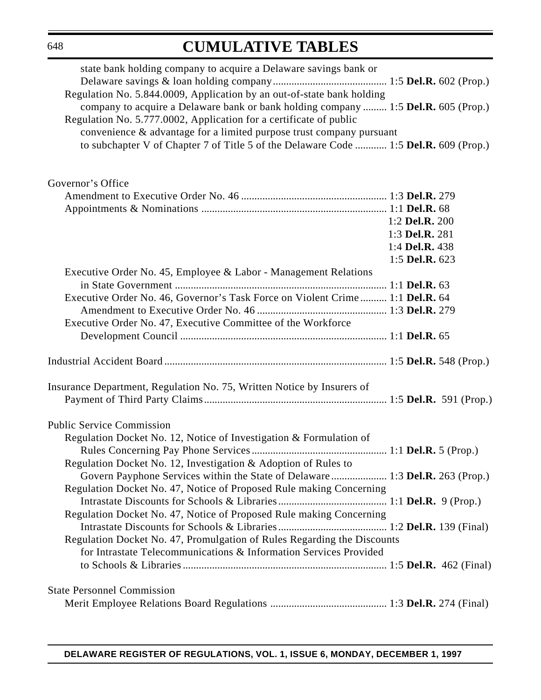648

| state bank holding company to acquire a Delaware savings bank or                     |                  |
|--------------------------------------------------------------------------------------|------------------|
| Regulation No. 5.844.0009, Application by an out-of-state bank holding               |                  |
| company to acquire a Delaware bank or bank holding company  1:5 Del.R. 605 (Prop.)   |                  |
| Regulation No. 5.777.0002, Application for a certificate of public                   |                  |
| convenience & advantage for a limited purpose trust company pursuant                 |                  |
| to subchapter V of Chapter 7 of Title 5 of the Delaware Code  1:5 Del.R. 609 (Prop.) |                  |
|                                                                                      |                  |
|                                                                                      |                  |
| Governor's Office                                                                    |                  |
|                                                                                      |                  |
|                                                                                      |                  |
|                                                                                      | 1:2 Del.R. $200$ |
|                                                                                      | 1:3 Del.R. 281   |
|                                                                                      | 1:4 Del.R. 438   |
|                                                                                      | 1:5 Del.R. 623   |
| Executive Order No. 45, Employee & Labor - Management Relations                      |                  |
|                                                                                      |                  |
| Executive Order No. 46, Governor's Task Force on Violent Crime 1:1 Del.R. 64         |                  |
|                                                                                      |                  |
| Executive Order No. 47, Executive Committee of the Workforce                         |                  |
|                                                                                      |                  |
|                                                                                      |                  |
|                                                                                      |                  |
|                                                                                      |                  |
|                                                                                      |                  |
| Insurance Department, Regulation No. 75, Written Notice by Insurers of               |                  |
|                                                                                      |                  |
| <b>Public Service Commission</b>                                                     |                  |
| Regulation Docket No. 12, Notice of Investigation & Formulation of                   |                  |
|                                                                                      |                  |
| Regulation Docket No. 12, Investigation & Adoption of Rules to                       |                  |
| Govern Payphone Services within the State of Delaware 1:3 Del.R. 263 (Prop.)         |                  |
| Regulation Docket No. 47, Notice of Proposed Rule making Concerning                  |                  |
|                                                                                      |                  |
| Regulation Docket No. 47, Notice of Proposed Rule making Concerning                  |                  |
|                                                                                      |                  |
| Regulation Docket No. 47, Promulgation of Rules Regarding the Discounts              |                  |
| for Intrastate Telecommunications & Information Services Provided                    |                  |
|                                                                                      |                  |
|                                                                                      |                  |
| <b>State Personnel Commission</b>                                                    |                  |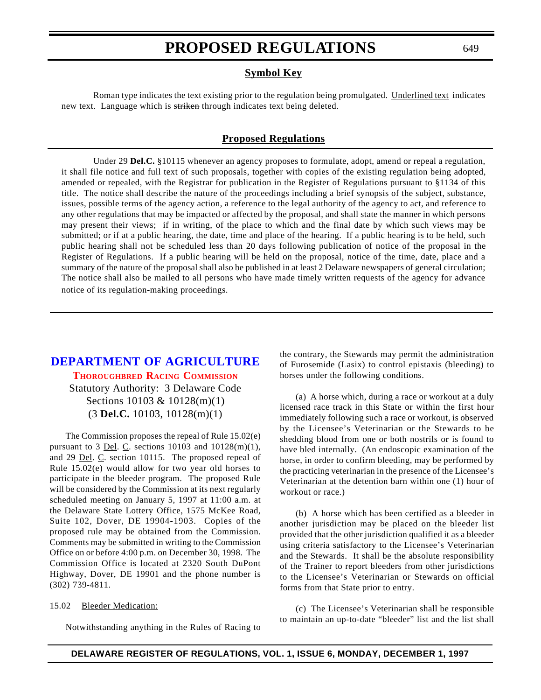#### **Symbol Key**

<span id="page-10-0"></span>Roman type indicates the text existing prior to the regulation being promulgated. Underlined text indicates new text. Language which is striken through indicates text being deleted.

#### **Proposed Regulations**

Under 29 **Del.C.** §10115 whenever an agency proposes to formulate, adopt, amend or repeal a regulation, it shall file notice and full text of such proposals, together with copies of the existing regulation being adopted, amended or repealed, with the Registrar for publication in the Register of Regulations pursuant to §1134 of this title. The notice shall describe the nature of the proceedings including a brief synopsis of the subject, substance, issues, possible terms of the agency action, a reference to the legal authority of the agency to act, and reference to any other regulations that may be impacted or affected by the proposal, and shall state the manner in which persons may present their views; if in writing, of the place to which and the final date by which such views may be submitted; or if at a public hearing, the date, time and place of the hearing. If a public hearing is to be held, such public hearing shall not be scheduled less than 20 days following publication of notice of the proposal in the Register of Regulations. If a public hearing will be held on the proposal, notice of the time, date, place and a summary of the nature of the proposal shall also be published in at least 2 Delaware newspapers of general circulation; The notice shall also be mailed to all persons who have made timely written requests of the agency for advance notice of its regulation-making proceedings.

#### **[DEPARTMENT OF AGRICULTURE](http://www.state.de.us/deptagri/deptagri.htm)**

**[THOROUGHBRED](#page-3-0) RACING COMMISSION** Statutory Authority: 3 Delaware Code Sections 10103 & 10128(m)(1) (3 **Del.C.** 10103, 10128(m)(1)

The Commission proposes the repeal of Rule 15.02(e) pursuant to 3 <u>Del</u>. C. sections 10103 and  $10128(m)(1)$ , and 29 Del. C. section 10115. The proposed repeal of Rule 15.02(e) would allow for two year old horses to participate in the bleeder program. The proposed Rule will be considered by the Commission at its next regularly scheduled meeting on January 5, 1997 at 11:00 a.m. at the Delaware State Lottery Office, 1575 McKee Road, Suite 102, Dover, DE 19904-1903. Copies of the proposed rule may be obtained from the Commission. Comments may be submitted in writing to the Commission Office on or before 4:00 p.m. on December 30, 1998. The Commission Office is located at 2320 South DuPont Highway, Dover, DE 19901 and the phone number is (302) 739-4811.

#### 15.02 Bleeder Medication:

Notwithstanding anything in the Rules of Racing to

the contrary, the Stewards may permit the administration of Furosemide (Lasix) to control epistaxis (bleeding) to horses under the following conditions.

(a) A horse which, during a race or workout at a duly licensed race track in this State or within the first hour immediately following such a race or workout, is observed by the Licensee's Veterinarian or the Stewards to be shedding blood from one or both nostrils or is found to have bled internally. (An endoscopic examination of the horse, in order to confirm bleeding, may be performed by the practicing veterinarian in the presence of the Licensee's Veterinarian at the detention barn within one (1) hour of workout or race.)

(b) A horse which has been certified as a bleeder in another jurisdiction may be placed on the bleeder list provided that the other jurisdiction qualified it as a bleeder using criteria satisfactory to the Licensee's Veterinarian and the Stewards. It shall be the absolute responsibility of the Trainer to report bleeders from other jurisdictions to the Licensee's Veterinarian or Stewards on official forms from that State prior to entry.

(c) The Licensee's Veterinarian shall be responsible to maintain an up-to-date "bleeder" list and the list shall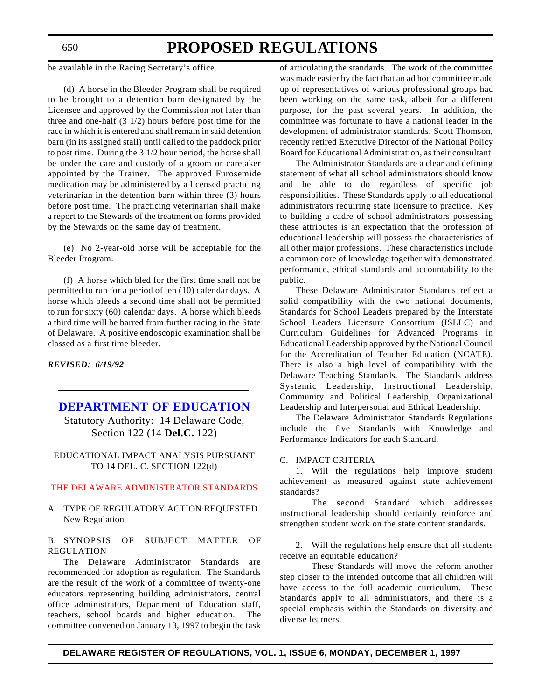#### <span id="page-11-0"></span>650

### **PROPOSED REGULATIONS**

be available in the Racing Secretary's office.

(d) A horse in the Bleeder Program shall be required to be brought to a detention barn designated by the Licensee and approved by the Commission not later than three and one-half (3 1/2) hours before post time for the race in which it is entered and shall remain in said detention barn (in its assigned stall) until called to the paddock prior to post time. During the 3 1/2 hour period, the horse shall be under the care and custody of a groom or caretaker appointed by the Trainer. The approved Furosemide medication may be administered by a licensed practicing veterinarian in the detention barn within three (3) hours before post time. The practicing veterinarian shall make a report to the Stewards of the treatment on forms provided by the Stewards on the same day of treatment.

#### (e) No 2-year-old horse will be acceptable for the Bleeder Program.

(f) A horse which bled for the first time shall not be permitted to run for a period of ten (10) calendar days. A horse which bleeds a second time shall not be permitted to run for sixty (60) calendar days. A horse which bleeds a third time will be barred from further racing in the State of Delaware. A positive endoscopic examination shall be classed as a first time bleeder.

#### *REVISED: 6/19/92*

#### **[DEPARTMENT OF EDUCATION](http://www.doe.state.de.us/docs/index_js.asp)**

Statutory Authority: 14 Delaware Code, Section 122 (14 **Del.C.** 122)

#### EDUCATIONAL IMPACT ANALYSIS PURSUANT TO 14 DEL. C. SECTION 122(d)

#### [THE DELAWARE ADMINISTRATOR STANDARDS](#page-3-0)

#### A. TYPE OF REGULATORY ACTION REQUESTED New Regulation

#### B. SYNOPSIS OF SUBJECT MATTER OF REGULATION

The Delaware Administrator Standards are recommended for adoption as regulation. The Standards are the result of the work of a committee of twenty-one educators representing building administrators, central office administrators, Department of Education staff, teachers, school boards and higher education. The committee convened on January 13, 1997 to begin the task of articulating the standards. The work of the committee was made easier by the fact that an ad hoc committee made up of representatives of various professional groups had been working on the same task, albeit for a different purpose, for the past several years. In addition, the committee was fortunate to have a national leader in the development of administrator standards, Scott Thomson, recently retired Executive Director of the National Policy Board for Educational Administration, as their consultant.

The Administrator Standards are a clear and defining statement of what all school administrators should know and be able to do regardless of specific job responsibilities. These Standards apply to all educational administrators requiring state licensure to practice. Key to building a cadre of school administrators possessing these attributes is an expectation that the profession of educational leadership will possess the characteristics of all other major professions. These characteristics include a common core of knowledge together with demonstrated performance, ethical standards and accountability to the public.

These Delaware Administrator Standards reflect a solid compatibility with the two national documents, Standards for School Leaders prepared by the Interstate School Leaders Licensure Consortium (ISLLC) and Curriculum Guidelines for Advanced Programs in Educational Leadership approved by the National Council for the Accreditation of Teacher Education (NCATE). There is also a high level of compatibility with the Delaware Teaching Standards. The Standards address Systemic Leadership, Instructional Leadership, Community and Political Leadership, Organizational Leadership and Interpersonal and Ethical Leadership.

The Delaware Administrator Standards Regulations include the five Standards with Knowledge and Performance Indicators for each Standard.

#### C. IMPACT CRITERIA

1. Will the regulations help improve student achievement as measured against state achievement standards?

The second Standard which addresses instructional leadership should certainly reinforce and strengthen student work on the state content standards.

2. Will the regulations help ensure that all students receive an equitable education?

These Standards will move the reform another step closer to the intended outcome that all children will have access to the full academic curriculum. These Standards apply to all administrators, and there is a special emphasis within the Standards on diversity and diverse learners.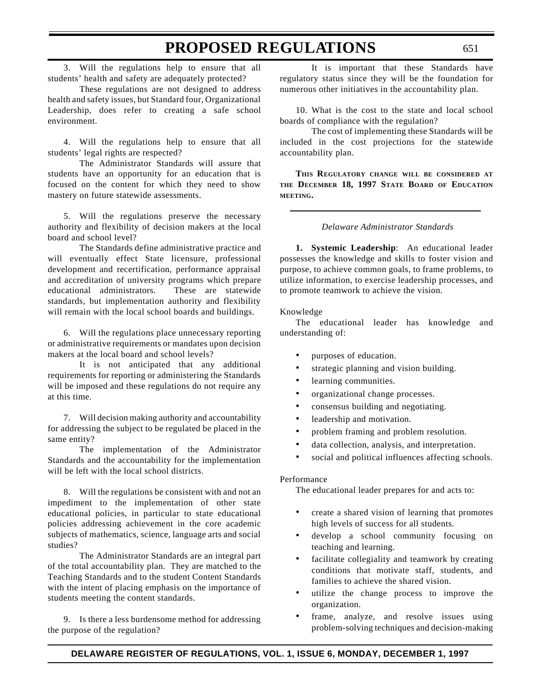3. Will the regulations help to ensure that all students' health and safety are adequately protected?

These regulations are not designed to address health and safety issues, but Standard four, Organizational Leadership, does refer to creating a safe school environment.

4. Will the regulations help to ensure that all students' legal rights are respected?

The Administrator Standards will assure that students have an opportunity for an education that is focused on the content for which they need to show mastery on future statewide assessments.

5. Will the regulations preserve the necessary authority and flexibility of decision makers at the local board and school level?

The Standards define administrative practice and will eventually effect State licensure, professional development and recertification, performance appraisal and accreditation of university programs which prepare educational administrators. These are statewide standards, but implementation authority and flexibility will remain with the local school boards and buildings.

6. Will the regulations place unnecessary reporting or administrative requirements or mandates upon decision makers at the local board and school levels?

It is not anticipated that any additional requirements for reporting or administering the Standards will be imposed and these regulations do not require any at this time.

7. Will decision making authority and accountability for addressing the subject to be regulated be placed in the same entity?

The implementation of the Administrator Standards and the accountability for the implementation will be left with the local school districts.

8. Will the regulations be consistent with and not an impediment to the implementation of other state educational policies, in particular to state educational policies addressing achievement in the core academic subjects of mathematics, science, language arts and social studies?

The Administrator Standards are an integral part of the total accountability plan. They are matched to the Teaching Standards and to the student Content Standards with the intent of placing emphasis on the importance of students meeting the content standards.

9. Is there a less burdensome method for addressing the purpose of the regulation?

It is important that these Standards have regulatory status since they will be the foundation for numerous other initiatives in the accountability plan.

10. What is the cost to the state and local school boards of compliance with the regulation?

The cost of implementing these Standards will be included in the cost projections for the statewide accountability plan.

**THIS REGULATORY CHANGE WILL BE CONSIDERED AT THE DECEMBER 18, 1997 STATE BOARD OF EDUCATION MEETING.**

#### *Delaware Administrator Standards*

**1. Systemic Leadership**: An educational leader possesses the knowledge and skills to foster vision and purpose, to achieve common goals, to frame problems, to utilize information, to exercise leadership processes, and to promote teamwork to achieve the vision.

#### Knowledge

The educational leader has knowledge and understanding of:

- purposes of education.
- strategic planning and vision building.
- learning communities.
- organizational change processes.
- consensus building and negotiating.
- leadership and motivation.
- problem framing and problem resolution.
- data collection, analysis, and interpretation.
- social and political influences affecting schools.

#### Performance

The educational leader prepares for and acts to:

- create a shared vision of learning that promotes high levels of success for all students.
- develop a school community focusing on teaching and learning.
- facilitate collegiality and teamwork by creating conditions that motivate staff, students, and families to achieve the shared vision.
- utilize the change process to improve the organization.
- frame, analyze, and resolve issues using problem-solving techniques and decision-making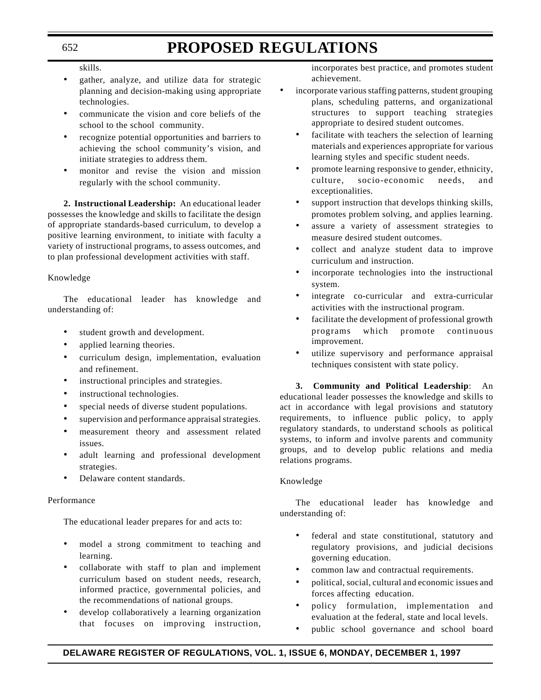#### skills.

- gather, analyze, and utilize data for strategic planning and decision-making using appropriate technologies.
- communicate the vision and core beliefs of the school to the school community.
- recognize potential opportunities and barriers to achieving the school community's vision, and initiate strategies to address them.
- monitor and revise the vision and mission regularly with the school community.

**2. Instructional Leadership:** An educational leader possesses the knowledge and skills to facilitate the design of appropriate standards-based curriculum, to develop a positive learning environment, to initiate with faculty a variety of instructional programs, to assess outcomes, and to plan professional development activities with staff.

#### Knowledge

The educational leader has knowledge and understanding of:

- student growth and development.
- applied learning theories.
- curriculum design, implementation, evaluation and refinement.
- instructional principles and strategies.
- instructional technologies.
- special needs of diverse student populations.
- supervision and performance appraisal strategies.
- measurement theory and assessment related issues.
- adult learning and professional development strategies.
- Delaware content standards.

#### Performance

The educational leader prepares for and acts to:

- model a strong commitment to teaching and learning.
- collaborate with staff to plan and implement curriculum based on student needs, research, informed practice, governmental policies, and the recommendations of national groups.
- develop collaboratively a learning organization that focuses on improving instruction,

incorporates best practice, and promotes student achievement.

- incorporate various staffing patterns, student grouping plans, scheduling patterns, and organizational structures to support teaching strategies appropriate to desired student outcomes.
	- facilitate with teachers the selection of learning materials and experiences appropriate for various learning styles and specific student needs.
	- promote learning responsive to gender, ethnicity, culture, socio-economic needs, and exceptionalities.
	- support instruction that develops thinking skills, promotes problem solving, and applies learning.
	- assure a variety of assessment strategies to measure desired student outcomes.
	- collect and analyze student data to improve curriculum and instruction.
	- incorporate technologies into the instructional system.
	- integrate co-curricular and extra-curricular activities with the instructional program.
	- facilitate the development of professional growth programs which promote continuous improvement.
	- utilize supervisory and performance appraisal techniques consistent with state policy.

**3. Community and Political Leadership**: An educational leader possesses the knowledge and skills to act in accordance with legal provisions and statutory requirements, to influence public policy, to apply regulatory standards, to understand schools as political systems, to inform and involve parents and community groups, and to develop public relations and media relations programs.

#### Knowledge

The educational leader has knowledge and understanding of:

- federal and state constitutional, statutory and regulatory provisions, and judicial decisions governing education.
- common law and contractual requirements.
- political, social, cultural and economic issues and forces affecting education.
- policy formulation, implementation and evaluation at the federal, state and local levels.
- public school governance and school board

<sup>652</sup>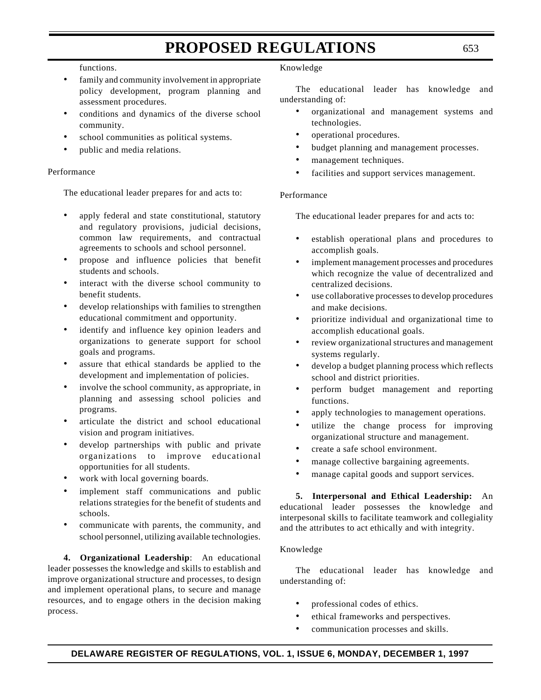functions.

- family and community involvement in appropriate policy development, program planning and assessment procedures.
- conditions and dynamics of the diverse school community.
- school communities as political systems.
- public and media relations.

#### Performance

The educational leader prepares for and acts to:

- apply federal and state constitutional, statutory and regulatory provisions, judicial decisions, common law requirements, and contractual agreements to schools and school personnel.
- propose and influence policies that benefit students and schools.
- interact with the diverse school community to benefit students.
- develop relationships with families to strengthen educational commitment and opportunity.
- identify and influence key opinion leaders and organizations to generate support for school goals and programs.
- assure that ethical standards be applied to the development and implementation of policies.
- involve the school community, as appropriate, in planning and assessing school policies and programs.
- articulate the district and school educational vision and program initiatives.
- develop partnerships with public and private organizations to improve educational opportunities for all students.
- work with local governing boards.
- implement staff communications and public relations strategies for the benefit of students and schools.
- communicate with parents, the community, and school personnel, utilizing available technologies.

**4. Organizational Leadership**: An educational leader possesses the knowledge and skills to establish and improve organizational structure and processes, to design and implement operational plans, to secure and manage resources, and to engage others in the decision making process.

#### Knowledge

The educational leader has knowledge and understanding of:

- organizational and management systems and technologies.
- operational procedures.
- budget planning and management processes.
- management techniques.
- facilities and support services management.

#### Performance

The educational leader prepares for and acts to:

- establish operational plans and procedures to accomplish goals.
- implement management processes and procedures which recognize the value of decentralized and centralized decisions.
- use collaborative processes to develop procedures and make decisions.
- prioritize individual and organizational time to accomplish educational goals.
- review organizational structures and management systems regularly.
- develop a budget planning process which reflects school and district priorities.
- perform budget management and reporting functions.
- apply technologies to management operations.
- utilize the change process for improving organizational structure and management.
- create a safe school environment.
- manage collective bargaining agreements.
- manage capital goods and support services.

**5. Interpersonal and Ethical Leadership:** An educational leader possesses the knowledge and interpesonal skills to facilitate teamwork and collegiality and the attributes to act ethically and with integrity.

#### Knowledge

The educational leader has knowledge and understanding of:

- professional codes of ethics.
- ethical frameworks and perspectives.
- communication processes and skills.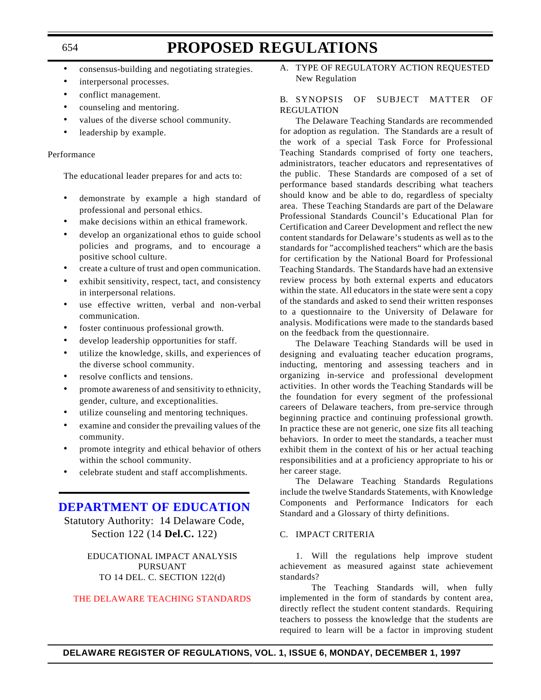- consensus-building and negotiating strategies.
- interpersonal processes.
- conflict management.
- counseling and mentoring.
- values of the diverse school community.
- leadership by example.

#### Performance

The educational leader prepares for and acts to:

- demonstrate by example a high standard of professional and personal ethics.
- make decisions within an ethical framework.
- develop an organizational ethos to guide school policies and programs, and to encourage a positive school culture.
- create a culture of trust and open communication.
- exhibit sensitivity, respect, tact, and consistency in interpersonal relations.
- use effective written, verbal and non-verbal communication.
- foster continuous professional growth.
- develop leadership opportunities for staff.
- utilize the knowledge, skills, and experiences of the diverse school community.
- resolve conflicts and tensions.
- promote awareness of and sensitivity to ethnicity, gender, culture, and exceptionalities.
- utilize counseling and mentoring techniques.
- examine and consider the prevailing values of the community.
- promote integrity and ethical behavior of others within the school community.
- celebrate student and staff accomplishments.

### **[DEPARTMENT OF EDUCATION](http://www.doe.state.de.us/docs/index_js.asp)**

Statutory Authority: 14 Delaware Code, Section 122 (14 **Del.C.** 122)

#### EDUCATIONAL IMPACT ANALYSIS PURSUANT TO 14 DEL. C. SECTION 122(d)

#### [THE DELAWARE TEACHING STANDARDS](#page-3-0)

A. TYPE OF REGULATORY ACTION REQUESTED New Regulation

#### B. SYNOPSIS OF SUBJECT MATTER OF REGULATION

The Delaware Teaching Standards are recommended for adoption as regulation. The Standards are a result of the work of a special Task Force for Professional Teaching Standards comprised of forty one teachers, administrators, teacher educators and representatives of the public. These Standards are composed of a set of performance based standards describing what teachers should know and be able to do, regardless of specialty area. These Teaching Standards are part of the Delaware Professional Standards Council's Educational Plan for Certification and Career Development and reflect the new content standards for Delaware's students as well as to the standards for "accomplished teachers" which are the basis for certification by the National Board for Professional Teaching Standards. The Standards have had an extensive review process by both external experts and educators within the state. All educators in the state were sent a copy of the standards and asked to send their written responses to a questionnaire to the University of Delaware for analysis. Modifications were made to the standards based on the feedback from the questionnaire.

The Delaware Teaching Standards will be used in designing and evaluating teacher education programs, inducting, mentoring and assessing teachers and in organizing in-service and professional development activities. In other words the Teaching Standards will be the foundation for every segment of the professional careers of Delaware teachers, from pre-service through beginning practice and continuing professional growth. In practice these are not generic, one size fits all teaching behaviors. In order to meet the standards, a teacher must exhibit them in the context of his or her actual teaching responsibilities and at a proficiency appropriate to his or her career stage.

The Delaware Teaching Standards Regulations include the twelve Standards Statements, with Knowledge Components and Performance Indicators for each Standard and a Glossary of thirty definitions.

#### C. IMPACT CRITERIA

1. Will the regulations help improve student achievement as measured against state achievement standards?

The Teaching Standards will, when fully implemented in the form of standards by content area, directly reflect the student content standards. Requiring teachers to possess the knowledge that the students are required to learn will be a factor in improving student

#### **DELAWARE REGISTER OF REGULATIONS, VOL. 1, ISSUE 6, MONDAY, DECEMBER 1, 1997**

#### <span id="page-15-0"></span>654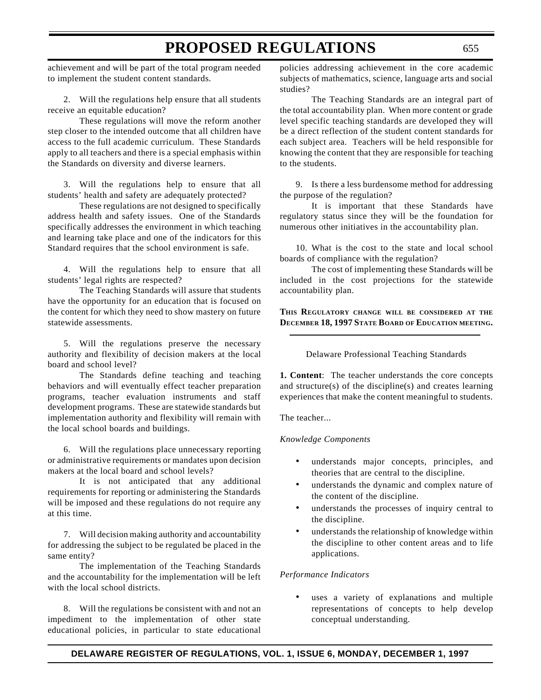achievement and will be part of the total program needed to implement the student content standards.

2. Will the regulations help ensure that all students receive an equitable education?

These regulations will move the reform another step closer to the intended outcome that all children have access to the full academic curriculum. These Standards apply to all teachers and there is a special emphasis within the Standards on diversity and diverse learners.

3. Will the regulations help to ensure that all students' health and safety are adequately protected?

These regulations are not designed to specifically address health and safety issues. One of the Standards specifically addresses the environment in which teaching and learning take place and one of the indicators for this Standard requires that the school environment is safe.

4. Will the regulations help to ensure that all students' legal rights are respected?

The Teaching Standards will assure that students have the opportunity for an education that is focused on the content for which they need to show mastery on future statewide assessments.

5. Will the regulations preserve the necessary authority and flexibility of decision makers at the local board and school level?

The Standards define teaching and teaching behaviors and will eventually effect teacher preparation programs, teacher evaluation instruments and staff development programs. These are statewide standards but implementation authority and flexibility will remain with the local school boards and buildings.

6. Will the regulations place unnecessary reporting or administrative requirements or mandates upon decision makers at the local board and school levels?

It is not anticipated that any additional requirements for reporting or administering the Standards will be imposed and these regulations do not require any at this time.

7. Will decision making authority and accountability for addressing the subject to be regulated be placed in the same entity?

The implementation of the Teaching Standards and the accountability for the implementation will be left with the local school districts.

8. Will the regulations be consistent with and not an impediment to the implementation of other state educational policies, in particular to state educational policies addressing achievement in the core academic subjects of mathematics, science, language arts and social studies?

The Teaching Standards are an integral part of the total accountability plan. When more content or grade level specific teaching standards are developed they will be a direct reflection of the student content standards for each subject area. Teachers will be held responsible for knowing the content that they are responsible for teaching to the students.

9. Is there a less burdensome method for addressing the purpose of the regulation?

It is important that these Standards have regulatory status since they will be the foundation for numerous other initiatives in the accountability plan.

10. What is the cost to the state and local school boards of compliance with the regulation?

The cost of implementing these Standards will be included in the cost projections for the statewide accountability plan.

**THIS REGULATORY CHANGE WILL BE CONSIDERED AT THE DECEMBER 18, 1997 STATE BOARD OF EDUCATION MEETING.**

Delaware Professional Teaching Standards

**1. Content**: The teacher understands the core concepts and structure(s) of the discipline(s) and creates learning experiences that make the content meaningful to students.

The teacher...

*Knowledge Components*

- understands major concepts, principles, and theories that are central to the discipline.
- understands the dynamic and complex nature of the content of the discipline.
- understands the processes of inquiry central to the discipline.
- understands the relationship of knowledge within the discipline to other content areas and to life applications.

#### *Performance Indicators*

uses a variety of explanations and multiple representations of concepts to help develop conceptual understanding*.*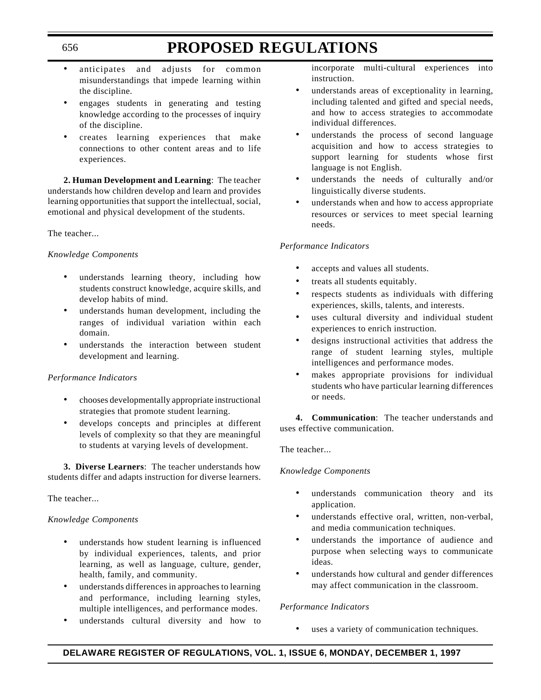- anticipates and adjusts for common misunderstandings that impede learning within the discipline.
- engages students in generating and testing knowledge according to the processes of inquiry of the discipline.
- creates learning experiences that make connections to other content areas and to life experiences.

**2. Human Development and Learning**: The teacher understands how children develop and learn and provides learning opportunities that support the intellectual, social, emotional and physical development of the students.

#### The teacher...

#### *Knowledge Components*

- understands learning theory, including how students construct knowledge, acquire skills, and develop habits of mind.
- understands human development, including the ranges of individual variation within each domain.
- understands the interaction between student development and learning.

#### *Performance Indicators*

- chooses developmentally appropriate instructional strategies that promote student learning.
- develops concepts and principles at different levels of complexity so that they are meaningful to students at varying levels of development.

**3. Diverse Learners**: The teacher understands how students differ and adapts instruction for diverse learners.

The teacher.

#### *Knowledge Components*

- understands how student learning is influenced by individual experiences, talents, and prior learning, as well as language, culture, gender, health, family, and community.
- understands differences in approaches to learning and performance, including learning styles, multiple intelligences, and performance modes.
- understands cultural diversity and how to

incorporate multi-cultural experiences into instruction.

- understands areas of exceptionality in learning, including talented and gifted and special needs, and how to access strategies to accommodate individual differences.
- understands the process of second language acquisition and how to access strategies to support learning for students whose first language is not English.
- understands the needs of culturally and/or linguistically diverse students.
- understands when and how to access appropriate resources or services to meet special learning needs.

#### *Performance Indicators*

- accepts and values all students.
- treats all students equitably.
- respects students as individuals with differing experiences, skills, talents, and interests.
- uses cultural diversity and individual student experiences to enrich instruction.
- designs instructional activities that address the range of student learning styles, multiple intelligences and performance modes.
- makes appropriate provisions for individual students who have particular learning differences or needs.

**4. Communication**: The teacher understands and uses effective communication.

#### The teacher...

*Knowledge Components*

- understands communication theory and its application.
- understands effective oral, written, non-verbal, and media communication techniques.
- understands the importance of audience and purpose when selecting ways to communicate ideas.
- understands how cultural and gender differences may affect communication in the classroom.

#### *Performance Indicators*

uses a variety of communication techniques.

#### **DELAWARE REGISTER OF REGULATIONS, VOL. 1, ISSUE 6, MONDAY, DECEMBER 1, 1997**

#### 656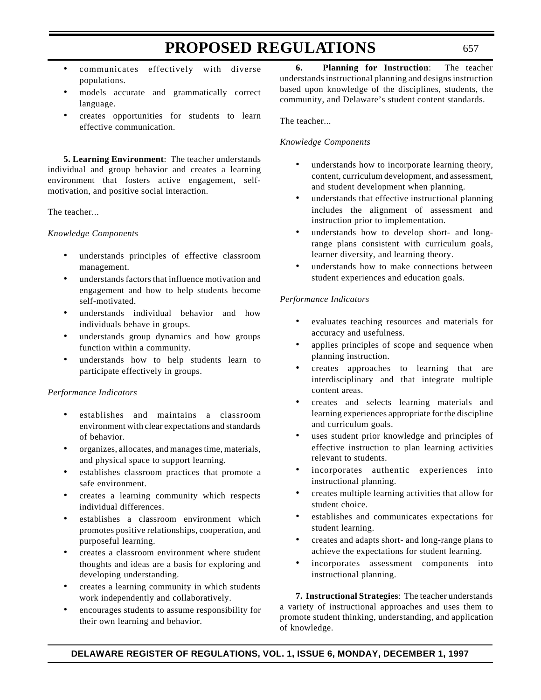- communicates effectively with diverse populations.
- models accurate and grammatically correct language.
- creates opportunities for students to learn effective communication.

**5. Learning Environment**: The teacher understands individual and group behavior and creates a learning environment that fosters active engagement, selfmotivation, and positive social interaction.

The teacher...

#### *Knowledge Components*

- understands principles of effective classroom management.
- understands factors that influence motivation and engagement and how to help students become self-motivated.
- understands individual behavior and how individuals behave in groups.
- understands group dynamics and how groups function within a community.
- understands how to help students learn to participate effectively in groups.

#### *Performance Indicators*

- establishes and maintains a classroom environment with clear expectations and standards of behavior.
- organizes, allocates, and manages time, materials, and physical space to support learning.
- establishes classroom practices that promote a safe environment.
- creates a learning community which respects individual differences.
- establishes a classroom environment which promotes positive relationships, cooperation, and purposeful learning.
- creates a classroom environment where student thoughts and ideas are a basis for exploring and developing understanding.
- creates a learning community in which students work independently and collaboratively.
- encourages students to assume responsibility for their own learning and behavior.

**6. Planning for Instruction**: The teacher understands instructional planning and designs instruction based upon knowledge of the disciplines, students, the community, and Delaware's student content standards.

The teacher...

#### *Knowledge Components*

- understands how to incorporate learning theory, content, curriculum development, and assessment, and student development when planning.
- understands that effective instructional planning includes the alignment of assessment and instruction prior to implementation.
- understands how to develop short- and longrange plans consistent with curriculum goals, learner diversity, and learning theory.
- understands how to make connections between student experiences and education goals.

#### *Performance Indicators*

- evaluates teaching resources and materials for accuracy and usefulness.
- applies principles of scope and sequence when planning instruction.
- creates approaches to learning that are interdisciplinary and that integrate multiple content areas.
- creates and selects learning materials and learning experiences appropriate for the discipline and curriculum goals.
- uses student prior knowledge and principles of effective instruction to plan learning activities relevant to students.
- incorporates authentic experiences into instructional planning.
- creates multiple learning activities that allow for student choice.
- establishes and communicates expectations for student learning.
- creates and adapts short- and long-range plans to achieve the expectations for student learning.
- incorporates assessment components into instructional planning.

**7. Instructional Strategies**: The teacher understands a variety of instructional approaches and uses them to promote student thinking, understanding, and application of knowledge.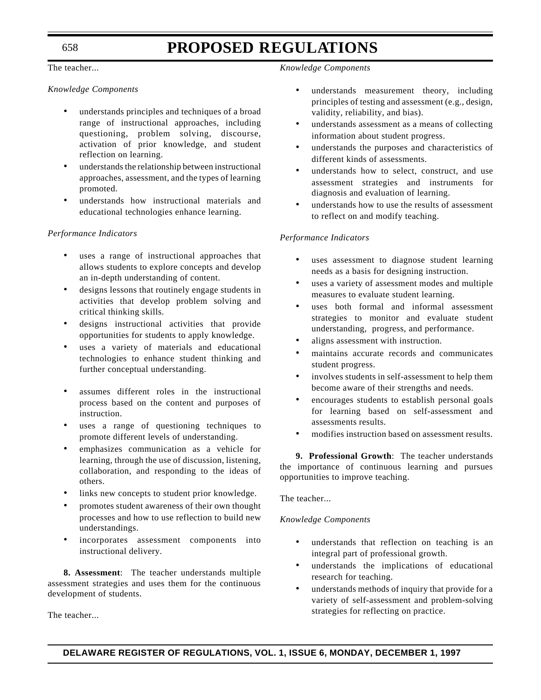#### The teacher...

#### *Knowledge Components*

- understands principles and techniques of a broad range of instructional approaches, including questioning, problem solving, discourse, activation of prior knowledge, and student reflection on learning.
- understands the relationship between instructional approaches, assessment, and the types of learning promoted.
- understands how instructional materials and educational technologies enhance learning.

#### *Performance Indicators*

- uses a range of instructional approaches that allows students to explore concepts and develop an in-depth understanding of content.
- designs lessons that routinely engage students in activities that develop problem solving and critical thinking skills.
- designs instructional activities that provide opportunities for students to apply knowledge.
- uses a variety of materials and educational technologies to enhance student thinking and further conceptual understanding.
- assumes different roles in the instructional process based on the content and purposes of instruction.
- uses a range of questioning techniques to promote different levels of understanding.
- emphasizes communication as a vehicle for learning, through the use of discussion, listening, collaboration, and responding to the ideas of others.
- links new concepts to student prior knowledge.
- promotes student awareness of their own thought processes and how to use reflection to build new understandings.
- incorporates assessment components into instructional delivery.

**8. Assessment**: The teacher understands multiple assessment strategies and uses them for the continuous development of students.

The teacher.

#### *Knowledge Components*

- understands measurement theory, including principles of testing and assessment (e.g., design, validity, reliability, and bias).
- understands assessment as a means of collecting information about student progress.
- understands the purposes and characteristics of different kinds of assessments.
- understands how to select, construct, and use assessment strategies and instruments for diagnosis and evaluation of learning.
- understands how to use the results of assessment to reflect on and modify teaching.

#### *Performance Indicators*

- uses assessment to diagnose student learning needs as a basis for designing instruction.
- uses a variety of assessment modes and multiple measures to evaluate student learning.
- uses both formal and informal assessment strategies to monitor and evaluate student understanding, progress, and performance.
- aligns assessment with instruction.
- maintains accurate records and communicates student progress.
- involves students in self-assessment to help them become aware of their strengths and needs.
- encourages students to establish personal goals for learning based on self-assessment and assessments results.
- modifies instruction based on assessment results.

**9. Professional Growth**: The teacher understands the importance of continuous learning and pursues opportunities to improve teaching.

#### The teacher...

#### *Knowledge Components*

- understands that reflection on teaching is an integral part of professional growth.
- understands the implications of educational research for teaching.
- understands methods of inquiry that provide for a variety of self-assessment and problem-solving strategies for reflecting on practice.

#### **DELAWARE REGISTER OF REGULATIONS, VOL. 1, ISSUE 6, MONDAY, DECEMBER 1, 1997**

658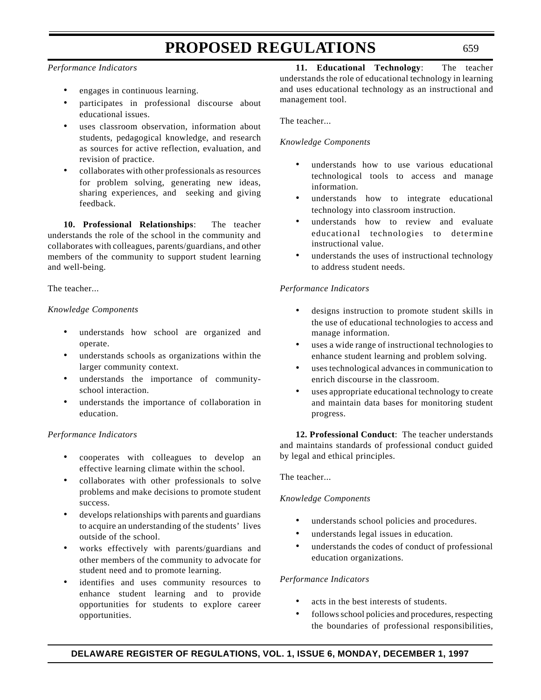#### *Performance Indicators*

- engages in continuous learning.
- participates in professional discourse about educational issues.
- uses classroom observation, information about students, pedagogical knowledge, and research as sources for active reflection, evaluation, and revision of practice.
- collaborates with other professionals as resources for problem solving, generating new ideas, sharing experiences, and seeking and giving feedback.

**10. Professional Relationships**: The teacher understands the role of the school in the community and collaborates with colleagues, parents/guardians, and other members of the community to support student learning and well-being.

The teacher...

#### *Knowledge Components*

- understands how school are organized and operate.
- understands schools as organizations within the larger community context.
- understands the importance of communityschool interaction.
- understands the importance of collaboration in education.

#### *Performance Indicators*

- cooperates with colleagues to develop an effective learning climate within the school.
- collaborates with other professionals to solve problems and make decisions to promote student success.
- develops relationships with parents and guardians to acquire an understanding of the students' lives outside of the school.
- works effectively with parents/guardians and other members of the community to advocate for student need and to promote learning.
- identifies and uses community resources to enhance student learning and to provide opportunities for students to explore career opportunities.

**11. Educational Technology**: The teacher understands the role of educational technology in learning and uses educational technology as an instructional and management tool.

The teacher...

#### *Knowledge Components*

- understands how to use various educational technological tools to access and manage information.
- understands how to integrate educational technology into classroom instruction.
- understands how to review and evaluate educational technologies to determine instructional value.
- understands the uses of instructional technology to address student needs.

#### *Performance Indicators*

- designs instruction to promote student skills in the use of educational technologies to access and manage information.
- uses a wide range of instructional technologies to enhance student learning and problem solving.
- uses technological advances in communication to enrich discourse in the classroom.
- uses appropriate educational technology to create and maintain data bases for monitoring student progress.

**12. Professional Conduct**: The teacher understands and maintains standards of professional conduct guided by legal and ethical principles.

#### The teacher...

#### *Knowledge Components*

- understands school policies and procedures.
- understands legal issues in education.
- understands the codes of conduct of professional education organizations.

#### *Performance Indicators*

- acts in the best interests of students.
- follows school policies and procedures, respecting the boundaries of professional responsibilities,

#### **DELAWARE REGISTER OF REGULATIONS, VOL. 1, ISSUE 6, MONDAY, DECEMBER 1, 1997**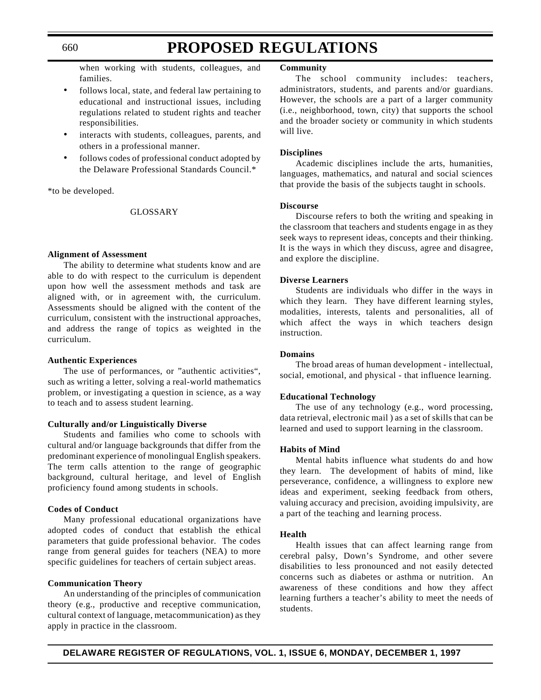#### 660

### **PROPOSED REGULATIONS**

when working with students, colleagues, and families.

- follows local, state, and federal law pertaining to educational and instructional issues, including regulations related to student rights and teacher responsibilities.
- interacts with students, colleagues, parents, and others in a professional manner.
- follows codes of professional conduct adopted by the Delaware Professional Standards Council.\*

\*to be developed.

#### GLOSSARY

#### **Alignment of Assessment**

The ability to determine what students know and are able to do with respect to the curriculum is dependent upon how well the assessment methods and task are aligned with, or in agreement with, the curriculum. Assessments should be aligned with the content of the curriculum, consistent with the instructional approaches, and address the range of topics as weighted in the curriculum.

#### **Authentic Experiences**

The use of performances, or "authentic activities", such as writing a letter, solving a real-world mathematics problem, or investigating a question in science, as a way to teach and to assess student learning.

#### **Culturally and/or Linguistically Diverse**

Students and families who come to schools with cultural and/or language backgrounds that differ from the predominant experience of monolingual English speakers. The term calls attention to the range of geographic background, cultural heritage, and level of English proficiency found among students in schools.

#### **Codes of Conduct**

Many professional educational organizations have adopted codes of conduct that establish the ethical parameters that guide professional behavior. The codes range from general guides for teachers (NEA) to more specific guidelines for teachers of certain subject areas.

#### **Communication Theory**

An understanding of the principles of communication theory (e.g., productive and receptive communication, cultural context of language, metacommunication) as they apply in practice in the classroom.

#### **Community**

The school community includes: teachers, administrators, students, and parents and/or guardians. However, the schools are a part of a larger community (i.e., neighborhood, town, city) that supports the school and the broader society or community in which students will live.

#### **Disciplines**

Academic disciplines include the arts, humanities, languages, mathematics, and natural and social sciences that provide the basis of the subjects taught in schools.

#### **Discourse**

Discourse refers to both the writing and speaking in the classroom that teachers and students engage in as they seek ways to represent ideas, concepts and their thinking. It is the ways in which they discuss, agree and disagree, and explore the discipline.

#### **Diverse Learners**

Students are individuals who differ in the ways in which they learn. They have different learning styles, modalities, interests, talents and personalities, all of which affect the ways in which teachers design instruction.

#### **Domains**

The broad areas of human development - intellectual, social, emotional, and physical - that influence learning.

#### **Educational Technology**

The use of any technology (e.g., word processing, data retrieval, electronic mail ) as a set of skills that can be learned and used to support learning in the classroom.

#### **Habits of Mind**

Mental habits influence what students do and how they learn. The development of habits of mind, like perseverance, confidence, a willingness to explore new ideas and experiment, seeking feedback from others, valuing accuracy and precision, avoiding impulsivity, are a part of the teaching and learning process.

#### **Health**

Health issues that can affect learning range from cerebral palsy, Down's Syndrome, and other severe disabilities to less pronounced and not easily detected concerns such as diabetes or asthma or nutrition. An awareness of these conditions and how they affect learning furthers a teacher's ability to meet the needs of students.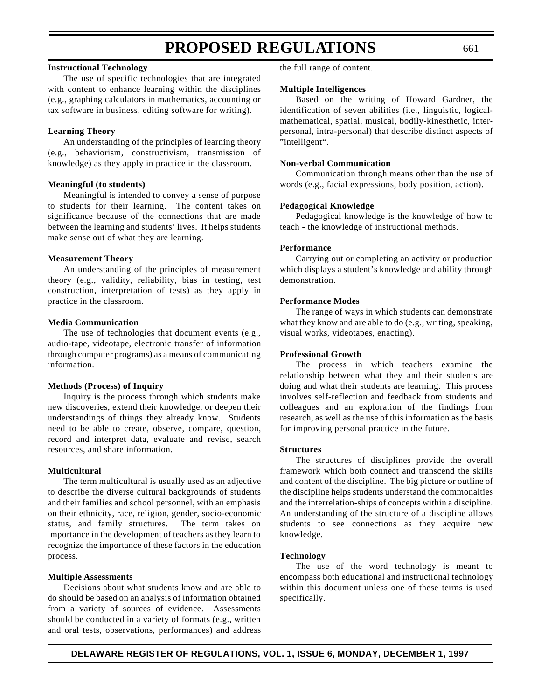#### **Instructional Technology**

The use of specific technologies that are integrated with content to enhance learning within the disciplines (e.g., graphing calculators in mathematics, accounting or tax software in business, editing software for writing).

#### **Learning Theory**

An understanding of the principles of learning theory (e.g., behaviorism, constructivism, transmission of knowledge) as they apply in practice in the classroom.

#### **Meaningful (to students)**

Meaningful is intended to convey a sense of purpose to students for their learning. The content takes on significance because of the connections that are made between the learning and students' lives. It helps students make sense out of what they are learning.

#### **Measurement Theory**

An understanding of the principles of measurement theory (e.g., validity, reliability, bias in testing, test construction, interpretation of tests) as they apply in practice in the classroom.

#### **Media Communication**

The use of technologies that document events (e.g., audio-tape, videotape, electronic transfer of information through computer programs) as a means of communicating information.

#### **Methods (Process) of Inquiry**

Inquiry is the process through which students make new discoveries, extend their knowledge, or deepen their understandings of things they already know. Students need to be able to create, observe, compare, question, record and interpret data, evaluate and revise, search resources, and share information.

#### **Multicultural**

The term multicultural is usually used as an adjective to describe the diverse cultural backgrounds of students and their families and school personnel, with an emphasis on their ethnicity, race, religion, gender, socio-economic status, and family structures. The term takes on importance in the development of teachers as they learn to recognize the importance of these factors in the education process.

#### **Multiple Assessments**

Decisions about what students know and are able to do should be based on an analysis of information obtained from a variety of sources of evidence. Assessments should be conducted in a variety of formats (e.g., written and oral tests, observations, performances) and address the full range of content.

#### **Multiple Intelligences**

Based on the writing of Howard Gardner, the identification of seven abilities (i.e., linguistic, logicalmathematical, spatial, musical, bodily-kinesthetic, interpersonal, intra-personal) that describe distinct aspects of "intelligent".

#### **Non-verbal Communication**

Communication through means other than the use of words (e.g., facial expressions, body position, action).

#### **Pedagogical Knowledge**

Pedagogical knowledge is the knowledge of how to teach - the knowledge of instructional methods.

#### **Performance**

Carrying out or completing an activity or production which displays a student's knowledge and ability through demonstration.

#### **Performance Modes**

The range of ways in which students can demonstrate what they know and are able to do (e.g., writing, speaking, visual works, videotapes, enacting).

#### **Professional Growth**

The process in which teachers examine the relationship between what they and their students are doing and what their students are learning. This process involves self-reflection and feedback from students and colleagues and an exploration of the findings from research, as well as the use of this information as the basis for improving personal practice in the future.

#### **Structures**

The structures of disciplines provide the overall framework which both connect and transcend the skills and content of the discipline. The big picture or outline of the discipline helps students understand the commonalties and the interrelation-ships of concepts within a discipline. An understanding of the structure of a discipline allows students to see connections as they acquire new knowledge.

#### **Technology**

The use of the word technology is meant to encompass both educational and instructional technology within this document unless one of these terms is used specifically.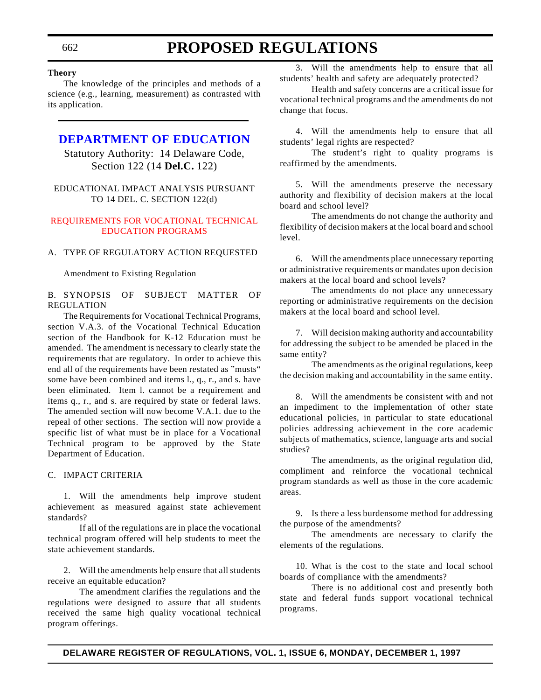#### **Theory**

The knowledge of the principles and methods of a science (e.g., learning, measurement) as contrasted with its application.

### **[DEPARTMENT OF EDUCATION](http://www.doe.state.de.us/docs/index_js.asp)**

Statutory Authority: 14 Delaware Code, Section 122 (14 **Del.C.** 122)

EDUCATIONAL IMPACT ANALYSIS PURSUANT TO 14 DEL. C. SECTION 122(d)

#### [REQUIREMENTS FOR VOCATIONAL TECHNICAL](#page-3-0) EDUCATION PROGRAMS

#### A. TYPE OF REGULATORY ACTION REQUESTED

Amendment to Existing Regulation

#### B. SYNOPSIS OF SUBJECT MATTER OF REGULATION

The Requirements for Vocational Technical Programs, section V.A.3. of the Vocational Technical Education section of the Handbook for K-12 Education must be amended. The amendment is necessary to clearly state the requirements that are regulatory. In order to achieve this end all of the requirements have been restated as "musts" some have been combined and items l., q., r., and s. have been eliminated. Item l. cannot be a requirement and items q., r., and s. are required by state or federal laws. The amended section will now become V.A.1. due to the repeal of other sections. The section will now provide a specific list of what must be in place for a Vocational Technical program to be approved by the State Department of Education.

#### C. IMPACT CRITERIA

1. Will the amendments help improve student achievement as measured against state achievement standards?

If all of the regulations are in place the vocational technical program offered will help students to meet the state achievement standards.

2. Will the amendments help ensure that all students receive an equitable education?

The amendment clarifies the regulations and the regulations were designed to assure that all students received the same high quality vocational technical program offerings.

3. Will the amendments help to ensure that all students' health and safety are adequately protected?

Health and safety concerns are a critical issue for vocational technical programs and the amendments do not change that focus.

4. Will the amendments help to ensure that all students' legal rights are respected?

The student's right to quality programs is reaffirmed by the amendments.

5. Will the amendments preserve the necessary authority and flexibility of decision makers at the local board and school level?

The amendments do not change the authority and flexibility of decision makers at the local board and school level.

6. Will the amendments place unnecessary reporting or administrative requirements or mandates upon decision makers at the local board and school levels?

The amendments do not place any unnecessary reporting or administrative requirements on the decision makers at the local board and school level.

7. Will decision making authority and accountability for addressing the subject to be amended be placed in the same entity?

The amendments as the original regulations, keep the decision making and accountability in the same entity.

8. Will the amendments be consistent with and not an impediment to the implementation of other state educational policies, in particular to state educational policies addressing achievement in the core academic subjects of mathematics, science, language arts and social studies?

The amendments, as the original regulation did, compliment and reinforce the vocational technical program standards as well as those in the core academic areas.

9. Is there a less burdensome method for addressing the purpose of the amendments?

The amendments are necessary to clarify the elements of the regulations.

10. What is the cost to the state and local school boards of compliance with the amendments?

There is no additional cost and presently both state and federal funds support vocational technical programs.

<span id="page-23-0"></span>662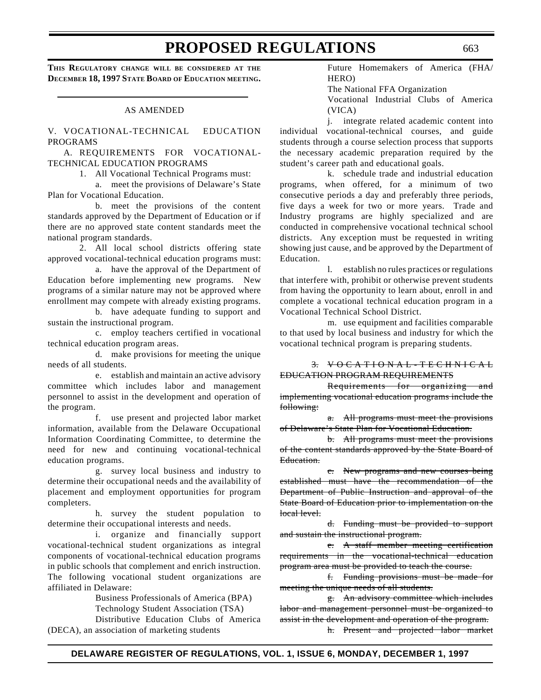**THIS REGULATORY CHANGE WILL BE CONSIDERED AT THE DECEMBER 18, 1997 STATE BOARD OF EDUCATION MEETING.**

#### AS AMENDED

V. VOCATIONAL-TECHNICAL EDUCATION PROGRAMS

A. REQUIREMENTS FOR VOCATIONAL-TECHNICAL EDUCATION PROGRAMS

1. All Vocational Technical Programs must:

a. meet the provisions of Delaware's State Plan for Vocational Education.

b. meet the provisions of the content standards approved by the Department of Education or if there are no approved state content standards meet the national program standards.

2. All local school districts offering state approved vocational-technical education programs must:

a. have the approval of the Department of Education before implementing new programs. New programs of a similar nature may not be approved where enrollment may compete with already existing programs.

b. have adequate funding to support and sustain the instructional program.

c. employ teachers certified in vocational technical education program areas.

d. make provisions for meeting the unique needs of all students.

e. establish and maintain an active advisory committee which includes labor and management personnel to assist in the development and operation of the program.

f. use present and projected labor market information, available from the Delaware Occupational Information Coordinating Committee, to determine the need for new and continuing vocational-technical education programs.

g. survey local business and industry to determine their occupational needs and the availability of placement and employment opportunities for program completers.

h. survey the student population to determine their occupational interests and needs.

i. organize and financially support vocational-technical student organizations as integral components of vocational-technical education programs in public schools that complement and enrich instruction. The following vocational student organizations are affiliated in Delaware:

Business Professionals of America (BPA) Technology Student Association (TSA)

Distributive Education Clubs of America (DECA), an association of marketing students

Future Homemakers of America (FHA/ HERO)

The National FFA Organization

Vocational Industrial Clubs of America (VICA)

j. integrate related academic content into individual vocational-technical courses, and guide students through a course selection process that supports the necessary academic preparation required by the student's career path and educational goals.

k. schedule trade and industrial education programs, when offered, for a minimum of two consecutive periods a day and preferably three periods, five days a week for two or more years. Trade and Industry programs are highly specialized and are conducted in comprehensive vocational technical school districts. Any exception must be requested in writing showing just cause, and be approved by the Department of Education.

l. establish no rules practices or regulations that interfere with, prohibit or otherwise prevent students from having the opportunity to learn about, enroll in and complete a vocational technical education program in a Vocational Technical School District.

m. use equipment and facilities comparable to that used by local business and industry for which the vocational technical program is preparing students.

3. VOCATIONAL-TECHNICAL EDUCATION PROGRAM REQUIREMENTS

Requirements for organizing and implementing vocational education programs include the following:

a. All programs must meet the provisions of Delaware's State Plan for Vocational Education.

b. All programs must meet the provisions of the content standards approved by the State Board of Education.

c. New programs and new courses being established must have the recommendation of the Department of Public Instruction and approval of the State Board of Education prior to implementation on the local level.

d. Funding must be provided to support and sustain the instructional program.

e. A staff member meeting certification requirements in the vocational-technical education program area must be provided to teach the course.

f. Funding provisions must be made for meeting the unique needs of all students.

g. An advisory committee which includes labor and management personnel must be organized to assist in the development and operation of the program.

h. Present and projected labor market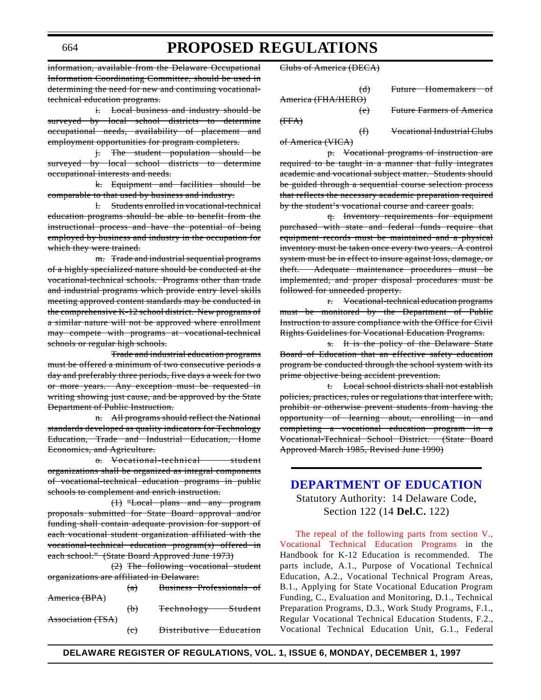information, available from the Delaware Occupational Information Coordinating Committee, should be used in determining the need for new and continuing vocationaltechnical education programs.

i. Local business and industry should be surveyed by local school districts to determine occupational needs, availability of placement and employment opportunities for program completers.

j. The student population should be surveyed by local school districts to determine occupational interests and needs.

k. Equipment and facilities should be comparable to that used by business and industry.

l. Students enrolled in vocational-technical education programs should be able to benefit from the instructional process and have the potential of being employed by business and industry in the occupation for which they were trained.

m. Trade and industrial sequential programs of a highly specialized nature should be conducted at the vocational-technical schools. Programs other than trade and industrial programs which provide entry level skills meeting approved content standards may be conducted in the comprehensive K-12 school district. New programs of a similar nature will not be approved where enrollment may compete with programs at vocational-technical schools or regular high schools.

Trade and industrial education programs must be offered a minimum of two consecutive periods a day and preferably three periods, five days a week for two or more years. Any exception must be requested in writing showing just cause, and be approved by the State Department of Public Instruction.

n. All programs should reflect the National standards developed as quality indicators for Technology Education, Trade and Industrial Education, Home Economics, and Agriculture.

o. Vocational-technical student organizations shall be organized as integral components of vocational-technical education programs in public schools to complement and enrich instruction.

(1) "Local plans and any program proposals submitted for State Board approval and/or funding shall contain adequate provision for support of each vocational student organization affiliated with the vocational-technical education program(s) offered in each school." (State Board Approved June 1973)

(2) The following vocational student organizations are affiliated in Delaware:

|                   | (a)               | Business Professionals of |
|-------------------|-------------------|---------------------------|
| America (BPA)     |                   |                           |
|                   | $\oplus$          | Technology Student        |
| Association (TSA) |                   |                           |
|                   | $\leftrightarrow$ | Distributive Education    |
|                   |                   |                           |

Clubs of America (DECA)

| $\Theta$           | Future Homemakers of               |
|--------------------|------------------------------------|
| America (FHA/HERO) |                                    |
| $\Theta$           | <b>Future Farmers of America</b>   |
| (FFA)              |                                    |
| ₩                  | <b>Vocational Industrial Clubs</b> |
| of America (VICA)  |                                    |

p. Vocational programs of instruction are required to be taught in a manner that fully integrates academic and vocational subject matter. Students should be guided through a sequential course selection process that reflects the necessary academic preparation required by the student's vocational course and career goals.

q. Inventory requirements for equipment purchased with state and federal funds require that equipment records must be maintained and a physical inventory must be taken once every two years. A control system must be in effect to insure against loss, damage, or theft. Adequate maintenance procedures must be implemented, and proper disposal procedures must be followed for unneeded property.

r. Vocational-technical education programs must be monitored by the Department of Public Instruction to assure compliance with the Office for Civil Rights Guidelines for Vocational Education Programs.

s. It is the policy of the Delaware State Board of Education that an effective safety education program be conducted through the school system with its prime objective being accident prevention.

t. Local school districts shall not establish policies, practices, rules or regulations that interfere with, prohibit or otherwise prevent students from having the opportunity of learning about, enrolling in and completing a vocational education program in a Vocational-Technical School District. (State Board Approved March 1985, Revised June 1990)

### **[DEPARTMENT OF EDUCATION](http://www.doe.state.de.us/docs/index_js.asp)** Statutory Authority: 14 Delaware Code, Section 122 (14 **Del.C.** 122)

The repeal of the following parts from section V., [Vocational Technical Education Programs in the](#page-3-0) Handbook for K-12 Education is recommended. The parts include, A.1., Purpose of Vocational Technical Education, A.2., Vocational Technical Program Areas, B.1., Applying for State Vocational Education Program Funding, C., Evaluation and Monitoring, D.1., Technical Preparation Programs, D.3., Work Study Programs, F.1., Regular Vocational Technical Education Students, F.2., Vocational Technical Education Unit, G.1., Federal

<span id="page-25-0"></span>664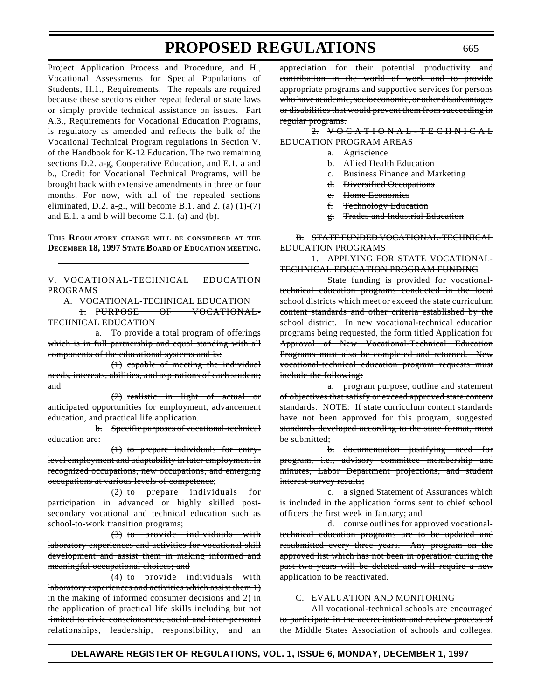Project Application Process and Procedure, and H., Vocational Assessments for Special Populations of Students, H.1., Requirements. The repeals are required because these sections either repeat federal or state laws or simply provide technical assistance on issues. Part A.3., Requirements for Vocational Education Programs, is regulatory as amended and reflects the bulk of the Vocational Technical Program regulations in Section V. of the Handbook for K-12 Education. The two remaining sections D.2. a-g, Cooperative Education, and E.1. a and b., Credit for Vocational Technical Programs, will be brought back with extensive amendments in three or four months. For now, with all of the repealed sections eliminated, D.2. a-g., will become B.1. and 2. (a)  $(1)-(7)$ and E.1. a and b will become C.1. (a) and (b).

**THIS REGULATORY CHANGE WILL BE CONSIDERED AT THE DECEMBER 18, 1997 STATE BOARD OF EDUCATION MEETING.**

V. VOCATIONAL-TECHNICAL EDUCATION PROGRAMS

A. VOCATIONAL-TECHNICAL EDUCATION

1. PURPOSE OF VOCATIONAL-TECHNICAL EDUCATION

a. To provide a total program of offerings which is in full partnership and equal standing with all components of the educational systems and is:

(1) capable of meeting the individual needs, interests, abilities, and aspirations of each student; and

(2) realistic in light of actual or anticipated opportunities for employment, advancement education, and practical life application.

b. Specific purposes of vocational-technical education are:

(1) to prepare individuals for entrylevel employment and adaptability in later employment in recognized occupations, new occupations, and emerging occupations at various levels of competence;

(2) to prepare individuals for participation in advanced or highly skilled postsecondary vocational and technical education such as school-to-work transition programs;

(3) to provide individuals with laboratory experiences and activities for vocational skill development and assist them in making informed and meaningful occupational choices; and

(4) to provide individuals with laboratory experiences and activities which assist them 1) in the making of informed consumer decisions and 2) in the application of practical life skills including but not limited to civic consciousness, social and inter-personal relationships, leadership, responsibility, and an

appreciation for their potential productivity and contribution in the world of work and to provide appropriate programs and supportive services for persons who have academic, socioeconomic, or other disadvantages or disabilities that would prevent them from succeeding in regular programs.

2. VOCATIONAL-TECHNICAL EDUCATION PROGRAM AREAS

- a. Agriscience
- b. Allied Health Education
- c. Business Finance and Marketing
- d. Diversified Occupations
- e. Home Economics
- f. Technology Education
- g. Trades and Industrial Education

B. STATE FUNDED VOCATIONAL-TECHNICAL EDUCATION PROGRAMS

1. APPLYING FOR STATE VOCATIONAL-TECHNICAL EDUCATION PROGRAM FUNDING

State funding is provided for vocationaltechnical education programs conducted in the local school districts which meet or exceed the state curriculum content standards and other criteria established by the school district. In new vocational-technical education programs being requested, the form titled Application for Approval of New Vocational-Technical Education Programs must also be completed and returned. New vocational-technical education program requests must include the following:

a. program purpose, outline and statement of objectives that satisfy or exceed approved state content standards. NOTE: If state curriculum content standards have not been approved for this program, suggested standards developed according to the state format, must be submitted;

b. documentation justifying need for program, i.e., advisory committee membership and minutes, Labor Department projections, and student interest survey results;

c. a signed Statement of Assurances which is included in the application forms sent to chief school officers the first week in January; and

d. course outlines for approved vocationaltechnical education programs are to be updated and resubmitted every three years. Any program on the approved list which has not been in operation during the past two years will be deleted and will require a new application to be reactivated.

#### C. EVALUATION AND MONITORING

All vocational-technical schools are encouraged to participate in the accreditation and review process of the Middle States Association of schools and colleges.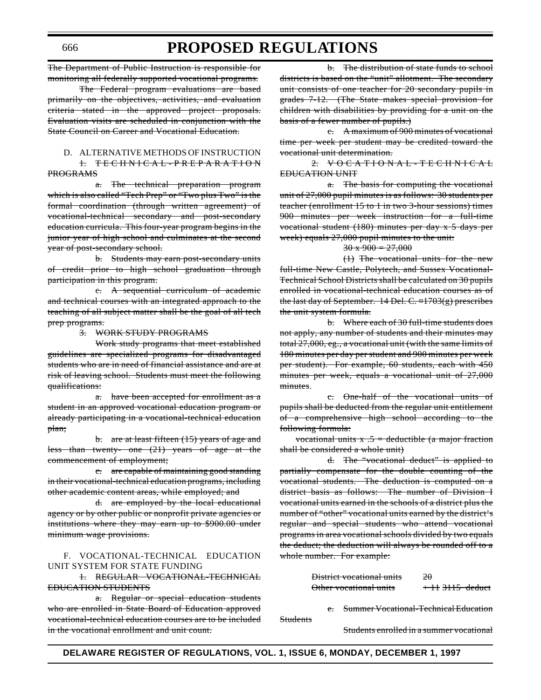666

### **PROPOSED REGULATIONS**

The Department of Public Instruction is responsible for monitoring all federally supported vocational programs.

The Federal program evaluations are based primarily on the objectives, activities, and evaluation criteria stated in the approved project proposals. Evaluation visits are scheduled in conjunction with the State Council on Career and Vocational Education.

#### D. ALTERNATIVE METHODS OF INSTRUCTION 1. TECHNICAL-PREPARATION PROGRAMS

a. The technical preparation program which is also called "Tech Prep" or "Two plus Two" is the formal coordination (through written agreement) of vocational-technical secondary and post-secondary education curricula. This four-year program begins in the junior year of high school and culminates at the second year of post-secondary school.

b. Students may earn post-secondary units of credit prior to high school graduation through participation in this program.

c. A sequential curriculum of academic and technical courses with an integrated approach to the teaching of all subject matter shall be the goal of all tech prep programs.

3. WORK STUDY PROGRAMS

Work study programs that meet established guidelines are specialized programs for disadvantaged students who are in need of financial assistance and are at risk of leaving school. Students must meet the following qualifications:

a. have been accepted for enrollment as a student in an approved vocational education program or already participating in a vocational-technical education plan;

b. are at least fifteen (15) years of age and less than twenty- one (21) years of age at the commencement of employment;

e. are capable of maintaining good standing in their vocational-technical education programs, including other academic content areas, while employed; and

d. are employed by the local educational agency or by other public or nonprofit private agencies or institutions where they may earn up to \$900.00 under minimum wage provisions.

F. VOCATIONAL-TECHNICAL EDUCATION UNIT SYSTEM FOR STATE FUNDING

1. REGULAR VOCATIONAL-TECHNICAL EDUCATION STUDENTS

a. Regular or special education students who are enrolled in State Board of Education approved vocational-technical education courses are to be included in the vocational enrollment and unit count.

b. The distribution of state funds to school districts is based on the "unit" allotment. The secondary unit consists of one teacher for 20 secondary pupils in grades 7-12. (The State makes special provision for children with disabilities by providing for a unit on the basis of a fewer number of pupils.)

c. A maximum of 900 minutes of vocational time per week per student may be credited toward the vocational unit determination.

#### 2. VOCATIONAL-TECHNICAL EDUCATION UNIT

a. The basis for computing the vocational unit of 27,000 pupil minutes is as follows: 30 students per teacher (enrollment 15 to 1 in two 3-hour sessions) times 900 minutes per week instruction for a full-time vocational student (180) minutes per day x 5 days per week) equals 27,000 pupil minutes to the unit:

#### $30 \times 900 = 27,000$

(1) The vocational units for the new full-time New Castle, Polytech, and Sussex Vocational-Technical School Districts shall be calculated on 30 pupils enrolled in vocational-technical education courses as of the last day of September. 14 Del. C. ¤1703(g) prescribes the unit system formula.

b. Where each of 30 full-time students does not apply, any number of students and their minutes may total 27,000, eg., a vocational unit (with the same limits of 180 minutes per day per student and 900 minutes per week per student). For example, 60 students, each with 450 minutes per week, equals a vocational unit of 27,000 minutes.

c. One-half of the vocational units of pupils shall be deducted from the regular unit entitlement of a comprehensive high school according to the following formula:

vocational units  $x \cdot .5$  = deductible (a major fraction shall be considered a whole unit)

d. The "vocational deduct" is applied to partially compensate for the double counting of the vocational students. The deduction is computed on a district basis as follows: The number of Division I vocational units earned in the schools of a district plus the number of "other" vocational units earned by the district's regular and special students who attend vocational programs in area vocational schools divided by two equals the deduct; the deduction will always be rounded off to a whole number. For example:

| District vocational units | $2\theta$        |
|---------------------------|------------------|
| Other vocational units    | $+113115$ deduct |

e. Summer Vocational-Technical Education

Students

Students enrolled in a summer vocational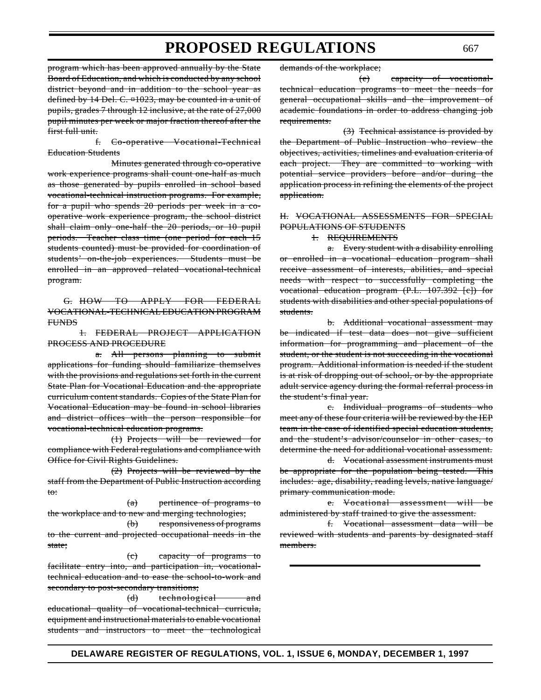program which has been approved annually by the State Board of Education, and which is conducted by any school district beyond and in addition to the school year as defined by 14 Del. C. ¤1023, may be counted in a unit of pupils, grades 7 through 12 inclusive, at the rate of 27,000 pupil minutes per week or major fraction thereof after the first full unit.

f. Co-operative Vocational-Technical Education Students

Minutes generated through co-operative work experience programs shall count one-half as much as those generated by pupils enrolled in school based vocational-technical instruction programs. For example, for a pupil who spends 20 periods per week in a cooperative work experience program, the school district shall claim only one-half the 20 periods, or 10 pupil periods. Teacher class time (one period for each 15 students counted) must be provided for coordination of students' on-the-job experiences. Students must be enrolled in an approved related vocational-technical program.

G. HOW TO APPLY FOR FEDERAL VOCATIONAL-TECHNICAL EDUCATION PROGRAM **FUNDS** 

1. FEDERAL PROJECT APPLICATION PROCESS AND PROCEDURE

a. All persons planning to submit applications for funding should familiarize themselves with the provisions and regulations set forth in the current State Plan for Vocational Education and the appropriate curriculum content standards. Copies of the State Plan for Vocational Education may be found in school libraries and district offices with the person responsible for vocational-technical education programs.

(1) Projects will be reviewed for compliance with Federal regulations and compliance with Office for Civil Rights Guidelines.

(2) Projects will be reviewed by the staff from the Department of Public Instruction according to:

(a) pertinence of programs to the workplace and to new and merging technologies;

(b) responsiveness of programs to the current and projected occupational needs in the state;

(c) capacity of programs to facilitate entry into, and participation in, vocationaltechnical education and to ease the school-to-work and secondary to post-secondary transitions;

(d) technological and educational quality of vocational-technical curricula, equipment and instructional materials to enable vocational students and instructors to meet the technological demands of the workplace;

(e) capacity of vocationaltechnical education programs to meet the needs for general occupational skills and the improvement of academic foundations in order to address changing job requirements.

(3) Technical assistance is provided by the Department of Public Instruction who review the objectives, activities, timelines and evaluation criteria of each project. They are committed to working with potential service providers before and/or during the application process in refining the elements of the project application.

#### H. VOCATIONAL ASSESSMENTS FOR SPECIAL POPULATIONS OF STUDENTS

#### 1. REQUIREMENTS

a. Every student with a disability enrolling or enrolled in a vocational education program shall receive assessment of interests, abilities, and special needs with respect to successfully completing the vocational education program (P.L. 107.392 [c]) for students with disabilities and other special populations of students.

b. Additional vocational assessment may be indicated if test data does not give sufficient information for programming and placement of the student, or the student is not succeeding in the vocational program. Additional information is needed if the student is at risk of dropping out of school, or by the appropriate adult service agency during the formal referral process in the student's final year.

c. Individual programs of students who meet any of these four criteria will be reviewed by the IEP team in the case of identified special education students, and the student's advisor/counselor in other cases, to determine the need for additional vocational assessment.

d. Vocational assessment instruments must be appropriate for the population being tested. This includes: age, disability, reading levels, native language/ primary communication mode.

e. Vocational assessment will be administered by staff trained to give the assessment.

f. Vocational assessment data will be reviewed with students and parents by designated staff members.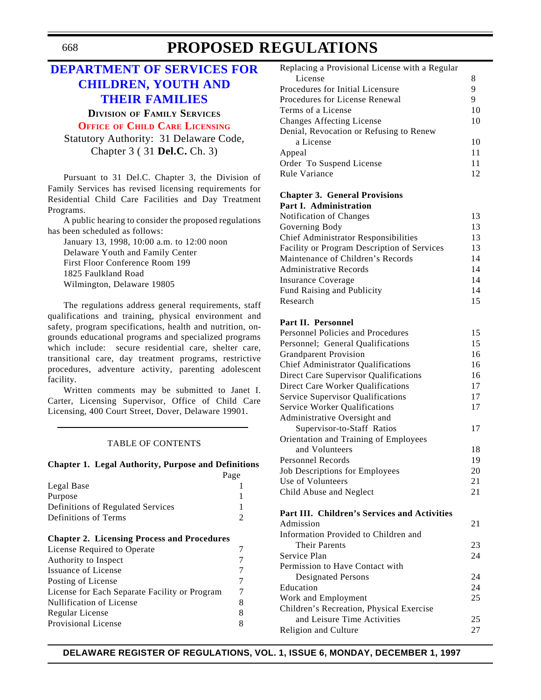### <span id="page-29-0"></span>**[DEPARTMENT OF SERVICES FOR](http://www.state.de.us/kids/index.htm) CHILDREN, YOUTH AND THEIR FAMILIES**

**DIVISION OF FAMILY SERVICES**

**OFFICE OF CHILD CARE [LICENSING](#page-3-0)**

Statutory Authority: 31 Delaware Code, Chapter 3 ( 31 **Del.C.** Ch. 3)

Pursuant to 31 Del.C. Chapter 3, the Division of Family Services has revised licensing requirements for Residential Child Care Facilities and Day Treatment Programs.

A public hearing to consider the proposed regulations has been scheduled as follows:

January 13, 1998, 10:00 a.m. to 12:00 noon Delaware Youth and Family Center First Floor Conference Room 199 1825 Faulkland Road Wilmington, Delaware 19805

The regulations address general requirements, staff qualifications and training, physical environment and safety, program specifications, health and nutrition, ongrounds educational programs and specialized programs which include: secure residential care, shelter care, transitional care, day treatment programs, restrictive procedures, adventure activity, parenting adolescent facility.

Written comments may be submitted to Janet I. Carter, Licensing Supervisor, Office of Child Care Licensing, 400 Court Street, Dover, Delaware 19901.

#### TABLE OF CONTENTS

#### **Chapter 1. Legal Authority, Purpose and Definitions**

|                                   | Page |
|-----------------------------------|------|
| Legal Base                        |      |
| Purpose                           |      |
| Definitions of Regulated Services |      |
| Definitions of Terms              |      |

#### **Chapter 2. Licensing Process and Procedures**

| License Required to Operate                   |   |
|-----------------------------------------------|---|
| Authority to Inspect                          | 7 |
| <b>Issuance of License</b>                    | 7 |
| Posting of License                            | 7 |
| License for Each Separate Facility or Program | 7 |
| Nullification of License                      | 8 |
| Regular License                               | 8 |
| <b>Provisional License</b>                    | 8 |
|                                               |   |

| Replacing a Provisional License with a Regular |    |
|------------------------------------------------|----|
| License                                        | 8  |
| Procedures for Initial Licensure               | 9  |
| Procedures for License Renewal                 | 9  |
| Terms of a License                             | 10 |
| <b>Changes Affecting License</b>               | 10 |
| Denial, Revocation or Refusing to Renew        |    |
| a License                                      | 10 |
| Appeal                                         | 11 |
| Order To Suspend License                       | 11 |
| Rule Variance                                  | 12 |

#### **Chapter 3. General Provisions Part I. Administration**

| Notification of Changes                     | 13 |
|---------------------------------------------|----|
| Governing Body                              | 13 |
| <b>Chief Administrator Responsibilities</b> | 13 |
| Facility or Program Description of Services | 13 |
| Maintenance of Children's Records           | 14 |
| Administrative Records                      | 14 |
| <b>Insurance Coverage</b>                   | 14 |
| <b>Fund Raising and Publicity</b>           | 14 |
| Research                                    | 15 |

#### **Part II. Personnel**

| Personnel Policies and Procedures                   | 15 |
|-----------------------------------------------------|----|
| Personnel; General Qualifications                   | 15 |
| <b>Grandparent Provision</b>                        | 16 |
| <b>Chief Administrator Qualifications</b>           | 16 |
| Direct Care Supervisor Qualifications               | 16 |
| Direct Care Worker Qualifications                   | 17 |
| <b>Service Supervisor Qualifications</b>            | 17 |
|                                                     | 17 |
| Service Worker Qualifications                       |    |
| Administrative Oversight and                        |    |
| Supervisor-to-Staff Ratios                          | 17 |
| Orientation and Training of Employees               |    |
| and Volunteers                                      | 18 |
| <b>Personnel Records</b>                            | 19 |
| Job Descriptions for Employees                      | 20 |
| Use of Volunteers                                   | 21 |
| Child Abuse and Neglect                             | 21 |
| <b>Part III. Children's Services and Activities</b> |    |
| Admission                                           | 21 |
| Information Provided to Children and                |    |
| <b>Their Parents</b>                                | 23 |
| Service Plan                                        | 24 |
| Permission to Have Contact with                     |    |
| <b>Designated Persons</b>                           | 24 |
| Education                                           | 24 |
| Work and Employment                                 | 25 |
| Children's Recreation, Physical Exercise            |    |
| and Leisure Time Activities                         | 25 |
| Religion and Culture                                | 27 |
|                                                     |    |

**DELAWARE REGISTER OF REGULATIONS, VOL. 1, ISSUE 6, MONDAY, DECEMBER 1, 1997**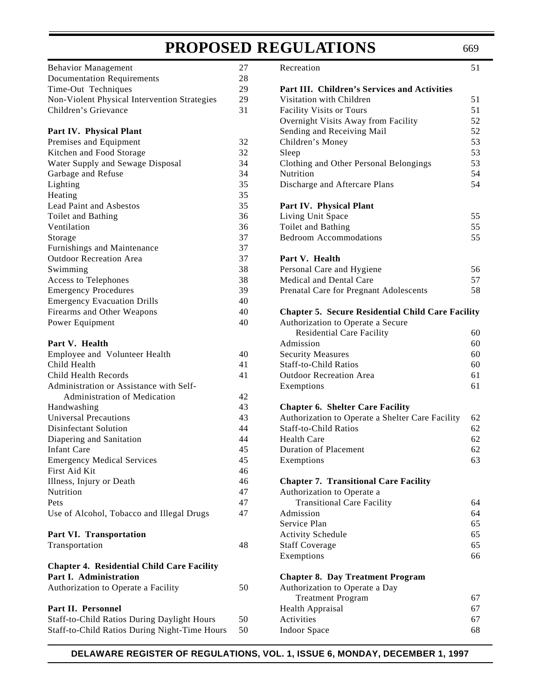| <b>Behavior Management</b>                        | 27 |
|---------------------------------------------------|----|
| <b>Documentation Requirements</b>                 | 28 |
| Time-Out Techniques                               | 29 |
| Non-Violent Physical Intervention Strategies      | 29 |
| Children's Grievance                              | 31 |
|                                                   |    |
| Part IV. Physical Plant                           |    |
| Premises and Equipment                            | 32 |
| Kitchen and Food Storage                          | 32 |
| Water Supply and Sewage Disposal                  | 34 |
| Garbage and Refuse                                | 34 |
| Lighting                                          | 35 |
| Heating                                           | 35 |
| <b>Lead Paint and Asbestos</b>                    | 35 |
| Toilet and Bathing                                | 36 |
| Ventilation                                       | 36 |
| Storage                                           | 37 |
| Furnishings and Maintenance                       | 37 |
| <b>Outdoor Recreation Area</b>                    | 37 |
| Swimming                                          | 38 |
| Access to Telephones                              | 38 |
| <b>Emergency Procedures</b>                       | 39 |
| <b>Emergency Evacuation Drills</b>                | 40 |
| Firearms and Other Weapons                        | 40 |
| Power Equipment                                   | 40 |
| Part V. Health                                    |    |
|                                                   | 40 |
| Employee and Volunteer Health                     |    |
| Child Health                                      | 41 |
| Child Health Records                              | 41 |
| Administration or Assistance with Self-           |    |
| <b>Administration of Medication</b>               | 42 |
| Handwashing                                       | 43 |
| <b>Universal Precautions</b>                      | 43 |
| Disinfectant Solution                             | 44 |
| Diapering and Sanitation                          | 44 |
| <b>Infant Care</b>                                | 45 |
| <b>Emergency Medical Services</b>                 | 45 |
| First Aid Kit                                     | 46 |
| Illness, Injury or Death                          | 46 |
| Nutrition                                         | 47 |
| Pets                                              | 47 |
| Use of Alcohol, Tobacco and Illegal Drugs         | 47 |
| Part VI. Transportation                           |    |
| Transportation                                    | 48 |
| <b>Chapter 4. Residential Child Care Facility</b> |    |
| Part I. Administration                            |    |
| Authorization to Operate a Facility               | 50 |
|                                                   |    |
| Part II. Personnel                                |    |
| Staff-to-Child Ratios During Daylight Hours       | 50 |
| Staff-to-Child Ratios During Night-Time Hours     | 50 |

| Recreation                                               | 51 |
|----------------------------------------------------------|----|
| Part III. Children's Services and Activities             |    |
| Visitation with Children                                 | 51 |
| <b>Facility Visits or Tours</b>                          | 51 |
| Overnight Visits Away from Facility                      | 52 |
| Sending and Receiving Mail                               | 52 |
| Children's Money                                         | 53 |
| Sleep                                                    | 53 |
| Clothing and Other Personal Belongings                   | 53 |
| Nutrition                                                | 54 |
| Discharge and Aftercare Plans                            | 54 |
|                                                          |    |
| Part IV. Physical Plant                                  |    |
| Living Unit Space                                        | 55 |
| Toilet and Bathing                                       | 55 |
| <b>Bedroom Accommodations</b>                            | 55 |
| Part V. Health                                           |    |
| Personal Care and Hygiene                                | 56 |
| Medical and Dental Care                                  | 57 |
| Prenatal Care for Pregnant Adolescents                   | 58 |
| <b>Chapter 5. Secure Residential Child Care Facility</b> |    |
| Authorization to Operate a Secure                        |    |
| <b>Residential Care Facility</b>                         | 60 |
| Admission                                                | 60 |
| <b>Security Measures</b>                                 | 60 |
| <b>Staff-to-Child Ratios</b>                             | 60 |
| <b>Outdoor Recreation Area</b>                           | 61 |
|                                                          | 61 |
| Exemptions                                               |    |
| <b>Chapter 6. Shelter Care Facility</b>                  |    |
| Authorization to Operate a Shelter Care Facility         | 62 |
| <b>Staff-to-Child Ratios</b>                             | 62 |
| <b>Health Care</b>                                       | 62 |
| Duration of Placement                                    | 62 |
| Exemptions                                               | 63 |
|                                                          |    |
| <b>Chapter 7. Transitional Care Facility</b>             |    |
| Authorization to Operate a                               |    |
| <b>Transitional Care Facility</b>                        | 64 |
| Admission                                                | 64 |
| Service Plan                                             | 65 |
| <b>Activity Schedule</b>                                 | 65 |
| <b>Staff Coverage</b>                                    | 65 |
| Exemptions                                               | 66 |
| <b>Chapter 8. Day Treatment Program</b>                  |    |
| Authorization to Operate a Day                           |    |
| <b>Treatment Program</b>                                 | 67 |
| Health Appraisal                                         | 67 |
| Activities                                               | 67 |
| <b>Indoor Space</b>                                      | 68 |
|                                                          |    |

**DELAWARE REGISTER OF REGULATIONS, VOL. 1, ISSUE 6, MONDAY, DECEMBER 1, 1997**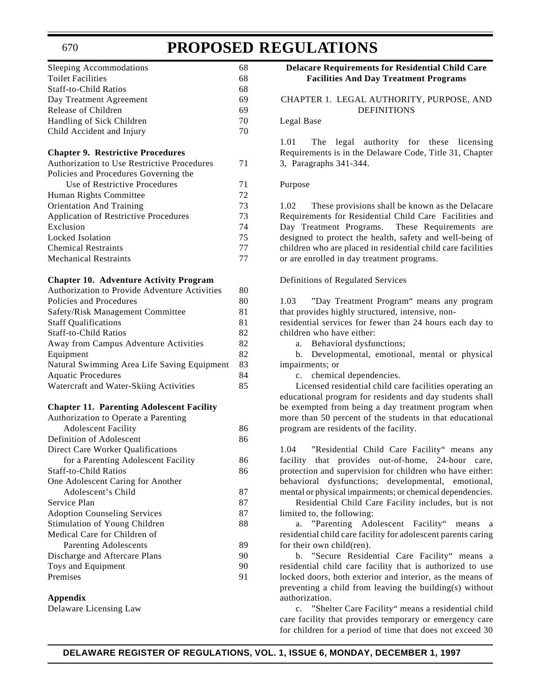| Sleeping Accommodations                            | 68 |
|----------------------------------------------------|----|
| <b>Toilet Facilities</b>                           | 68 |
| <b>Staff-to-Child Ratios</b>                       | 68 |
| Day Treatment Agreement                            | 69 |
| Release of Children                                | 69 |
| Handling of Sick Children                          | 70 |
| Child Accident and Injury                          | 70 |
| <b>Chapter 9. Restrictive Procedures</b>           |    |
| <b>Authorization to Use Restrictive Procedures</b> | 71 |
| Policies and Procedures Governing the              |    |
| Use of Restrictive Procedures                      | 71 |
| Human Rights Committee                             | 72 |
| Orientation And Training                           | 73 |
| <b>Application of Restrictive Procedures</b>       | 73 |
| Exclusion                                          | 74 |
| Locked Isolation                                   | 75 |
| <b>Chemical Restraints</b>                         | 77 |
| <b>Mechanical Restraints</b>                       | 77 |
| Chantar 10 Advanture Activity Dreaman              |    |

#### **Chapter 10. Adventure Activity Program**

| Authorization to Provide Adventure Activities | 80 |
|-----------------------------------------------|----|
| Policies and Procedures                       | 80 |
| Safety/Risk Management Committee              | 81 |
| <b>Staff Qualifications</b>                   | 81 |
| <b>Staff-to-Child Ratios</b>                  | 82 |
| Away from Campus Adventure Activities         | 82 |
| Equipment                                     | 82 |
| Natural Swimming Area Life Saving Equipment   | 83 |
| <b>Aquatic Procedures</b>                     | 84 |
| Watercraft and Water-Skiing Activities        | 85 |

#### **Chapter 11. Parenting Adolescent Facility**

| Authorization to Operate a Parenting |    |
|--------------------------------------|----|
| <b>Adolescent Facility</b>           | 86 |
| Definition of Adolescent             | 86 |
| Direct Care Worker Qualifications    |    |
| for a Parenting Adolescent Facility  | 86 |
| <b>Staff-to-Child Ratios</b>         | 86 |
| One Adolescent Caring for Another    |    |
| Adolescent's Child                   | 87 |
| Service Plan                         | 87 |
| <b>Adoption Counseling Services</b>  | 87 |
| Stimulation of Young Children        | 88 |
| Medical Care for Children of         |    |
| <b>Parenting Adolescents</b>         | 89 |
| Discharge and Aftercare Plans        | 90 |
| Toys and Equipment                   | 90 |
| Premises                             | 91 |
|                                      |    |

#### **Appendix**

Delaware Licensing Law

#### **Delacare Requirements for Residential Child Care Facilities And Day Treatment Programs**

#### CHAPTER 1. LEGAL AUTHORITY, PURPOSE, AND DEFINITIONS

Legal Base

1.01 The legal authority for these licensing Requirements is in the Delaware Code, Title 31, Chapter 3, Paragraphs 341-344.

Purpose

1.02 These provisions shall be known as the Delacare Requirements for Residential Child Care Facilities and Day Treatment Programs. These Requirements are designed to protect the health, safety and well-being of children who are placed in residential child care facilities or are enrolled in day treatment programs.

Definitions of Regulated Services

1.03 "Day Treatment Program" means any program that provides highly structured, intensive, non-

residential services for fewer than 24 hours each day to children who have either:

a. Behavioral dysfunctions;

b. Developmental, emotional, mental or physical impairments; or

c. chemical dependencies.

Licensed residential child care facilities operating an educational program for residents and day students shall be exempted from being a day treatment program when more than 50 percent of the students in that educational program are residents of the facility.

1.04 "Residential Child Care Facility" means any facility that provides out-of-home, 24-hour care, protection and supervision for children who have either: behavioral dysfunctions; developmental, emotional, mental or physical impairments; or chemical dependencies.

Residential Child Care Facility includes, but is not limited to, the following:

a. "Parenting Adolescent Facility" means a residential child care facility for adolescent parents caring for their own child(ren).

b. "Secure Residential Care Facility" means a residential child care facility that is authorized to use locked doors, both exterior and interior, as the means of preventing a child from leaving the building(s) without authorization.

c. "Shelter Care Facility" means a residential child care facility that provides temporary or emergency care for children for a period of time that does not exceed 30

670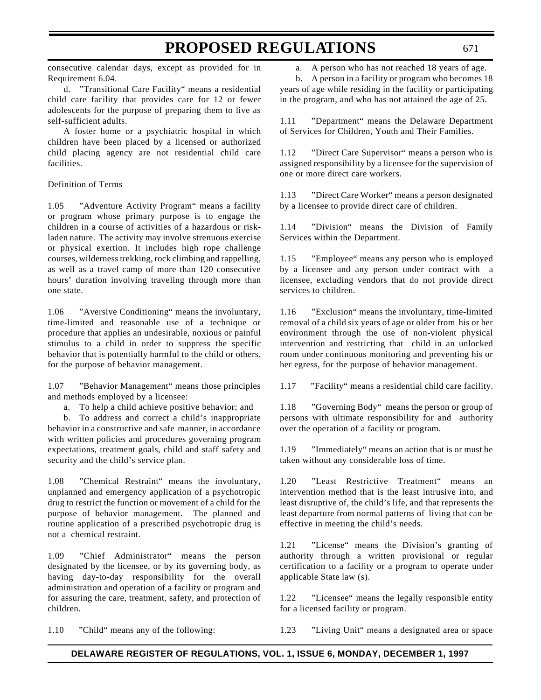consecutive calendar days, except as provided for in Requirement 6.04.

d. "Transitional Care Facility" means a residential child care facility that provides care for 12 or fewer adolescents for the purpose of preparing them to live as self-sufficient adults.

A foster home or a psychiatric hospital in which children have been placed by a licensed or authorized child placing agency are not residential child care facilities.

#### Definition of Terms

1.05 "Adventure Activity Program" means a facility or program whose primary purpose is to engage the children in a course of activities of a hazardous or riskladen nature. The activity may involve strenuous exercise or physical exertion. It includes high rope challenge courses, wilderness trekking, rock climbing and rappelling, as well as a travel camp of more than 120 consecutive hours' duration involving traveling through more than one state.

1.06 "Aversive Conditioning" means the involuntary, time-limited and reasonable use of a technique or procedure that applies an undesirable, noxious or painful stimulus to a child in order to suppress the specific behavior that is potentially harmful to the child or others, for the purpose of behavior management.

1.07 "Behavior Management" means those principles and methods employed by a licensee:

a. To help a child achieve positive behavior; and

b. To address and correct a child's inappropriate behavior in a constructive and safe manner, in accordance with written policies and procedures governing program expectations, treatment goals, child and staff safety and security and the child's service plan.

1.08 "Chemical Restraint" means the involuntary, unplanned and emergency application of a psychotropic drug to restrict the function or movement of a child for the purpose of behavior management. The planned and routine application of a prescribed psychotropic drug is not a chemical restraint.

1.09 "Chief Administrator" means the person designated by the licensee, or by its governing body, as having day-to-day responsibility for the overall administration and operation of a facility or program and for assuring the care, treatment, safety, and protection of children.

a. A person who has not reached 18 years of age.

b. A person in a facility or program who becomes 18 years of age while residing in the facility or participating in the program, and who has not attained the age of 25.

1.11 "Department" means the Delaware Department of Services for Children, Youth and Their Families.

1.12 "Direct Care Supervisor" means a person who is assigned responsibility by a licensee for the supervision of one or more direct care workers.

1.13 "Direct Care Worker" means a person designated by a licensee to provide direct care of children.

1.14 "Division" means the Division of Family Services within the Department.

1.15 "Employee" means any person who is employed by a licensee and any person under contract with a licensee, excluding vendors that do not provide direct services to children.

1.16 "Exclusion" means the involuntary, time-limited removal of a child six years of age or older from his or her environment through the use of non-violent physical intervention and restricting that child in an unlocked room under continuous monitoring and preventing his or her egress, for the purpose of behavior management.

1.17 "Facility" means a residential child care facility.

1.18 "Governing Body" means the person or group of persons with ultimate responsibility for and authority over the operation of a facility or program.

1.19 "Immediately" means an action that is or must be taken without any considerable loss of time.

1.20 "Least Restrictive Treatment" means an intervention method that is the least intrusive into, and least disruptive of, the child's life, and that represents the least departure from normal patterns of living that can be effective in meeting the child's needs.

1.21 "License" means the Division's granting of authority through a written provisional or regular certification to a facility or a program to operate under applicable State law (s).

1.22 "Licensee" means the legally responsible entity for a licensed facility or program.

1.10 "Child" means any of the following:

1.23 "Living Unit" means a designated area or space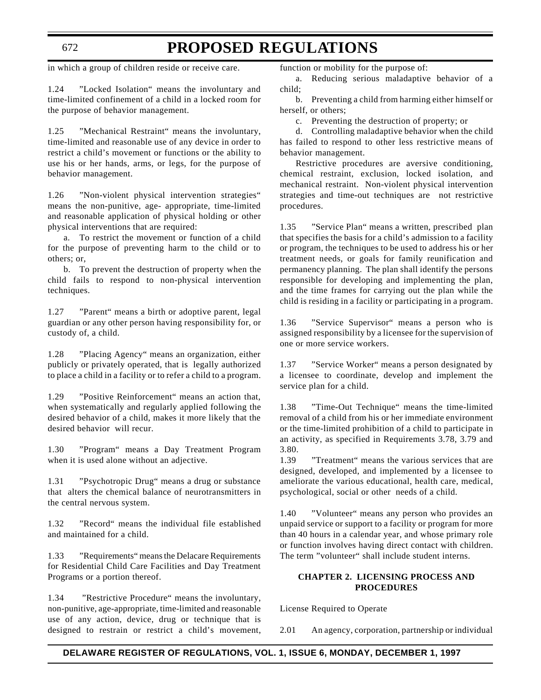### 672

### **PROPOSED REGULATIONS**

in which a group of children reside or receive care.

1.24 "Locked Isolation" means the involuntary and time-limited confinement of a child in a locked room for the purpose of behavior management.

1.25 "Mechanical Restraint" means the involuntary, time-limited and reasonable use of any device in order to restrict a child's movement or functions or the ability to use his or her hands, arms, or legs, for the purpose of behavior management.

1.26 "Non-violent physical intervention strategies" means the non-punitive, age- appropriate, time-limited and reasonable application of physical holding or other physical interventions that are required:

a. To restrict the movement or function of a child for the purpose of preventing harm to the child or to others; or,

b. To prevent the destruction of property when the child fails to respond to non-physical intervention techniques.

1.27 "Parent" means a birth or adoptive parent, legal guardian or any other person having responsibility for, or custody of, a child.

1.28 "Placing Agency" means an organization, either publicly or privately operated, that is legally authorized to place a child in a facility or to refer a child to a program.

1.29 "Positive Reinforcement" means an action that, when systematically and regularly applied following the desired behavior of a child, makes it more likely that the desired behavior will recur.

1.30 "Program" means a Day Treatment Program when it is used alone without an adjective.

1.31 "Psychotropic Drug" means a drug or substance that alters the chemical balance of neurotransmitters in the central nervous system.

1.32 "Record" means the individual file established and maintained for a child.

1.33 "Requirements" means the Delacare Requirements for Residential Child Care Facilities and Day Treatment Programs or a portion thereof.

1.34 "Restrictive Procedure" means the involuntary, non-punitive, age-appropriate, time-limited and reasonable use of any action, device, drug or technique that is designed to restrain or restrict a child's movement, function or mobility for the purpose of:

a. Reducing serious maladaptive behavior of a child;

b. Preventing a child from harming either himself or herself, or others;

c. Preventing the destruction of property; or

d. Controlling maladaptive behavior when the child has failed to respond to other less restrictive means of behavior management.

Restrictive procedures are aversive conditioning, chemical restraint, exclusion, locked isolation, and mechanical restraint. Non-violent physical intervention strategies and time-out techniques are not restrictive procedures.

1.35 "Service Plan" means a written, prescribed plan that specifies the basis for a child's admission to a facility or program, the techniques to be used to address his or her treatment needs, or goals for family reunification and permanency planning. The plan shall identify the persons responsible for developing and implementing the plan, and the time frames for carrying out the plan while the child is residing in a facility or participating in a program.

1.36 "Service Supervisor" means a person who is assigned responsibility by a licensee for the supervision of one or more service workers.

1.37 "Service Worker" means a person designated by a licensee to coordinate, develop and implement the service plan for a child.

1.38 "Time-Out Technique" means the time-limited removal of a child from his or her immediate environment or the time-limited prohibition of a child to participate in an activity, as specified in Requirements 3.78, 3.79 and 3.80.

1.39 "Treatment" means the various services that are designed, developed, and implemented by a licensee to ameliorate the various educational, health care, medical, psychological, social or other needs of a child.

1.40 "Volunteer" means any person who provides an unpaid service or support to a facility or program for more than 40 hours in a calendar year, and whose primary role or function involves having direct contact with children. The term "volunteer" shall include student interns.

#### **CHAPTER 2. LICENSING PROCESS AND PROCEDURES**

License Required to Operate

2.01 An agency, corporation, partnership or individual

#### **DELAWARE REGISTER OF REGULATIONS, VOL. 1, ISSUE 6, MONDAY, DECEMBER 1, 1997**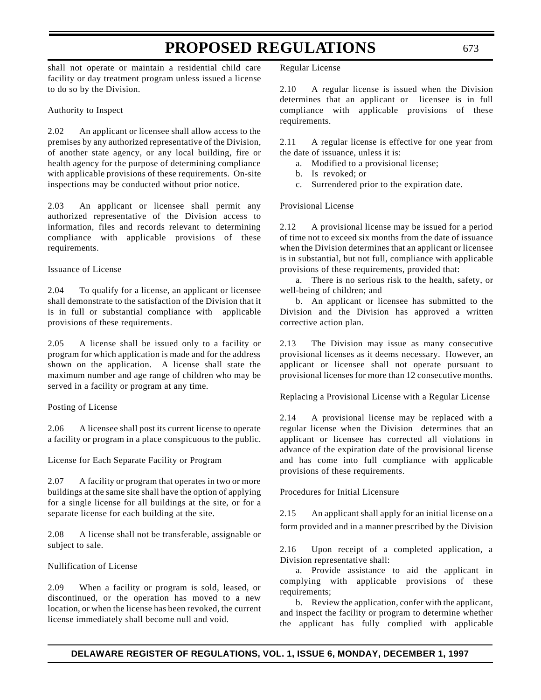shall not operate or maintain a residential child care facility or day treatment program unless issued a license to do so by the Division.

Authority to Inspect

2.02 An applicant or licensee shall allow access to the premises by any authorized representative of the Division, of another state agency, or any local building, fire or health agency for the purpose of determining compliance with applicable provisions of these requirements. On-site inspections may be conducted without prior notice.

2.03 An applicant or licensee shall permit any authorized representative of the Division access to information, files and records relevant to determining compliance with applicable provisions of these requirements.

Issuance of License

2.04 To qualify for a license, an applicant or licensee shall demonstrate to the satisfaction of the Division that it is in full or substantial compliance with applicable provisions of these requirements.

2.05 A license shall be issued only to a facility or program for which application is made and for the address shown on the application. A license shall state the maximum number and age range of children who may be served in a facility or program at any time.

Posting of License

2.06 A licensee shall post its current license to operate a facility or program in a place conspicuous to the public.

License for Each Separate Facility or Program

2.07 A facility or program that operates in two or more buildings at the same site shall have the option of applying for a single license for all buildings at the site, or for a separate license for each building at the site.

2.08 A license shall not be transferable, assignable or subject to sale.

Nullification of License

2.09 When a facility or program is sold, leased, or discontinued, or the operation has moved to a new location, or when the license has been revoked, the current license immediately shall become null and void.

Regular License

2.10 A regular license is issued when the Division determines that an applicant or licensee is in full compliance with applicable provisions of these requirements.

2.11 A regular license is effective for one year from the date of issuance, unless it is:

- a. Modified to a provisional license;
- b. Is revoked; or
- c. Surrendered prior to the expiration date.

Provisional License

2.12 A provisional license may be issued for a period of time not to exceed six months from the date of issuance when the Division determines that an applicant or licensee is in substantial, but not full, compliance with applicable provisions of these requirements, provided that:

a. There is no serious risk to the health, safety, or well-being of children; and

b. An applicant or licensee has submitted to the Division and the Division has approved a written corrective action plan.

2.13 The Division may issue as many consecutive provisional licenses as it deems necessary. However, an applicant or licensee shall not operate pursuant to provisional licenses for more than 12 consecutive months.

Replacing a Provisional License with a Regular License

2.14 A provisional license may be replaced with a regular license when the Division determines that an applicant or licensee has corrected all violations in advance of the expiration date of the provisional license and has come into full compliance with applicable provisions of these requirements.

Procedures for Initial Licensure

2.15 An applicant shall apply for an initial license on a form provided and in a manner prescribed by the Division

2.16 Upon receipt of a completed application, a Division representative shall:

a. Provide assistance to aid the applicant in complying with applicable provisions of these requirements;

b. Review the application, confer with the applicant, and inspect the facility or program to determine whether the applicant has fully complied with applicable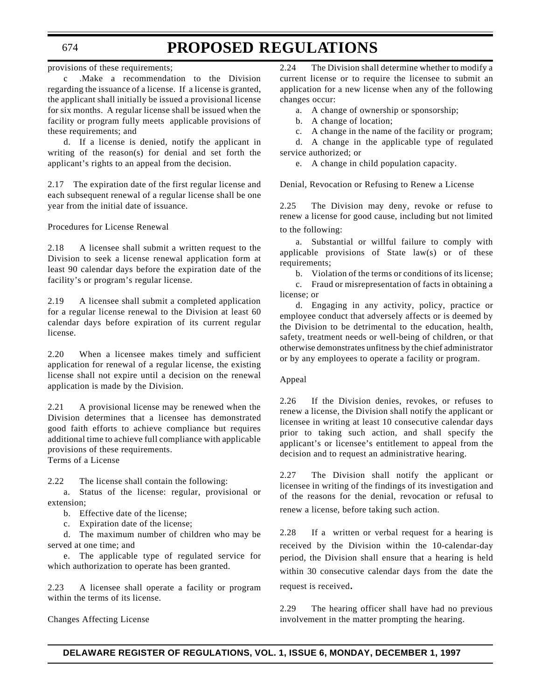674

### **PROPOSED REGULATIONS**

provisions of these requirements;

c .Make a recommendation to the Division regarding the issuance of a license. If a license is granted, the applicant shall initially be issued a provisional license for six months. A regular license shall be issued when the facility or program fully meets applicable provisions of these requirements; and

d. If a license is denied, notify the applicant in writing of the reason(s) for denial and set forth the applicant's rights to an appeal from the decision.

2.17 The expiration date of the first regular license and each subsequent renewal of a regular license shall be one year from the initial date of issuance.

Procedures for License Renewal

2.18 A licensee shall submit a written request to the Division to seek a license renewal application form at least 90 calendar days before the expiration date of the facility's or program's regular license.

2.19 A licensee shall submit a completed application for a regular license renewal to the Division at least 60 calendar days before expiration of its current regular license.

2.20 When a licensee makes timely and sufficient application for renewal of a regular license, the existing license shall not expire until a decision on the renewal application is made by the Division.

2.21 A provisional license may be renewed when the Division determines that a licensee has demonstrated good faith efforts to achieve compliance but requires additional time to achieve full compliance with applicable provisions of these requirements. Terms of a License

2.22 The license shall contain the following:

a. Status of the license: regular, provisional or extension;

- b. Effective date of the license;
- c. Expiration date of the license;

d. The maximum number of children who may be served at one time; and

e. The applicable type of regulated service for which authorization to operate has been granted.

2.23 A licensee shall operate a facility or program within the terms of its license.

Changes Affecting License

2.24 The Division shall determine whether to modify a current license or to require the licensee to submit an application for a new license when any of the following changes occur:

a. A change of ownership or sponsorship;

b. A change of location;

c. A change in the name of the facility or program;

d. A change in the applicable type of regulated service authorized; or

e. A change in child population capacity.

Denial, Revocation or Refusing to Renew a License

2.25 The Division may deny, revoke or refuse to renew a license for good cause, including but not limited to the following:

a. Substantial or willful failure to comply with applicable provisions of State law(s) or of these requirements;

b. Violation of the terms or conditions of its license;

c. Fraud or misrepresentation of facts in obtaining a license; or

d. Engaging in any activity, policy, practice or employee conduct that adversely affects or is deemed by the Division to be detrimental to the education, health, safety, treatment needs or well-being of children, or that otherwise demonstrates unfitness by the chief administrator or by any employees to operate a facility or program.

#### Appeal

2.26 If the Division denies, revokes, or refuses to renew a license, the Division shall notify the applicant or licensee in writing at least 10 consecutive calendar days prior to taking such action, and shall specify the applicant's or licensee's entitlement to appeal from the decision and to request an administrative hearing.

2.27 The Division shall notify the applicant or licensee in writing of the findings of its investigation and of the reasons for the denial, revocation or refusal to renew a license, before taking such action.

2.28 If a written or verbal request for a hearing is received by the Division within the 10-calendar-day period, the Division shall ensure that a hearing is held within 30 consecutive calendar days from the date the request is received.

2.29 The hearing officer shall have had no previous involvement in the matter prompting the hearing.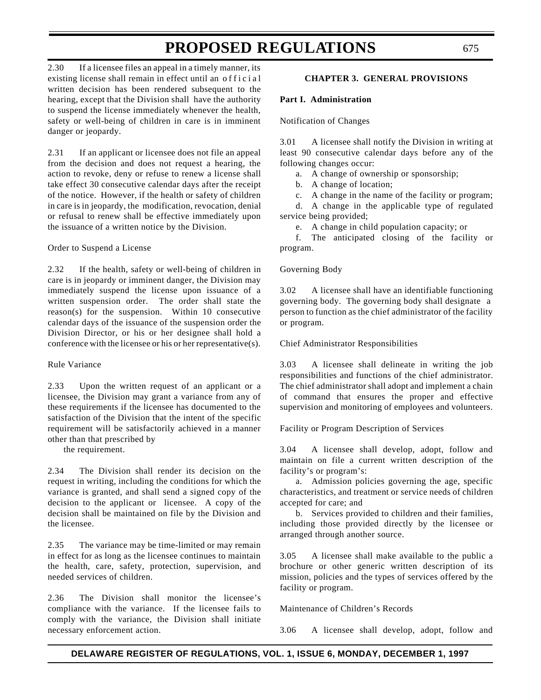2.30 If a licensee files an appeal in a timely manner, its existing license shall remain in effect until an official written decision has been rendered subsequent to the hearing, except that the Division shall have the authority to suspend the license immediately whenever the health, safety or well-being of children in care is in imminent danger or jeopardy.

2.31 If an applicant or licensee does not file an appeal from the decision and does not request a hearing, the action to revoke, deny or refuse to renew a license shall take effect 30 consecutive calendar days after the receipt of the notice. However, if the health or safety of children in care is in jeopardy, the modification, revocation, denial or refusal to renew shall be effective immediately upon the issuance of a written notice by the Division.

### Order to Suspend a License

2.32 If the health, safety or well-being of children in care is in jeopardy or imminent danger, the Division may immediately suspend the license upon issuance of a written suspension order. The order shall state the reason(s) for the suspension. Within 10 consecutive calendar days of the issuance of the suspension order the Division Director, or his or her designee shall hold a conference with the licensee or his or her representative(s).

#### Rule Variance

2.33 Upon the written request of an applicant or a licensee, the Division may grant a variance from any of these requirements if the licensee has documented to the satisfaction of the Division that the intent of the specific requirement will be satisfactorily achieved in a manner other than that prescribed by

the requirement.

2.34 The Division shall render its decision on the request in writing, including the conditions for which the variance is granted, and shall send a signed copy of the decision to the applicant or licensee. A copy of the decision shall be maintained on file by the Division and the licensee.

2.35 The variance may be time-limited or may remain in effect for as long as the licensee continues to maintain the health, care, safety, protection, supervision, and needed services of children.

2.36 The Division shall monitor the licensee's compliance with the variance. If the licensee fails to comply with the variance, the Division shall initiate necessary enforcement action.

### **CHAPTER 3. GENERAL PROVISIONS**

#### **Part I. Administration**

Notification of Changes

3.01 A licensee shall notify the Division in writing at least 90 consecutive calendar days before any of the following changes occur:

a. A change of ownership or sponsorship;

b. A change of location;

c. A change in the name of the facility or program;

d. A change in the applicable type of regulated service being provided;

e. A change in child population capacity; or

f. The anticipated closing of the facility or program.

Governing Body

3.02 A licensee shall have an identifiable functioning governing body. The governing body shall designate a person to function as the chief administrator of the facility or program.

Chief Administrator Responsibilities

3.03 A licensee shall delineate in writing the job responsibilities and functions of the chief administrator. The chief administrator shall adopt and implement a chain of command that ensures the proper and effective supervision and monitoring of employees and volunteers.

Facility or Program Description of Services

3.04 A licensee shall develop, adopt, follow and maintain on file a current written description of the facility's or program's:

a. Admission policies governing the age, specific characteristics, and treatment or service needs of children accepted for care; and

b. Services provided to children and their families, including those provided directly by the licensee or arranged through another source.

3.05 A licensee shall make available to the public a brochure or other generic written description of its mission, policies and the types of services offered by the facility or program.

Maintenance of Children's Records

3.06 A licensee shall develop, adopt, follow and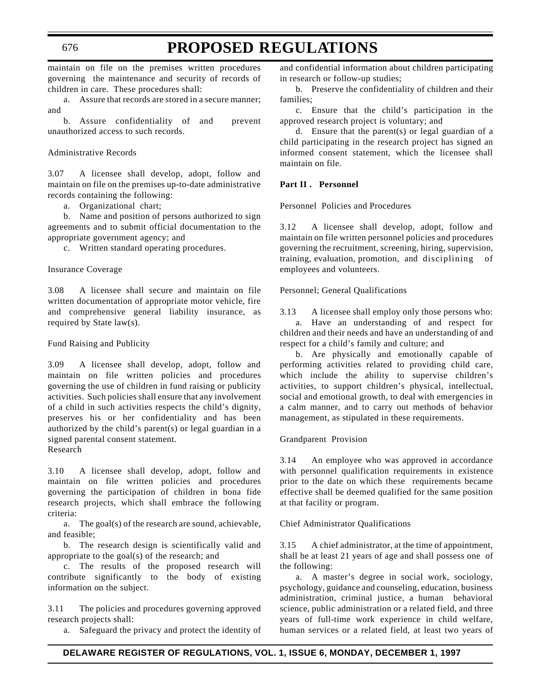### **PROPOSED REGULATIONS**

maintain on file on the premises written procedures governing the maintenance and security of records of children in care. These procedures shall:

a. Assure that records are stored in a secure manner; and

b. Assure confidentiality of and prevent unauthorized access to such records.

#### Administrative Records

3.07 A licensee shall develop, adopt, follow and maintain on file on the premises up-to-date administrative records containing the following:

a. Organizational chart;

b. Name and position of persons authorized to sign agreements and to submit official documentation to the appropriate government agency; and

c. Written standard operating procedures.

#### Insurance Coverage

3.08 A licensee shall secure and maintain on file written documentation of appropriate motor vehicle, fire and comprehensive general liability insurance, as required by State law(s).

#### Fund Raising and Publicity

3.09 A licensee shall develop, adopt, follow and maintain on file written policies and procedures governing the use of children in fund raising or publicity activities. Such policies shall ensure that any involvement of a child in such activities respects the child's dignity, preserves his or her confidentiality and has been authorized by the child's parent(s) or legal guardian in a signed parental consent statement.

Research

3.10 A licensee shall develop, adopt, follow and maintain on file written policies and procedures governing the participation of children in bona fide research projects, which shall embrace the following criteria:

a. The goal(s) of the research are sound, achievable, and feasible;

b. The research design is scientifically valid and appropriate to the goal(s) of the research; and

c. The results of the proposed research will contribute significantly to the body of existing information on the subject.

3.11 The policies and procedures governing approved research projects shall:

a. Safeguard the privacy and protect the identity of

and confidential information about children participating in research or follow-up studies;

b. Preserve the confidentiality of children and their families;

c. Ensure that the child's participation in the approved research project is voluntary; and

d. Ensure that the parent(s) or legal guardian of a child participating in the research project has signed an informed consent statement, which the licensee shall maintain on file.

### **Part II . Personnel**

Personnel Policies and Procedures

3.12 A licensee shall develop, adopt, follow and maintain on file written personnel policies and procedures governing the recruitment, screening, hiring, supervision, training, evaluation, promotion, and disciplining of employees and volunteers.

Personnel; General Qualifications

3.13 A licensee shall employ only those persons who: a. Have an understanding of and respect for children and their needs and have an understanding of and respect for a child's family and culture; and

b. Are physically and emotionally capable of performing activities related to providing child care, which include the ability to supervise children's activities, to support children's physical, intellectual, social and emotional growth, to deal with emergencies in a calm manner, and to carry out methods of behavior management, as stipulated in these requirements.

### Grandparent Provision

3.14 An employee who was approved in accordance with personnel qualification requirements in existence prior to the date on which these requirements became effective shall be deemed qualified for the same position at that facility or program.

Chief Administrator Qualifications

3.15 A chief administrator, at the time of appointment, shall be at least 21 years of age and shall possess one of the following:

a. A master's degree in social work, sociology, psychology, guidance and counseling, education, business administration, criminal justice, a human behavioral science, public administration or a related field, and three years of full-time work experience in child welfare, human services or a related field, at least two years of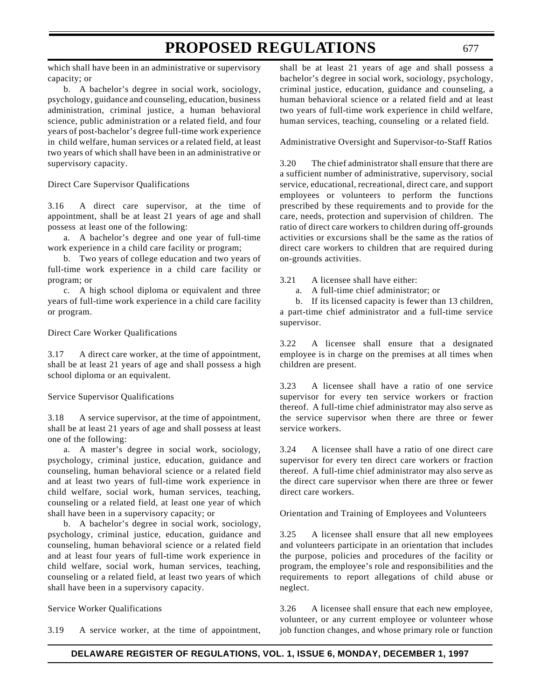which shall have been in an administrative or supervisory capacity; or

b. A bachelor's degree in social work, sociology, psychology, guidance and counseling, education, business administration, criminal justice, a human behavioral science, public administration or a related field, and four years of post-bachelor's degree full-time work experience in child welfare, human services or a related field, at least two years of which shall have been in an administrative or supervisory capacity.

### Direct Care Supervisor Qualifications

3.16 A direct care supervisor, at the time of appointment, shall be at least 21 years of age and shall possess at least one of the following:

a. A bachelor's degree and one year of full-time work experience in a child care facility or program;

b. Two years of college education and two years of full-time work experience in a child care facility or program; or

c. A high school diploma or equivalent and three years of full-time work experience in a child care facility or program.

Direct Care Worker Qualifications

3.17 A direct care worker, at the time of appointment, shall be at least 21 years of age and shall possess a high school diploma or an equivalent.

### Service Supervisor Qualifications

3.18 A service supervisor, at the time of appointment, shall be at least 21 years of age and shall possess at least one of the following:

a. A master's degree in social work, sociology, psychology, criminal justice, education, guidance and counseling, human behavioral science or a related field and at least two years of full-time work experience in child welfare, social work, human services, teaching, counseling or a related field, at least one year of which shall have been in a supervisory capacity; or

b. A bachelor's degree in social work, sociology, psychology, criminal justice, education, guidance and counseling, human behavioral science or a related field and at least four years of full-time work experience in child welfare, social work, human services, teaching, counseling or a related field, at least two years of which shall have been in a supervisory capacity.

Service Worker Qualifications

3.19 A service worker, at the time of appointment,

shall be at least 21 years of age and shall possess a bachelor's degree in social work, sociology, psychology, criminal justice, education, guidance and counseling, a human behavioral science or a related field and at least two years of full-time work experience in child welfare, human services, teaching, counseling or a related field.

Administrative Oversight and Supervisor-to-Staff Ratios

3.20 The chief administrator shall ensure that there are a sufficient number of administrative, supervisory, social service, educational, recreational, direct care, and support employees or volunteers to perform the functions prescribed by these requirements and to provide for the care, needs, protection and supervision of children. The ratio of direct care workers to children during off-grounds activities or excursions shall be the same as the ratios of direct care workers to children that are required during on-grounds activities.

3.21 A licensee shall have either:

a. A full-time chief administrator; or

b. If its licensed capacity is fewer than 13 children, a part-time chief administrator and a full-time service supervisor.

3.22 A licensee shall ensure that a designated employee is in charge on the premises at all times when children are present.

3.23 A licensee shall have a ratio of one service supervisor for every ten service workers or fraction thereof. A full-time chief administrator may also serve as the service supervisor when there are three or fewer service workers.

3.24 A licensee shall have a ratio of one direct care supervisor for every ten direct care workers or fraction thereof. A full-time chief administrator may also serve as the direct care supervisor when there are three or fewer direct care workers.

Orientation and Training of Employees and Volunteers

3.25 A licensee shall ensure that all new employees and volunteers participate in an orientation that includes the purpose, policies and procedures of the facility or program, the employee's role and responsibilities and the requirements to report allegations of child abuse or neglect.

3.26 A licensee shall ensure that each new employee, volunteer, or any current employee or volunteer whose job function changes, and whose primary role or function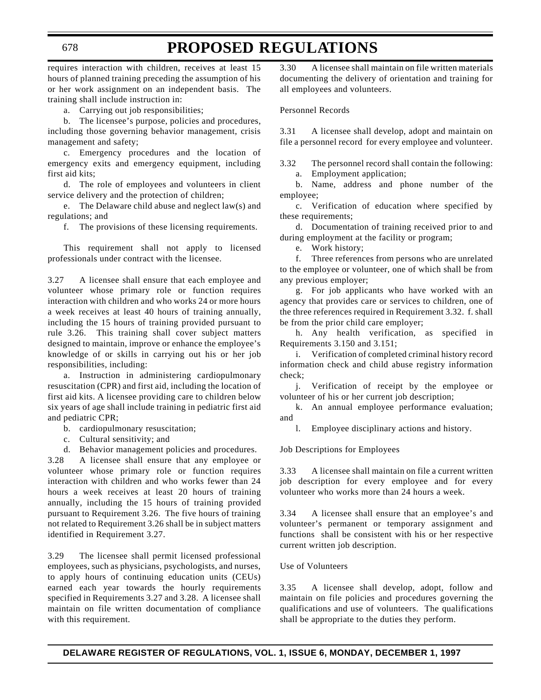# **PROPOSED REGULATIONS**

requires interaction with children, receives at least 15 hours of planned training preceding the assumption of his or her work assignment on an independent basis. The training shall include instruction in:

a. Carrying out job responsibilities;

b. The licensee's purpose, policies and procedures, including those governing behavior management, crisis management and safety;

c. Emergency procedures and the location of emergency exits and emergency equipment, including first aid kits;

d. The role of employees and volunteers in client service delivery and the protection of children;

e. The Delaware child abuse and neglect law(s) and regulations; and

f. The provisions of these licensing requirements.

This requirement shall not apply to licensed professionals under contract with the licensee.

3.27 A licensee shall ensure that each employee and volunteer whose primary role or function requires interaction with children and who works 24 or more hours a week receives at least 40 hours of training annually, including the 15 hours of training provided pursuant to rule 3.26. This training shall cover subject matters designed to maintain, improve or enhance the employee's knowledge of or skills in carrying out his or her job responsibilities, including:

a. Instruction in administering cardiopulmonary resuscitation (CPR) and first aid, including the location of first aid kits. A licensee providing care to children below six years of age shall include training in pediatric first aid and pediatric CPR;

b. cardiopulmonary resuscitation;

c. Cultural sensitivity; and

d. Behavior management policies and procedures. 3.28 A licensee shall ensure that any employee or volunteer whose primary role or function requires interaction with children and who works fewer than 24 hours a week receives at least 20 hours of training annually, including the 15 hours of training provided pursuant to Requirement 3.26. The five hours of training not related to Requirement 3.26 shall be in subject matters identified in Requirement 3.27.

3.29 The licensee shall permit licensed professional employees, such as physicians, psychologists, and nurses, to apply hours of continuing education units (CEUs) earned each year towards the hourly requirements specified in Requirements 3.27 and 3.28. A licensee shall maintain on file written documentation of compliance with this requirement.

3.30 A licensee shall maintain on file written materials documenting the delivery of orientation and training for all employees and volunteers.

Personnel Records

3.31 A licensee shall develop, adopt and maintain on file a personnel record for every employee and volunteer.

3.32 The personnel record shall contain the following: a. Employment application;

b. Name, address and phone number of the employee;

c. Verification of education where specified by these requirements;

d. Documentation of training received prior to and during employment at the facility or program;

e. Work history;

f. Three references from persons who are unrelated to the employee or volunteer, one of which shall be from any previous employer;

g. For job applicants who have worked with an agency that provides care or services to children, one of the three references required in Requirement 3.32. f. shall be from the prior child care employer;

h. Any health verification, as specified in Requirements 3.150 and 3.151;

i. Verification of completed criminal history record information check and child abuse registry information check;

j. Verification of receipt by the employee or volunteer of his or her current job description;

k. An annual employee performance evaluation; and

l. Employee disciplinary actions and history.

Job Descriptions for Employees

3.33 A licensee shall maintain on file a current written job description for every employee and for every volunteer who works more than 24 hours a week.

3.34 A licensee shall ensure that an employee's and volunteer's permanent or temporary assignment and functions shall be consistent with his or her respective current written job description.

Use of Volunteers

3.35 A licensee shall develop, adopt, follow and maintain on file policies and procedures governing the qualifications and use of volunteers. The qualifications shall be appropriate to the duties they perform.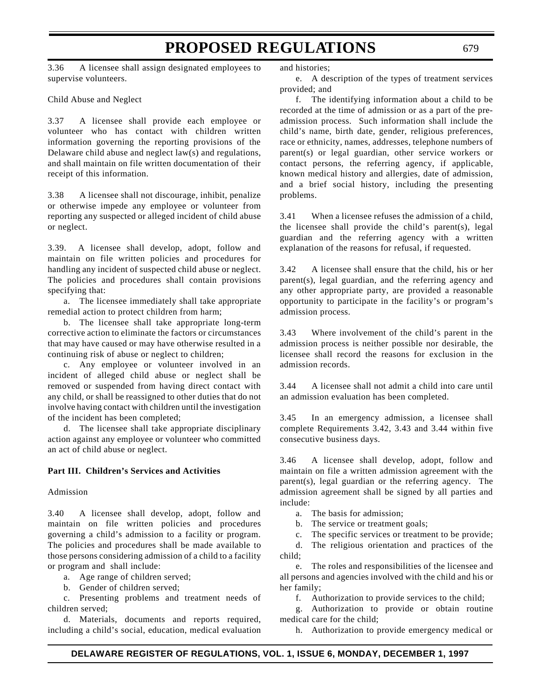3.36 A licensee shall assign designated employees to supervise volunteers.

Child Abuse and Neglect

3.37 A licensee shall provide each employee or volunteer who has contact with children written information governing the reporting provisions of the Delaware child abuse and neglect law(s) and regulations, and shall maintain on file written documentation of their receipt of this information.

3.38 A licensee shall not discourage, inhibit, penalize or otherwise impede any employee or volunteer from reporting any suspected or alleged incident of child abuse or neglect.

3.39. A licensee shall develop, adopt, follow and maintain on file written policies and procedures for handling any incident of suspected child abuse or neglect. The policies and procedures shall contain provisions specifying that:

a. The licensee immediately shall take appropriate remedial action to protect children from harm;

b. The licensee shall take appropriate long-term corrective action to eliminate the factors or circumstances that may have caused or may have otherwise resulted in a continuing risk of abuse or neglect to children;

c. Any employee or volunteer involved in an incident of alleged child abuse or neglect shall be removed or suspended from having direct contact with any child, or shall be reassigned to other duties that do not involve having contact with children until the investigation of the incident has been completed;

d. The licensee shall take appropriate disciplinary action against any employee or volunteer who committed an act of child abuse or neglect.

### **Part III. Children's Services and Activities**

### Admission

3.40 A licensee shall develop, adopt, follow and maintain on file written policies and procedures governing a child's admission to a facility or program. The policies and procedures shall be made available to those persons considering admission of a child to a facility or program and shall include:

a. Age range of children served;

b. Gender of children served;

c. Presenting problems and treatment needs of children served;

d. Materials, documents and reports required, including a child's social, education, medical evaluation and histories;

e. A description of the types of treatment services provided; and

f. The identifying information about a child to be recorded at the time of admission or as a part of the preadmission process. Such information shall include the child's name, birth date, gender, religious preferences, race or ethnicity, names, addresses, telephone numbers of parent(s) or legal guardian, other service workers or contact persons, the referring agency, if applicable, known medical history and allergies, date of admission, and a brief social history, including the presenting problems.

3.41 When a licensee refuses the admission of a child, the licensee shall provide the child's parent(s), legal guardian and the referring agency with a written explanation of the reasons for refusal, if requested.

3.42 A licensee shall ensure that the child, his or her parent(s), legal guardian, and the referring agency and any other appropriate party, are provided a reasonable opportunity to participate in the facility's or program's admission process.

3.43 Where involvement of the child's parent in the admission process is neither possible nor desirable, the licensee shall record the reasons for exclusion in the admission records.

3.44 A licensee shall not admit a child into care until an admission evaluation has been completed.

3.45 In an emergency admission, a licensee shall complete Requirements 3.42, 3.43 and 3.44 within five consecutive business days.

3.46 A licensee shall develop, adopt, follow and maintain on file a written admission agreement with the parent(s), legal guardian or the referring agency. The admission agreement shall be signed by all parties and include:

a. The basis for admission;

b. The service or treatment goals;

c. The specific services or treatment to be provide;

d. The religious orientation and practices of the child;

e. The roles and responsibilities of the licensee and all persons and agencies involved with the child and his or her family;

f. Authorization to provide services to the child;

g. Authorization to provide or obtain routine medical care for the child;

h. Authorization to provide emergency medical or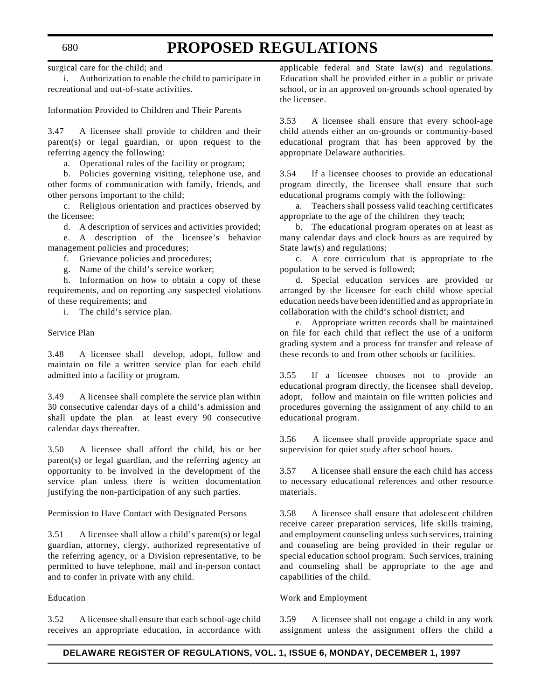surgical care for the child; and

i. Authorization to enable the child to participate in recreational and out-of-state activities.

Information Provided to Children and Their Parents

3.47 A licensee shall provide to children and their parent(s) or legal guardian, or upon request to the referring agency the following:

a. Operational rules of the facility or program;

b. Policies governing visiting, telephone use, and other forms of communication with family, friends, and other persons important to the child;

c. Religious orientation and practices observed by the licensee;

d. A description of services and activities provided;

e. A description of the licensee's behavior management policies and procedures;

f. Grievance policies and procedures;

g. Name of the child's service worker;

h. Information on how to obtain a copy of these requirements, and on reporting any suspected violations of these requirements; and

i. The child's service plan.

Service Plan

3.48 A licensee shall develop, adopt, follow and maintain on file a written service plan for each child admitted into a facility or program.

3.49 A licensee shall complete the service plan within 30 consecutive calendar days of a child's admission and shall update the plan at least every 90 consecutive calendar days thereafter.

3.50 A licensee shall afford the child, his or her parent(s) or legal guardian, and the referring agency an opportunity to be involved in the development of the service plan unless there is written documentation justifying the non-participation of any such parties.

Permission to Have Contact with Designated Persons

3.51 A licensee shall allow a child's parent(s) or legal guardian, attorney, clergy, authorized representative of the referring agency, or a Division representative, to be permitted to have telephone, mail and in-person contact and to confer in private with any child.

Education

3.52 A licensee shall ensure that each school-age child receives an appropriate education, in accordance with

applicable federal and State law(s) and regulations. Education shall be provided either in a public or private school, or in an approved on-grounds school operated by the licensee.

3.53 A licensee shall ensure that every school-age child attends either an on-grounds or community-based educational program that has been approved by the appropriate Delaware authorities.

3.54 If a licensee chooses to provide an educational program directly, the licensee shall ensure that such educational programs comply with the following:

a. Teachers shall possess valid teaching certificates appropriate to the age of the children they teach;

b. The educational program operates on at least as many calendar days and clock hours as are required by State law(s) and regulations;

c. A core curriculum that is appropriate to the population to be served is followed;

d. Special education services are provided or arranged by the licensee for each child whose special education needs have been identified and as appropriate in collaboration with the child's school district; and

e. Appropriate written records shall be maintained on file for each child that reflect the use of a uniform grading system and a process for transfer and release of these records to and from other schools or facilities.

3.55 If a licensee chooses not to provide an educational program directly, the licensee shall develop, adopt, follow and maintain on file written policies and procedures governing the assignment of any child to an educational program.

3.56 A licensee shall provide appropriate space and supervision for quiet study after school hours.

3.57 A licensee shall ensure the each child has access to necessary educational references and other resource materials.

3.58 A licensee shall ensure that adolescent children receive career preparation services, life skills training, and employment counseling unless such services, training and counseling are being provided in their regular or special education school program. Such services, training and counseling shall be appropriate to the age and capabilities of the child.

Work and Employment

3.59 A licensee shall not engage a child in any work assignment unless the assignment offers the child a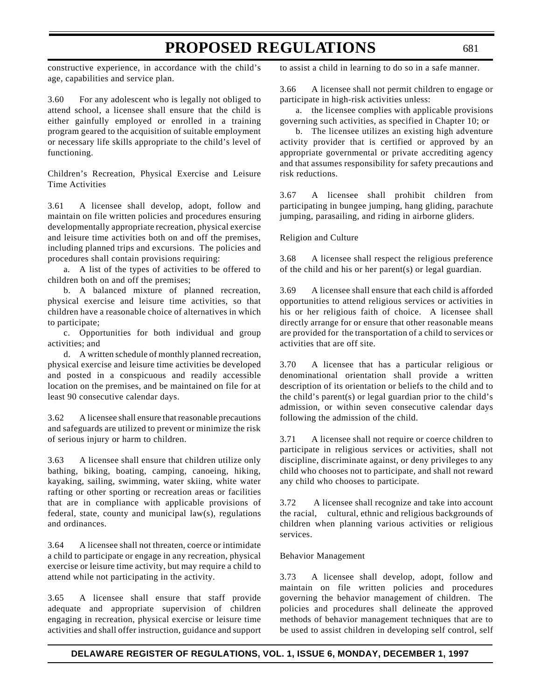constructive experience, in accordance with the child's age, capabilities and service plan.

3.60 For any adolescent who is legally not obliged to attend school, a licensee shall ensure that the child is either gainfully employed or enrolled in a training program geared to the acquisition of suitable employment or necessary life skills appropriate to the child's level of functioning.

Children's Recreation, Physical Exercise and Leisure Time Activities

3.61 A licensee shall develop, adopt, follow and maintain on file written policies and procedures ensuring developmentally appropriate recreation, physical exercise and leisure time activities both on and off the premises, including planned trips and excursions. The policies and procedures shall contain provisions requiring:

a. A list of the types of activities to be offered to children both on and off the premises;

b. A balanced mixture of planned recreation, physical exercise and leisure time activities, so that children have a reasonable choice of alternatives in which to participate;

c. Opportunities for both individual and group activities; and

d. A written schedule of monthly planned recreation, physical exercise and leisure time activities be developed and posted in a conspicuous and readily accessible location on the premises, and be maintained on file for at least 90 consecutive calendar days.

3.62 A licensee shall ensure that reasonable precautions and safeguards are utilized to prevent or minimize the risk of serious injury or harm to children.

3.63 A licensee shall ensure that children utilize only bathing, biking, boating, camping, canoeing, hiking, kayaking, sailing, swimming, water skiing, white water rafting or other sporting or recreation areas or facilities that are in compliance with applicable provisions of federal, state, county and municipal law(s), regulations and ordinances.

3.64 A licensee shall not threaten, coerce or intimidate a child to participate or engage in any recreation, physical exercise or leisure time activity, but may require a child to attend while not participating in the activity.

3.65 A licensee shall ensure that staff provide adequate and appropriate supervision of children engaging in recreation, physical exercise or leisure time activities and shall offer instruction, guidance and support to assist a child in learning to do so in a safe manner.

3.66 A licensee shall not permit children to engage or participate in high-risk activities unless:

a. the licensee complies with applicable provisions governing such activities, as specified in Chapter 10; or

b. The licensee utilizes an existing high adventure activity provider that is certified or approved by an appropriate governmental or private accrediting agency and that assumes responsibility for safety precautions and risk reductions.

3.67 A licensee shall prohibit children from participating in bungee jumping, hang gliding, parachute jumping, parasailing, and riding in airborne gliders.

Religion and Culture

3.68 A licensee shall respect the religious preference of the child and his or her parent(s) or legal guardian.

3.69 A licensee shall ensure that each child is afforded opportunities to attend religious services or activities in his or her religious faith of choice. A licensee shall directly arrange for or ensure that other reasonable means are provided for the transportation of a child to services or activities that are off site.

3.70 A licensee that has a particular religious or denominational orientation shall provide a written description of its orientation or beliefs to the child and to the child's parent(s) or legal guardian prior to the child's admission, or within seven consecutive calendar days following the admission of the child.

3.71 A licensee shall not require or coerce children to participate in religious services or activities, shall not discipline, discriminate against, or deny privileges to any child who chooses not to participate, and shall not reward any child who chooses to participate.

3.72 A licensee shall recognize and take into account the racial, cultural, ethnic and religious backgrounds of children when planning various activities or religious services.

### Behavior Management

3.73 A licensee shall develop, adopt, follow and maintain on file written policies and procedures governing the behavior management of children. The policies and procedures shall delineate the approved methods of behavior management techniques that are to be used to assist children in developing self control, self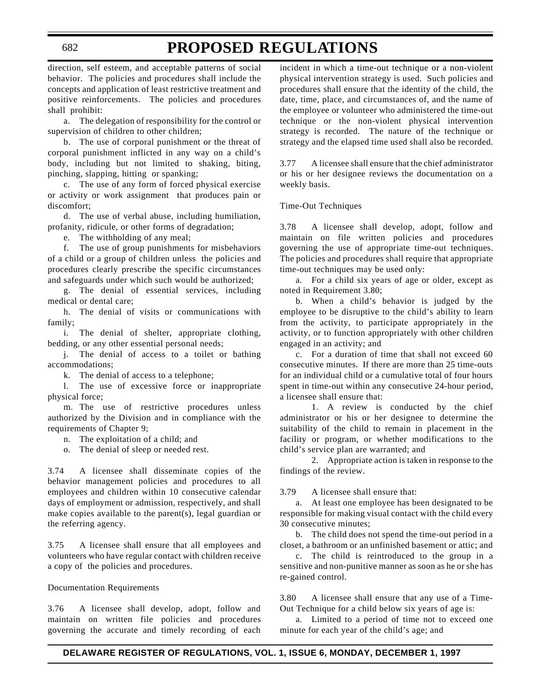direction, self esteem, and acceptable patterns of social behavior. The policies and procedures shall include the concepts and application of least restrictive treatment and positive reinforcements. The policies and procedures shall prohibit:

a. The delegation of responsibility for the control or supervision of children to other children;

b. The use of corporal punishment or the threat of corporal punishment inflicted in any way on a child's body, including but not limited to shaking, biting, pinching, slapping, hitting or spanking;

c. The use of any form of forced physical exercise or activity or work assignment that produces pain or discomfort;

d. The use of verbal abuse, including humiliation, profanity, ridicule, or other forms of degradation;

e. The withholding of any meal;

f. The use of group punishments for misbehaviors of a child or a group of children unless the policies and procedures clearly prescribe the specific circumstances and safeguards under which such would be authorized;

g. The denial of essential services, including medical or dental care;

h. The denial of visits or communications with family;

i. The denial of shelter, appropriate clothing, bedding, or any other essential personal needs;

j. The denial of access to a toilet or bathing accommodations;

k. The denial of access to a telephone;

l. The use of excessive force or inappropriate physical force;

m. The use of restrictive procedures unless authorized by the Division and in compliance with the requirements of Chapter 9;

n. The exploitation of a child; and

o. The denial of sleep or needed rest.

3.74 A licensee shall disseminate copies of the behavior management policies and procedures to all employees and children within 10 consecutive calendar days of employment or admission, respectively, and shall make copies available to the parent(s), legal guardian or the referring agency.

3.75 A licensee shall ensure that all employees and volunteers who have regular contact with children receive a copy of the policies and procedures.

#### Documentation Requirements

3.76 A licensee shall develop, adopt, follow and maintain on written file policies and procedures governing the accurate and timely recording of each

incident in which a time-out technique or a non-violent physical intervention strategy is used. Such policies and procedures shall ensure that the identity of the child, the date, time, place, and circumstances of, and the name of the employee or volunteer who administered the time-out technique or the non-violent physical intervention strategy is recorded. The nature of the technique or strategy and the elapsed time used shall also be recorded.

3.77 A licensee shall ensure that the chief administrator or his or her designee reviews the documentation on a weekly basis.

Time-Out Techniques

3.78 A licensee shall develop, adopt, follow and maintain on file written policies and procedures governing the use of appropriate time-out techniques. The policies and procedures shall require that appropriate time-out techniques may be used only:

a. For a child six years of age or older, except as noted in Requirement 3.80;

b. When a child's behavior is judged by the employee to be disruptive to the child's ability to learn from the activity, to participate appropriately in the activity, or to function appropriately with other children engaged in an activity; and

c. For a duration of time that shall not exceed 60 consecutive minutes. If there are more than 25 time-outs for an individual child or a cumulative total of four hours spent in time-out within any consecutive 24-hour period, a licensee shall ensure that:

1. A review is conducted by the chief administrator or his or her designee to determine the suitability of the child to remain in placement in the facility or program, or whether modifications to the child's service plan are warranted; and

2. Appropriate action is taken in response to the findings of the review.

3.79 A licensee shall ensure that:

a. At least one employee has been designated to be responsible for making visual contact with the child every 30 consecutive minutes;

b. The child does not spend the time-out period in a closet, a bathroom or an unfinished basement or attic; and

c. The child is reintroduced to the group in a sensitive and non-punitive manner as soon as he or she has re-gained control.

3.80 A licensee shall ensure that any use of a Time-Out Technique for a child below six years of age is:

a. Limited to a period of time not to exceed one minute for each year of the child's age; and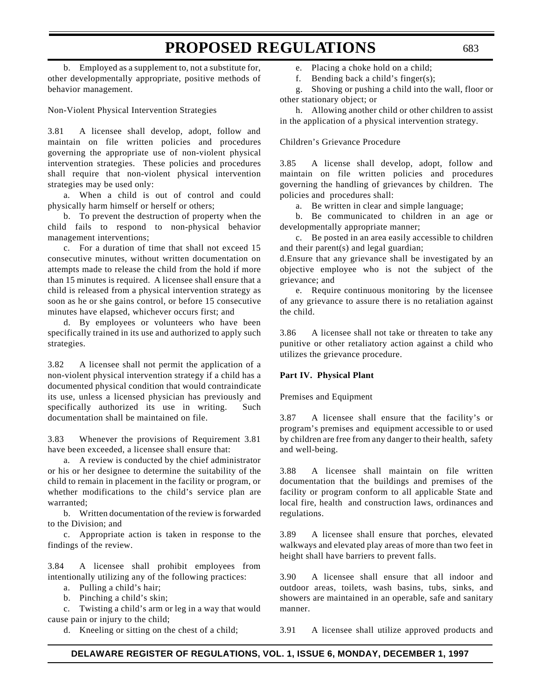b. Employed as a supplement to, not a substitute for, other developmentally appropriate, positive methods of behavior management.

Non-Violent Physical Intervention Strategies

3.81 A licensee shall develop, adopt, follow and maintain on file written policies and procedures governing the appropriate use of non-violent physical intervention strategies. These policies and procedures shall require that non-violent physical intervention strategies may be used only:

a. When a child is out of control and could physically harm himself or herself or others;

b. To prevent the destruction of property when the child fails to respond to non-physical behavior management interventions;

c. For a duration of time that shall not exceed 15 consecutive minutes, without written documentation on attempts made to release the child from the hold if more than 15 minutes is required. A licensee shall ensure that a child is released from a physical intervention strategy as soon as he or she gains control, or before 15 consecutive minutes have elapsed, whichever occurs first; and

d. By employees or volunteers who have been specifically trained in its use and authorized to apply such strategies.

3.82 A licensee shall not permit the application of a non-violent physical intervention strategy if a child has a documented physical condition that would contraindicate its use, unless a licensed physician has previously and specifically authorized its use in writing. Such documentation shall be maintained on file.

3.83 Whenever the provisions of Requirement 3.81 have been exceeded, a licensee shall ensure that:

a. A review is conducted by the chief administrator or his or her designee to determine the suitability of the child to remain in placement in the facility or program, or whether modifications to the child's service plan are warranted;

b. Written documentation of the review is forwarded to the Division; and

c. Appropriate action is taken in response to the findings of the review.

3.84 A licensee shall prohibit employees from intentionally utilizing any of the following practices:

- a. Pulling a child's hair;
- b. Pinching a child's skin;

c. Twisting a child's arm or leg in a way that would cause pain or injury to the child;

d. Kneeling or sitting on the chest of a child;

- e. Placing a choke hold on a child;
- f. Bending back a child's finger(s);

g. Shoving or pushing a child into the wall, floor or other stationary object; or

h. Allowing another child or other children to assist in the application of a physical intervention strategy.

Children's Grievance Procedure

3.85 A license shall develop, adopt, follow and maintain on file written policies and procedures governing the handling of grievances by children. The policies and procedures shall:

a. Be written in clear and simple language;

b. Be communicated to children in an age or developmentally appropriate manner;

c. Be posted in an area easily accessible to children and their parent(s) and legal guardian;

d.Ensure that any grievance shall be investigated by an objective employee who is not the subject of the grievance; and

e. Require continuous monitoring by the licensee of any grievance to assure there is no retaliation against the child.

3.86 A licensee shall not take or threaten to take any punitive or other retaliatory action against a child who utilizes the grievance procedure.

### **Part IV. Physical Plant**

Premises and Equipment

3.87 A licensee shall ensure that the facility's or program's premises and equipment accessible to or used by children are free from any danger to their health, safety and well-being.

3.88 A licensee shall maintain on file written documentation that the buildings and premises of the facility or program conform to all applicable State and local fire, health and construction laws, ordinances and regulations.

3.89 A licensee shall ensure that porches, elevated walkways and elevated play areas of more than two feet in height shall have barriers to prevent falls.

3.90 A licensee shall ensure that all indoor and outdoor areas, toilets, wash basins, tubs, sinks, and showers are maintained in an operable, safe and sanitary manner.

3.91 A licensee shall utilize approved products and

### **DELAWARE REGISTER OF REGULATIONS, VOL. 1, ISSUE 6, MONDAY, DECEMBER 1, 1997**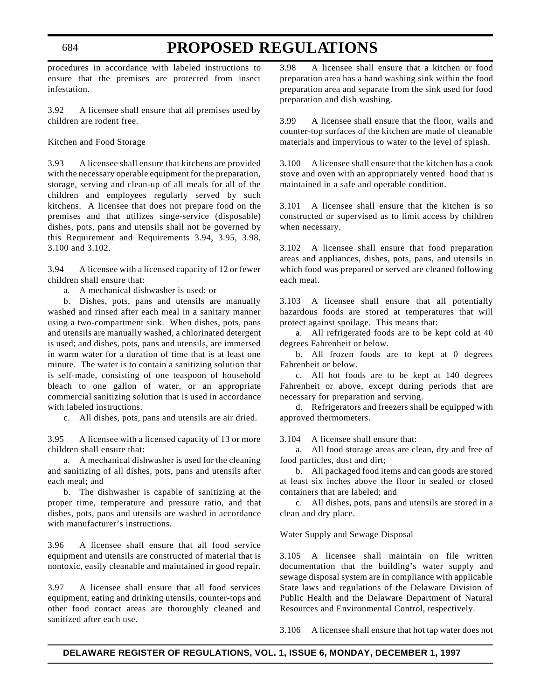### **PROPOSED REGULATIONS**

procedures in accordance with labeled instructions to ensure that the premises are protected from insect infestation.

3.92 A licensee shall ensure that all premises used by children are rodent free.

Kitchen and Food Storage

3.93 A licensee shall ensure that kitchens are provided with the necessary operable equipment for the preparation, storage, serving and clean-up of all meals for all of the children and employees regularly served by such kitchens. A licensee that does not prepare food on the premises and that utilizes singe-service (disposable) dishes, pots, pans and utensils shall not be governed by this Requirement and Requirements 3.94, 3.95, 3.98, 3.100 and 3.102.

3.94 A licensee with a licensed capacity of 12 or fewer children shall ensure that:

a. A mechanical dishwasher is used; or

b. Dishes, pots, pans and utensils are manually washed and rinsed after each meal in a sanitary manner using a two-compartment sink. When dishes, pots, pans and utensils are manually washed, a chlorinated detergent is used; and dishes, pots, pans and utensils, are immersed in warm water for a duration of time that is at least one minute. The water is to contain a sanitizing solution that is self-made, consisting of one teaspoon of household bleach to one gallon of water, or an appropriate commercial sanitizing solution that is used in accordance with labeled instructions.

c. All dishes, pots, pans and utensils are air dried.

3.95 A licensee with a licensed capacity of 13 or more children shall ensure that:

a. A mechanical dishwasher is used for the cleaning and sanitizing of all dishes, pots, pans and utensils after each meal; and

b. The dishwasher is capable of sanitizing at the proper time, temperature and pressure ratio, and that dishes, pots, pans and utensils are washed in accordance with manufacturer's instructions.

3.96 A licensee shall ensure that all food service equipment and utensils are constructed of material that is nontoxic, easily cleanable and maintained in good repair.

3.97 A licensee shall ensure that all food services equipment, eating and drinking utensils, counter-tops and other food contact areas are thoroughly cleaned and sanitized after each use.

3.98 A licensee shall ensure that a kitchen or food preparation area has a hand washing sink within the food preparation area and separate from the sink used for food preparation and dish washing.

3.99 A licensee shall ensure that the floor, walls and counter-top surfaces of the kitchen are made of cleanable materials and impervious to water to the level of splash.

3.100 A licensee shall ensure that the kitchen has a cook stove and oven with an appropriately vented hood that is maintained in a safe and operable condition.

3.101 A licensee shall ensure that the kitchen is so constructed or supervised as to limit access by children when necessary.

3.102 A licensee shall ensure that food preparation areas and appliances, dishes, pots, pans, and utensils in which food was prepared or served are cleaned following each meal.

3.103 A licensee shall ensure that all potentially hazardous foods are stored at temperatures that will protect against spoilage. This means that:

a. All refrigerated foods are to be kept cold at 40 degrees Fahrenheit or below.

b. All frozen foods are to kept at 0 degrees Fahrenheit or below.

c. All hot foods are to be kept at 140 degrees Fahrenheit or above, except during periods that are necessary for preparation and serving.

d. Refrigerators and freezers shall be equipped with approved thermometers.

3.104 A licensee shall ensure that:

a. All food storage areas are clean, dry and free of food particles, dust and dirt;

b. All packaged food items and can goods are stored at least six inches above the floor in sealed or closed containers that are labeled; and

c. All dishes, pots, pans and utensils are stored in a clean and dry place.

Water Supply and Sewage Disposal

3.105 A licensee shall maintain on file written documentation that the building's water supply and sewage disposal system are in compliance with applicable State laws and regulations of the Delaware Division of Public Health and the Delaware Department of Natural Resources and Environmental Control, respectively.

3.106 A licensee shall ensure that hot tap water does not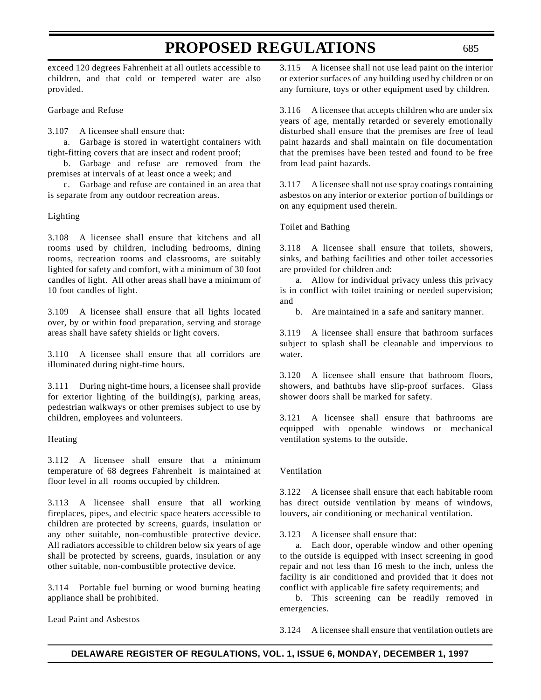exceed 120 degrees Fahrenheit at all outlets accessible to children, and that cold or tempered water are also provided.

Garbage and Refuse

3.107 A licensee shall ensure that:

a. Garbage is stored in watertight containers with tight-fitting covers that are insect and rodent proof;

b. Garbage and refuse are removed from the premises at intervals of at least once a week; and

c. Garbage and refuse are contained in an area that is separate from any outdoor recreation areas.

### Lighting

3.108 A licensee shall ensure that kitchens and all rooms used by children, including bedrooms, dining rooms, recreation rooms and classrooms, are suitably lighted for safety and comfort, with a minimum of 30 foot candles of light. All other areas shall have a minimum of 10 foot candles of light.

3.109 A licensee shall ensure that all lights located over, by or within food preparation, serving and storage areas shall have safety shields or light covers.

3.110 A licensee shall ensure that all corridors are illuminated during night-time hours.

3.111 During night-time hours, a licensee shall provide for exterior lighting of the building(s), parking areas, pedestrian walkways or other premises subject to use by children, employees and volunteers.

### Heating

3.112 A licensee shall ensure that a minimum temperature of 68 degrees Fahrenheit is maintained at floor level in all rooms occupied by children.

3.113 A licensee shall ensure that all working fireplaces, pipes, and electric space heaters accessible to children are protected by screens, guards, insulation or any other suitable, non-combustible protective device. All radiators accessible to children below six years of age shall be protected by screens, guards, insulation or any other suitable, non-combustible protective device.

3.114 Portable fuel burning or wood burning heating appliance shall be prohibited.

Lead Paint and Asbestos

3.115 A licensee shall not use lead paint on the interior or exterior surfaces of any building used by children or on any furniture, toys or other equipment used by children.

3.116 A licensee that accepts children who are under six years of age, mentally retarded or severely emotionally disturbed shall ensure that the premises are free of lead paint hazards and shall maintain on file documentation that the premises have been tested and found to be free from lead paint hazards.

3.117 A licensee shall not use spray coatings containing asbestos on any interior or exterior portion of buildings or on any equipment used therein.

Toilet and Bathing

3.118 A licensee shall ensure that toilets, showers, sinks, and bathing facilities and other toilet accessories are provided for children and:

a. Allow for individual privacy unless this privacy is in conflict with toilet training or needed supervision; and

b. Are maintained in a safe and sanitary manner.

3.119 A licensee shall ensure that bathroom surfaces subject to splash shall be cleanable and impervious to water.

3.120 A licensee shall ensure that bathroom floors, showers, and bathtubs have slip-proof surfaces. Glass shower doors shall be marked for safety.

3.121 A licensee shall ensure that bathrooms are equipped with openable windows or mechanical ventilation systems to the outside.

### Ventilation

3.122 A licensee shall ensure that each habitable room has direct outside ventilation by means of windows, louvers, air conditioning or mechanical ventilation.

3.123 A licensee shall ensure that:

a. Each door, operable window and other opening to the outside is equipped with insect screening in good repair and not less than 16 mesh to the inch, unless the facility is air conditioned and provided that it does not conflict with applicable fire safety requirements; and

b. This screening can be readily removed in emergencies.

3.124 A licensee shall ensure that ventilation outlets are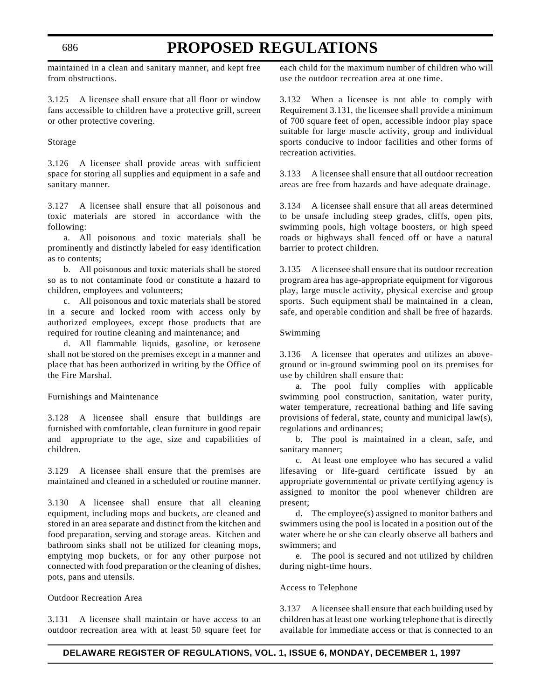# **PROPOSED REGULATIONS**

maintained in a clean and sanitary manner, and kept free from obstructions.

3.125 A licensee shall ensure that all floor or window fans accessible to children have a protective grill, screen or other protective covering.

### Storage

3.126 A licensee shall provide areas with sufficient space for storing all supplies and equipment in a safe and sanitary manner.

3.127 A licensee shall ensure that all poisonous and toxic materials are stored in accordance with the following:

a. All poisonous and toxic materials shall be prominently and distinctly labeled for easy identification as to contents;

b. All poisonous and toxic materials shall be stored so as to not contaminate food or constitute a hazard to children, employees and volunteers;

c. All poisonous and toxic materials shall be stored in a secure and locked room with access only by authorized employees, except those products that are required for routine cleaning and maintenance; and

d. All flammable liquids, gasoline, or kerosene shall not be stored on the premises except in a manner and place that has been authorized in writing by the Office of the Fire Marshal.

### Furnishings and Maintenance

3.128 A licensee shall ensure that buildings are furnished with comfortable, clean furniture in good repair and appropriate to the age, size and capabilities of children.

3.129 A licensee shall ensure that the premises are maintained and cleaned in a scheduled or routine manner.

3.130 A licensee shall ensure that all cleaning equipment, including mops and buckets, are cleaned and stored in an area separate and distinct from the kitchen and food preparation, serving and storage areas. Kitchen and bathroom sinks shall not be utilized for cleaning mops, emptying mop buckets, or for any other purpose not connected with food preparation or the cleaning of dishes, pots, pans and utensils.

Outdoor Recreation Area

3.131 A licensee shall maintain or have access to an outdoor recreation area with at least 50 square feet for each child for the maximum number of children who will use the outdoor recreation area at one time.

3.132 When a licensee is not able to comply with Requirement 3.131, the licensee shall provide a minimum of 700 square feet of open, accessible indoor play space suitable for large muscle activity, group and individual sports conducive to indoor facilities and other forms of recreation activities.

3.133 A licensee shall ensure that all outdoor recreation areas are free from hazards and have adequate drainage.

3.134 A licensee shall ensure that all areas determined to be unsafe including steep grades, cliffs, open pits, swimming pools, high voltage boosters, or high speed roads or highways shall fenced off or have a natural barrier to protect children.

3.135 A licensee shall ensure that its outdoor recreation program area has age-appropriate equipment for vigorous play, large muscle activity, physical exercise and group sports. Such equipment shall be maintained in a clean, safe, and operable condition and shall be free of hazards.

### Swimming

3.136 A licensee that operates and utilizes an aboveground or in-ground swimming pool on its premises for use by children shall ensure that:

a. The pool fully complies with applicable swimming pool construction, sanitation, water purity, water temperature, recreational bathing and life saving provisions of federal, state, county and municipal law(s), regulations and ordinances;

b. The pool is maintained in a clean, safe, and sanitary manner;

c. At least one employee who has secured a valid lifesaving or life-guard certificate issued by an appropriate governmental or private certifying agency is assigned to monitor the pool whenever children are present;

d. The employee(s) assigned to monitor bathers and swimmers using the pool is located in a position out of the water where he or she can clearly observe all bathers and swimmers; and

e. The pool is secured and not utilized by children during night-time hours.

### Access to Telephone

3.137 A licensee shall ensure that each building used by children has at least one working telephone that is directly available for immediate access or that is connected to an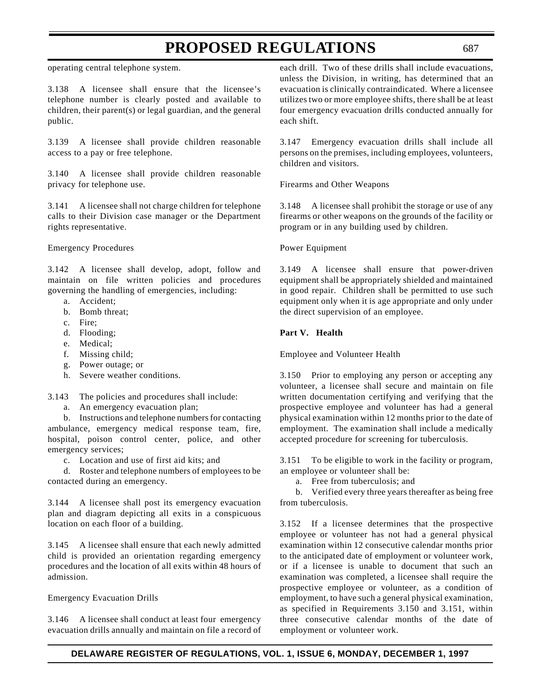operating central telephone system.

3.138 A licensee shall ensure that the licensee's telephone number is clearly posted and available to children, their parent(s) or legal guardian, and the general public.

3.139 A licensee shall provide children reasonable access to a pay or free telephone.

3.140 A licensee shall provide children reasonable privacy for telephone use.

3.141 A licensee shall not charge children for telephone calls to their Division case manager or the Department rights representative.

Emergency Procedures

3.142 A licensee shall develop, adopt, follow and maintain on file written policies and procedures governing the handling of emergencies, including:

- a. Accident;
- b. Bomb threat;
- c. Fire;
- d. Flooding;
- e. Medical;
- f. Missing child;
- g. Power outage; or
- h. Severe weather conditions.

3.143 The policies and procedures shall include:

a. An emergency evacuation plan;

b. Instructions and telephone numbers for contacting ambulance, emergency medical response team, fire, hospital, poison control center, police, and other emergency services;

c. Location and use of first aid kits; and

d. Roster and telephone numbers of employees to be contacted during an emergency.

3.144 A licensee shall post its emergency evacuation plan and diagram depicting all exits in a conspicuous location on each floor of a building.

3.145 A licensee shall ensure that each newly admitted child is provided an orientation regarding emergency procedures and the location of all exits within 48 hours of admission.

Emergency Evacuation Drills

3.146 A licensee shall conduct at least four emergency evacuation drills annually and maintain on file a record of each drill. Two of these drills shall include evacuations, unless the Division, in writing, has determined that an evacuation is clinically contraindicated. Where a licensee utilizes two or more employee shifts, there shall be at least four emergency evacuation drills conducted annually for each shift.

3.147 Emergency evacuation drills shall include all persons on the premises, including employees, volunteers, children and visitors.

Firearms and Other Weapons

3.148 A licensee shall prohibit the storage or use of any firearms or other weapons on the grounds of the facility or program or in any building used by children.

### Power Equipment

3.149 A licensee shall ensure that power-driven equipment shall be appropriately shielded and maintained in good repair. Children shall be permitted to use such equipment only when it is age appropriate and only under the direct supervision of an employee.

### **Part V. Health**

Employee and Volunteer Health

3.150 Prior to employing any person or accepting any volunteer, a licensee shall secure and maintain on file written documentation certifying and verifying that the prospective employee and volunteer has had a general physical examination within 12 months prior to the date of employment. The examination shall include a medically accepted procedure for screening for tuberculosis.

3.151 To be eligible to work in the facility or program, an employee or volunteer shall be:

a. Free from tuberculosis; and

b. Verified every three years thereafter as being free from tuberculosis.

3.152 If a licensee determines that the prospective employee or volunteer has not had a general physical examination within 12 consecutive calendar months prior to the anticipated date of employment or volunteer work, or if a licensee is unable to document that such an examination was completed, a licensee shall require the prospective employee or volunteer, as a condition of employment, to have such a general physical examination, as specified in Requirements 3.150 and 3.151, within three consecutive calendar months of the date of employment or volunteer work.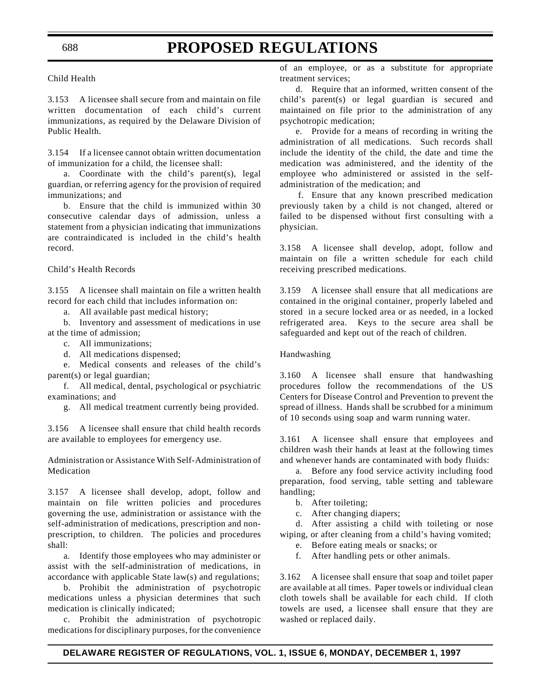Child Health

3.153 A licensee shall secure from and maintain on file written documentation of each child's current immunizations, as required by the Delaware Division of Public Health.

3.154 If a licensee cannot obtain written documentation of immunization for a child, the licensee shall:

a. Coordinate with the child's parent(s), legal guardian, or referring agency for the provision of required immunizations; and

b. Ensure that the child is immunized within 30 consecutive calendar days of admission, unless a statement from a physician indicating that immunizations are contraindicated is included in the child's health record.

Child's Health Records

3.155 A licensee shall maintain on file a written health record for each child that includes information on:

a. All available past medical history;

b. Inventory and assessment of medications in use at the time of admission;

- c. All immunizations;
- d. All medications dispensed;

e. Medical consents and releases of the child's parent(s) or legal guardian;

f. All medical, dental, psychological or psychiatric examinations; and

g. All medical treatment currently being provided.

3.156 A licensee shall ensure that child health records are available to employees for emergency use.

Administration or Assistance With Self-Administration of Medication

3.157 A licensee shall develop, adopt, follow and maintain on file written policies and procedures governing the use, administration or assistance with the self-administration of medications, prescription and nonprescription, to children. The policies and procedures shall:

a. Identify those employees who may administer or assist with the self-administration of medications, in accordance with applicable State law(s) and regulations;

b. Prohibit the administration of psychotropic medications unless a physician determines that such medication is clinically indicated;

c. Prohibit the administration of psychotropic medications for disciplinary purposes, for the convenience

of an employee, or as a substitute for appropriate treatment services;

d. Require that an informed, written consent of the child's parent(s) or legal guardian is secured and maintained on file prior to the administration of any psychotropic medication;

e. Provide for a means of recording in writing the administration of all medications. Such records shall include the identity of the child, the date and time the medication was administered, and the identity of the employee who administered or assisted in the selfadministration of the medication; and

 f. Ensure that any known prescribed medication previously taken by a child is not changed, altered or failed to be dispensed without first consulting with a physician.

3.158 A licensee shall develop, adopt, follow and maintain on file a written schedule for each child receiving prescribed medications.

3.159 A licensee shall ensure that all medications are contained in the original container, properly labeled and stored in a secure locked area or as needed, in a locked refrigerated area. Keys to the secure area shall be safeguarded and kept out of the reach of children.

#### Handwashing

3.160 A licensee shall ensure that handwashing procedures follow the recommendations of the US Centers for Disease Control and Prevention to prevent the spread of illness. Hands shall be scrubbed for a minimum of 10 seconds using soap and warm running water.

3.161 A licensee shall ensure that employees and children wash their hands at least at the following times and whenever hands are contaminated with body fluids:

a. Before any food service activity including food preparation, food serving, table setting and tableware handling;

- b. After toileting;
- c. After changing diapers;

d. After assisting a child with toileting or nose wiping, or after cleaning from a child's having vomited;

- e. Before eating meals or snacks; or
- f. After handling pets or other animals.

3.162 A licensee shall ensure that soap and toilet paper are available at all times. Paper towels or individual clean cloth towels shall be available for each child. If cloth towels are used, a licensee shall ensure that they are washed or replaced daily.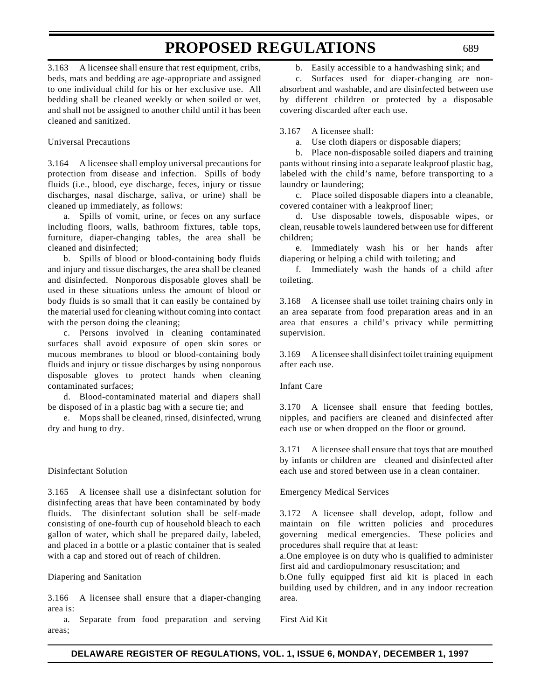3.163 A licensee shall ensure that rest equipment, cribs, beds, mats and bedding are age-appropriate and assigned to one individual child for his or her exclusive use. All bedding shall be cleaned weekly or when soiled or wet, and shall not be assigned to another child until it has been cleaned and sanitized.

#### Universal Precautions

3.164 A licensee shall employ universal precautions for protection from disease and infection. Spills of body fluids (i.e., blood, eye discharge, feces, injury or tissue discharges, nasal discharge, saliva, or urine) shall be cleaned up immediately, as follows:

a. Spills of vomit, urine, or feces on any surface including floors, walls, bathroom fixtures, table tops, furniture, diaper-changing tables, the area shall be cleaned and disinfected;

b. Spills of blood or blood-containing body fluids and injury and tissue discharges, the area shall be cleaned and disinfected. Nonporous disposable gloves shall be used in these situations unless the amount of blood or body fluids is so small that it can easily be contained by the material used for cleaning without coming into contact with the person doing the cleaning;

c. Persons involved in cleaning contaminated surfaces shall avoid exposure of open skin sores or mucous membranes to blood or blood-containing body fluids and injury or tissue discharges by using nonporous disposable gloves to protect hands when cleaning contaminated surfaces;

d. Blood-contaminated material and diapers shall be disposed of in a plastic bag with a secure tie; and

e. Mops shall be cleaned, rinsed, disinfected, wrung dry and hung to dry.

#### Disinfectant Solution

3.165 A licensee shall use a disinfectant solution for disinfecting areas that have been contaminated by body fluids. The disinfectant solution shall be self-made consisting of one-fourth cup of household bleach to each gallon of water, which shall be prepared daily, labeled, and placed in a bottle or a plastic container that is sealed with a cap and stored out of reach of children.

Diapering and Sanitation

3.166 A licensee shall ensure that a diaper-changing area is:

a. Separate from food preparation and serving areas;

b. Easily accessible to a handwashing sink; and

c. Surfaces used for diaper-changing are nonabsorbent and washable, and are disinfected between use by different children or protected by a disposable covering discarded after each use.

3.167 A licensee shall:

a. Use cloth diapers or disposable diapers;

b. Place non-disposable soiled diapers and training pants without rinsing into a separate leakproof plastic bag, labeled with the child's name, before transporting to a laundry or laundering;

c. Place soiled disposable diapers into a cleanable, covered container with a leakproof liner;

d. Use disposable towels, disposable wipes, or clean, reusable towels laundered between use for different children;

e. Immediately wash his or her hands after diapering or helping a child with toileting; and

f. Immediately wash the hands of a child after toileting.

3.168 A licensee shall use toilet training chairs only in an area separate from food preparation areas and in an area that ensures a child's privacy while permitting supervision.

3.169 A licensee shall disinfect toilet training equipment after each use.

Infant Care

3.170 A licensee shall ensure that feeding bottles, nipples, and pacifiers are cleaned and disinfected after each use or when dropped on the floor or ground.

3.171 A licensee shall ensure that toys that are mouthed by infants or children are cleaned and disinfected after each use and stored between use in a clean container.

Emergency Medical Services

3.172 A licensee shall develop, adopt, follow and maintain on file written policies and procedures governing medical emergencies. These policies and procedures shall require that at least:

a.One employee is on duty who is qualified to administer first aid and cardiopulmonary resuscitation; and

b.One fully equipped first aid kit is placed in each building used by children, and in any indoor recreation area.

First Aid Kit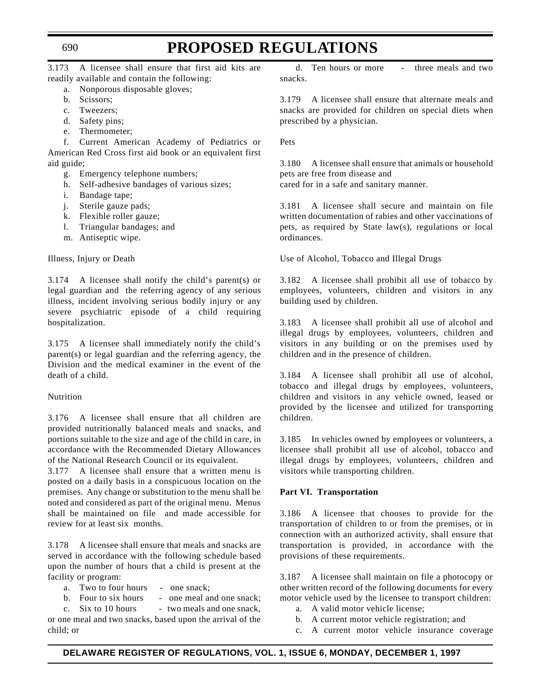# **PROPOSED REGULATIONS**

3.173 A licensee shall ensure that first aid kits are readily available and contain the following:

- a. Nonporous disposable gloves;
- b. Scissors;
- c. Tweezers;
- d. Safety pins;
- e. Thermometer;

f. Current American Academy of Pediatrics or American Red Cross first aid book or an equivalent first aid guide;

- g. Emergency telephone numbers;
- h. Self-adhesive bandages of various sizes;
- i. Bandage tape;
- j. Sterile gauze pads;
- k. Flexible roller gauze;
- l. Triangular bandages; and
- m. Antiseptic wipe.

Illness, Injury or Death

3.174 A licensee shall notify the child's parent(s) or legal guardian and the referring agency of any serious illness, incident involving serious bodily injury or any severe psychiatric episode of a child requiring hospitalization.

3.175 A licensee shall immediately notify the child's parent(s) or legal guardian and the referring agency, the Division and the medical examiner in the event of the death of a child.

### Nutrition

3.176 A licensee shall ensure that all children are provided nutritionally balanced meals and snacks, and portions suitable to the size and age of the child in care, in accordance with the Recommended Dietary Allowances of the National Research Council or its equivalent.

3.177 A licensee shall ensure that a written menu is posted on a daily basis in a conspicuous location on the premises. Any change or substitution to the menu shall be noted and considered as part of the original menu. Menus shall be maintained on file and made accessible for review for at least six months.

3.178 A licensee shall ensure that meals and snacks are served in accordance with the following schedule based upon the number of hours that a child is present at the facility or program:

- a. Two to four hours one snack;
- b. Four to six hours one meal and one snack;
- c. Six to 10 hours two meals and one snack,

or one meal and two snacks, based upon the arrival of the child; or

d. Ten hours or more - three meals and two snacks.

3.179 A licensee shall ensure that alternate meals and snacks are provided for children on special diets when prescribed by a physician.

Pets

3.180 A licensee shall ensure that animals or household pets are free from disease and cared for in a safe and sanitary manner.

3.181 A licensee shall secure and maintain on file written documentation of rabies and other vaccinations of pets, as required by State law(s), regulations or local ordinances.

Use of Alcohol, Tobacco and Illegal Drugs

3.182 A licensee shall prohibit all use of tobacco by employees, volunteers, children and visitors in any building used by children.

3.183 A licensee shall prohibit all use of alcohol and illegal drugs by employees, volunteers, children and visitors in any building or on the premises used by children and in the presence of children.

3.184 A licensee shall prohibit all use of alcohol, tobacco and illegal drugs by employees, volunteers, children and visitors in any vehicle owned, leased or provided by the licensee and utilized for transporting children.

3.185 In vehicles owned by employees or volunteers, a licensee shall prohibit all use of alcohol, tobacco and illegal drugs by employees, volunteers, children and visitors while transporting children.

### **Part VI. Transportation**

3.186 A licensee that chooses to provide for the transportation of children to or from the premises, or in connection with an authorized activity, shall ensure that transportation is provided, in accordance with the provisions of these requirements.

3.187 A licensee shall maintain on file a photocopy or other written record of the following documents for every motor vehicle used by the licensee to transport children:

- a. A valid motor vehicle license;
- b. A current motor vehicle registration; and
- c. A current motor vehicle insurance coverage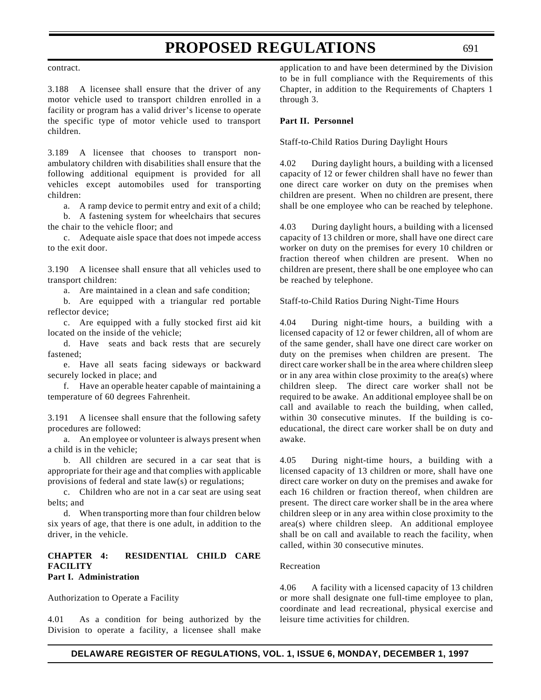contract.

3.188 A licensee shall ensure that the driver of any motor vehicle used to transport children enrolled in a facility or program has a valid driver's license to operate the specific type of motor vehicle used to transport children.

3.189 A licensee that chooses to transport nonambulatory children with disabilities shall ensure that the following additional equipment is provided for all vehicles except automobiles used for transporting children:

a. A ramp device to permit entry and exit of a child;

b. A fastening system for wheelchairs that secures the chair to the vehicle floor; and

c. Adequate aisle space that does not impede access to the exit door.

3.190 A licensee shall ensure that all vehicles used to transport children:

a. Are maintained in a clean and safe condition;

b. Are equipped with a triangular red portable reflector device;

c. Are equipped with a fully stocked first aid kit located on the inside of the vehicle;

d. Have seats and back rests that are securely fastened;

e. Have all seats facing sideways or backward securely locked in place; and

f. Have an operable heater capable of maintaining a temperature of 60 degrees Fahrenheit.

3.191 A licensee shall ensure that the following safety procedures are followed:

a. An employee or volunteer is always present when a child is in the vehicle;

b. All children are secured in a car seat that is appropriate for their age and that complies with applicable provisions of federal and state law(s) or regulations;

c. Children who are not in a car seat are using seat belts; and

d. When transporting more than four children below six years of age, that there is one adult, in addition to the driver, in the vehicle.

#### **CHAPTER 4: RESIDENTIAL CHILD CARE FACILITY Part I. Administration**

Authorization to Operate a Facility

4.01 As a condition for being authorized by the Division to operate a facility, a licensee shall make

application to and have been determined by the Division to be in full compliance with the Requirements of this Chapter, in addition to the Requirements of Chapters 1 through 3.

#### **Part II. Personnel**

Staff-to-Child Ratios During Daylight Hours

4.02 During daylight hours, a building with a licensed capacity of 12 or fewer children shall have no fewer than one direct care worker on duty on the premises when children are present. When no children are present, there shall be one employee who can be reached by telephone.

4.03 During daylight hours, a building with a licensed capacity of 13 children or more, shall have one direct care worker on duty on the premises for every 10 children or fraction thereof when children are present. When no children are present, there shall be one employee who can be reached by telephone.

Staff-to-Child Ratios During Night-Time Hours

4.04 During night-time hours, a building with a licensed capacity of 12 or fewer children, all of whom are of the same gender, shall have one direct care worker on duty on the premises when children are present. The direct care worker shall be in the area where children sleep or in any area within close proximity to the area(s) where children sleep. The direct care worker shall not be required to be awake. An additional employee shall be on call and available to reach the building, when called, within 30 consecutive minutes. If the building is coeducational, the direct care worker shall be on duty and awake.

4.05 During night-time hours, a building with a licensed capacity of 13 children or more, shall have one direct care worker on duty on the premises and awake for each 16 children or fraction thereof, when children are present. The direct care worker shall be in the area where children sleep or in any area within close proximity to the area(s) where children sleep. An additional employee shall be on call and available to reach the facility, when called, within 30 consecutive minutes.

#### Recreation

4.06 A facility with a licensed capacity of 13 children or more shall designate one full-time employee to plan, coordinate and lead recreational, physical exercise and leisure time activities for children.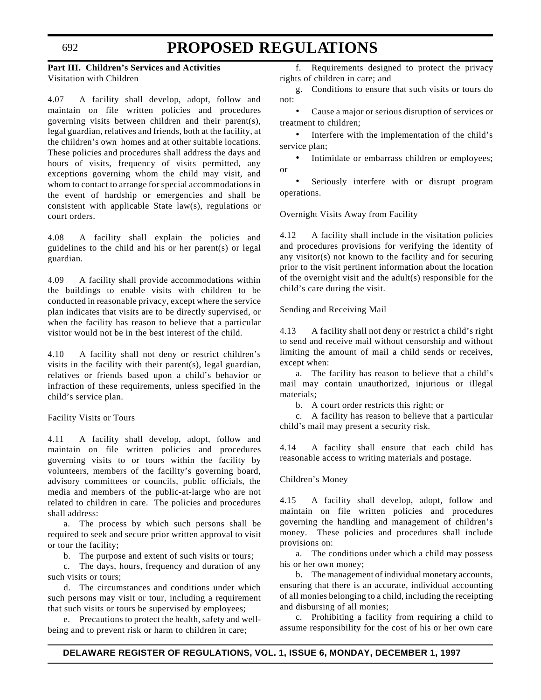**Part III. Children's Services and Activities** Visitation with Children

4.07 A facility shall develop, adopt, follow and maintain on file written policies and procedures governing visits between children and their parent(s), legal guardian, relatives and friends, both at the facility, at the children's own homes and at other suitable locations. These policies and procedures shall address the days and hours of visits, frequency of visits permitted, any exceptions governing whom the child may visit, and whom to contact to arrange for special accommodations in the event of hardship or emergencies and shall be consistent with applicable State law(s), regulations or court orders.

4.08 A facility shall explain the policies and guidelines to the child and his or her parent(s) or legal guardian.

4.09 A facility shall provide accommodations within the buildings to enable visits with children to be conducted in reasonable privacy, except where the service plan indicates that visits are to be directly supervised, or when the facility has reason to believe that a particular visitor would not be in the best interest of the child.

4.10 A facility shall not deny or restrict children's visits in the facility with their parent(s), legal guardian, relatives or friends based upon a child's behavior or infraction of these requirements, unless specified in the child's service plan.

Facility Visits or Tours

4.11 A facility shall develop, adopt, follow and maintain on file written policies and procedures governing visits to or tours within the facility by volunteers, members of the facility's governing board, advisory committees or councils, public officials, the media and members of the public-at-large who are not related to children in care. The policies and procedures shall address:

a. The process by which such persons shall be required to seek and secure prior written approval to visit or tour the facility;

b. The purpose and extent of such visits or tours;

c. The days, hours, frequency and duration of any such visits or tours;

d. The circumstances and conditions under which such persons may visit or tour, including a requirement that such visits or tours be supervised by employees;

e. Precautions to protect the health, safety and wellbeing and to prevent risk or harm to children in care;

f. Requirements designed to protect the privacy rights of children in care; and

g. Conditions to ensure that such visits or tours do not:

• Cause a major or serious disruption of services or treatment to children;

Interfere with the implementation of the child's service plan;

• Intimidate or embarrass children or employees; or

Seriously interfere with or disrupt program operations.

Overnight Visits Away from Facility

4.12 A facility shall include in the visitation policies and procedures provisions for verifying the identity of any visitor(s) not known to the facility and for securing prior to the visit pertinent information about the location of the overnight visit and the adult(s) responsible for the child's care during the visit.

Sending and Receiving Mail

4.13 A facility shall not deny or restrict a child's right to send and receive mail without censorship and without limiting the amount of mail a child sends or receives, except when:

a. The facility has reason to believe that a child's mail may contain unauthorized, injurious or illegal materials;

b. A court order restricts this right; or

c. A facility has reason to believe that a particular child's mail may present a security risk.

4.14 A facility shall ensure that each child has reasonable access to writing materials and postage.

Children's Money

4.15 A facility shall develop, adopt, follow and maintain on file written policies and procedures governing the handling and management of children's money. These policies and procedures shall include provisions on:

a. The conditions under which a child may possess his or her own money;

b. The management of individual monetary accounts, ensuring that there is an accurate, individual accounting of all monies belonging to a child, including the receipting and disbursing of all monies;

c. Prohibiting a facility from requiring a child to assume responsibility for the cost of his or her own care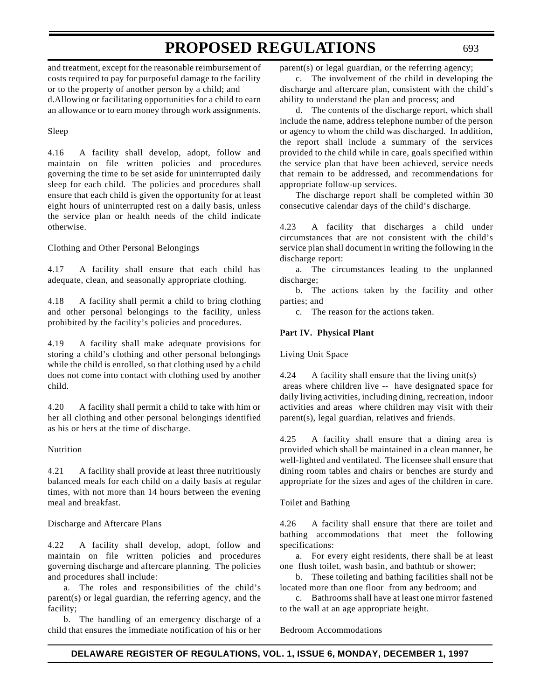and treatment, except for the reasonable reimbursement of costs required to pay for purposeful damage to the facility or to the property of another person by a child; and d.Allowing or facilitating opportunities for a child to earn an allowance or to earn money through work assignments.

### Sleep

4.16 A facility shall develop, adopt, follow and maintain on file written policies and procedures governing the time to be set aside for uninterrupted daily sleep for each child. The policies and procedures shall ensure that each child is given the opportunity for at least eight hours of uninterrupted rest on a daily basis, unless the service plan or health needs of the child indicate otherwise.

Clothing and Other Personal Belongings

4.17 A facility shall ensure that each child has adequate, clean, and seasonally appropriate clothing.

4.18 A facility shall permit a child to bring clothing and other personal belongings to the facility, unless prohibited by the facility's policies and procedures.

4.19 A facility shall make adequate provisions for storing a child's clothing and other personal belongings while the child is enrolled, so that clothing used by a child does not come into contact with clothing used by another child.

4.20 A facility shall permit a child to take with him or her all clothing and other personal belongings identified as his or hers at the time of discharge.

### Nutrition

4.21 A facility shall provide at least three nutritiously balanced meals for each child on a daily basis at regular times, with not more than 14 hours between the evening meal and breakfast.

Discharge and Aftercare Plans

4.22 A facility shall develop, adopt, follow and maintain on file written policies and procedures governing discharge and aftercare planning. The policies and procedures shall include:

a. The roles and responsibilities of the child's parent(s) or legal guardian, the referring agency, and the facility;

b. The handling of an emergency discharge of a child that ensures the immediate notification of his or her

parent(s) or legal guardian, or the referring agency;

c. The involvement of the child in developing the discharge and aftercare plan, consistent with the child's ability to understand the plan and process; and

d. The contents of the discharge report, which shall include the name, address telephone number of the person or agency to whom the child was discharged. In addition, the report shall include a summary of the services provided to the child while in care, goals specified within the service plan that have been achieved, service needs that remain to be addressed, and recommendations for appropriate follow-up services.

The discharge report shall be completed within 30 consecutive calendar days of the child's discharge.

4.23 A facility that discharges a child under circumstances that are not consistent with the child's service plan shall document in writing the following in the discharge report:

a. The circumstances leading to the unplanned discharge;

b. The actions taken by the facility and other parties; and

c. The reason for the actions taken.

### **Part IV. Physical Plant**

Living Unit Space

4.24 A facility shall ensure that the living unit(s) areas where children live -- have designated space for daily living activities, including dining, recreation, indoor activities and areas where children may visit with their parent(s), legal guardian, relatives and friends.

4.25 A facility shall ensure that a dining area is provided which shall be maintained in a clean manner, be well-lighted and ventilated. The licensee shall ensure that dining room tables and chairs or benches are sturdy and appropriate for the sizes and ages of the children in care.

Toilet and Bathing

4.26 A facility shall ensure that there are toilet and bathing accommodations that meet the following specifications:

a. For every eight residents, there shall be at least one flush toilet, wash basin, and bathtub or shower;

b. These toileting and bathing facilities shall not be located more than one floor from any bedroom; and

c. Bathrooms shall have at least one mirror fastened to the wall at an age appropriate height.

Bedroom Accommodations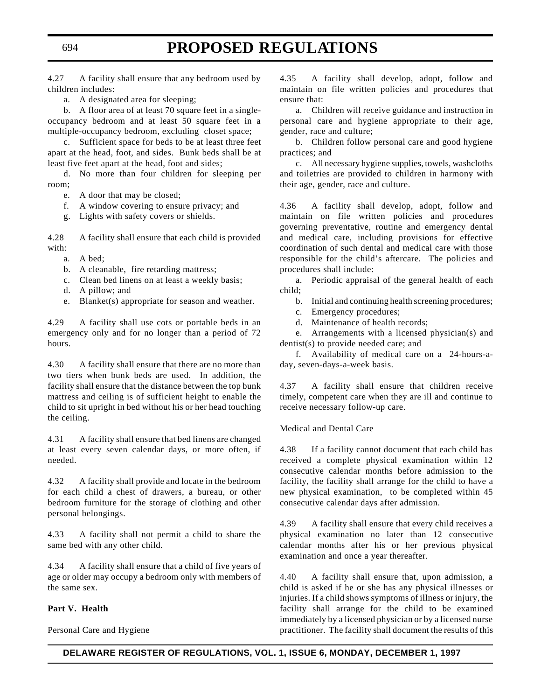4.27 A facility shall ensure that any bedroom used by children includes:

a. A designated area for sleeping;

b. A floor area of at least 70 square feet in a singleoccupancy bedroom and at least 50 square feet in a multiple-occupancy bedroom, excluding closet space;

c. Sufficient space for beds to be at least three feet apart at the head, foot, and sides. Bunk beds shall be at least five feet apart at the head, foot and sides;

d. No more than four children for sleeping per room;

- e. A door that may be closed;
- f. A window covering to ensure privacy; and
- g. Lights with safety covers or shields.

4.28 A facility shall ensure that each child is provided with:

- a. A bed;
- b. A cleanable, fire retarding mattress;

c. Clean bed linens on at least a weekly basis;

- d. A pillow; and
- e. Blanket(s) appropriate for season and weather.

4.29 A facility shall use cots or portable beds in an emergency only and for no longer than a period of 72 hours.

4.30 A facility shall ensure that there are no more than two tiers when bunk beds are used. In addition, the facility shall ensure that the distance between the top bunk mattress and ceiling is of sufficient height to enable the child to sit upright in bed without his or her head touching the ceiling.

4.31 A facility shall ensure that bed linens are changed at least every seven calendar days, or more often, if needed.

4.32 A facility shall provide and locate in the bedroom for each child a chest of drawers, a bureau, or other bedroom furniture for the storage of clothing and other personal belongings.

4.33 A facility shall not permit a child to share the same bed with any other child.

4.34 A facility shall ensure that a child of five years of age or older may occupy a bedroom only with members of the same sex.

### **Part V. Health**

Personal Care and Hygiene

4.35 A facility shall develop, adopt, follow and maintain on file written policies and procedures that ensure that:

a. Children will receive guidance and instruction in personal care and hygiene appropriate to their age, gender, race and culture;

b. Children follow personal care and good hygiene practices; and

c. All necessary hygiene supplies, towels, washcloths and toiletries are provided to children in harmony with their age, gender, race and culture.

4.36 A facility shall develop, adopt, follow and maintain on file written policies and procedures governing preventative, routine and emergency dental and medical care, including provisions for effective coordination of such dental and medical care with those responsible for the child's aftercare. The policies and procedures shall include:

a. Periodic appraisal of the general health of each child;

- b. Initial and continuing health screening procedures;
- c. Emergency procedures;
- d. Maintenance of health records;

e. Arrangements with a licensed physician(s) and dentist(s) to provide needed care; and

f. Availability of medical care on a 24-hours-aday, seven-days-a-week basis.

4.37 A facility shall ensure that children receive timely, competent care when they are ill and continue to receive necessary follow-up care.

Medical and Dental Care

4.38 If a facility cannot document that each child has received a complete physical examination within 12 consecutive calendar months before admission to the facility, the facility shall arrange for the child to have a new physical examination, to be completed within 45 consecutive calendar days after admission.

4.39 A facility shall ensure that every child receives a physical examination no later than 12 consecutive calendar months after his or her previous physical examination and once a year thereafter.

4.40 A facility shall ensure that, upon admission, a child is asked if he or she has any physical illnesses or injuries. If a child shows symptoms of illness or injury, the facility shall arrange for the child to be examined immediately by a licensed physician or by a licensed nurse practitioner. The facility shall document the results of this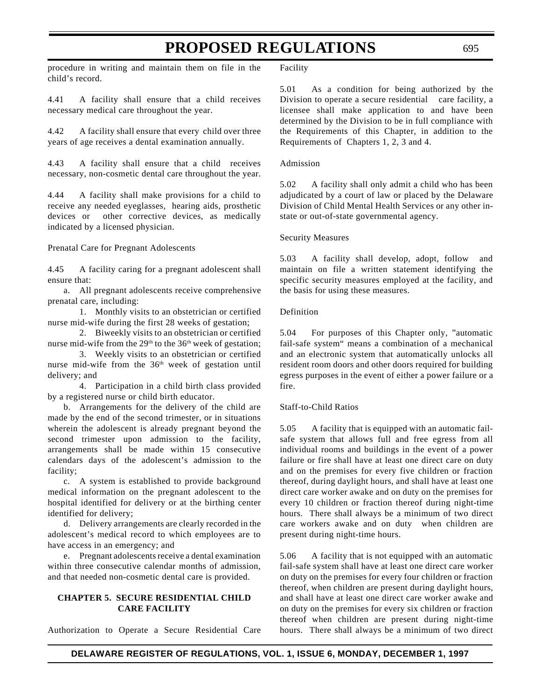procedure in writing and maintain them on file in the child's record.

4.41 A facility shall ensure that a child receives necessary medical care throughout the year.

4.42 A facility shall ensure that every child over three years of age receives a dental examination annually.

4.43 A facility shall ensure that a child receives necessary, non-cosmetic dental care throughout the year.

4.44 A facility shall make provisions for a child to receive any needed eyeglasses, hearing aids, prosthetic devices or other corrective devices, as medically indicated by a licensed physician.

Prenatal Care for Pregnant Adolescents

4.45 A facility caring for a pregnant adolescent shall ensure that:

a. All pregnant adolescents receive comprehensive prenatal care, including:

1. Monthly visits to an obstetrician or certified nurse mid-wife during the first 28 weeks of gestation;

2. Biweekly visits to an obstetrician or certified nurse mid-wife from the 29<sup>th</sup> to the 36<sup>th</sup> week of gestation;

3. Weekly visits to an obstetrician or certified nurse mid-wife from the 36<sup>th</sup> week of gestation until delivery; and

4. Participation in a child birth class provided by a registered nurse or child birth educator.

b. Arrangements for the delivery of the child are made by the end of the second trimester, or in situations wherein the adolescent is already pregnant beyond the second trimester upon admission to the facility, arrangements shall be made within 15 consecutive calendars days of the adolescent's admission to the facility;

c. A system is established to provide background medical information on the pregnant adolescent to the hospital identified for delivery or at the birthing center identified for delivery;

d. Delivery arrangements are clearly recorded in the adolescent's medical record to which employees are to have access in an emergency; and

e. Pregnant adolescents receive a dental examination within three consecutive calendar months of admission, and that needed non-cosmetic dental care is provided.

### **CHAPTER 5. SECURE RESIDENTIAL CHILD CARE FACILITY**

Authorization to Operate a Secure Residential Care

Facility

5.01 As a condition for being authorized by the Division to operate a secure residential care facility, a licensee shall make application to and have been determined by the Division to be in full compliance with the Requirements of this Chapter, in addition to the Requirements of Chapters 1, 2, 3 and 4.

Admission

5.02 A facility shall only admit a child who has been adjudicated by a court of law or placed by the Delaware Division of Child Mental Health Services or any other instate or out-of-state governmental agency.

#### Security Measures

5.03 A facility shall develop, adopt, follow and maintain on file a written statement identifying the specific security measures employed at the facility, and the basis for using these measures.

#### Definition

5.04 For purposes of this Chapter only, "automatic fail-safe system" means a combination of a mechanical and an electronic system that automatically unlocks all resident room doors and other doors required for building egress purposes in the event of either a power failure or a fire.

### Staff-to-Child Ratios

5.05 A facility that is equipped with an automatic failsafe system that allows full and free egress from all individual rooms and buildings in the event of a power failure or fire shall have at least one direct care on duty and on the premises for every five children or fraction thereof, during daylight hours, and shall have at least one direct care worker awake and on duty on the premises for every 10 children or fraction thereof during night-time hours. There shall always be a minimum of two direct care workers awake and on duty when children are present during night-time hours.

5.06 A facility that is not equipped with an automatic fail-safe system shall have at least one direct care worker on duty on the premises for every four children or fraction thereof, when children are present during daylight hours, and shall have at least one direct care worker awake and on duty on the premises for every six children or fraction thereof when children are present during night-time hours. There shall always be a minimum of two direct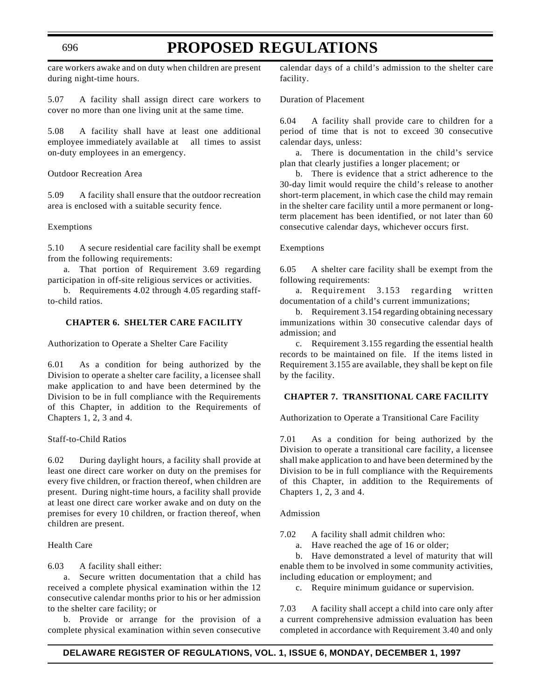care workers awake and on duty when children are present during night-time hours.

5.07 A facility shall assign direct care workers to cover no more than one living unit at the same time.

5.08 A facility shall have at least one additional employee immediately available at all times to assist on-duty employees in an emergency.

Outdoor Recreation Area

5.09 A facility shall ensure that the outdoor recreation area is enclosed with a suitable security fence.

Exemptions

5.10 A secure residential care facility shall be exempt from the following requirements:

a. That portion of Requirement 3.69 regarding participation in off-site religious services or activities.

b. Requirements 4.02 through 4.05 regarding staffto-child ratios.

#### **CHAPTER 6. SHELTER CARE FACILITY**

Authorization to Operate a Shelter Care Facility

6.01 As a condition for being authorized by the Division to operate a shelter care facility, a licensee shall make application to and have been determined by the Division to be in full compliance with the Requirements of this Chapter, in addition to the Requirements of Chapters 1, 2, 3 and 4.

Staff-to-Child Ratios

6.02 During daylight hours, a facility shall provide at least one direct care worker on duty on the premises for every five children, or fraction thereof, when children are present. During night-time hours, a facility shall provide at least one direct care worker awake and on duty on the premises for every 10 children, or fraction thereof, when children are present.

Health Care

6.03 A facility shall either:

a. Secure written documentation that a child has received a complete physical examination within the 12 consecutive calendar months prior to his or her admission to the shelter care facility; or

b. Provide or arrange for the provision of a complete physical examination within seven consecutive

calendar days of a child's admission to the shelter care facility.

Duration of Placement

6.04 A facility shall provide care to children for a period of time that is not to exceed 30 consecutive calendar days, unless:

a. There is documentation in the child's service plan that clearly justifies a longer placement; or

b. There is evidence that a strict adherence to the 30-day limit would require the child's release to another short-term placement, in which case the child may remain in the shelter care facility until a more permanent or longterm placement has been identified, or not later than 60 consecutive calendar days, whichever occurs first.

#### Exemptions

6.05 A shelter care facility shall be exempt from the following requirements:

a. Requirement 3.153 regarding written documentation of a child's current immunizations;

b. Requirement 3.154 regarding obtaining necessary immunizations within 30 consecutive calendar days of admission; and

c. Requirement 3.155 regarding the essential health records to be maintained on file. If the items listed in Requirement 3.155 are available, they shall be kept on file by the facility.

### **CHAPTER 7. TRANSITIONAL CARE FACILITY**

Authorization to Operate a Transitional Care Facility

7.01 As a condition for being authorized by the Division to operate a transitional care facility, a licensee shall make application to and have been determined by the Division to be in full compliance with the Requirements of this Chapter, in addition to the Requirements of Chapters 1, 2, 3 and 4.

Admission

7.02 A facility shall admit children who:

a. Have reached the age of 16 or older;

b. Have demonstrated a level of maturity that will enable them to be involved in some community activities, including education or employment; and

c. Require minimum guidance or supervision.

7.03 A facility shall accept a child into care only after a current comprehensive admission evaluation has been completed in accordance with Requirement 3.40 and only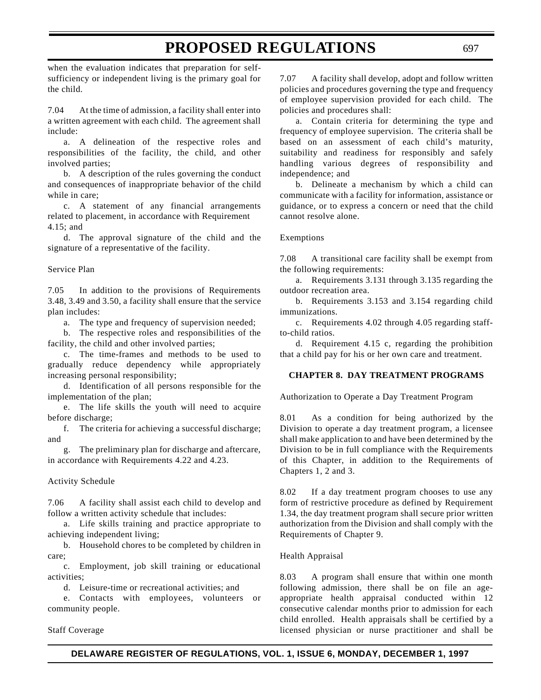when the evaluation indicates that preparation for selfsufficiency or independent living is the primary goal for the child.

7.04 At the time of admission, a facility shall enter into a written agreement with each child. The agreement shall include:

a. A delineation of the respective roles and responsibilities of the facility, the child, and other involved parties;

b. A description of the rules governing the conduct and consequences of inappropriate behavior of the child while in care;

c. A statement of any financial arrangements related to placement, in accordance with Requirement 4.15; and

d. The approval signature of the child and the signature of a representative of the facility.

#### Service Plan

7.05 In addition to the provisions of Requirements 3.48, 3.49 and 3.50, a facility shall ensure that the service plan includes:

a. The type and frequency of supervision needed;

b. The respective roles and responsibilities of the facility, the child and other involved parties;

c. The time-frames and methods to be used to gradually reduce dependency while appropriately increasing personal responsibility;

d. Identification of all persons responsible for the implementation of the plan;

e. The life skills the youth will need to acquire before discharge;

f. The criteria for achieving a successful discharge; and

g. The preliminary plan for discharge and aftercare, in accordance with Requirements 4.22 and 4.23.

### Activity Schedule

7.06 A facility shall assist each child to develop and follow a written activity schedule that includes:

a. Life skills training and practice appropriate to achieving independent living;

b. Household chores to be completed by children in care;

c. Employment, job skill training or educational activities;

d. Leisure-time or recreational activities; and

e. Contacts with employees, volunteers or community people.

Staff Coverage

7.07 A facility shall develop, adopt and follow written policies and procedures governing the type and frequency of employee supervision provided for each child. The policies and procedures shall:

a. Contain criteria for determining the type and frequency of employee supervision. The criteria shall be based on an assessment of each child's maturity, suitability and readiness for responsibly and safely handling various degrees of responsibility and independence; and

b. Delineate a mechanism by which a child can communicate with a facility for information, assistance or guidance, or to express a concern or need that the child cannot resolve alone.

#### Exemptions

7.08 A transitional care facility shall be exempt from the following requirements:

a. Requirements 3.131 through 3.135 regarding the outdoor recreation area.

b. Requirements 3.153 and 3.154 regarding child immunizations.

c. Requirements 4.02 through 4.05 regarding staffto-child ratios.

d. Requirement 4.15 c, regarding the prohibition that a child pay for his or her own care and treatment.

### **CHAPTER 8. DAY TREATMENT PROGRAMS**

Authorization to Operate a Day Treatment Program

8.01 As a condition for being authorized by the Division to operate a day treatment program, a licensee shall make application to and have been determined by the Division to be in full compliance with the Requirements of this Chapter, in addition to the Requirements of Chapters 1, 2 and 3.

8.02 If a day treatment program chooses to use any form of restrictive procedure as defined by Requirement 1.34, the day treatment program shall secure prior written authorization from the Division and shall comply with the Requirements of Chapter 9.

#### Health Appraisal

8.03 A program shall ensure that within one month following admission, there shall be on file an ageappropriate health appraisal conducted within 12 consecutive calendar months prior to admission for each child enrolled. Health appraisals shall be certified by a licensed physician or nurse practitioner and shall be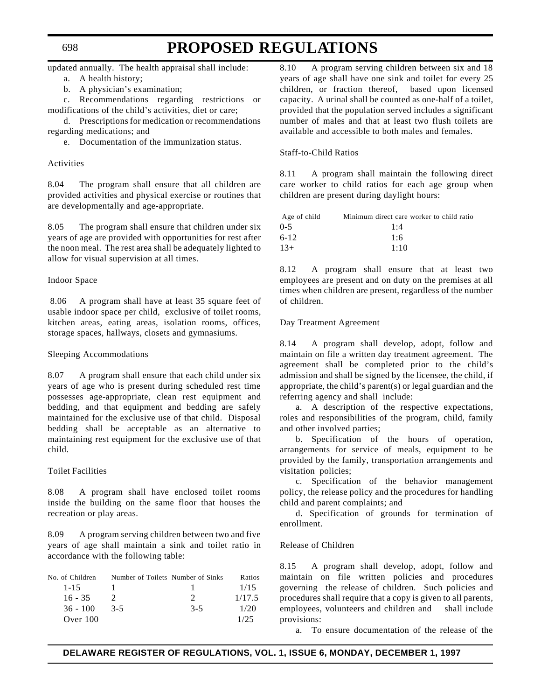updated annually. The health appraisal shall include:

a. A health history;

b. A physician's examination;

c. Recommendations regarding restrictions or modifications of the child's activities, diet or care;

d. Prescriptions for medication or recommendations regarding medications; and

e. Documentation of the immunization status.

#### Activities

8.04 The program shall ensure that all children are provided activities and physical exercise or routines that are developmentally and age-appropriate.

8.05 The program shall ensure that children under six years of age are provided with opportunities for rest after the noon meal. The rest area shall be adequately lighted to allow for visual supervision at all times.

#### Indoor Space

 8.06 A program shall have at least 35 square feet of usable indoor space per child, exclusive of toilet rooms, kitchen areas, eating areas, isolation rooms, offices, storage spaces, hallways, closets and gymnasiums.

#### Sleeping Accommodations

8.07 A program shall ensure that each child under six years of age who is present during scheduled rest time possesses age-appropriate, clean rest equipment and bedding, and that equipment and bedding are safely maintained for the exclusive use of that child. Disposal bedding shall be acceptable as an alternative to maintaining rest equipment for the exclusive use of that child.

### Toilet Facilities

8.08 A program shall have enclosed toilet rooms inside the building on the same floor that houses the recreation or play areas.

8.09 A program serving children between two and five years of age shall maintain a sink and toilet ratio in accordance with the following table:

| No. of Children | Number of Toilets Number of Sinks |               | Ratios |
|-----------------|-----------------------------------|---------------|--------|
| $1 - 15$        |                                   |               | 1/15   |
| $16 - 35$       |                                   | $\mathcal{D}$ | 1/17.5 |
| $36 - 100$      | $3-5$                             | $3 - 5$       | 1/20   |
| Over $100$      |                                   |               | 1/25   |
|                 |                                   |               |        |

8.10 A program serving children between six and 18 years of age shall have one sink and toilet for every 25 children, or fraction thereof, based upon licensed capacity. A urinal shall be counted as one-half of a toilet, provided that the population served includes a significant number of males and that at least two flush toilets are available and accessible to both males and females.

#### Staff-to-Child Ratios

8.11 A program shall maintain the following direct care worker to child ratios for each age group when children are present during daylight hours:

| Age of child | Minimum direct care worker to child ratio |
|--------------|-------------------------------------------|
| $0 - 5$      | 1.4                                       |
| 6-12         | 1:6                                       |
| $13+$        | 1:10                                      |

8.12 A program shall ensure that at least two employees are present and on duty on the premises at all times when children are present, regardless of the number of children.

#### Day Treatment Agreement

8.14 A program shall develop, adopt, follow and maintain on file a written day treatment agreement. The agreement shall be completed prior to the child's admission and shall be signed by the licensee, the child, if appropriate, the child's parent(s) or legal guardian and the referring agency and shall include:

a. A description of the respective expectations, roles and responsibilities of the program, child, family and other involved parties;

b. Specification of the hours of operation, arrangements for service of meals, equipment to be provided by the family, transportation arrangements and visitation policies;

c. Specification of the behavior management policy, the release policy and the procedures for handling child and parent complaints; and

d. Specification of grounds for termination of enrollment.

### Release of Children

8.15 A program shall develop, adopt, follow and maintain on file written policies and procedures governing the release of children. Such policies and procedures shall require that a copy is given to all parents, employees, volunteers and children and shall include provisions:

a. To ensure documentation of the release of the

### **DELAWARE REGISTER OF REGULATIONS, VOL. 1, ISSUE 6, MONDAY, DECEMBER 1, 1997**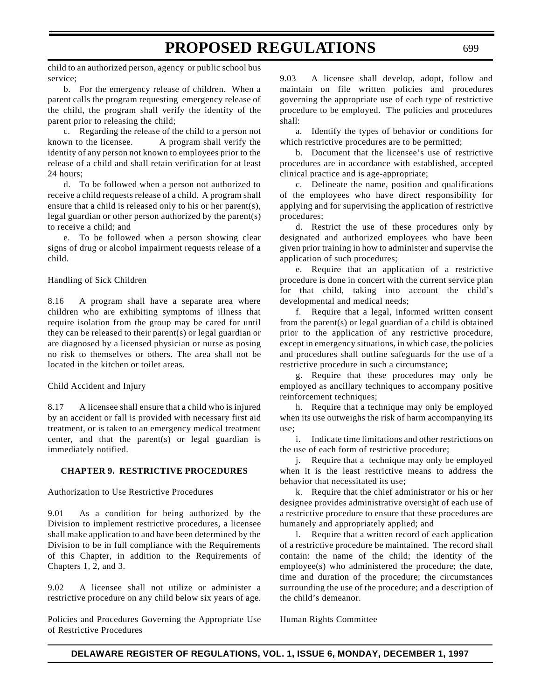child to an authorized person, agency or public school bus service;

b. For the emergency release of children. When a parent calls the program requesting emergency release of the child, the program shall verify the identity of the parent prior to releasing the child;

c. Regarding the release of the child to a person not known to the licensee. A program shall verify the identity of any person not known to employees prior to the release of a child and shall retain verification for at least 24 hours;

d. To be followed when a person not authorized to receive a child requests release of a child. A program shall ensure that a child is released only to his or her parent(s), legal guardian or other person authorized by the parent(s) to receive a child; and

e. To be followed when a person showing clear signs of drug or alcohol impairment requests release of a child.

### Handling of Sick Children

8.16 A program shall have a separate area where children who are exhibiting symptoms of illness that require isolation from the group may be cared for until they can be released to their parent(s) or legal guardian or are diagnosed by a licensed physician or nurse as posing no risk to themselves or others. The area shall not be located in the kitchen or toilet areas.

### Child Accident and Injury

8.17 A licensee shall ensure that a child who is injured by an accident or fall is provided with necessary first aid treatment, or is taken to an emergency medical treatment center, and that the parent(s) or legal guardian is immediately notified.

### **CHAPTER 9. RESTRICTIVE PROCEDURES**

Authorization to Use Restrictive Procedures

9.01 As a condition for being authorized by the Division to implement restrictive procedures, a licensee shall make application to and have been determined by the Division to be in full compliance with the Requirements of this Chapter, in addition to the Requirements of Chapters 1, 2, and 3.

9.02 A licensee shall not utilize or administer a restrictive procedure on any child below six years of age.

Policies and Procedures Governing the Appropriate Use of Restrictive Procedures

9.03 A licensee shall develop, adopt, follow and maintain on file written policies and procedures governing the appropriate use of each type of restrictive procedure to be employed. The policies and procedures shall:

a. Identify the types of behavior or conditions for which restrictive procedures are to be permitted;

b. Document that the licensee's use of restrictive procedures are in accordance with established, accepted clinical practice and is age-appropriate;

c. Delineate the name, position and qualifications of the employees who have direct responsibility for applying and for supervising the application of restrictive procedures;

d. Restrict the use of these procedures only by designated and authorized employees who have been given prior training in how to administer and supervise the application of such procedures;

e. Require that an application of a restrictive procedure is done in concert with the current service plan for that child, taking into account the child's developmental and medical needs;

f. Require that a legal, informed written consent from the parent(s) or legal guardian of a child is obtained prior to the application of any restrictive procedure, except in emergency situations, in which case, the policies and procedures shall outline safeguards for the use of a restrictive procedure in such a circumstance;

g. Require that these procedures may only be employed as ancillary techniques to accompany positive reinforcement techniques;

h. Require that a technique may only be employed when its use outweighs the risk of harm accompanying its use;

i. Indicate time limitations and other restrictions on the use of each form of restrictive procedure;

j. Require that a technique may only be employed when it is the least restrictive means to address the behavior that necessitated its use;

k. Require that the chief administrator or his or her designee provides administrative oversight of each use of a restrictive procedure to ensure that these procedures are humanely and appropriately applied; and

l. Require that a written record of each application of a restrictive procedure be maintained. The record shall contain: the name of the child; the identity of the employee(s) who administered the procedure; the date, time and duration of the procedure; the circumstances surrounding the use of the procedure; and a description of the child's demeanor.

Human Rights Committee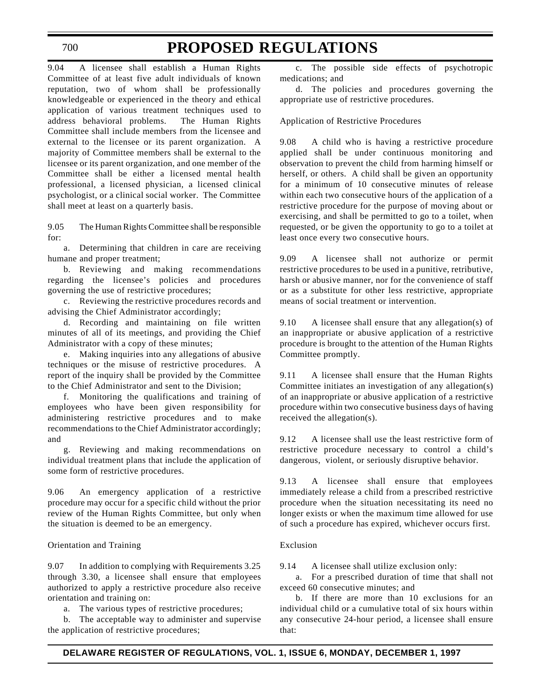### **PROPOSED REGULATIONS**

9.04 A licensee shall establish a Human Rights Committee of at least five adult individuals of known reputation, two of whom shall be professionally knowledgeable or experienced in the theory and ethical application of various treatment techniques used to address behavioral problems. The Human Rights Committee shall include members from the licensee and external to the licensee or its parent organization. A majority of Committee members shall be external to the licensee or its parent organization, and one member of the Committee shall be either a licensed mental health professional, a licensed physician, a licensed clinical psychologist, or a clinical social worker. The Committee shall meet at least on a quarterly basis.

9.05 The Human Rights Committee shall be responsible for:

a. Determining that children in care are receiving humane and proper treatment;

b. Reviewing and making recommendations regarding the licensee's policies and procedures governing the use of restrictive procedures;

c. Reviewing the restrictive procedures records and advising the Chief Administrator accordingly;

d. Recording and maintaining on file written minutes of all of its meetings, and providing the Chief Administrator with a copy of these minutes;

e. Making inquiries into any allegations of abusive techniques or the misuse of restrictive procedures. A report of the inquiry shall be provided by the Committee to the Chief Administrator and sent to the Division;

f. Monitoring the qualifications and training of employees who have been given responsibility for administering restrictive procedures and to make recommendations to the Chief Administrator accordingly; and

g. Reviewing and making recommendations on individual treatment plans that include the application of some form of restrictive procedures.

9.06 An emergency application of a restrictive procedure may occur for a specific child without the prior review of the Human Rights Committee, but only when the situation is deemed to be an emergency.

#### Orientation and Training

9.07 In addition to complying with Requirements 3.25 through 3.30, a licensee shall ensure that employees authorized to apply a restrictive procedure also receive orientation and training on:

a. The various types of restrictive procedures;

b. The acceptable way to administer and supervise the application of restrictive procedures;

c. The possible side effects of psychotropic medications; and

d. The policies and procedures governing the appropriate use of restrictive procedures.

Application of Restrictive Procedures

9.08 A child who is having a restrictive procedure applied shall be under continuous monitoring and observation to prevent the child from harming himself or herself, or others. A child shall be given an opportunity for a minimum of 10 consecutive minutes of release within each two consecutive hours of the application of a restrictive procedure for the purpose of moving about or exercising, and shall be permitted to go to a toilet, when requested, or be given the opportunity to go to a toilet at least once every two consecutive hours.

9.09 A licensee shall not authorize or permit restrictive procedures to be used in a punitive, retributive, harsh or abusive manner, nor for the convenience of staff or as a substitute for other less restrictive, appropriate means of social treatment or intervention.

9.10 A licensee shall ensure that any allegation(s) of an inappropriate or abusive application of a restrictive procedure is brought to the attention of the Human Rights Committee promptly.

9.11 A licensee shall ensure that the Human Rights Committee initiates an investigation of any allegation(s) of an inappropriate or abusive application of a restrictive procedure within two consecutive business days of having received the allegation(s).

9.12 A licensee shall use the least restrictive form of restrictive procedure necessary to control a child's dangerous, violent, or seriously disruptive behavior.

9.13 A licensee shall ensure that employees immediately release a child from a prescribed restrictive procedure when the situation necessitating its need no longer exists or when the maximum time allowed for use of such a procedure has expired, whichever occurs first.

#### Exclusion

9.14 A licensee shall utilize exclusion only:

a. For a prescribed duration of time that shall not exceed 60 consecutive minutes; and

b. If there are more than 10 exclusions for an individual child or a cumulative total of six hours within any consecutive 24-hour period, a licensee shall ensure that: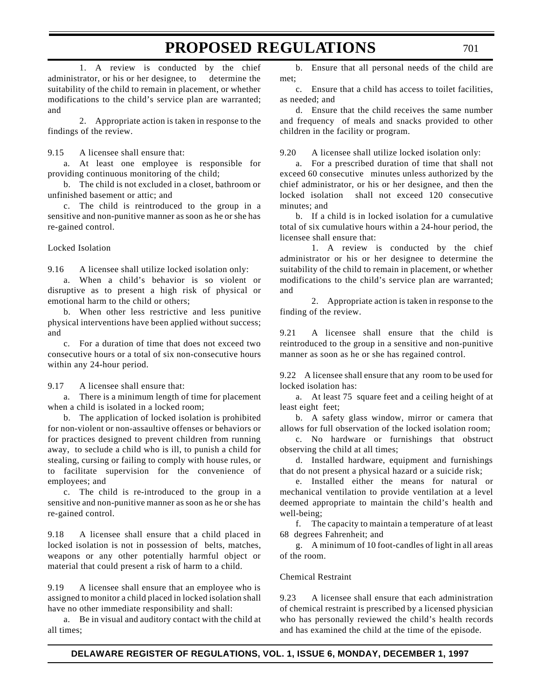1. A review is conducted by the chief administrator, or his or her designee, to determine the suitability of the child to remain in placement, or whether modifications to the child's service plan are warranted; and

2. Appropriate action is taken in response to the findings of the review.

9.15 A licensee shall ensure that:

a. At least one employee is responsible for providing continuous monitoring of the child;

b. The child is not excluded in a closet, bathroom or unfinished basement or attic; and

c. The child is reintroduced to the group in a sensitive and non-punitive manner as soon as he or she has re-gained control.

Locked Isolation

9.16 A licensee shall utilize locked isolation only:

a. When a child's behavior is so violent or disruptive as to present a high risk of physical or emotional harm to the child or others;

b. When other less restrictive and less punitive physical interventions have been applied without success; and

c. For a duration of time that does not exceed two consecutive hours or a total of six non-consecutive hours within any 24-hour period.

9.17 A licensee shall ensure that:

a. There is a minimum length of time for placement when a child is isolated in a locked room;

b. The application of locked isolation is prohibited for non-violent or non-assaultive offenses or behaviors or for practices designed to prevent children from running away, to seclude a child who is ill, to punish a child for stealing, cursing or failing to comply with house rules, or to facilitate supervision for the convenience of employees; and

c. The child is re-introduced to the group in a sensitive and non-punitive manner as soon as he or she has re-gained control.

9.18 A licensee shall ensure that a child placed in locked isolation is not in possession of belts, matches, weapons or any other potentially harmful object or material that could present a risk of harm to a child.

9.19 A licensee shall ensure that an employee who is assigned to monitor a child placed in locked isolation shall have no other immediate responsibility and shall:

a. Be in visual and auditory contact with the child at all times;

b. Ensure that all personal needs of the child are met;

c. Ensure that a child has access to toilet facilities, as needed; and

d. Ensure that the child receives the same number and frequency of meals and snacks provided to other children in the facility or program.

9.20 A licensee shall utilize locked isolation only:

a. For a prescribed duration of time that shall not exceed 60 consecutive minutes unless authorized by the chief administrator, or his or her designee, and then the locked isolation shall not exceed 120 consecutive minutes; and

b. If a child is in locked isolation for a cumulative total of six cumulative hours within a 24-hour period, the licensee shall ensure that:

1. A review is conducted by the chief administrator or his or her designee to determine the suitability of the child to remain in placement, or whether modifications to the child's service plan are warranted; and

2. Appropriate action is taken in response to the finding of the review.

9.21 A licensee shall ensure that the child is reintroduced to the group in a sensitive and non-punitive manner as soon as he or she has regained control.

9.22 A licensee shall ensure that any room to be used for locked isolation has:

a. At least 75 square feet and a ceiling height of at least eight feet;

b. A safety glass window, mirror or camera that allows for full observation of the locked isolation room;

c. No hardware or furnishings that obstruct observing the child at all times;

d. Installed hardware, equipment and furnishings that do not present a physical hazard or a suicide risk;

e. Installed either the means for natural or mechanical ventilation to provide ventilation at a level deemed appropriate to maintain the child's health and well-being;

f. The capacity to maintain a temperature of at least 68 degrees Fahrenheit; and

g. A minimum of 10 foot-candles of light in all areas of the room.

Chemical Restraint

9.23 A licensee shall ensure that each administration of chemical restraint is prescribed by a licensed physician who has personally reviewed the child's health records and has examined the child at the time of the episode.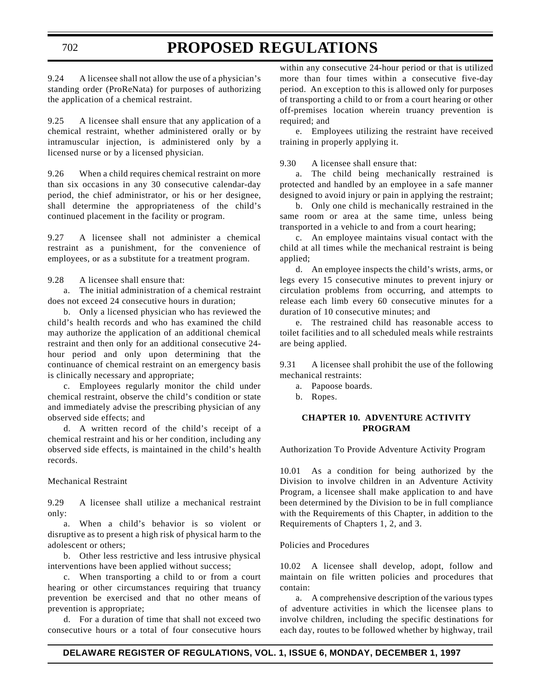9.24 A licensee shall not allow the use of a physician's standing order (ProReNata) for purposes of authorizing the application of a chemical restraint.

9.25 A licensee shall ensure that any application of a chemical restraint, whether administered orally or by intramuscular injection, is administered only by a licensed nurse or by a licensed physician.

9.26 When a child requires chemical restraint on more than six occasions in any 30 consecutive calendar-day period, the chief administrator, or his or her designee, shall determine the appropriateness of the child's continued placement in the facility or program.

9.27 A licensee shall not administer a chemical restraint as a punishment, for the convenience of employees, or as a substitute for a treatment program.

9.28 A licensee shall ensure that:

a. The initial administration of a chemical restraint does not exceed 24 consecutive hours in duration;

b. Only a licensed physician who has reviewed the child's health records and who has examined the child may authorize the application of an additional chemical restraint and then only for an additional consecutive 24 hour period and only upon determining that the continuance of chemical restraint on an emergency basis is clinically necessary and appropriate;

c. Employees regularly monitor the child under chemical restraint, observe the child's condition or state and immediately advise the prescribing physician of any observed side effects; and

d. A written record of the child's receipt of a chemical restraint and his or her condition, including any observed side effects, is maintained in the child's health records.

Mechanical Restraint

9.29 A licensee shall utilize a mechanical restraint only:

a. When a child's behavior is so violent or disruptive as to present a high risk of physical harm to the adolescent or others;

b. Other less restrictive and less intrusive physical interventions have been applied without success;

c. When transporting a child to or from a court hearing or other circumstances requiring that truancy prevention be exercised and that no other means of prevention is appropriate;

d. For a duration of time that shall not exceed two consecutive hours or a total of four consecutive hours

within any consecutive 24-hour period or that is utilized more than four times within a consecutive five-day period. An exception to this is allowed only for purposes of transporting a child to or from a court hearing or other off-premises location wherein truancy prevention is required; and

e. Employees utilizing the restraint have received training in properly applying it.

9.30 A licensee shall ensure that:

a. The child being mechanically restrained is protected and handled by an employee in a safe manner designed to avoid injury or pain in applying the restraint;

b. Only one child is mechanically restrained in the same room or area at the same time, unless being transported in a vehicle to and from a court hearing;

c. An employee maintains visual contact with the child at all times while the mechanical restraint is being applied;

d. An employee inspects the child's wrists, arms, or legs every 15 consecutive minutes to prevent injury or circulation problems from occurring, and attempts to release each limb every 60 consecutive minutes for a duration of 10 consecutive minutes; and

e. The restrained child has reasonable access to toilet facilities and to all scheduled meals while restraints are being applied.

9.31 A licensee shall prohibit the use of the following mechanical restraints:

- a. Papoose boards.
- b. Ropes.

### **CHAPTER 10. ADVENTURE ACTIVITY PROGRAM**

Authorization To Provide Adventure Activity Program

10.01 As a condition for being authorized by the Division to involve children in an Adventure Activity Program, a licensee shall make application to and have been determined by the Division to be in full compliance with the Requirements of this Chapter, in addition to the Requirements of Chapters 1, 2, and 3.

Policies and Procedures

10.02 A licensee shall develop, adopt, follow and maintain on file written policies and procedures that contain:

a. A comprehensive description of the various types of adventure activities in which the licensee plans to involve children, including the specific destinations for each day, routes to be followed whether by highway, trail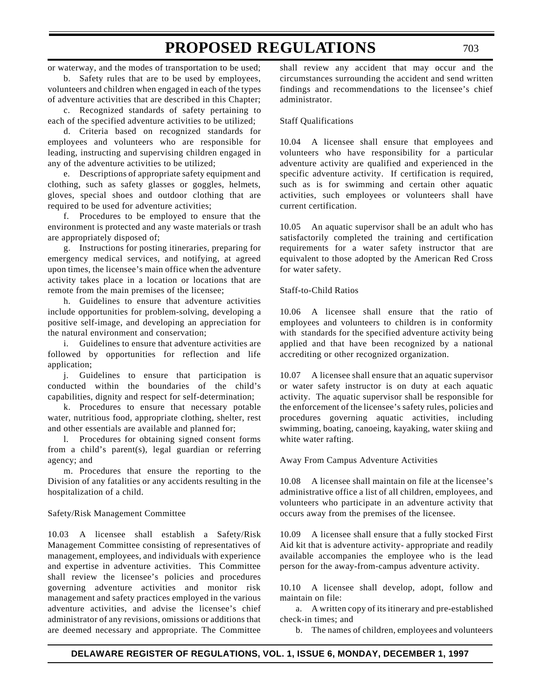or waterway, and the modes of transportation to be used;

b. Safety rules that are to be used by employees, volunteers and children when engaged in each of the types of adventure activities that are described in this Chapter;

c. Recognized standards of safety pertaining to each of the specified adventure activities to be utilized;

d. Criteria based on recognized standards for employees and volunteers who are responsible for leading, instructing and supervising children engaged in any of the adventure activities to be utilized;

e. Descriptions of appropriate safety equipment and clothing, such as safety glasses or goggles, helmets, gloves, special shoes and outdoor clothing that are required to be used for adventure activities;

f. Procedures to be employed to ensure that the environment is protected and any waste materials or trash are appropriately disposed of;

g. Instructions for posting itineraries, preparing for emergency medical services, and notifying, at agreed upon times, the licensee's main office when the adventure activity takes place in a location or locations that are remote from the main premises of the licensee;

h. Guidelines to ensure that adventure activities include opportunities for problem-solving, developing a positive self-image, and developing an appreciation for the natural environment and conservation;

i. Guidelines to ensure that adventure activities are followed by opportunities for reflection and life application;

j. Guidelines to ensure that participation is conducted within the boundaries of the child's capabilities, dignity and respect for self-determination;

k. Procedures to ensure that necessary potable water, nutritious food, appropriate clothing, shelter, rest and other essentials are available and planned for;

l. Procedures for obtaining signed consent forms from a child's parent(s), legal guardian or referring agency; and

m. Procedures that ensure the reporting to the Division of any fatalities or any accidents resulting in the hospitalization of a child.

#### Safety/Risk Management Committee

10.03 A licensee shall establish a Safety/Risk Management Committee consisting of representatives of management, employees, and individuals with experience and expertise in adventure activities. This Committee shall review the licensee's policies and procedures governing adventure activities and monitor risk management and safety practices employed in the various adventure activities, and advise the licensee's chief administrator of any revisions, omissions or additions that are deemed necessary and appropriate. The Committee

shall review any accident that may occur and the circumstances surrounding the accident and send written findings and recommendations to the licensee's chief administrator.

#### Staff Qualifications

10.04 A licensee shall ensure that employees and volunteers who have responsibility for a particular adventure activity are qualified and experienced in the specific adventure activity. If certification is required, such as is for swimming and certain other aquatic activities, such employees or volunteers shall have current certification.

10.05 An aquatic supervisor shall be an adult who has satisfactorily completed the training and certification requirements for a water safety instructor that are equivalent to those adopted by the American Red Cross for water safety.

#### Staff-to-Child Ratios

10.06 A licensee shall ensure that the ratio of employees and volunteers to children is in conformity with standards for the specified adventure activity being applied and that have been recognized by a national accrediting or other recognized organization.

10.07 A licensee shall ensure that an aquatic supervisor or water safety instructor is on duty at each aquatic activity. The aquatic supervisor shall be responsible for the enforcement of the licensee's safety rules, policies and procedures governing aquatic activities, including swimming, boating, canoeing, kayaking, water skiing and white water rafting.

#### Away From Campus Adventure Activities

10.08 A licensee shall maintain on file at the licensee's administrative office a list of all children, employees, and volunteers who participate in an adventure activity that occurs away from the premises of the licensee.

10.09 A licensee shall ensure that a fully stocked First Aid kit that is adventure activity- appropriate and readily available accompanies the employee who is the lead person for the away-from-campus adventure activity.

10.10 A licensee shall develop, adopt, follow and maintain on file:

a. A written copy of its itinerary and pre-established check-in times; and

b. The names of children, employees and volunteers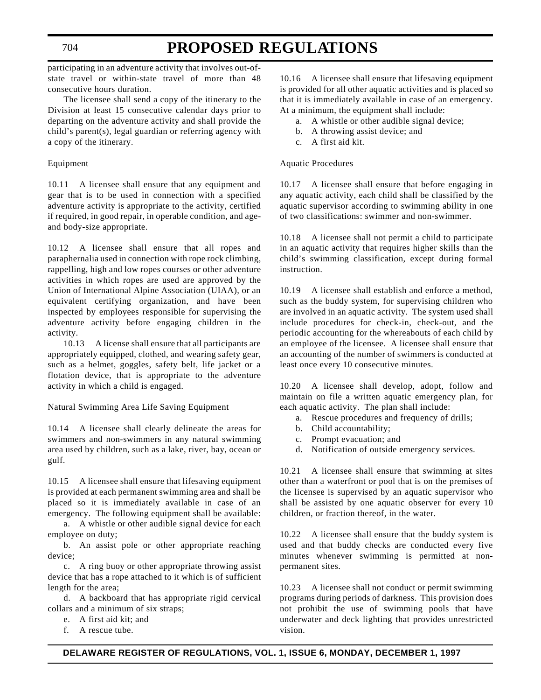### **PROPOSED REGULATIONS**

participating in an adventure activity that involves out-ofstate travel or within-state travel of more than 48 consecutive hours duration.

The licensee shall send a copy of the itinerary to the Division at least 15 consecutive calendar days prior to departing on the adventure activity and shall provide the child's parent(s), legal guardian or referring agency with a copy of the itinerary.

#### Equipment

10.11 A licensee shall ensure that any equipment and gear that is to be used in connection with a specified adventure activity is appropriate to the activity, certified if required, in good repair, in operable condition, and ageand body-size appropriate.

10.12 A licensee shall ensure that all ropes and paraphernalia used in connection with rope rock climbing, rappelling, high and low ropes courses or other adventure activities in which ropes are used are approved by the Union of International Alpine Association (UIAA), or an equivalent certifying organization, and have been inspected by employees responsible for supervising the adventure activity before engaging children in the activity.

10.13 A license shall ensure that all participants are appropriately equipped, clothed, and wearing safety gear, such as a helmet, goggles, safety belt, life jacket or a flotation device, that is appropriate to the adventure activity in which a child is engaged.

Natural Swimming Area Life Saving Equipment

10.14 A licensee shall clearly delineate the areas for swimmers and non-swimmers in any natural swimming area used by children, such as a lake, river, bay, ocean or gulf.

10.15 A licensee shall ensure that lifesaving equipment is provided at each permanent swimming area and shall be placed so it is immediately available in case of an emergency. The following equipment shall be available:

a. A whistle or other audible signal device for each employee on duty;

b. An assist pole or other appropriate reaching device;

c. A ring buoy or other appropriate throwing assist device that has a rope attached to it which is of sufficient length for the area;

d. A backboard that has appropriate rigid cervical collars and a minimum of six straps;

- e. A first aid kit; and
- f. A rescue tube.

10.16 A licensee shall ensure that lifesaving equipment is provided for all other aquatic activities and is placed so that it is immediately available in case of an emergency. At a minimum, the equipment shall include:

- a. A whistle or other audible signal device;
- b. A throwing assist device; and
- c. A first aid kit.

Aquatic Procedures

10.17 A licensee shall ensure that before engaging in any aquatic activity, each child shall be classified by the aquatic supervisor according to swimming ability in one of two classifications: swimmer and non-swimmer.

10.18 A licensee shall not permit a child to participate in an aquatic activity that requires higher skills than the child's swimming classification, except during formal instruction.

10.19 A licensee shall establish and enforce a method, such as the buddy system, for supervising children who are involved in an aquatic activity. The system used shall include procedures for check-in, check-out, and the periodic accounting for the whereabouts of each child by an employee of the licensee. A licensee shall ensure that an accounting of the number of swimmers is conducted at least once every 10 consecutive minutes.

10.20 A licensee shall develop, adopt, follow and maintain on file a written aquatic emergency plan, for each aquatic activity. The plan shall include:

- a. Rescue procedures and frequency of drills;
- b. Child accountability;
- c. Prompt evacuation; and
- d. Notification of outside emergency services.

10.21 A licensee shall ensure that swimming at sites other than a waterfront or pool that is on the premises of the licensee is supervised by an aquatic supervisor who shall be assisted by one aquatic observer for every 10 children, or fraction thereof, in the water.

10.22 A licensee shall ensure that the buddy system is used and that buddy checks are conducted every five minutes whenever swimming is permitted at nonpermanent sites.

10.23 A licensee shall not conduct or permit swimming programs during periods of darkness. This provision does not prohibit the use of swimming pools that have underwater and deck lighting that provides unrestricted vision.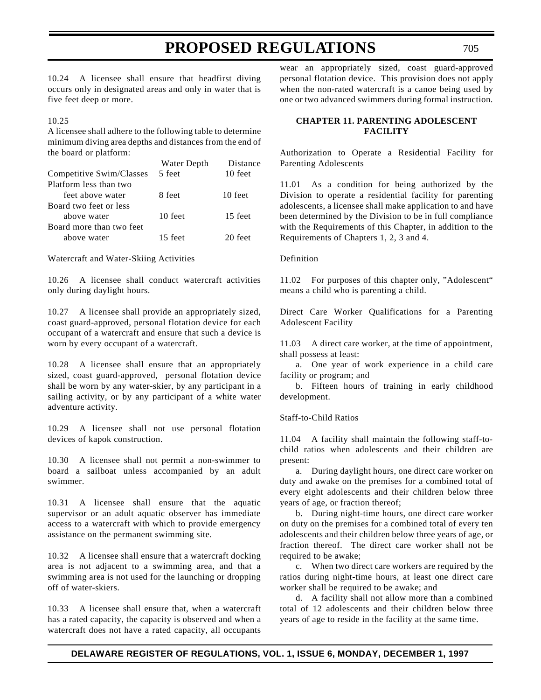10.24 A licensee shall ensure that headfirst diving occurs only in designated areas and only in water that is five feet deep or more.

#### 10.25

A licensee shall adhere to the following table to determine minimum diving area depths and distances from the end of the board or platform:

|                          | Water Depth | Distance |
|--------------------------|-------------|----------|
| Competitive Swim/Classes | 5 feet      | 10 feet  |
| Platform less than two   |             |          |
| feet above water         | 8 feet      | 10 feet  |
| Board two feet or less   |             |          |
| above water              | 10 feet     | 15 feet  |
| Board more than two feet |             |          |
| above water              | 15 feet     | 20 feet  |
|                          |             |          |

Watercraft and Water-Skiing Activities

10.26 A licensee shall conduct watercraft activities only during daylight hours.

10.27 A licensee shall provide an appropriately sized, coast guard-approved, personal flotation device for each occupant of a watercraft and ensure that such a device is worn by every occupant of a watercraft.

10.28 A licensee shall ensure that an appropriately sized, coast guard-approved, personal flotation device shall be worn by any water-skier, by any participant in a sailing activity, or by any participant of a white water adventure activity.

10.29 A licensee shall not use personal flotation devices of kapok construction.

10.30 A licensee shall not permit a non-swimmer to board a sailboat unless accompanied by an adult swimmer.

10.31 A licensee shall ensure that the aquatic supervisor or an adult aquatic observer has immediate access to a watercraft with which to provide emergency assistance on the permanent swimming site.

10.32 A licensee shall ensure that a watercraft docking area is not adjacent to a swimming area, and that a swimming area is not used for the launching or dropping off of water-skiers.

10.33 A licensee shall ensure that, when a watercraft has a rated capacity, the capacity is observed and when a watercraft does not have a rated capacity, all occupants

wear an appropriately sized, coast guard-approved personal flotation device. This provision does not apply when the non-rated watercraft is a canoe being used by one or two advanced swimmers during formal instruction.

### **CHAPTER 11. PARENTING ADOLESCENT FACILITY**

Authorization to Operate a Residential Facility for Parenting Adolescents

11.01 As a condition for being authorized by the Division to operate a residential facility for parenting adolescents, a licensee shall make application to and have been determined by the Division to be in full compliance with the Requirements of this Chapter, in addition to the Requirements of Chapters 1, 2, 3 and 4.

#### Definition

11.02 For purposes of this chapter only, "Adolescent" means a child who is parenting a child.

Direct Care Worker Qualifications for a Parenting Adolescent Facility

11.03 A direct care worker, at the time of appointment, shall possess at least:

a. One year of work experience in a child care facility or program; and

b. Fifteen hours of training in early childhood development.

### Staff-to-Child Ratios

11.04 A facility shall maintain the following staff-tochild ratios when adolescents and their children are present:

a. During daylight hours, one direct care worker on duty and awake on the premises for a combined total of every eight adolescents and their children below three years of age, or fraction thereof;

b. During night-time hours, one direct care worker on duty on the premises for a combined total of every ten adolescents and their children below three years of age, or fraction thereof. The direct care worker shall not be required to be awake;

c. When two direct care workers are required by the ratios during night-time hours, at least one direct care worker shall be required to be awake; and

d. A facility shall not allow more than a combined total of 12 adolescents and their children below three years of age to reside in the facility at the same time.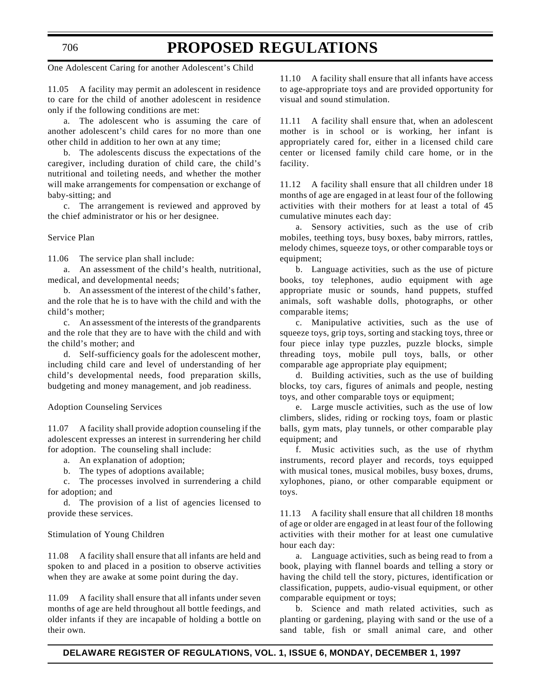#### One Adolescent Caring for another Adolescent's Child

11.05 A facility may permit an adolescent in residence to care for the child of another adolescent in residence only if the following conditions are met:

a. The adolescent who is assuming the care of another adolescent's child cares for no more than one other child in addition to her own at any time;

b. The adolescents discuss the expectations of the caregiver, including duration of child care, the child's nutritional and toileting needs, and whether the mother will make arrangements for compensation or exchange of baby-sitting; and

c. The arrangement is reviewed and approved by the chief administrator or his or her designee.

#### Service Plan

11.06 The service plan shall include:

a. An assessment of the child's health, nutritional, medical, and developmental needs;

b. An assessment of the interest of the child's father, and the role that he is to have with the child and with the child's mother;

c. An assessment of the interests of the grandparents and the role that they are to have with the child and with the child's mother; and

d. Self-sufficiency goals for the adolescent mother, including child care and level of understanding of her child's developmental needs, food preparation skills, budgeting and money management, and job readiness.

Adoption Counseling Services

11.07 A facility shall provide adoption counseling if the adolescent expresses an interest in surrendering her child for adoption. The counseling shall include:

- a. An explanation of adoption;
- b. The types of adoptions available;

c. The processes involved in surrendering a child for adoption; and

d. The provision of a list of agencies licensed to provide these services.

#### Stimulation of Young Children

11.08 A facility shall ensure that all infants are held and spoken to and placed in a position to observe activities when they are awake at some point during the day.

11.09 A facility shall ensure that all infants under seven months of age are held throughout all bottle feedings, and older infants if they are incapable of holding a bottle on their own.

11.10 A facility shall ensure that all infants have access to age-appropriate toys and are provided opportunity for visual and sound stimulation.

11.11 A facility shall ensure that, when an adolescent mother is in school or is working, her infant is appropriately cared for, either in a licensed child care center or licensed family child care home, or in the facility.

11.12 A facility shall ensure that all children under 18 months of age are engaged in at least four of the following activities with their mothers for at least a total of 45 cumulative minutes each day:

a. Sensory activities, such as the use of crib mobiles, teething toys, busy boxes, baby mirrors, rattles, melody chimes, squeeze toys, or other comparable toys or equipment;

b. Language activities, such as the use of picture books, toy telephones, audio equipment with age appropriate music or sounds, hand puppets, stuffed animals, soft washable dolls, photographs, or other comparable items;

c. Manipulative activities, such as the use of squeeze toys, grip toys, sorting and stacking toys, three or four piece inlay type puzzles, puzzle blocks, simple threading toys, mobile pull toys, balls, or other comparable age appropriate play equipment;

d. Building activities, such as the use of building blocks, toy cars, figures of animals and people, nesting toys, and other comparable toys or equipment;

e. Large muscle activities, such as the use of low climbers, slides, riding or rocking toys, foam or plastic balls, gym mats, play tunnels, or other comparable play equipment; and

f. Music activities such, as the use of rhythm instruments, record player and records, toys equipped with musical tones, musical mobiles, busy boxes, drums, xylophones, piano, or other comparable equipment or toys.

11.13 A facility shall ensure that all children 18 months of age or older are engaged in at least four of the following activities with their mother for at least one cumulative hour each day:

a. Language activities, such as being read to from a book, playing with flannel boards and telling a story or having the child tell the story, pictures, identification or classification, puppets, audio-visual equipment, or other comparable equipment or toys;

b. Science and math related activities, such as planting or gardening, playing with sand or the use of a sand table, fish or small animal care, and other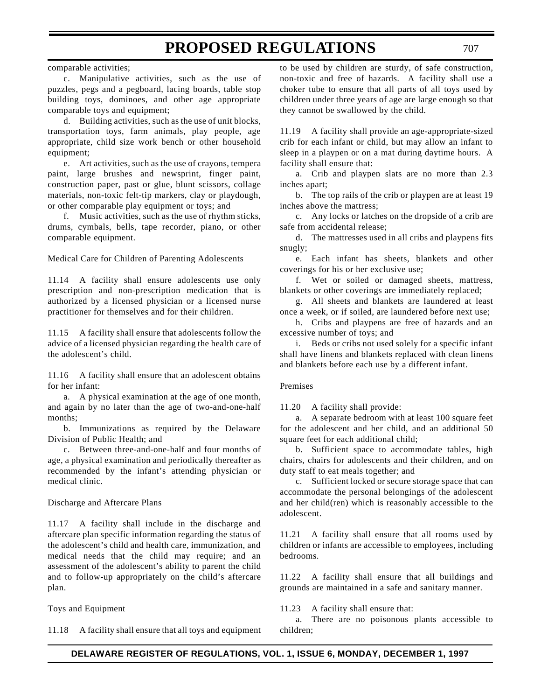comparable activities;

c. Manipulative activities, such as the use of puzzles, pegs and a pegboard, lacing boards, table stop building toys, dominoes, and other age appropriate comparable toys and equipment;

d. Building activities, such as the use of unit blocks, transportation toys, farm animals, play people, age appropriate, child size work bench or other household equipment;

e. Art activities, such as the use of crayons, tempera paint, large brushes and newsprint, finger paint, construction paper, past or glue, blunt scissors, collage materials, non-toxic felt-tip markers, clay or playdough, or other comparable play equipment or toys; and

f. Music activities, such as the use of rhythm sticks, drums, cymbals, bells, tape recorder, piano, or other comparable equipment.

Medical Care for Children of Parenting Adolescents

11.14 A facility shall ensure adolescents use only prescription and non-prescription medication that is authorized by a licensed physician or a licensed nurse practitioner for themselves and for their children.

11.15 A facility shall ensure that adolescents follow the advice of a licensed physician regarding the health care of the adolescent's child.

11.16 A facility shall ensure that an adolescent obtains for her infant:

a. A physical examination at the age of one month, and again by no later than the age of two-and-one-half months;

b. Immunizations as required by the Delaware Division of Public Health; and

c. Between three-and-one-half and four months of age, a physical examination and periodically thereafter as recommended by the infant's attending physician or medical clinic.

### Discharge and Aftercare Plans

11.17 A facility shall include in the discharge and aftercare plan specific information regarding the status of the adolescent's child and health care, immunization, and medical needs that the child may require; and an assessment of the adolescent's ability to parent the child and to follow-up appropriately on the child's aftercare plan.

Toys and Equipment

11.18 A facility shall ensure that all toys and equipment

to be used by children are sturdy, of safe construction, non-toxic and free of hazards. A facility shall use a choker tube to ensure that all parts of all toys used by children under three years of age are large enough so that they cannot be swallowed by the child.

11.19 A facility shall provide an age-appropriate-sized crib for each infant or child, but may allow an infant to sleep in a playpen or on a mat during daytime hours. A facility shall ensure that:

a. Crib and playpen slats are no more than 2.3 inches apart;

b. The top rails of the crib or playpen are at least 19 inches above the mattress;

c. Any locks or latches on the dropside of a crib are safe from accidental release;

d. The mattresses used in all cribs and playpens fits snugly;

e. Each infant has sheets, blankets and other coverings for his or her exclusive use;

f. Wet or soiled or damaged sheets, mattress, blankets or other coverings are immediately replaced;

g. All sheets and blankets are laundered at least once a week, or if soiled, are laundered before next use;

h. Cribs and playpens are free of hazards and an excessive number of toys; and

i. Beds or cribs not used solely for a specific infant shall have linens and blankets replaced with clean linens and blankets before each use by a different infant.

#### Premises

11.20 A facility shall provide:

a. A separate bedroom with at least 100 square feet for the adolescent and her child, and an additional 50 square feet for each additional child;

b. Sufficient space to accommodate tables, high chairs, chairs for adolescents and their children, and on duty staff to eat meals together; and

c. Sufficient locked or secure storage space that can accommodate the personal belongings of the adolescent and her child(ren) which is reasonably accessible to the adolescent.

11.21 A facility shall ensure that all rooms used by children or infants are accessible to employees, including bedrooms.

11.22 A facility shall ensure that all buildings and grounds are maintained in a safe and sanitary manner.

11.23 A facility shall ensure that:

a. There are no poisonous plants accessible to children;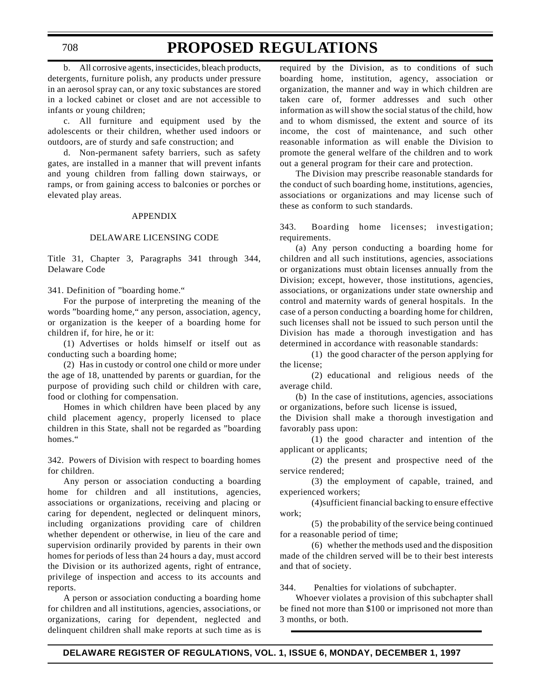### **PROPOSED REGULATIONS**

b. All corrosive agents, insecticides, bleach products, detergents, furniture polish, any products under pressure in an aerosol spray can, or any toxic substances are stored in a locked cabinet or closet and are not accessible to infants or young children;

c. All furniture and equipment used by the adolescents or their children, whether used indoors or outdoors, are of sturdy and safe construction; and

d. Non-permanent safety barriers, such as safety gates, are installed in a manner that will prevent infants and young children from falling down stairways, or ramps, or from gaining access to balconies or porches or elevated play areas.

#### APPENDIX

#### DELAWARE LICENSING CODE

Title 31, Chapter 3, Paragraphs 341 through 344, Delaware Code

341. Definition of "boarding home."

For the purpose of interpreting the meaning of the words "boarding home," any person, association, agency, or organization is the keeper of a boarding home for children if, for hire, he or it:

(1) Advertises or holds himself or itself out as conducting such a boarding home;

(2) Has in custody or control one child or more under the age of 18, unattended by parents or guardian, for the purpose of providing such child or children with care, food or clothing for compensation.

Homes in which children have been placed by any child placement agency, properly licensed to place children in this State, shall not be regarded as "boarding homes."

342. Powers of Division with respect to boarding homes for children.

Any person or association conducting a boarding home for children and all institutions, agencies, associations or organizations, receiving and placing or caring for dependent, neglected or delinquent minors, including organizations providing care of children whether dependent or otherwise, in lieu of the care and supervision ordinarily provided by parents in their own homes for periods of less than 24 hours a day, must accord the Division or its authorized agents, right of entrance, privilege of inspection and access to its accounts and reports.

A person or association conducting a boarding home for children and all institutions, agencies, associations, or organizations, caring for dependent, neglected and delinquent children shall make reports at such time as is

required by the Division, as to conditions of such boarding home, institution, agency, association or organization, the manner and way in which children are taken care of, former addresses and such other information as will show the social status of the child, how and to whom dismissed, the extent and source of its income, the cost of maintenance, and such other reasonable information as will enable the Division to promote the general welfare of the children and to work out a general program for their care and protection.

The Division may prescribe reasonable standards for the conduct of such boarding home, institutions, agencies, associations or organizations and may license such of these as conform to such standards.

343. Boarding home licenses; investigation; requirements.

(a) Any person conducting a boarding home for children and all such institutions, agencies, associations or organizations must obtain licenses annually from the Division; except, however, those institutions, agencies, associations, or organizations under state ownership and control and maternity wards of general hospitals. In the case of a person conducting a boarding home for children, such licenses shall not be issued to such person until the Division has made a thorough investigation and has determined in accordance with reasonable standards:

(1) the good character of the person applying for the license;

(2) educational and religious needs of the average child.

(b) In the case of institutions, agencies, associations or organizations, before such license is issued,

the Division shall make a thorough investigation and favorably pass upon:

(1) the good character and intention of the applicant or applicants;

(2) the present and prospective need of the service rendered;

(3) the employment of capable, trained, and experienced workers;

(4)sufficient financial backing to ensure effective work;

(5) the probability of the service being continued for a reasonable period of time;

(6) whether the methods used and the disposition made of the children served will be to their best interests and that of society.

344. Penalties for violations of subchapter.

Whoever violates a provision of this subchapter shall be fined not more than \$100 or imprisoned not more than 3 months, or both.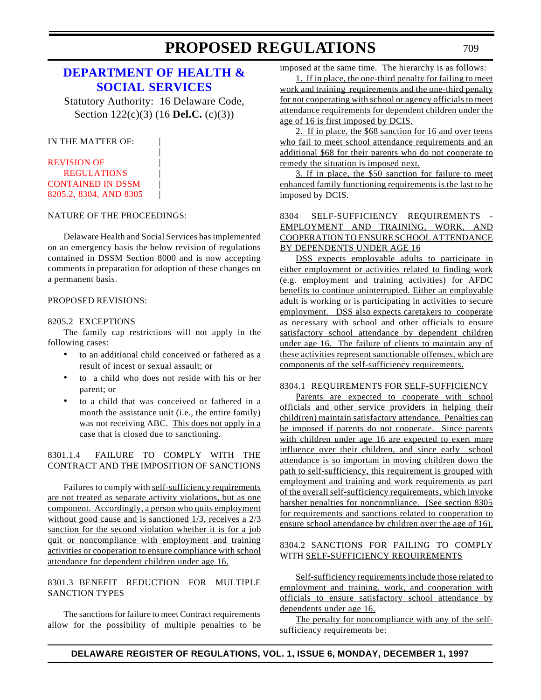Statutory Authority: 16 Delaware Code, Section 122(c)(3) (16 **Del.C.** (c)(3))

|

### IN THE MATTER OF:

### REVISION OF | **REGULATIONS** CONTAINED IN DSSM | [8205.2, 8304, AND 8305](#page-3-0) |

#### NATURE OF THE PROCEEDINGS:

Delaware Health and Social Services has implemented on an emergency basis the below revision of regulations contained in DSSM Section 8000 and is now accepting comments in preparation for adoption of these changes on a permanent basis.

#### PROPOSED REVISIONS:

#### 8205.2 EXCEPTIONS

The family cap restrictions will not apply in the following cases:

- to an additional child conceived or fathered as a result of incest or sexual assault; or
- to a child who does not reside with his or her parent; or
- to a child that was conceived or fathered in a month the assistance unit (i.e., the entire family) was not receiving ABC. This does not apply in a case that is closed due to sanctioning.

8301.1.4 FAILURE TO COMPLY WITH THE CONTRACT AND THE IMPOSITION OF SANCTIONS

Failures to comply with self-sufficiency requirements are not treated as separate activity violations, but as one component. Accordingly, a person who quits employment without good cause and is sanctioned 1/3, receives a  $2/3$ sanction for the second violation whether it is for a job quit or noncompliance with employment and training activities or cooperation to ensure compliance with school attendance for dependent children under age 16.

### 8301.3 BENEFIT REDUCTION FOR MULTIPLE SANCTION TYPES

The sanctions for failure to meet Contract requirements allow for the possibility of multiple penalties to be

imposed at the same time. The hierarchy is as follows:

1. If in place, the one-third penalty for failing to meet work and training requirements and the one-third penalty for not cooperating with school or agency officials to meet attendance requirements for dependent children under the age of 16 is first imposed by DCIS.

2. If in place, the \$68 sanction for 16 and over teens who fail to meet school attendance requirements and an additional \$68 for their parents who do not cooperate to remedy the situation is imposed next.

3. If in place, the \$50 sanction for failure to meet enhanced family functioning requirements is the last to be imposed by DCIS.

### 8304 SELF-SUFFICIENCY REQUIREMENTS - EMPLOYMENT AND TRAINING, WORK, AND COOPERATION TO ENSURE SCHOOL ATTENDANCE BY DEPENDENTS UNDER AGE 16

DSS expects employable adults to participate in either employment or activities related to finding work (e.g. employment and training activities) for AFDC benefits to continue uninterrupted. Either an employable adult is working or is participating in activities to secure employment. DSS also expects caretakers to cooperate as necessary with school and other officials to ensure satisfactory school attendance by dependent children under age 16. The failure of clients to maintain any of these activities represent sanctionable offenses, which are components of the self-sufficiency requirements.

#### 8304.1 REQUIREMENTS FOR SELF-SUFFICIENCY

Parents are expected to cooperate with school officials and other service providers in helping their child(ren) maintain satisfactory attendance. Penalties can be imposed if parents do not cooperate. Since parents with children under age 16 are expected to exert more influence over their children, and since early school attendance is so important in moving children down the path to self-sufficiency, this requirement is grouped with employment and training and work requirements as part of the overall self-sufficiency requirements, which invoke harsher penalties for noncompliance. (See section 8305 for requirements and sanctions related to cooperation to ensure school attendance by children over the age of 16).

### 8304.2 SANCTIONS FOR FAILING TO COMPLY WITH SELF-SUFFICIENCY REQUIREMENTS

Self-sufficiency requirements include those related to employment and training, work, and cooperation with officials to ensure satisfactory school attendance by dependents under age 16.

The penalty for noncompliance with any of the selfsufficiency requirements be: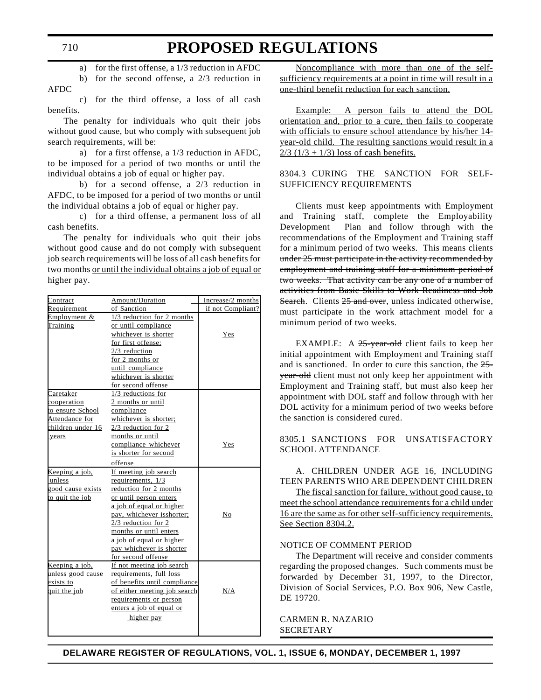a) for the first offense, a 1/3 reduction in AFDC

b) for the second offense, a 2/3 reduction in AFDC

c) for the third offense, a loss of all cash benefits.

The penalty for individuals who quit their jobs without good cause, but who comply with subsequent job search requirements, will be:

a) for a first offense, a 1/3 reduction in AFDC, to be imposed for a period of two months or until the individual obtains a job of equal or higher pay.

b) for a second offense, a 2/3 reduction in AFDC, to be imposed for a period of two months or until the individual obtains a job of equal or higher pay.

c) for a third offense, a permanent loss of all cash benefits.

The penalty for individuals who quit their jobs without good cause and do not comply with subsequent job search requirements will be loss of all cash benefits for two months or until the individual obtains a job of equal or higher pay.

| Contract          | Amount/Duration              | Increase/2 months |
|-------------------|------------------------------|-------------------|
| Requirement       | of Sanction                  | if not Compliant? |
| Employment &      | $1/3$ reduction for 2 months |                   |
| Training          | or until compliance          |                   |
|                   | whichever is shorter         | Yes               |
|                   | for first offense;           |                   |
|                   | $2/3$ reduction              |                   |
|                   | for 2 months or              |                   |
|                   | until compliance             |                   |
|                   | whichever is shorter         |                   |
|                   | for second offense           |                   |
| Caretaker         | $1/3$ reductions for         |                   |
| cooperation       | 2 months or until            |                   |
| to ensure School  | compliance                   |                   |
| Attendance for    | whichever is shorter;        |                   |
| children under 16 | $2/3$ reduction for 2        |                   |
| vears             | months or until              |                   |
|                   | compliance whichever         | Yes               |
|                   | is shorter for second        |                   |
|                   | offense                      |                   |
| Keeping a job,    | If meeting job search        |                   |
| unless            | requirements, 1/3            |                   |
| good cause exists | reduction for 2 months       |                   |
| to quit the job   | or until person enters       |                   |
|                   | a job of equal or higher     |                   |
|                   | pay, whichever is shorter;   | No                |
|                   | $2/3$ reduction for 2        |                   |
|                   | months or until enters       |                   |
|                   | a job of equal or higher     |                   |
|                   | pay whichever is shorter     |                   |
|                   | for second offense           |                   |
| Keeping a job,    | If not meeting job search    |                   |
| unless good cause | requirements, full loss      |                   |
| exists to         | of benefits until compliance |                   |
| quit the job      | of either meeting job search | N/A               |
|                   | requirements or person       |                   |
|                   | enters a job of equal or     |                   |
|                   | higher pay                   |                   |
|                   |                              |                   |
|                   |                              |                   |

Noncompliance with more than one of the selfsufficiency requirements at a point in time will result in a one-third benefit reduction for each sanction.

Example: A person fails to attend the DOL orientation and, prior to a cure, then fails to cooperate with officials to ensure school attendance by his/her 14year-old child. The resulting sanctions would result in a  $2/3$  ( $1/3$  +  $1/3$ ) loss of cash benefits.

### 8304.3 CURING THE SANCTION FOR SELF-SUFFICIENCY REQUIREMENTS

Clients must keep appointments with Employment and Training staff, complete the Employability Development Plan and follow through with the recommendations of the Employment and Training staff for a minimum period of two weeks. This means clients under 25 must participate in the activity recommended by employment and training staff for a minimum period of two weeks. That activity can be any one of a number of activities from Basic Skills to Work Readiness and Job Search. Clients 25 and over, unless indicated otherwise, must participate in the work attachment model for a minimum period of two weeks.

EXAMPLE: A 25-year-old client fails to keep her initial appointment with Employment and Training staff and is sanctioned. In order to cure this sanction, the 25 year-old client must not only keep her appointment with Employment and Training staff, but must also keep her appointment with DOL staff and follow through with her DOL activity for a minimum period of two weeks before the sanction is considered cured.

8305.1 SANCTIONS FOR UNSATISFACTORY SCHOOL ATTENDANCE

### A. CHILDREN UNDER AGE 16, INCLUDING TEEN PARENTS WHO ARE DEPENDENT CHILDREN

The fiscal sanction for failure, without good cause, to meet the school attendance requirements for a child under 16 are the same as for other self-sufficiency requirements. See Section 8304.2.

### NOTICE OF COMMENT PERIOD

The Department will receive and consider comments regarding the proposed changes. Such comments must be forwarded by December 31, 1997, to the Director, Division of Social Services, P.O. Box 906, New Castle, DE 19720.

CARMEN R. NAZARIO SECRETARY

**DELAWARE REGISTER OF REGULATIONS, VOL. 1, ISSUE 6, MONDAY, DECEMBER 1, 1997**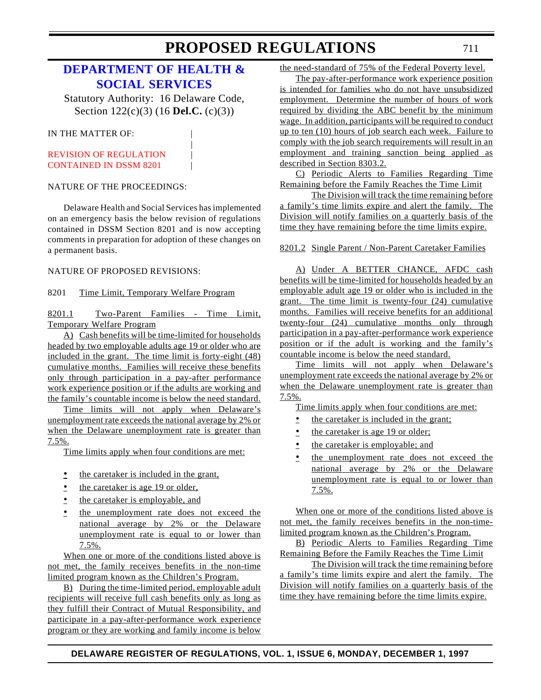# **PROPOSED REGULATIONS**

### **[DEPARTMENT OF HEALTH &](http://www.state.de.us/govern/agencies/dhss/irm/dhss.htm) SOCIAL SERVICES**

Statutory Authority: 16 Delaware Code, Section 122(c)(3) (16 **Del.C.** (c)(3))

|

#### IN THE MATTER OF:

#### [REVISION OF REGULATION](#page-3-0) | CONTAINED IN DSSM 8201

#### NATURE OF THE PROCEEDINGS:

Delaware Health and Social Services has implemented on an emergency basis the below revision of regulations contained in DSSM Section 8201 and is now accepting comments in preparation for adoption of these changes on a permanent basis.

#### NATURE OF PROPOSED REVISIONS:

#### 8201 Time Limit, Temporary Welfare Program

8201.1 Two-Parent Families - Time Limit, Temporary Welfare Program

A) Cash benefits will be time-limited for households headed by two employable adults age 19 or older who are included in the grant. The time limit is forty-eight (48) cumulative months. Families will receive these benefits only through participation in a pay-after performance work experience position or if the adults are working and the family's countable income is below the need standard.

Time limits will not apply when Delaware's unemployment rate exceeds the national average by 2% or when the Delaware unemployment rate is greater than 7.5%.

Time limits apply when four conditions are met:

- the caretaker is included in the grant,
- the caretaker is age 19 or older,
- the caretaker is employable, and
- the unemployment rate does not exceed the national average by 2% or the Delaware unemployment rate is equal to or lower than 7.5%.

When one or more of the conditions listed above is not met, the family receives benefits in the non-time limited program known as the Children's Program.

B) During the time-limited period, employable adult recipients will receive full cash benefits only as long as they fulfill their Contract of Mutual Responsibility, and participate in a pay-after-performance work experience program or they are working and family income is below the need-standard of 75% of the Federal Poverty level.

The pay-after-performance work experience position is intended for families who do not have unsubsidized employment. Determine the number of hours of work required by dividing the ABC benefit by the minimum wage. In addition, participants will be required to conduct up to ten (10) hours of job search each week. Failure to comply with the job search requirements will result in an employment and training sanction being applied as described in Section 8303.2.

C) Periodic Alerts to Families Regarding Time Remaining before the Family Reaches the Time Limit

The Division will track the time remaining before a family's time limits expire and alert the family. The Division will notify families on a quarterly basis of the time they have remaining before the time limits expire.

8201.2 Single Parent / Non-Parent Caretaker Families

A) Under A BETTER CHANCE, AFDC cash benefits will be time-limited for households headed by an employable adult age 19 or older who is included in the grant. The time limit is twenty-four (24) cumulative months. Families will receive benefits for an additional twenty-four (24) cumulative months only through participation in a pay-after-performance work experience position or if the adult is working and the family's countable income is below the need standard.

Time limits will not apply when Delaware's unemployment rate exceeds the national average by 2% or when the Delaware unemployment rate is greater than 7.5%.

Time limits apply when four conditions are met:

- the caretaker is included in the grant;
- the caretaker is age 19 or older;
- the caretaker is employable; and
- the unemployment rate does not exceed the national average by 2% or the Delaware unemployment rate is equal to or lower than 7.5%.

When one or more of the conditions listed above is not met, the family receives benefits in the non-timelimited program known as the Children's Program.

B) Periodic Alerts to Families Regarding Time Remaining Before the Family Reaches the Time Limit

The Division will track the time remaining before a family's time limits expire and alert the family. The Division will notify families on a quarterly basis of the time they have remaining before the time limits expire.

711

**DELAWARE REGISTER OF REGULATIONS, VOL. 1, ISSUE 6, MONDAY, DECEMBER 1, 1997**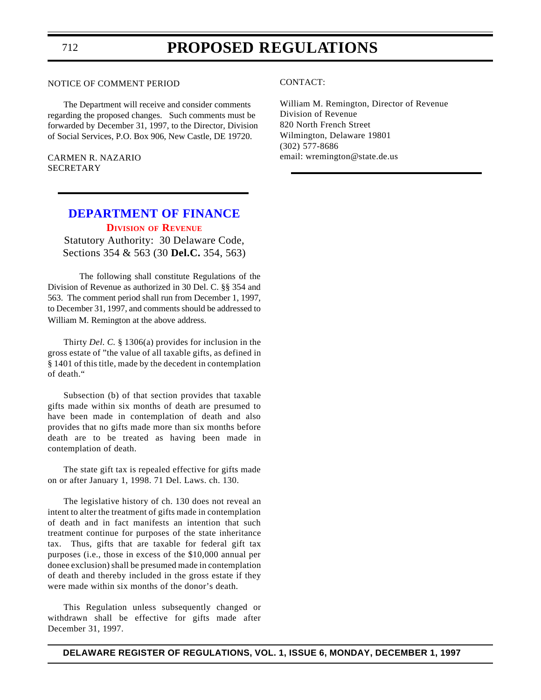### **PROPOSED REGULATIONS**

#### NOTICE OF COMMENT PERIOD

The Department will receive and consider comments regarding the proposed changes. Such comments must be forwarded by December 31, 1997, to the Director, Division of Social Services, P.O. Box 906, New Castle, DE 19720.

CARMEN R. NAZARIO SECRETARY

### **[DEPARTMENT OF FINANCE](http://www.state.de.us/govern/agencies/revenue/revenue.htm) DIVISION OF [REVENUE](#page-3-0)**

Statutory Authority: 30 Delaware Code, Sections 354 & 563 (30 **Del.C.** 354, 563)

The following shall constitute Regulations of the Division of Revenue as authorized in 30 Del. C. §§ 354 and 563. The comment period shall run from December 1, 1997, to December 31, 1997, and comments should be addressed to William M. Remington at the above address.

Thirty *Del. C.* § 1306(a) provides for inclusion in the gross estate of "the value of all taxable gifts, as defined in § 1401 of this title, made by the decedent in contemplation of death."

Subsection (b) of that section provides that taxable gifts made within six months of death are presumed to have been made in contemplation of death and also provides that no gifts made more than six months before death are to be treated as having been made in contemplation of death.

The state gift tax is repealed effective for gifts made on or after January 1, 1998. 71 Del. Laws. ch. 130.

The legislative history of ch. 130 does not reveal an intent to alter the treatment of gifts made in contemplation of death and in fact manifests an intention that such treatment continue for purposes of the state inheritance tax. Thus, gifts that are taxable for federal gift tax purposes (i.e., those in excess of the \$10,000 annual per donee exclusion) shall be presumed made in contemplation of death and thereby included in the gross estate if they were made within six months of the donor's death.

This Regulation unless subsequently changed or withdrawn shall be effective for gifts made after December 31, 1997.

#### CONTACT:

William M. Remington, Director of Revenue Division of Revenue 820 North French Street Wilmington, Delaware 19801 (302) 577-8686 email: wremington@state.de.us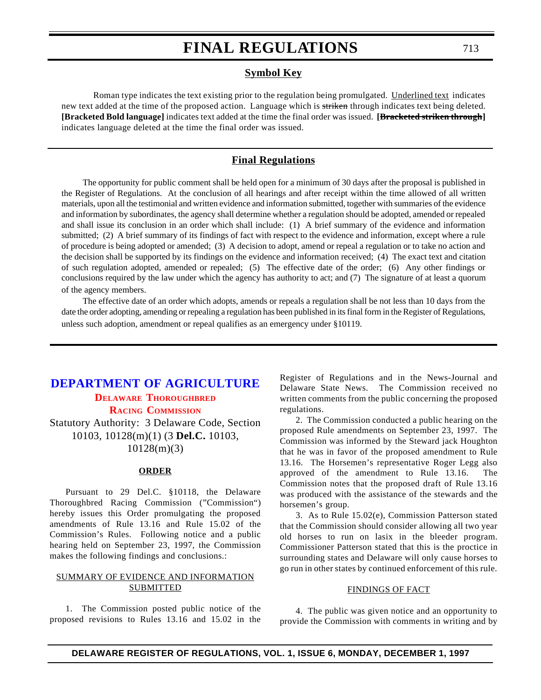#### **Symbol Key**

Roman type indicates the text existing prior to the regulation being promulgated. Underlined text indicates new text added at the time of the proposed action. Language which is striken through indicates text being deleted. **[Bracketed Bold language]** indicates text added at the time the final order was issued. **[Bracketed striken through]** indicates language deleted at the time the final order was issued.

#### **Final Regulations**

The opportunity for public comment shall be held open for a minimum of 30 days after the proposal is published in the Register of Regulations. At the conclusion of all hearings and after receipt within the time allowed of all written materials, upon all the testimonial and written evidence and information submitted, together with summaries of the evidence and information by subordinates, the agency shall determine whether a regulation should be adopted, amended or repealed and shall issue its conclusion in an order which shall include: (1) A brief summary of the evidence and information submitted; (2) A brief summary of its findings of fact with respect to the evidence and information, except where a rule of procedure is being adopted or amended; (3) A decision to adopt, amend or repeal a regulation or to take no action and the decision shall be supported by its findings on the evidence and information received; (4) The exact text and citation of such regulation adopted, amended or repealed; (5) The effective date of the order; (6) Any other findings or conclusions required by the law under which the agency has authority to act; and (7) The signature of at least a quorum of the agency members.

The effective date of an order which adopts, amends or repeals a regulation shall be not less than 10 days from the date the order adopting, amending or repealing a regulation has been published in its final form in the Register of Regulations, unless such adoption, amendment or repeal qualifies as an emergency under §10119.

### **[DEPARTMENT OF AGRICULTURE](http://www.state.de.us/deptagri/deptagri.htm) DELAWARE [THOROUGHBRED](#page-3-0) RACING COMMISSION**

Statutory Authority: 3 Delaware Code, Section 10103, 10128(m)(1) (3 **Del.C.** 10103, 10128(m)(3)

#### **ORDER**

Pursuant to 29 Del.C. §10118, the Delaware Thoroughbred Racing Commission ("Commission") hereby issues this Order promulgating the proposed amendments of Rule 13.16 and Rule 15.02 of the Commission's Rules. Following notice and a public hearing held on September 23, 1997, the Commission makes the following findings and conclusions.:

#### SUMMARY OF EVIDENCE AND INFORMATION SUBMITTED

1. The Commission posted public notice of the proposed revisions to Rules 13.16 and 15.02 in the Register of Regulations and in the News-Journal and Delaware State News. The Commission received no written comments from the public concerning the proposed regulations.

2. The Commission conducted a public hearing on the proposed Rule amendments on September 23, 1997. The Commission was informed by the Steward jack Houghton that he was in favor of the proposed amendment to Rule 13.16. The Horsemen's representative Roger Legg also approved of the amendment to Rule 13.16. The Commission notes that the proposed draft of Rule 13.16 was produced with the assistance of the stewards and the horsemen's group.

3. As to Rule 15.02(e), Commission Patterson stated that the Commission should consider allowing all two year old horses to run on lasix in the bleeder program. Commissioner Patterson stated that this is the proctice in surrounding states and Delaware will only cause horses to go run in other states by continued enforcement of this rule.

#### FINDINGS OF FACT

4. The public was given notice and an opportunity to provide the Commission with comments in writing and by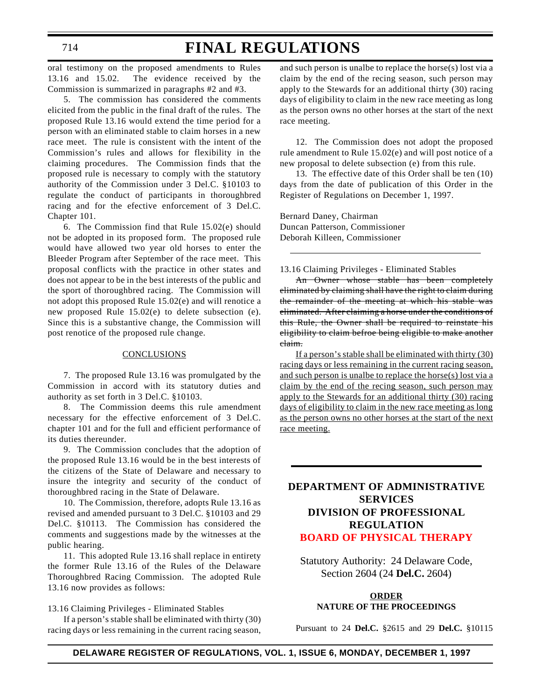oral testimony on the proposed amendments to Rules 13.16 and 15.02. The evidence received by the Commission is summarized in paragraphs #2 and #3.

5. The commission has considered the comments elicited from the public in the final draft of the rules. The proposed Rule 13.16 would extend the time period for a person with an eliminated stable to claim horses in a new race meet. The rule is consistent with the intent of the Commission's rules and allows for flexibility in the claiming procedures. The Commission finds that the proposed rule is necessary to comply with the statutory authority of the Commission under 3 Del.C. §10103 to regulate the conduct of participants in thoroughbred racing and for the efective enforcement of 3 Del.C. Chapter 101.

6. The Commission find that Rule 15.02(e) should not be adopted in its proposed form. The proposed rule would have allowed two year old horses to enter the Bleeder Program after September of the race meet. This proposal conflicts with the practice in other states and does not appear to be in the best interests of the public and the sport of thoroughbred racing. The Commission will not adopt this proposed Rule 15.02(e) and will renotice a new proposed Rule 15.02(e) to delete subsection (e). Since this is a substantive change, the Commission will post renotice of the proposed rule change.

#### **CONCLUSIONS**

7. The proposed Rule 13.16 was promulgated by the Commission in accord with its statutory duties and authority as set forth in 3 Del.C. §10103.

8. The Commission deems this rule amendment necessary for the effective enforcement of 3 Del.C. chapter 101 and for the full and efficient performance of its duties thereunder.

9. The Commission concludes that the adoption of the proposed Rule 13.16 would be in the best interests of the citizens of the State of Delaware and necessary to insure the integrity and security of the conduct of thoroughbred racing in the State of Delaware.

10. The Commission, therefore, adopts Rule 13.16 as revised and amended pursuant to 3 Del.C. §10103 and 29 Del.C. §10113. The Commission has considered the comments and suggestions made by the witnesses at the public hearing.

11. This adopted Rule 13.16 shall replace in entirety the former Rule 13.16 of the Rules of the Delaware Thoroughbred Racing Commission. The adopted Rule 13.16 now provides as follows:

13.16 Claiming Privileges - Eliminated Stables

If a person's stable shall be eliminated with thirty (30) racing days or less remaining in the current racing season,

and such person is unalbe to replace the horse(s) lost via a claim by the end of the recing season, such person may apply to the Stewards for an additional thirty (30) racing days of eligibility to claim in the new race meeting as long as the person owns no other horses at the start of the next race meeting.

12. The Commission does not adopt the proposed rule amendment to Rule 15.02(e) and will post notice of a new proposal to delete subsection (e) from this rule.

13. The effective date of this Order shall be ten (10) days from the date of publication of this Order in the Register of Regulations on December 1, 1997.

Bernard Daney, Chairman Duncan Patterson, Commissioner Deborah Killeen, Commissioner

13.16 Claiming Privileges - Eliminated Stables

An Owner whose stable has been completely eliminated by claiming shall have the right to claim during the remainder of the meeting at which his stable was eliminated. After claiming a horse under the conditions of this Rule, the Owner shall be required to reinstate his eligibility to claim befroe being eligible to make another claim.

If a person's stable shall be eliminated with thirty (30) racing days or less remaining in the current racing season, and such person is unalbe to replace the horse(s) lost via a claim by the end of the recing season, such person may apply to the Stewards for an additional thirty (30) racing days of eligibility to claim in the new race meeting as long as the person owns no other horses at the start of the next race meeting.

### **DEPARTMENT OF ADMINISTRATIVE SERVICES DIVISION OF PROFESSIONAL REGULATION [BOARD OF PHYSICAL THERAPY](#page-3-0)**

Statutory Authority: 24 Delaware Code, Section 2604 (24 **Del.C.** 2604)

**ORDER NATURE OF THE PROCEEDINGS**

Pursuant to 24 **Del.C.** §2615 and 29 **Del.C.** §10115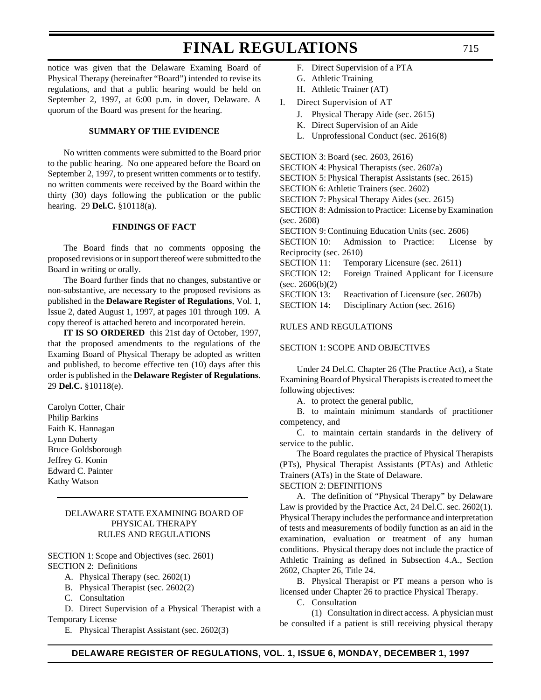notice was given that the Delaware Examing Board of Physical Therapy (hereinafter "Board") intended to revise its regulations, and that a public hearing would be held on September 2, 1997, at 6:00 p.m. in dover, Delaware. A quorum of the Board was present for the hearing.

#### **SUMMARY OF THE EVIDENCE**

No written comments were submitted to the Board prior to the public hearing. No one appeared before the Board on September 2, 1997, to present written comments or to testify. no written comments were received by the Board within the thirty (30) days following the publication or the public hearing. 29 **Del.C.** §10118(a).

#### **FINDINGS OF FACT**

The Board finds that no comments opposing the proposed revisions or in support thereof were submitted to the Board in writing or orally.

The Board further finds that no changes, substantive or non-substantive, are necessary to the proposed revisions as published in the **Delaware Register of Regulations**, Vol. 1, Issue 2, dated August 1, 1997, at pages 101 through 109. A copy thereof is attached hereto and incorporated herein.

**IT IS SO ORDERED** this 21st day of October, 1997, that the proposed amendments to the regulations of the Examing Board of Physical Therapy be adopted as written and published, to become effective ten (10) days after this order is published in the **Delaware Register of Regulations**. 29 **Del.C.** §10118(e).

Carolyn Cotter, Chair Philip Barkins Faith K. Hannagan Lynn Doherty Bruce Goldsborough Jeffrey G. Konin Edward C. Painter Kathy Watson

#### DELAWARE STATE EXAMINING BOARD OF PHYSICAL THERAPY RULES AND REGULATIONS

SECTION 1: Scope and Objectives (sec. 2601) SECTION 2: Definitions

- A. Physical Therapy (sec. 2602(1)
- B. Physical Therapist (sec. 2602(2)
- C. Consultation

D. Direct Supervision of a Physical Therapist with a Temporary License

E. Physical Therapist Assistant (sec. 2602(3)

- F. Direct Supervision of a PTA
- G. Athletic Training
- H. Athletic Trainer (AT)
- I. Direct Supervision of AT
	- J. Physical Therapy Aide (sec. 2615)
	- K. Direct Supervision of an Aide
	- L. Unprofessional Conduct (sec. 2616(8)

SECTION 3: Board (sec. 2603, 2616) SECTION 4: Physical Therapists (sec. 2607a) SECTION 5: Physical Therapist Assistants (sec. 2615) SECTION 6: Athletic Trainers (sec. 2602) SECTION 7: Physical Therapy Aides (sec. 2615) SECTION 8: Admission to Practice: License by Examination (sec. 2608) SECTION 9: Continuing Education Units (sec. 2606) SECTION 10: Admission to Practice: License by Reciprocity (sec. 2610) SECTION 11: Temporary Licensure (sec. 2611) SECTION 12: Foreign Trained Applicant for Licensure  $(sec. 2606(b)(2))$ SECTION 13: Reactivation of Licensure (sec. 2607b) SECTION 14: Disciplinary Action (sec. 2616)

#### RULES AND REGULATIONS

#### SECTION 1: SCOPE AND OBJECTIVES

Under 24 Del.C. Chapter 26 (The Practice Act), a State Examining Board of Physical Therapists is created to meet the following objectives:

A. to protect the general public,

B. to maintain minimum standards of practitioner competency, and

C. to maintain certain standards in the delivery of service to the public.

The Board regulates the practice of Physical Therapists (PTs), Physical Therapist Assistants (PTAs) and Athletic Trainers (ATs) in the State of Delaware.

SECTION 2: DEFINITIONS

A. The definition of "Physical Therapy" by Delaware Law is provided by the Practice Act, 24 Del.C. sec. 2602(1). Physical Therapy includes the performance and interpretation of tests and measurements of bodily function as an aid in the examination, evaluation or treatment of any human conditions. Physical therapy does not include the practice of Athletic Training as defined in Subsection 4.A., Section 2602, Chapter 26, Title 24.

B. Physical Therapist or PT means a person who is licensed under Chapter 26 to practice Physical Therapy.

C. Consultation

(1) Consultation in direct access. A physician must be consulted if a patient is still receiving physical therapy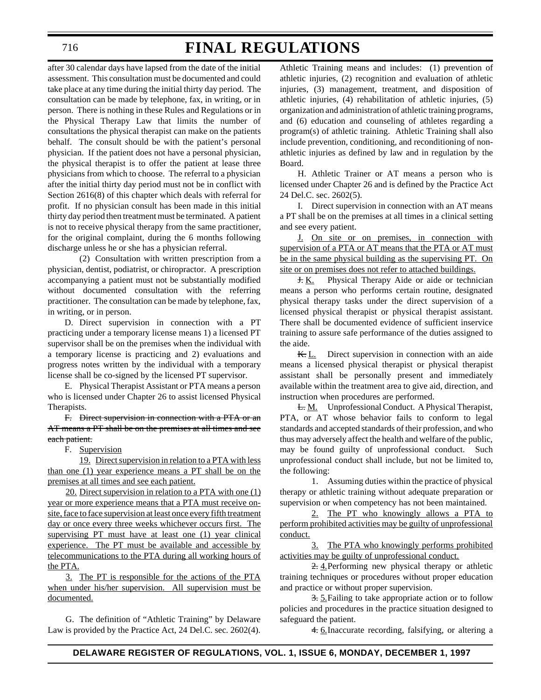after 30 calendar days have lapsed from the date of the initial assessment. This consultation must be documented and could take place at any time during the initial thirty day period. The consultation can be made by telephone, fax, in writing, or in person. There is nothing in these Rules and Regulations or in the Physical Therapy Law that limits the number of consultations the physical therapist can make on the patients behalf. The consult should be with the patient's personal physician. If the patient does not have a personal physician, the physical therapist is to offer the patient at lease three physicians from which to choose. The referral to a physician after the initial thirty day period must not be in conflict with Section 2616(8) of this chapter which deals with referral for profit. If no physician consult has been made in this initial thirty day period then treatment must be terminated. A patient is not to receive physical therapy from the same practitioner, for the original complaint, during the 6 months following discharge unless he or she has a physician referral.

(2) Consultation with written prescription from a physician, dentist, podiatrist, or chiropractor. A prescription accompanying a patient must not be substantially modified without documented consultation with the referring practitioner. The consultation can be made by telephone, fax, in writing, or in person.

D. Direct supervision in connection with a PT practicing under a temporary license means 1) a licensed PT supervisor shall be on the premises when the individual with a temporary license is practicing and 2) evaluations and progress notes written by the individual with a temporary license shall be co-signed by the licensed PT supervisor.

E. Physical Therapist Assistant or PTA means a person who is licensed under Chapter 26 to assist licensed Physical Therapists.

F. Direct supervision in connection with a PTA or an AT means a PT shall be on the premises at all times and see each patient.

F. Supervision

19. Direct supervision in relation to a PTA with less than one (1) year experience means a PT shall be on the premises at all times and see each patient.

20. Direct supervision in relation to a PTA with one (1) year or more experience means that a PTA must receive onsite, face to face supervision at least once every fifth treatment day or once every three weeks whichever occurs first. The supervising PT must have at least one (1) year clinical experience. The PT must be available and accessible by telecommunications to the PTA during all working hours of the PTA.

3. The PT is responsible for the actions of the PTA when under his/her supervision. All supervision must be documented.

G. The definition of "Athletic Training" by Delaware Law is provided by the Practice Act, 24 Del.C. sec. 2602(4).

Athletic Training means and includes: (1) prevention of athletic injuries, (2) recognition and evaluation of athletic injuries, (3) management, treatment, and disposition of athletic injuries, (4) rehabilitation of athletic injuries, (5) organization and administration of athletic training programs, and (6) education and counseling of athletes regarding a program(s) of athletic training. Athletic Training shall also include prevention, conditioning, and reconditioning of nonathletic injuries as defined by law and in regulation by the Board.

H. Athletic Trainer or AT means a person who is licensed under Chapter 26 and is defined by the Practice Act 24 Del.C. sec. 2602(5).

I. Direct supervision in connection with an AT means a PT shall be on the premises at all times in a clinical setting and see every patient.

J. On site or on premises, in connection with supervision of a PTA or AT means that the PTA or AT must be in the same physical building as the supervising PT. On site or on premises does not refer to attached buildings.

 $H. K.$  Physical Therapy Aide or aide or technician means a person who performs certain routine, designated physical therapy tasks under the direct supervision of a licensed physical therapist or physical therapist assistant. There shall be documented evidence of sufficient inservice training to assure safe performance of the duties assigned to the aide.

K. L. Direct supervision in connection with an aide means a licensed physical therapist or physical therapist assistant shall be personally present and immediately available within the treatment area to give aid, direction, and instruction when procedures are performed.

E. M. Unprofessional Conduct. A Physical Therapist, PTA, or AT whose behavior fails to conform to legal standards and accepted standards of their profession, and who thus may adversely affect the health and welfare of the public, may be found guilty of unprofessional conduct. Such unprofessional conduct shall include, but not be limited to, the following:

1. Assuming duties within the practice of physical therapy or athletic training without adequate preparation or supervision or when competency has not been maintained.

2. The PT who knowingly allows a PTA to perform prohibited activities may be guilty of unprofessional conduct.

3. The PTA who knowingly performs prohibited activities may be guilty of unprofessional conduct.

2. 4.Performing new physical therapy or athletic training techniques or procedures without proper education and practice or without proper supervision.

3. 5.Failing to take appropriate action or to follow policies and procedures in the practice situation designed to safeguard the patient.

4. 6.Inaccurate recording, falsifying, or altering a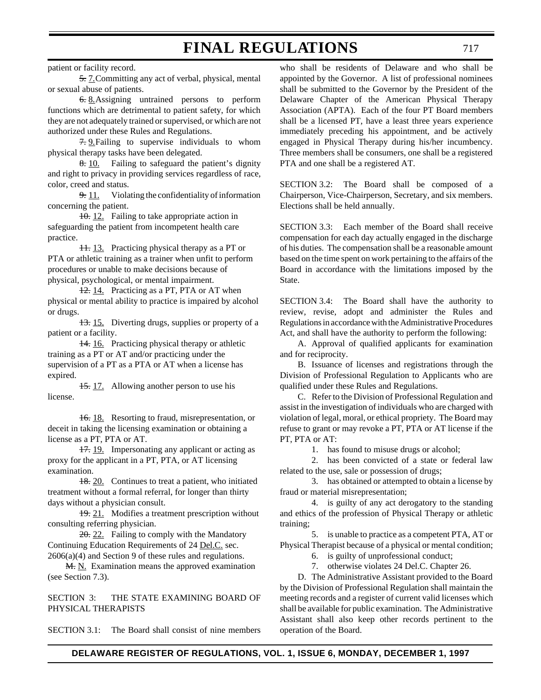patient or facility record.

5. 7.Committing any act of verbal, physical, mental or sexual abuse of patients.

6. 8. Assigning untrained persons to perform functions which are detrimental to patient safety, for which they are not adequately trained or supervised, or which are not authorized under these Rules and Regulations.

7. 9. Failing to supervise individuals to whom physical therapy tasks have been delegated.

8. 10. Failing to safeguard the patient's dignity and right to privacy in providing services regardless of race, color, creed and status.

9. 11. Violating the confidentiality of information concerning the patient.

 $10.12$ . Failing to take appropriate action in safeguarding the patient from incompetent health care practice.

11. 13. Practicing physical therapy as a PT or PTA or athletic training as a trainer when unfit to perform procedures or unable to make decisions because of physical, psychological, or mental impairment.

12. 14. Practicing as a PT, PTA or AT when physical or mental ability to practice is impaired by alcohol or drugs.

13. 15. Diverting drugs, supplies or property of a patient or a facility.

14. 16. Practicing physical therapy or athletic training as a PT or AT and/or practicing under the supervision of a PT as a PTA or AT when a license has expired.

15. 17. Allowing another person to use his license.

16. 18. Resorting to fraud, misrepresentation, or deceit in taking the licensing examination or obtaining a license as a PT, PTA or AT.

17. 19. Impersonating any applicant or acting as proxy for the applicant in a PT, PTA, or AT licensing examination.

18. 20. Continues to treat a patient, who initiated treatment without a formal referral, for longer than thirty days without a physician consult.

19. 21. Modifies a treatment prescription without consulting referring physician.

20. 22. Failing to comply with the Mandatory Continuing Education Requirements of 24 Del.C. sec. 2606(a)(4) and Section 9 of these rules and regulations.

**M.** N. Examination means the approved examination (see Section 7.3).

SECTION 3: THE STATE EXAMINING BOARD OF PHYSICAL THERAPISTS

SECTION 3.1: The Board shall consist of nine members

who shall be residents of Delaware and who shall be appointed by the Governor. A list of professional nominees shall be submitted to the Governor by the President of the Delaware Chapter of the American Physical Therapy Association (APTA). Each of the four PT Board members shall be a licensed PT, have a least three years experience immediately preceding his appointment, and be actively engaged in Physical Therapy during his/her incumbency. Three members shall be consumers, one shall be a registered PTA and one shall be a registered AT.

SECTION 3.2: The Board shall be composed of a Chairperson, Vice-Chairperson, Secretary, and six members. Elections shall be held annually.

SECTION 3.3: Each member of the Board shall receive compensation for each day actually engaged in the discharge of his duties. The compensation shall be a reasonable amount based on the time spent on work pertaining to the affairs of the Board in accordance with the limitations imposed by the State.

SECTION 3.4: The Board shall have the authority to review, revise, adopt and administer the Rules and Regulations in accordance with the Administrative Procedures Act, and shall have the authority to perform the following:

A. Approval of qualified applicants for examination and for reciprocity.

B. Issuance of licenses and registrations through the Division of Professional Regulation to Applicants who are qualified under these Rules and Regulations.

C. Refer to the Division of Professional Regulation and assist in the investigation of individuals who are charged with violation of legal, moral, or ethical propriety. The Board may refuse to grant or may revoke a PT, PTA or AT license if the PT, PTA or AT:

1. has found to misuse drugs or alcohol;

2. has been convicted of a state or federal law related to the use, sale or possession of drugs;

3. has obtained or attempted to obtain a license by fraud or material misrepresentation;

4. is guilty of any act derogatory to the standing and ethics of the profession of Physical Therapy or athletic training;

5. is unable to practice as a competent PTA, AT or Physical Therapist because of a physical or mental condition;

6. is guilty of unprofessional conduct;

7. otherwise violates 24 Del.C. Chapter 26.

D. The Administrative Assistant provided to the Board by the Division of Professional Regulation shall maintain the meeting records and a register of current valid licenses which shall be available for public examination. The Administrative Assistant shall also keep other records pertinent to the operation of the Board.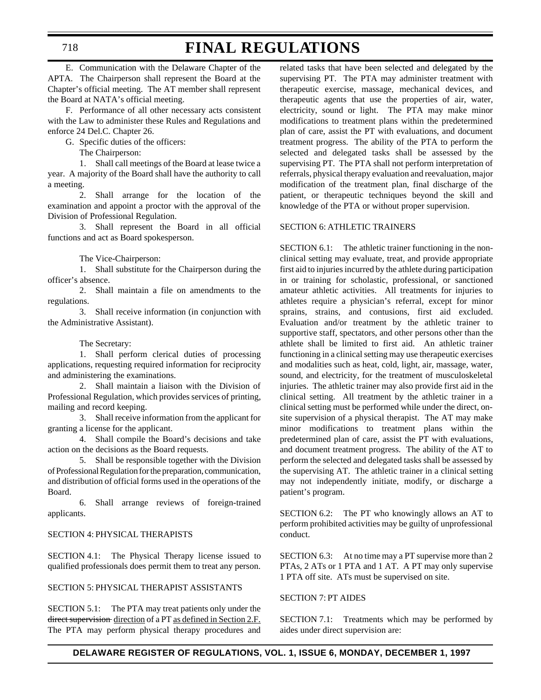E. Communication with the Delaware Chapter of the APTA. The Chairperson shall represent the Board at the Chapter's official meeting. The AT member shall represent the Board at NATA's official meeting.

F. Performance of all other necessary acts consistent with the Law to administer these Rules and Regulations and enforce 24 Del.C. Chapter 26.

G. Specific duties of the officers:

The Chairperson:

1. Shall call meetings of the Board at lease twice a year. A majority of the Board shall have the authority to call a meeting.

2. Shall arrange for the location of the examination and appoint a proctor with the approval of the Division of Professional Regulation.

3. Shall represent the Board in all official functions and act as Board spokesperson.

The Vice-Chairperson:

1. Shall substitute for the Chairperson during the officer's absence.

2. Shall maintain a file on amendments to the regulations.

3. Shall receive information (in conjunction with the Administrative Assistant).

#### The Secretary:

1. Shall perform clerical duties of processing applications, requesting required information for reciprocity and administering the examinations.

2. Shall maintain a liaison with the Division of Professional Regulation, which provides services of printing, mailing and record keeping.

3. Shall receive information from the applicant for granting a license for the applicant.

4. Shall compile the Board's decisions and take action on the decisions as the Board requests.

5. Shall be responsible together with the Division of Professional Regulation for the preparation, communication, and distribution of official forms used in the operations of the Board.

6. Shall arrange reviews of foreign-trained applicants.

#### SECTION 4: PHYSICAL THERAPISTS

SECTION 4.1: The Physical Therapy license issued to qualified professionals does permit them to treat any person.

#### SECTION 5: PHYSICAL THERAPIST ASSISTANTS

SECTION 5.1: The PTA may treat patients only under the direct supervision direction of a PT as defined in Section 2.F. The PTA may perform physical therapy procedures and

related tasks that have been selected and delegated by the supervising PT. The PTA may administer treatment with therapeutic exercise, massage, mechanical devices, and therapeutic agents that use the properties of air, water, electricity, sound or light. The PTA may make minor modifications to treatment plans within the predetermined plan of care, assist the PT with evaluations, and document treatment progress. The ability of the PTA to perform the selected and delegated tasks shall be assessed by the supervising PT. The PTA shall not perform interpretation of referrals, physical therapy evaluation and reevaluation, major modification of the treatment plan, final discharge of the patient, or therapeutic techniques beyond the skill and knowledge of the PTA or without proper supervision.

#### SECTION 6: ATHLETIC TRAINERS

SECTION 6.1: The athletic trainer functioning in the nonclinical setting may evaluate, treat, and provide appropriate first aid to injuries incurred by the athlete during participation in or training for scholastic, professional, or sanctioned amateur athletic activities. All treatments for injuries to athletes require a physician's referral, except for minor sprains, strains, and contusions, first aid excluded. Evaluation and/or treatment by the athletic trainer to supportive staff, spectators, and other persons other than the athlete shall be limited to first aid. An athletic trainer functioning in a clinical setting may use therapeutic exercises and modalities such as heat, cold, light, air, massage, water, sound, and electricity, for the treatment of musculoskeletal injuries. The athletic trainer may also provide first aid in the clinical setting. All treatment by the athletic trainer in a clinical setting must be performed while under the direct, onsite supervision of a physical therapist. The AT may make minor modifications to treatment plans within the predetermined plan of care, assist the PT with evaluations, and document treatment progress. The ability of the AT to perform the selected and delegated tasks shall be assessed by the supervising AT. The athletic trainer in a clinical setting may not independently initiate, modify, or discharge a patient's program.

SECTION 6.2: The PT who knowingly allows an AT to perform prohibited activities may be guilty of unprofessional conduct.

SECTION 6.3: At no time may a PT supervise more than 2 PTAs, 2 ATs or 1 PTA and 1 AT. A PT may only supervise 1 PTA off site. ATs must be supervised on site.

#### SECTION 7: PT AIDES

SECTION 7.1: Treatments which may be performed by aides under direct supervision are:

#### **DELAWARE REGISTER OF REGULATIONS, VOL. 1, ISSUE 6, MONDAY, DECEMBER 1, 1997**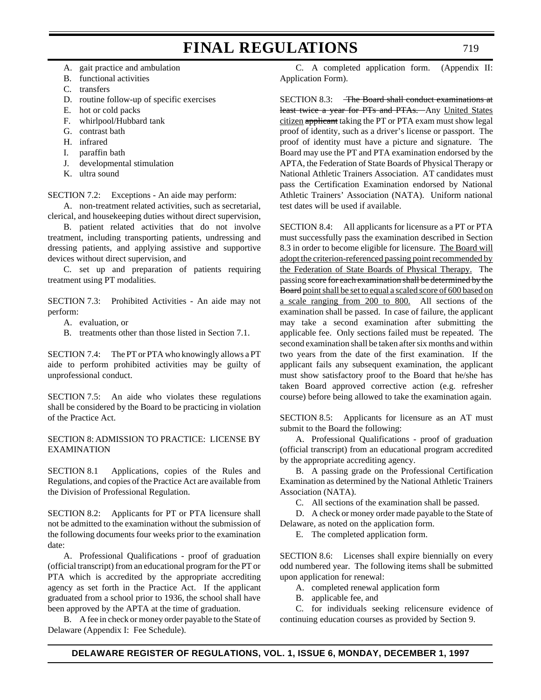- A. gait practice and ambulation
- B. functional activities
- C. transfers
- D. routine follow-up of specific exercises
- E. hot or cold packs
- F. whirlpool/Hubbard tank
- G. contrast bath
- H. infrared
- I. paraffin bath
- J. developmental stimulation
- K. ultra sound

SECTION 7.2: Exceptions - An aide may perform:

A. non-treatment related activities, such as secretarial, clerical, and housekeeping duties without direct supervision,

B. patient related activities that do not involve treatment, including transporting patients, undressing and dressing patients, and applying assistive and supportive devices without direct supervision, and

C. set up and preparation of patients requiring treatment using PT modalities.

SECTION 7.3: Prohibited Activities - An aide may not perform:

- A. evaluation, or
- B. treatments other than those listed in Section 7.1.

SECTION 7.4: The PT or PTA who knowingly allows a PT aide to perform prohibited activities may be guilty of unprofessional conduct.

SECTION 7.5: An aide who violates these regulations shall be considered by the Board to be practicing in violation of the Practice Act.

SECTION 8: ADMISSION TO PRACTICE: LICENSE BY EXAMINATION

SECTION 8.1 Applications, copies of the Rules and Regulations, and copies of the Practice Act are available from the Division of Professional Regulation.

SECTION 8.2: Applicants for PT or PTA licensure shall not be admitted to the examination without the submission of the following documents four weeks prior to the examination date:

A. Professional Qualifications - proof of graduation (official transcript) from an educational program for the PT or PTA which is accredited by the appropriate accrediting agency as set forth in the Practice Act. If the applicant graduated from a school prior to 1936, the school shall have been approved by the APTA at the time of graduation.

B. A fee in check or money order payable to the State of Delaware (Appendix I: Fee Schedule).

C. A completed application form. (Appendix II: Application Form).

SECTION 8.3: The Board shall conduct examinations at least twice a year for PTs and PTAs. Any United States citizen applicant taking the PT or PTA exam must show legal proof of identity, such as a driver's license or passport. The proof of identity must have a picture and signature. The Board may use the PT and PTA examination endorsed by the APTA, the Federation of State Boards of Physical Therapy or National Athletic Trainers Association. AT candidates must pass the Certification Examination endorsed by National Athletic Trainers' Association (NATA). Uniform national test dates will be used if available.

SECTION 8.4: All applicants for licensure as a PT or PTA must successfully pass the examination described in Section 8.3 in order to become eligible for licensure. The Board will adopt the criterion-referenced passing point recommended by the Federation of State Boards of Physical Therapy. The passing score for each examination shall be determined by the Board point shall be set to equal a scaled score of 600 based on a scale ranging from 200 to 800. All sections of the examination shall be passed. In case of failure, the applicant may take a second examination after submitting the applicable fee. Only sections failed must be repeated. The second examination shall be taken after six months and within two years from the date of the first examination. If the applicant fails any subsequent examination, the applicant must show satisfactory proof to the Board that he/she has taken Board approved corrective action (e.g. refresher course) before being allowed to take the examination again.

SECTION 8.5: Applicants for licensure as an AT must submit to the Board the following:

A. Professional Qualifications - proof of graduation (official transcript) from an educational program accredited by the appropriate accrediting agency.

B. A passing grade on the Professional Certification Examination as determined by the National Athletic Trainers Association (NATA).

C. All sections of the examination shall be passed.

D. A check or money order made payable to the State of Delaware, as noted on the application form.

E. The completed application form.

SECTION 8.6: Licenses shall expire biennially on every odd numbered year. The following items shall be submitted upon application for renewal:

A. completed renewal application form

B. applicable fee, and

C. for individuals seeking relicensure evidence of continuing education courses as provided by Section 9.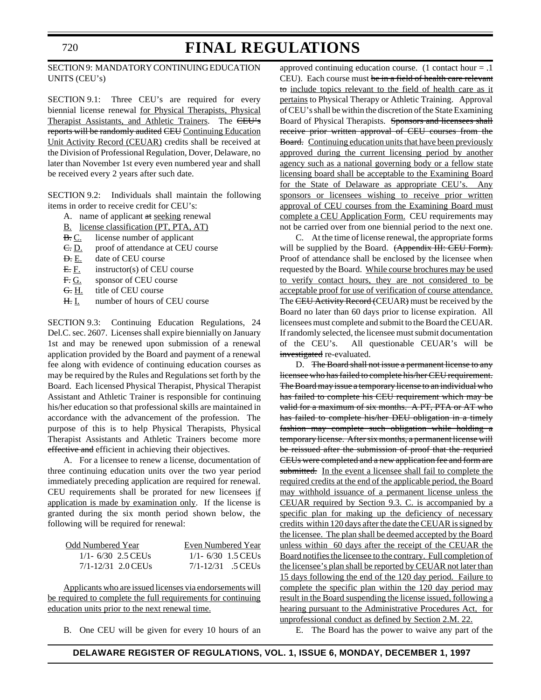#### SECTION 9: MANDATORY CONTINUING EDUCATION UNITS (CEU's)

SECTION 9.1: Three CEU's are required for every biennial license renewal for Physical Therapists, Physical Therapist Assistants, and Athletic Trainers. The CEU's reports will be randomly audited CEU Continuing Education Unit Activity Record (CEUAR) credits shall be received at the Division of Professional Regulation, Dover, Delaware, no later than November 1st every even numbered year and shall be received every 2 years after such date.

SECTION 9.2: Individuals shall maintain the following items in order to receive credit for CEU's:

- A. name of applicant at seeking renewal
- B. license classification (PT, PTA, AT)
- B. C. license number of applicant
- E. D. proof of attendance at CEU course
- **D.** E. date of CEU course
- $E E$ . instructor(s) of CEU course
- F. G. sponsor of CEU course
- G. H. title of CEU course
- H. I. number of hours of CEU course

SECTION 9.3: Continuing Education Regulations, 24 Del.C. sec. 2607. Licenses shall expire biennially on January 1st and may be renewed upon submission of a renewal application provided by the Board and payment of a renewal fee along with evidence of continuing education courses as may be required by the Rules and Regulations set forth by the Board. Each licensed Physical Therapist, Physical Therapist Assistant and Athletic Trainer is responsible for continuing his/her education so that professional skills are maintained in accordance with the advancement of the profession. The purpose of this is to help Physical Therapists, Physical Therapist Assistants and Athletic Trainers become more effective and efficient in achieving their objectives.

A. For a licensee to renew a license, documentation of three continuing education units over the two year period immediately preceding application are required for renewal. CEU requirements shall be prorated for new licensees if application is made by examination only. If the license is granted during the six month period shown below, the following will be required for renewal:

| <b>Odd Numbered Year</b> | Even Numbered Year    |
|--------------------------|-----------------------|
| $1/1 - 6/30$ 2.5 CEUs    | $1/1 - 6/30$ 1.5 CEUs |
| $7/1 - 12/31$ 2.0 CEUs   | $7/1 - 12/31$ .5 CEUs |

Applicants who are issued licenses via endorsements will be required to complete the full requirements for continuing education units prior to the next renewal time.

B. One CEU will be given for every 10 hours of an

approved continuing education course.  $(1 \text{ contact hour} = .1)$ CEU). Each course must be in a field of health care relevant to include topics relevant to the field of health care as it pertains to Physical Therapy or Athletic Training. Approval of CEU's shall be within the discretion of the State Examining Board of Physical Therapists. Sponsors and licensees shall receive prior written approval of CEU courses from the Board. Continuing education units that have been previously approved during the current licensing period by another agency such as a national governing body or a fellow state licensing board shall be acceptable to the Examining Board for the State of Delaware as appropriate CEU's. Any sponsors or licensees wishing to receive prior written approval of CEU courses from the Examining Board must complete a CEU Application Form. CEU requirements may not be carried over from one biennial period to the next one.

C. At the time of license renewal, the appropriate forms will be supplied by the Board. (Appendix III: CEU Form). Proof of attendance shall be enclosed by the licensee when requested by the Board. While course brochures may be used to verify contact hours, they are not considered to be acceptable proof for use of verification of course attendance. The CEU Activity Record (CEUAR) must be received by the Board no later than 60 days prior to license expiration. All licensees must complete and submit to the Board the CEUAR. If randomly selected, the licensee must submit documentation of the CEU's. All questionable CEUAR's will be investigated re-evaluated.

D. The Board shall not issue a permanent license to any licensee who has failed to complete his/her CEU requirement. The Board may issue a temporary license to an individual who has failed to complete his CEU requirement which may be valid for a maximum of six months. A PT, PTA or AT who has failed to complete his/her DEU obligation in a timely fashion may complete such obligation while holding a temporary license. After six months, a permanent license will be reissued after the submission of proof that the requried CEUs were completed and a new application fee and form are submitted. In the event a licensee shall fail to complete the required credits at the end of the applicable period, the Board may withhold issuance of a permanent license unless the CEUAR required by Section 9.3. C. is accompanied by a specific plan for making up the deficiency of necessary credits within 120 days after the date the CEUAR is signed by the licensee. The plan shall be deemed accepted by the Board unless within 60 days after the receipt of the CEUAR the Board notifies the licensee to the contrary. Full completion of the licensee's plan shall be reported by CEUAR not later than 15 days following the end of the 120 day period. Failure to complete the specific plan within the 120 day period may result in the Board suspending the license issued, following a hearing pursuant to the Administrative Procedures Act, for unprofessional conduct as defined by Section 2.M. 22.

E. The Board has the power to waive any part of the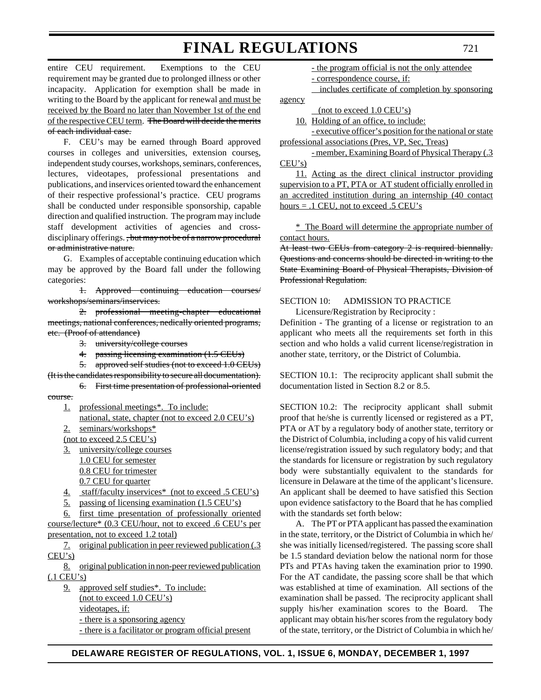entire CEU requirement. Exemptions to the CEU requirement may be granted due to prolonged illness or other incapacity. Application for exemption shall be made in writing to the Board by the applicant for renewal and must be received by the Board no later than November 1st of the end of the respective CEU term. The Board will decide the merits of each individual case.

F. CEU's may be earned through Board approved courses in colleges and universities, extension courses, independent study courses, workshops, seminars, conferences, lectures, videotapes, professional presentations and publications, and inservices oriented toward the enhancement of their respective professional's practice. CEU programs shall be conducted under responsible sponsorship, capable direction and qualified instruction. The program may include staff development activities of agencies and crossdisciplinary offerings. <del>, but may not be of a narrow procedural</del> or administrative nature.

G. Examples of acceptable continuing education which may be approved by the Board fall under the following categories:

1. Approved continuing education courses/ workshops/seminars/inservices.

2. professional meeting-chapter educational meetings, national conferences, nedically oriented programs, etc. (Proof of attendance)

- 3. university/college courses
- 4. passing licensing examination (1.5 CEUs)

5. approved self studies (not to exceed 1.0 CEUs) (It is the candidates responsibility to secure all documentation).

6. First time presentation of professional-oriented course.

- 1. professional meetings\*. To include:
- national, state, chapter (not to exceed 2.0 CEU's) 2. seminars/workshops\*

(not to exceed 2.5 CEU's)

- 3. university/college courses 1.0 CEU for semester 0.8 CEU for trimester 0.7 CEU for quarter
- 4. staff/faculty inservices\* (not to exceed .5 CEU's)
- 5. passing of licensing examination (1.5 CEU's)

6. first time presentation of professionally oriented course/lecture\* (0.3 CEU/hour, not to exceed .6 CEU's per presentation, not to exceed 1.2 total)

7. original publication in peer reviewed publication (.3  $CEU's$ 

8. original publication in non-peer reviewed publication  $(1$  CEU's)

9. approved self studies\*. To include: (not to exceed 1.0 CEU's) videotapes, if: - there is a sponsoring agency - there is a facilitator or program official present - the program official is not the only attendee

- correspondence course, if:

includes certificate of completion by sponsoring

agency

 (not to exceed 1.0 CEU's) 10. Holding of an office, to include:

- executive officer's position for the national or state professional associations (Pres, VP, Sec, Treas)

- member, Examining Board of Physical Therapy (.3 CEU's)

11. Acting as the direct clinical instructor providing supervision to a PT, PTA or AT student officially enrolled in an accredited institution during an internship (40 contact hours  $= .1$  CEU, not to exceed  $.5$  CEU's

\* The Board will determine the appropriate number of contact hours.

At least two CEUs from category 2 is required biennally. Questions and concerns should be directed in writing to the State Examining Board of Physical Therapists, Division of Professional Regulation.

#### SECTION 10: ADMISSION TO PRACTICE

Licensure/Registration by Reciprocity :

Definition - The granting of a license or registration to an applicant who meets all the requirements set forth in this section and who holds a valid current license/registration in another state, territory, or the District of Columbia.

SECTION 10.1: The reciprocity applicant shall submit the documentation listed in Section 8.2 or 8.5.

SECTION 10.2: The reciprocity applicant shall submit proof that he/she is currently licensed or registered as a PT, PTA or AT by a regulatory body of another state, territory or the District of Columbia, including a copy of his valid current license/registration issued by such regulatory body; and that the standards for licensure or registration by such regulatory body were substantially equivalent to the standards for licensure in Delaware at the time of the applicant's licensure. An applicant shall be deemed to have satisfied this Section upon evidence satisfactory to the Board that he has complied with the standards set forth below:

A. The PT or PTA applicant has passed the examination in the state, territory, or the District of Columbia in which he/ she was initially licensed/registered. The passing score shall be 1.5 standard deviation below the national norm for those PTs and PTAs having taken the examination prior to 1990. For the AT candidate, the passing score shall be that which was established at time of examination. All sections of the examination shall be passed. The reciprocity applicant shall supply his/her examination scores to the Board. applicant may obtain his/her scores from the regulatory body of the state, territory, or the District of Columbia in which he/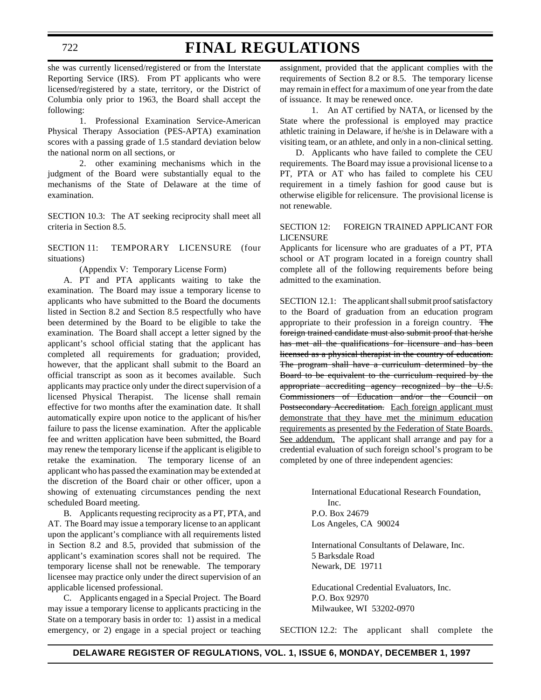she was currently licensed/registered or from the Interstate Reporting Service (IRS). From PT applicants who were licensed/registered by a state, territory, or the District of Columbia only prior to 1963, the Board shall accept the following:

1. Professional Examination Service-American Physical Therapy Association (PES-APTA) examination scores with a passing grade of 1.5 standard deviation below the national norm on all sections, or

2. other examining mechanisms which in the judgment of the Board were substantially equal to the mechanisms of the State of Delaware at the time of examination.

SECTION 10.3: The AT seeking reciprocity shall meet all criteria in Section 8.5.

SECTION 11: TEMPORARY LICENSURE (four situations)

(Appendix V: Temporary License Form)

A. PT and PTA applicants waiting to take the examination. The Board may issue a temporary license to applicants who have submitted to the Board the documents listed in Section 8.2 and Section 8.5 respectfully who have been determined by the Board to be eligible to take the examination. The Board shall accept a letter signed by the applicant's school official stating that the applicant has completed all requirements for graduation; provided, however, that the applicant shall submit to the Board an official transcript as soon as it becomes available. Such applicants may practice only under the direct supervision of a licensed Physical Therapist. The license shall remain effective for two months after the examination date. It shall automatically expire upon notice to the applicant of his/her failure to pass the license examination. After the applicable fee and written application have been submitted, the Board may renew the temporary license if the applicant is eligible to retake the examination. The temporary license of an applicant who has passed the examination may be extended at the discretion of the Board chair or other officer, upon a showing of extenuating circumstances pending the next scheduled Board meeting.

B. Applicants requesting reciprocity as a PT, PTA, and AT. The Board may issue a temporary license to an applicant upon the applicant's compliance with all requirements listed in Section 8.2 and 8.5, provided that submission of the applicant's examination scores shall not be required. The temporary license shall not be renewable. The temporary licensee may practice only under the direct supervision of an applicable licensed professional.

C. Applicants engaged in a Special Project. The Board may issue a temporary license to applicants practicing in the State on a temporary basis in order to: 1) assist in a medical emergency, or 2) engage in a special project or teaching

assignment, provided that the applicant complies with the requirements of Section 8.2 or 8.5. The temporary license may remain in effect for a maximum of one year from the date of issuance. It may be renewed once.

1. An AT certified by NATA, or licensed by the State where the professional is employed may practice athletic training in Delaware, if he/she is in Delaware with a visiting team, or an athlete, and only in a non-clinical setting.

D. Applicants who have failed to complete the CEU requirements. The Board may issue a provisional license to a PT, PTA or AT who has failed to complete his CEU requirement in a timely fashion for good cause but is otherwise eligible for relicensure. The provisional license is not renewable.

#### SECTION 12: FOREIGN TRAINED APPLICANT FOR LICENSURE

Applicants for licensure who are graduates of a PT, PTA school or AT program located in a foreign country shall complete all of the following requirements before being admitted to the examination.

SECTION 12.1: The applicant shall submit proof satisfactory to the Board of graduation from an education program appropriate to their profession in a foreign country. The foreign trained candidate must also submit proof that he/she has met all the qualifications for licensure and has been licensed as a physical therapist in the country of education. The program shall have a curriculum determined by the Board to be equivalent to the curriculum required by the appropriate accrediting agency recognized by the U.S. Commissioners of Education and/or the Council on Postsecondary Accreditation. Each foreign applicant must demonstrate that they have met the minimum education requirements as presented by the Federation of State Boards. See addendum. The applicant shall arrange and pay for a credential evaluation of such foreign school's program to be completed by one of three independent agencies:

> International Educational Research Foundation, Inc. P.O. Box 24679 Los Angeles, CA 90024

International Consultants of Delaware, Inc. 5 Barksdale Road Newark, DE 19711

Educational Credential Evaluators, Inc. P.O. Box 92970 Milwaukee, WI 53202-0970

SECTION 12.2: The applicant shall complete the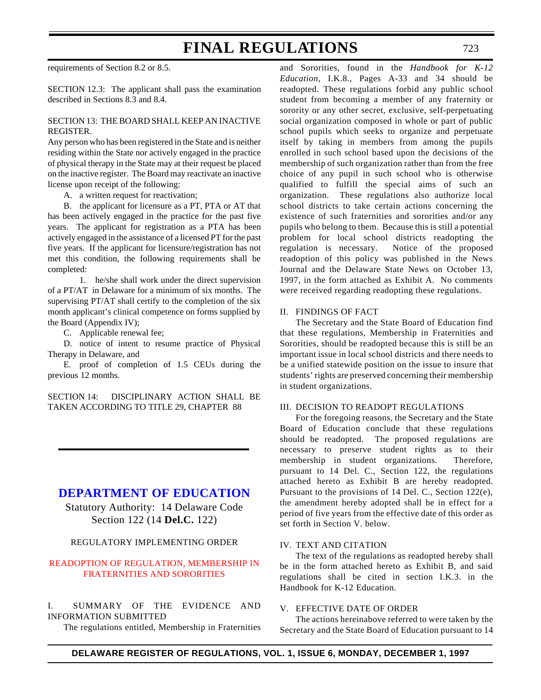requirements of Section 8.2 or 8.5.

SECTION 12.3: The applicant shall pass the examination described in Sections 8.3 and 8.4.

#### SECTION 13: THE BOARD SHALL KEEP AN INACTIVE REGISTER.

Any person who has been registered in the State and is neither residing within the State nor actively engaged in the practice of physical therapy in the State may at their request be placed on the inactive register. The Board may reactivate an inactive license upon receipt of the following:

A. a written request for reactivation;

B. the applicant for licensure as a PT, PTA or AT that has been actively engaged in the practice for the past five years. The applicant for registration as a PTA has been actively engaged in the assistance of a licensed PT for the past five years. If the applicant for licensure/registration has not met this condition, the following requirements shall be completed:

1. he/she shall work under the direct supervision of a PT/AT in Delaware for a minimum of six months. The supervising PT/AT shall certify to the completion of the six month applicant's clinical competence on forms supplied by the Board (Appendix IV);

C. Applicable renewal fee;

D. notice of intent to resume practice of Physical Therapy in Delaware, and

E. proof of completion of 1.5 CEUs during the previous 12 months.

SECTION 14: DISCIPLINARY ACTION SHALL BE TAKEN ACCORDING TO TITLE 29, CHAPTER 88

### **[DEPARTMENT OF EDUCATION](http://www.doe.state.de.us/docs/index_js.asp)**

Statutory Authority: 14 Delaware Code Section 122 (14 **Del.C.** 122)

#### REGULATORY IMPLEMENTING ORDER

#### [READOPTION OF REGULATION, MEMBERSHIP IN](#page-3-0) FRATERNITIES AND SORORITIES

#### I. SUMMARY OF THE EVIDENCE AND INFORMATION SUBMITTED

The regulations entitled, Membership in Fraternities

and Sororities, found in the *Handbook for K-12 Education*, I.K.8., Pages A-33 and 34 should be readopted. These regulations forbid any public school student from becoming a member of any fraternity or sorority or any other secret, exclusive, self-perpetuating social organization composed in whole or part of public school pupils which seeks to organize and perpetuate itself by taking in members from among the pupils enrolled in such school based upon the decisions of the membership of such organization rather than from the free choice of any pupil in such school who is otherwise qualified to fulfill the special aims of such an organization. These regulations also authorize local school districts to take certain actions concerning the existence of such fraternities and sororities and/or any pupils who belong to them. Because this is still a potential problem for local school districts readopting the regulation is necessary. Notice of the proposed readoption of this policy was published in the News Journal and the Delaware State News on October 13, 1997, in the form attached as Exhibit A. No comments were received regarding readopting these regulations.

#### II. FINDINGS OF FACT

The Secretary and the State Board of Education find that these regulations, Membership in Fraternities and Sororities, should be readopted because this is still be an important issue in local school districts and there needs to be a unified statewide position on the issue to insure that students' rights are preserved concerning their membership in student organizations.

#### III. DECISION TO READOPT REGULATIONS

For the foregoing reasons, the Secretary and the State Board of Education conclude that these regulations should be readopted. The proposed regulations are necessary to preserve student rights as to their membership in student organizations. Therefore, pursuant to 14 Del. C., Section 122, the regulations attached hereto as Exhibit B are hereby readopted. Pursuant to the provisions of 14 Del. C., Section 122(e), the amendment hereby adopted shall be in effect for a period of five years from the effective date of this order as set forth in Section V. below.

#### IV. TEXT AND CITATION

The text of the regulations as readopted hereby shall be in the form attached hereto as Exhibit B, and said regulations shall be cited in section I.K.3. in the Handbook for K-12 Education.

#### V. EFFECTIVE DATE OF ORDER

The actions hereinabove referred to were taken by the Secretary and the State Board of Education pursuant to 14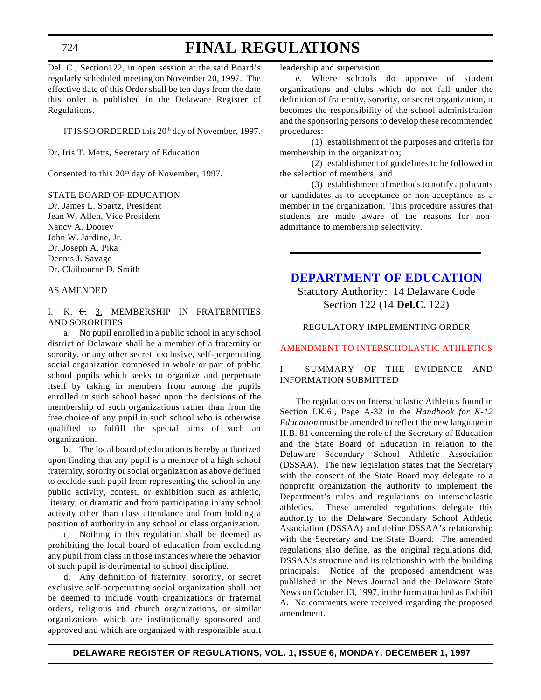#### 724

### **FINAL REGULATIONS**

Del. C., Section122, in open session at the said Board's regularly scheduled meeting on November 20, 1997. The effective date of this Order shall be ten days from the date this order is published in the Delaware Register of Regulations.

#### IT IS SO ORDERED this 20<sup>th</sup> day of November, 1997.

Dr. Iris T. Metts, Secretary of Education

Consented to this 20<sup>th</sup> day of November, 1997.

#### STATE BOARD OF EDUCATION

Dr. James L. Spartz, President Jean W. Allen, Vice President Nancy A. Doorey John W. Jardine, Jr. Dr. Joseph A. Pika Dennis J. Savage Dr. Claibourne D. Smith

#### AS AMENDED

I. K. 8. 3. MEMBERSHIP IN FRATERNITIES AND SORORITIES

a. No pupil enrolled in a public school in any school district of Delaware shall be a member of a fraternity or sorority, or any other secret, exclusive, self-perpetuating social organization composed in whole or part of public school pupils which seeks to organize and perpetuate itself by taking in members from among the pupils enrolled in such school based upon the decisions of the membership of such organizations rather than from the free choice of any pupil in such school who is otherwise qualified to fulfill the special aims of such an organization.

b. The local board of education is hereby authorized upon finding that any pupil is a member of a high school fraternity, sorority or social organization as above defined to exclude such pupil from representing the school in any public activity, contest, or exhibition such as athletic, literary, or dramatic and from participating in any school activity other than class attendance and from holding a position of authority in any school or class organization.

c. Nothing in this regulation shall be deemed as prohibiting the local board of education from excluding any pupil from class in those instances where the behavior of such pupil is detrimental to school discipline.

d. Any definition of fraternity, sorority, or secret exclusive self-perpetuating social organization shall not be deemed to include youth organizations or fraternal orders, religious and church organizations, or similar organizations which are institutionally sponsored and approved and which are organized with responsible adult leadership and supervision.

e. Where schools do approve of student organizations and clubs which do not fall under the definition of fraternity, sorority, or secret organization, it becomes the responsibility of the school administration and the sponsoring persons to develop these recommended procedures:

(1) establishment of the purposes and criteria for membership in the organization;

(2) establishment of guidelines to be followed in the selection of members; and

(3) establishment of methods to notify applicants or candidates as to acceptance or non-acceptance as a member in the organization. This procedure assures that students are made aware of the reasons for nonadmittance to membership selectivity.

### **[DEPARTMENT OF EDUCATION](http://www.doe.state.de.us/docs/index_js.asp)**

Statutory Authority: 14 Delaware Code Section 122 (14 **Del.C.** 122)

#### REGULATORY IMPLEMENTING ORDER

#### [AMENDMENT TO INTERSCHOLASTIC ATHLETICS](#page-3-0)

#### I. SUMMARY OF THE EVIDENCE AND INFORMATION SUBMITTED

The regulations on Interscholastic Athletics found in Section I.K.6., Page A-32 in the *Handbook for K-12 Education* must be amended to reflect the new language in H.B. 81 concerning the role of the Secretary of Education and the State Board of Education in relation to the Delaware Secondary School Athletic Association (DSSAA). The new legislation states that the Secretary with the consent of the State Board may delegate to a nonprofit organization the authority to implement the Department's rules and regulations on interscholastic athletics. These amended regulations delegate this authority to the Delaware Secondary School Athletic Association (DSSAA) and define DSSAA's relationship with the Secretary and the State Board. The amended regulations also define, as the original regulations did, DSSAA's structure and its relationship with the building principals. Notice of the proposed amendment was published in the News Journal and the Delaware State News on October 13, 1997, in the form attached as Exhibit A. No comments were received regarding the proposed amendment.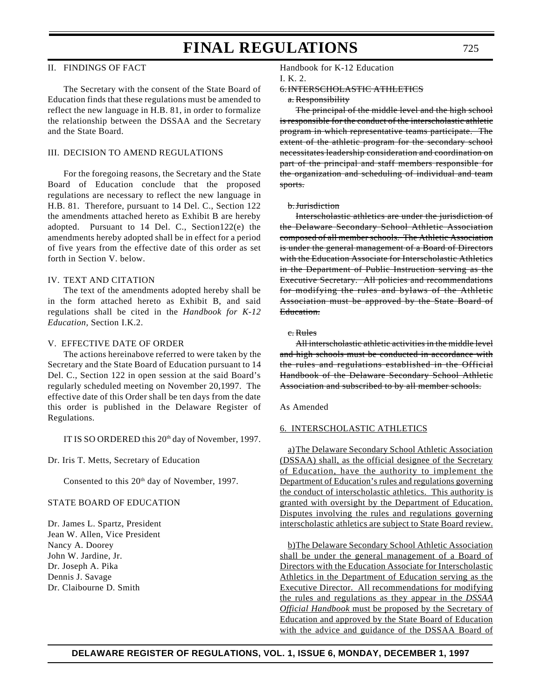I. K. 2.

#### II. FINDINGS OF FACT

The Secretary with the consent of the State Board of Education finds that these regulations must be amended to reflect the new language in H.B. 81, in order to formalize the relationship between the DSSAA and the Secretary and the State Board.

#### III. DECISION TO AMEND REGULATIONS

For the foregoing reasons, the Secretary and the State Board of Education conclude that the proposed regulations are necessary to reflect the new language in H.B. 81. Therefore, pursuant to 14 Del. C., Section 122 the amendments attached hereto as Exhibit B are hereby adopted. Pursuant to 14 Del. C., Section122(e) the amendments hereby adopted shall be in effect for a period of five years from the effective date of this order as set forth in Section V. below.

#### IV. TEXT AND CITATION

The text of the amendments adopted hereby shall be in the form attached hereto as Exhibit B, and said regulations shall be cited in the *Handbook for K-12 Education,* Section I.K.2.

#### V. EFFECTIVE DATE OF ORDER

The actions hereinabove referred to were taken by the Secretary and the State Board of Education pursuant to 14 Del. C., Section 122 in open session at the said Board's regularly scheduled meeting on November 20,1997. The effective date of this Order shall be ten days from the date this order is published in the Delaware Register of Regulations.

IT IS SO ORDERED this 20<sup>th</sup> day of November, 1997.

Dr. Iris T. Metts, Secretary of Education

Consented to this 20<sup>th</sup> day of November, 1997.

#### STATE BOARD OF EDUCATION

Dr. James L. Spartz, President Jean W. Allen, Vice President Nancy A. Doorey John W. Jardine, Jr. Dr. Joseph A. Pika Dennis J. Savage Dr. Claibourne D. Smith

The principal of the middle level and the high school

a. Responsibility

Handbook for K-12 Education

6.INTERSCHOLASTIC ATHLETICS

is responsible for the conduct of the interscholastic athletic program in which representative teams participate. The extent of the athletic program for the secondary school necessitates leadership consideration and coordination on part of the principal and staff members responsible for the organization and scheduling of individual and team sports.

#### b.Jurisdiction

Interscholastic athletics are under the jurisdiction of the Delaware Secondary School Athletic Association composed of all member schools. The Athletic Association is under the general management of a Board of Directors with the Education Associate for Interscholastic Athletics in the Department of Public Instruction serving as the Executive Secretary. All policies and recommendations for modifying the rules and bylaws of the Athletic Association must be approved by the State Board of Education.

c. Rules

All interscholastic athletic activities in the middle level and high schools must be conducted in accordance with the rules and regulations established in the Official Handbook of the Delaware Secondary School Athletic Association and subscribed to by all member schools.

#### As Amended

#### 6. INTERSCHOLASTIC ATHLETICS

a)The Delaware Secondary School Athletic Association (DSSAA) shall, as the official designee of the Secretary of Education, have the authority to implement the Department of Education's rules and regulations governing the conduct of interscholastic athletics. This authority is granted with oversight by the Department of Education. Disputes involving the rules and regulations governing interscholastic athletics are subject to State Board review.

b)The Delaware Secondary School Athletic Association shall be under the general management of a Board of Directors with the Education Associate for Interscholastic Athletics in the Department of Education serving as the Executive Director. All recommendations for modifying the rules and regulations as they appear in the *DSSAA Official Handbook* must be proposed by the Secretary of Education and approved by the State Board of Education with the advice and guidance of the DSSAA Board of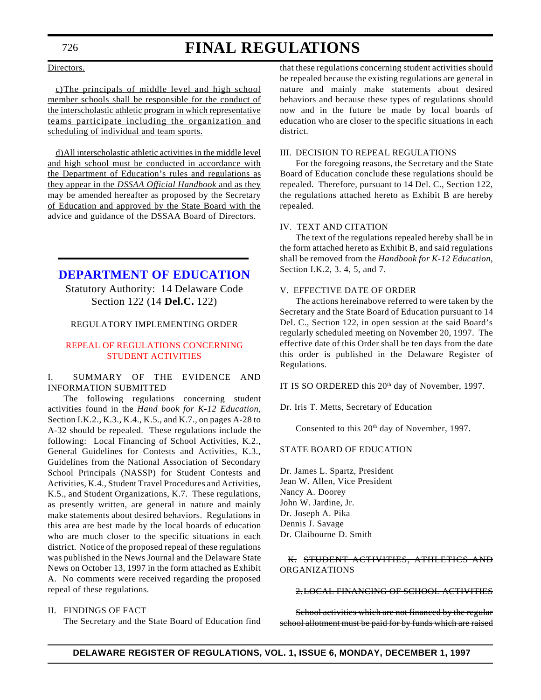#### Directors.

c)The principals of middle level and high school member schools shall be responsible for the conduct of the interscholastic athletic program in which representative teams participate including the organization and scheduling of individual and team sports.

d)All interscholastic athletic activities in the middle level and high school must be conducted in accordance with the Department of Education's rules and regulations as they appear in the *DSSAA Official Handbook* and as they may be amended hereafter as proposed by the Secretary of Education and approved by the State Board with the advice and guidance of the DSSAA Board of Directors.

### **[DEPARTMENT OF EDUCATION](http://www.doe.state.de.us/docs/index_js.asp)**

Statutory Authority: 14 Delaware Code Section 122 (14 **Del.C.** 122)

#### REGULATORY IMPLEMENTING ORDER

#### [REPEAL OF REGULATIONS CONCERNING](#page-3-0) STUDENT ACTIVITIES

#### I. SUMMARY OF THE EVIDENCE AND INFORMATION SUBMITTED

The following regulations concerning student activities found in the *Hand book for K-12 Education*, Section I.K.2., K.3., K.4., K.5., and K.7., on pages A-28 to A-32 should be repealed. These regulations include the following: Local Financing of School Activities, K.2., General Guidelines for Contests and Activities, K.3., Guidelines from the National Association of Secondary School Principals (NASSP) for Student Contests and Activities, K.4., Student Travel Procedures and Activities, K.5., and Student Organizations, K.7. These regulations, as presently written, are general in nature and mainly make statements about desired behaviors. Regulations in this area are best made by the local boards of education who are much closer to the specific situations in each district. Notice of the proposed repeal of these regulations was published in the News Journal and the Delaware State News on October 13, 1997 in the form attached as Exhibit A. No comments were received regarding the proposed repeal of these regulations.

#### II. FINDINGS OF FACT

The Secretary and the State Board of Education find

that these regulations concerning student activities should be repealed because the existing regulations are general in nature and mainly make statements about desired behaviors and because these types of regulations should now and in the future be made by local boards of education who are closer to the specific situations in each district.

#### III. DECISION TO REPEAL REGULATIONS

For the foregoing reasons, the Secretary and the State Board of Education conclude these regulations should be repealed. Therefore, pursuant to 14 Del. C., Section 122, the regulations attached hereto as Exhibit B are hereby repealed.

#### IV. TEXT AND CITATION

The text of the regulations repealed hereby shall be in the form attached hereto as Exhibit B, and said regulations shall be removed from the *Handbook for K-12 Education*, Section I.K.2, 3. 4, 5, and 7.

#### V. EFFECTIVE DATE OF ORDER

The actions hereinabove referred to were taken by the Secretary and the State Board of Education pursuant to 14 Del. C., Section 122, in open session at the said Board's regularly scheduled meeting on November 20, 1997. The effective date of this Order shall be ten days from the date this order is published in the Delaware Register of Regulations.

IT IS SO ORDERED this 20<sup>th</sup> day of November, 1997.

Dr. Iris T. Metts, Secretary of Education

Consented to this 20<sup>th</sup> day of November, 1997.

#### STATE BOARD OF EDUCATION

Dr. James L. Spartz, President Jean W. Allen, Vice President Nancy A. Doorey John W. Jardine, Jr. Dr. Joseph A. Pika Dennis J. Savage Dr. Claibourne D. Smith

#### K. STUDENT ACTIVITIES, ATHLETICS AND ORGANIZATIONS

#### 2.LOCAL FINANCING OF SCHOOL ACTIVITIES

School activities which are not financed by the regular school allotment must be paid for by funds which are raised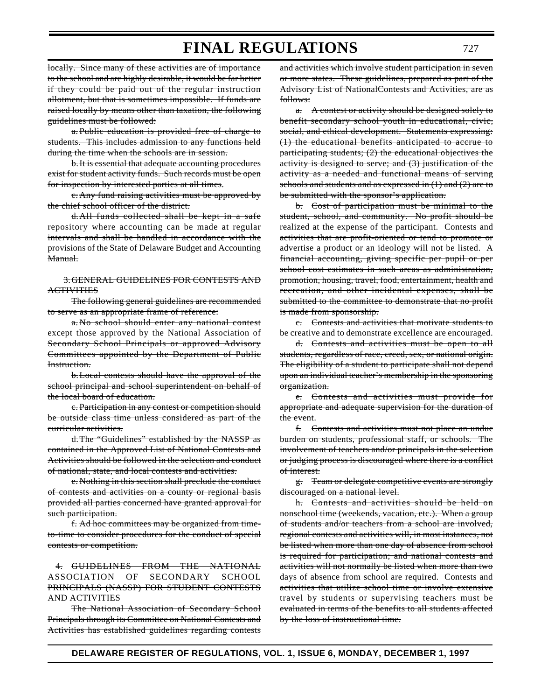locally. Since many of these activities are of importance to the school and are highly desirable, it would be far better if they could be paid out of the regular instruction allotment, but that is sometimes impossible. If funds are raised locally by means other than taxation, the following guidelines must be followed:

a. Public education is provided free of charge to students. This includes admission to any functions held during the time when the schools are in session.

b.It is essential that adequate accounting procedures exist for student activity funds. Such records must be open for inspection by interested parties at all times.

c. Any fund raising activities must be approved by the chief school officer of the district.

d.All funds collected shall be kept in a safe repository where accounting can be made at regular intervals and shall be handled in accordance with the provisions of the State of Delaware Budget and Accounting Manual.

3.GENERAL GUIDELINES FOR CONTESTS AND **ACTIVITIES** 

The following general guidelines are recommended to serve as an appropriate frame of reference:

a. No school should enter any national contest except those approved by the National Association of Secondary School Principals or approved Advisory Committees appointed by the Department of Public Instruction.

b.Local contests should have the approval of the school principal and school superintendent on behalf of the local board of education.

c. Participation in any contest or competition should be outside class time unless considered as part of the curricular activities.

d.The "Guidelines" established by the NASSP as contained in the Approved List of National Contests and Activities should be followed in the selection and conduct of national, state, and local contests and activities.

e. Nothing in this section shall preclude the conduct of contests and activities on a county or regional basis provided all parties concerned have granted approval for such participation.

f. Ad hoc committees may be organized from timeto-time to consider procedures for the conduct of special contests or competition.

4. GUIDELINES FROM THE NATIONAL ASSOCIATION OF SECONDARY SCHOOL PRINCIPALS (NASSP) FOR STUDENT CONTESTS AND ACTIVITIES

The National Association of Secondary School Principals through its Committee on National Contests and Activities has established guidelines regarding contests

and activities which involve student participation in seven or more states. These guidelines, prepared as part of the Advisory List of NationalContests and Activities, are as follows:

a. A contest or activity should be designed solely to benefit secondary school youth in educational, civic, social, and ethical development. Statements expressing: (1) the educational benefits anticipated to accrue to participating students; (2) the educational objectives the activity is designed to serve; and (3) justification of the activity as a needed and functional means of serving schools and students and as expressed in  $(1)$  and  $(2)$  are to be submitted with the sponsor's application.

b. Cost of participation must be minimal to the student, school, and community. No profit should be realized at the expense of the participant. Contests and activities that are profit-oriented or tend to promote or advertise a product or an ideology will not be listed. A financial accounting, giving specific per pupil or per school cost estimates in such areas as administration, promotion, housing, travel, food, entertainment, health and recreation, and other incidental expenses, shall be submitted to the committee to demonstrate that no profit is made from sponsorship.

c. Contests and activities that motivate students to be creative and to demonstrate excellence are encouraged.

d. Contests and activities must be open to all students, regardless of race, creed, sex, or national origin. The eligibility of a student to participate shall not depend upon an individual teacher's membership in the sponsoring organization.

e. Contests and activities must provide for appropriate and adequate supervision for the duration of the event.

f. Contests and activities must not place an undue burden on students, professional staff, or schools. The involvement of teachers and/or principals in the selection or judging process is discouraged where there is a conflict of interest.

g. Team or delegate competitive events are strongly discouraged on a national level.

h. Contests and activities should be held on nonschool time (weekends, vacation, etc.). When a group of students and/or teachers from a school are involved, regional contests and activities will, in most instances, not be listed when more than one day of absence from school is required for participation; and national contests and activities will not normally be listed when more than two days of absence from school are required. Contests and activities that utilize school time or involve extensive travel by students or supervising teachers must be evaluated in terms of the benefits to all students affected by the loss of instructional time.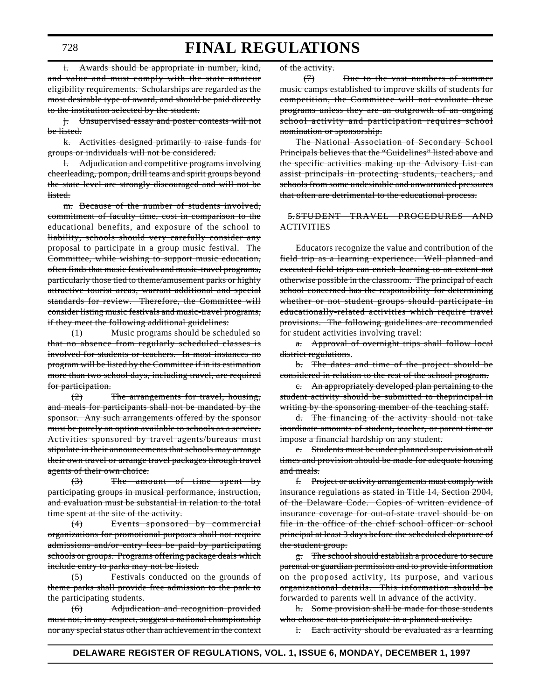# i. Awards should be appropriate in number, kind,

and value and must comply with the state amateur eligibility requirements. Scholarships are regarded as the most desirable type of award, and should be paid directly to the institution selected by the student.

j. Unsupervised essay and poster contests will not be listed.

k. Activities designed primarily to raise funds for groups or individuals will not be considered.

l. Adjudication and competitive programs involving cheerleading, pompon, drill teams and spirit groups beyond the state level are strongly discouraged and will not be listed.

m. Because of the number of students involved, commitment of faculty time, cost in comparison to the educational benefits, and exposure of the school to liability, schools should very carefully consider any proposal to participate in a group music festival. The Committee, while wishing to support music education, often finds that music festivals and music-travel programs, particularly those tied to theme/amusement parks or highly attractive tourist areas, warrant additional and special standards for review. Therefore, the Committee will consider listing music festivals and music-travel programs, if they meet the following additional guidelines:

(1) Music programs should be scheduled so that no absence from regularly scheduled classes is involved for students or teachers. In most instances no program will be listed by the Committee if in its estimation more than two school days, including travel, are required for participation.

(2) The arrangements for travel, housing, and meals for participants shall not be mandated by the sponsor. Any such arrangements offered by the sponsor must be purely an option available to schools as a service. Activities sponsored by travel agents/bureaus must stipulate in their announcements that schools may arrange their own travel or arrange travel packages through travel agents of their own choice.

(3) The amount of time spent by participating groups in musical performance, instruction, and evaluation must be substantial in relation to the total time spent at the site of the activity.

(4) Events sponsored by commercial organizations for promotional purposes shall not require admissions and/or entry fees be paid by participating schools or groups. Programs offering package deals which include entry to parks may not be listed.

(5) Festivals conducted on the grounds of theme parks shall provide free admission to the park to the participating students.

(6) Adjudication and recognition provided must not, in any respect, suggest a national championship nor any special status other than achievement in the context of the activity.

 $(7)$  Due to the vast numbers of summer music camps established to improve skills of students for competition, the Committee will not evaluate these programs unless they are an outgrowth of an ongoing school activity and participation requires school nomination or sponsorship.

The National Association of Secondary School Principals believes that the "Guidelines" listed above and the specific activities making up the Advisory List can assist principals in protecting students, teachers, and schools from some undesirable and unwarranted pressures that often are detrimental to the educational process.

5.STUDENT TRAVEL PROCEDURES AND **ACTIVITIES** 

Educators recognize the value and contribution of the field trip as a learning experience. Well planned and executed field trips can enrich learning to an extent not otherwise possible in the classroom. The principal of each school concerned has the responsibility for determining whether or not student groups should participate in educationally-related activities which require travel provisions. The following guidelines are recommended for student activities involving travel:

a. Approval of overnight trips shall follow local district regulations.

b. The dates and time of the project should be considered in relation to the rest of the school program.

c. An appropriately developed plan pertaining to the student activity should be submitted to theprincipal in writing by the sponsoring member of the teaching staff.

d. The financing of the activity should not take inordinate amounts of student, teacher, or parent time or impose a financial hardship on any student.

e. Students must be under planned supervision at all times and provision should be made for adequate housing and meals.

f. Project or activity arrangements must comply with insurance regulations as stated in Title 14, Section 2904, of the Delaware Code. Copies of written evidence of insurance coverage for out-of-state travel should be on file in the office of the chief school officer or school principal at least 3 days before the scheduled departure of the student group.

g. The school should establish a procedure to secure parental or guardian permission and to provide information on the proposed activity, its purpose, and various organizational details. This information should be forwarded to parents well in advance of the activity.

h. Some provision shall be made for those students who choose not to participate in a planned activity.

i. Each activity should be evaluated as a learning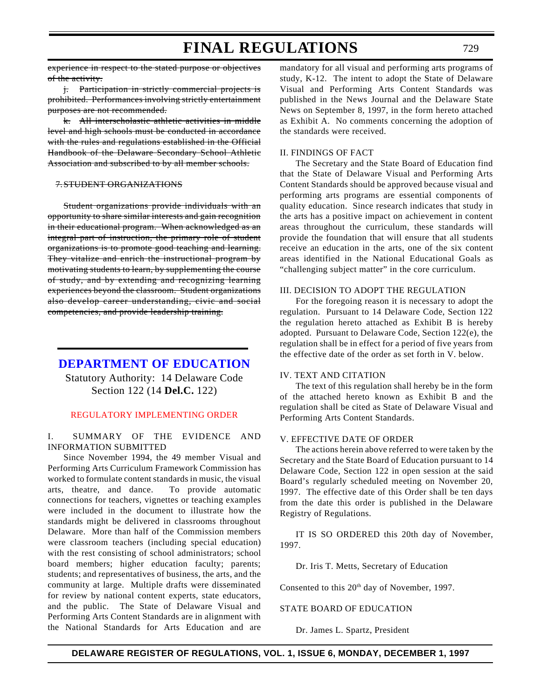experience in respect to the stated purpose or objectives of the activity.

j. Participation in strictly commercial projects is prohibited. Performances involving strictly entertainment purposes are not recommended.

k. All interscholastic athletic activities in middle level and high schools must be conducted in accordance with the rules and regulations established in the Official Handbook of the Delaware Secondary School Athletic Association and subscribed to by all member schools.

#### 7.STUDENT ORGANIZATIONS

Student organizations provide individuals with an opportunity to share similar interests and gain recognition in their educational program. When acknowledged as an integral part of instruction, the primary role of student organizations is to promote good teaching and learning. They vitalize and enrich the instructional program by motivating students to learn, by supplementing the course of study, and by extending and recognizing learning experiences beyond the classroom. Student organizations also develop career understanding, civic and social competencies, and provide leadership training.

### **[DEPARTMENT OF EDUCATION](http://www.doe.state.de.us/docs/index_js.asp)**

Statutory Authority: 14 Delaware Code Section 122 (14 **Del.C.** 122)

#### [REGULATORY IMPLEMENTING ORDER](#page-3-0)

#### I. SUMMARY OF THE EVIDENCE AND INFORMATION SUBMITTED

Since November 1994, the 49 member Visual and Performing Arts Curriculum Framework Commission has worked to formulate content standards in music, the visual arts, theatre, and dance. To provide automatic connections for teachers, vignettes or teaching examples were included in the document to illustrate how the standards might be delivered in classrooms throughout Delaware. More than half of the Commission members were classroom teachers (including special education) with the rest consisting of school administrators; school board members; higher education faculty; parents; students; and representatives of business, the arts, and the community at large. Multiple drafts were disseminated for review by national content experts, state educators, and the public. The State of Delaware Visual and Performing Arts Content Standards are in alignment with the National Standards for Arts Education and are mandatory for all visual and performing arts programs of study, K-12. The intent to adopt the State of Delaware Visual and Performing Arts Content Standards was published in the News Journal and the Delaware State News on September 8, 1997, in the form hereto attached as Exhibit A. No comments concerning the adoption of the standards were received.

#### II. FINDINGS OF FACT

The Secretary and the State Board of Education find that the State of Delaware Visual and Performing Arts Content Standards should be approved because visual and performing arts programs are essential components of quality education. Since research indicates that study in the arts has a positive impact on achievement in content areas throughout the curriculum, these standards will provide the foundation that will ensure that all students receive an education in the arts, one of the six content areas identified in the National Educational Goals as "challenging subject matter" in the core curriculum.

#### III. DECISION TO ADOPT THE REGULATION

For the foregoing reason it is necessary to adopt the regulation. Pursuant to 14 Delaware Code, Section 122 the regulation hereto attached as Exhibit B is hereby adopted. Pursuant to Delaware Code, Section 122(e), the regulation shall be in effect for a period of five years from the effective date of the order as set forth in V. below.

#### IV. TEXT AND CITATION

The text of this regulation shall hereby be in the form of the attached hereto known as Exhibit B and the regulation shall be cited as State of Delaware Visual and Performing Arts Content Standards.

#### V. EFFECTIVE DATE OF ORDER

The actions herein above referred to were taken by the Secretary and the State Board of Education pursuant to 14 Delaware Code, Section 122 in open session at the said Board's regularly scheduled meeting on November 20, 1997. The effective date of this Order shall be ten days from the date this order is published in the Delaware Registry of Regulations.

IT IS SO ORDERED this 20th day of November, 1997.

Dr. Iris T. Metts, Secretary of Education

Consented to this 20<sup>th</sup> day of November, 1997.

#### STATE BOARD OF EDUCATION

Dr. James L. Spartz, President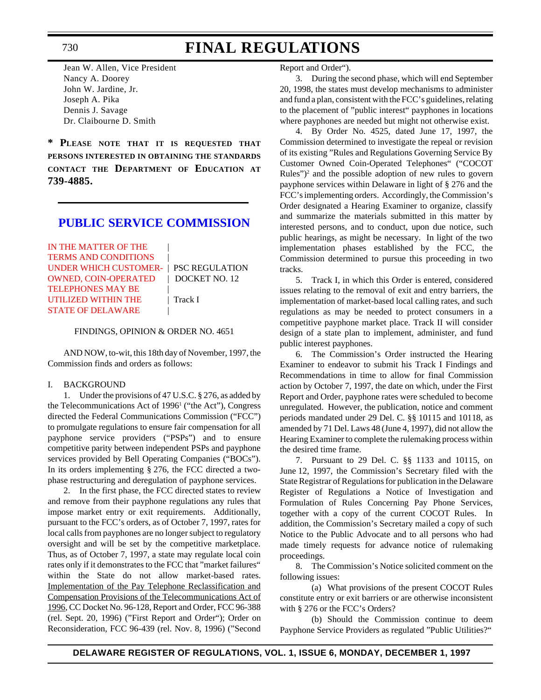Jean W. Allen, Vice President Nancy A. Doorey John W. Jardine, Jr. Joseph A. Pika Dennis J. Savage Dr. Claibourne D. Smith

**\* PLEASE NOTE THAT IT IS REQUESTED THAT PERSONS INTERESTED IN OBTAINING THE STANDARDS CONTACT THE DEPARTMENT OF EDUCATION AT 739-4885.**

### **[PUBLIC SERVICE COMMISSION](http://www.state.de.us/govern/agencies/pubservc/delpsc.htm)**

IN THE MATTER OF THE TERMS AND CONDITIONS | [UNDER WHICH CUSTOMER-](#page-3-0) | PSC REGULATION OWNED, COIN-OPERATED | DOCKET NO. 12 TELEPHONES MAY BE UTILIZED WITHIN THE | Track I STATE OF DELAWARE

#### FINDINGS, OPINION & ORDER NO. 4651

AND NOW, to-wit, this 18th day of November, 1997, the Commission finds and orders as follows:

#### I. BACKGROUND

1. Under the provisions of 47 U.S.C. § 276, as added by the Telecommunications Act of 1996<sup>1</sup> ("the Act"), Congress directed the Federal Communications Commission ("FCC") to promulgate regulations to ensure fair compensation for all payphone service providers ("PSPs") and to ensure competitive parity between independent PSPs and payphone services provided by Bell Operating Companies ("BOCs"). In its orders implementing § 276, the FCC directed a twophase restructuring and deregulation of payphone services.

2. In the first phase, the FCC directed states to review and remove from their payphone regulations any rules that impose market entry or exit requirements. Additionally, pursuant to the FCC's orders, as of October 7, 1997, rates for local calls from payphones are no longer subject to regulatory oversight and will be set by the competitive marketplace. Thus, as of October 7, 1997, a state may regulate local coin rates only if it demonstrates to the FCC that "market failures" within the State do not allow market-based rates. Implementation of the Pay Telephone Reclassification and Compensation Provisions of the Telecommunications Act of 1996, CC Docket No. 96-128, Report and Order, FCC 96-388 (rel. Sept. 20, 1996) ("First Report and Order"); Order on Reconsideration, FCC 96-439 (rel. Nov. 8, 1996) ("Second

#### Report and Order").

3. During the second phase, which will end September 20, 1998, the states must develop mechanisms to administer and fund a plan, consistent with the FCC's guidelines, relating to the placement of "public interest" payphones in locations where payphones are needed but might not otherwise exist.

4. By Order No. 4525, dated June 17, 1997, the Commission determined to investigate the repeal or revision of its existing "Rules and Regulations Governing Service By Customer Owned Coin-Operated Telephones" ("COCOT Rules" $)^2$  and the possible adoption of new rules to govern payphone services within Delaware in light of § 276 and the FCC's implementing orders. Accordingly, the Commission's Order designated a Hearing Examiner to organize, classify and summarize the materials submitted in this matter by interested persons, and to conduct, upon due notice, such public hearings, as might be necessary. In light of the two implementation phases established by the FCC, the Commission determined to pursue this proceeding in two tracks.

5. Track I, in which this Order is entered, considered issues relating to the removal of exit and entry barriers, the implementation of market-based local calling rates, and such regulations as may be needed to protect consumers in a competitive payphone market place. Track II will consider design of a state plan to implement, administer, and fund public interest payphones.

6. The Commission's Order instructed the Hearing Examiner to endeavor to submit his Track I Findings and Recommendations in time to allow for final Commission action by October 7, 1997, the date on which, under the First Report and Order, payphone rates were scheduled to become unregulated. However, the publication, notice and comment periods mandated under 29 Del. C. §§ 10115 and 10118, as amended by 71 Del. Laws 48 (June 4, 1997), did not allow the Hearing Examiner to complete the rulemaking process within the desired time frame.

7. Pursuant to 29 Del. C. §§ 1133 and 10115, on June 12, 1997, the Commission's Secretary filed with the State Registrar of Regulations for publication in the Delaware Register of Regulations a Notice of Investigation and Formulation of Rules Concerning Pay Phone Services, together with a copy of the current COCOT Rules. In addition, the Commission's Secretary mailed a copy of such Notice to the Public Advocate and to all persons who had made timely requests for advance notice of rulemaking proceedings.

8. The Commission's Notice solicited comment on the following issues:

(a) What provisions of the present COCOT Rules constitute entry or exit barriers or are otherwise inconsistent with § 276 or the FCC's Orders?

(b) Should the Commission continue to deem Payphone Service Providers as regulated "Public Utilities?"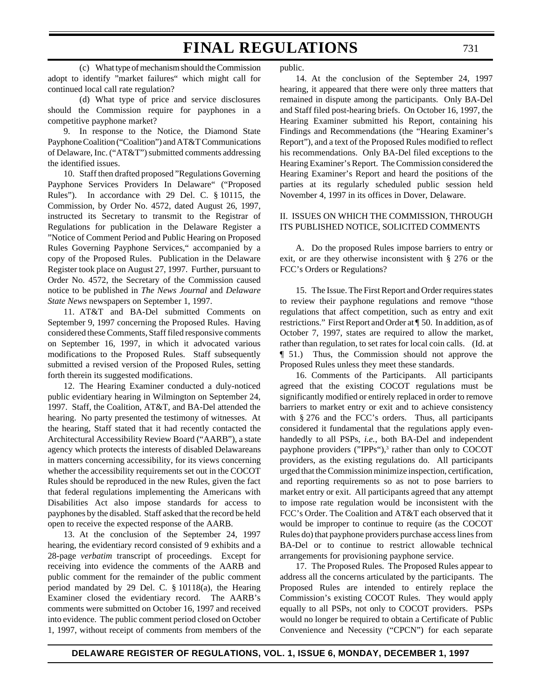(c) What type of mechanism should the Commission adopt to identify "market failures" which might call for continued local call rate regulation?

(d) What type of price and service disclosures should the Commission require for payphones in a competitive payphone market?

9. In response to the Notice, the Diamond State Payphone Coalition ("Coalition") and AT&T Communications of Delaware, Inc. ("AT&T") submitted comments addressing the identified issues.

10. Staff then drafted proposed "Regulations Governing Payphone Services Providers In Delaware" ("Proposed Rules"). In accordance with 29 Del. C. § 10115, the Commission, by Order No. 4572, dated August 26, 1997, instructed its Secretary to transmit to the Registrar of Regulations for publication in the Delaware Register a "Notice of Comment Period and Public Hearing on Proposed Rules Governing Payphone Services," accompanied by a copy of the Proposed Rules. Publication in the Delaware Register took place on August 27, 1997. Further, pursuant to Order No. 4572, the Secretary of the Commission caused notice to be published in *The News Journal* and *Delaware State News* newspapers on September 1, 1997.

11. AT&T and BA-Del submitted Comments on September 9, 1997 concerning the Proposed Rules. Having considered these Comments, Staff filed responsive comments on September 16, 1997, in which it advocated various modifications to the Proposed Rules. Staff subsequently submitted a revised version of the Proposed Rules, setting forth therein its suggested modifications.

12. The Hearing Examiner conducted a duly-noticed public evidentiary hearing in Wilmington on September 24, 1997. Staff, the Coalition, AT&T, and BA-Del attended the hearing. No party presented the testimony of witnesses. At the hearing, Staff stated that it had recently contacted the Architectural Accessibility Review Board ("AARB"), a state agency which protects the interests of disabled Delawareans in matters concerning accessibility, for its views concerning whether the accessibility requirements set out in the COCOT Rules should be reproduced in the new Rules, given the fact that federal regulations implementing the Americans with Disabilities Act also impose standards for access to payphones by the disabled. Staff asked that the record be held open to receive the expected response of the AARB.

13. At the conclusion of the September 24, 1997 hearing, the evidentiary record consisted of 9 exhibits and a 28-page *verbatim* transcript of proceedings. Except for receiving into evidence the comments of the AARB and public comment for the remainder of the public comment period mandated by 29 Del. C. § 10118(a), the Hearing Examiner closed the evidentiary record. The AARB's comments were submitted on October 16, 1997 and received into evidence. The public comment period closed on October 1, 1997, without receipt of comments from members of the public.

14. At the conclusion of the September 24, 1997 hearing, it appeared that there were only three matters that remained in dispute among the participants. Only BA-Del and Staff filed post-hearing briefs. On October 16, 1997, the Hearing Examiner submitted his Report, containing his Findings and Recommendations (the "Hearing Examiner's Report"), and a text of the Proposed Rules modified to reflect his recommendations. Only BA-Del filed exceptions to the Hearing Examiner's Report. The Commission considered the Hearing Examiner's Report and heard the positions of the parties at its regularly scheduled public session held November 4, 1997 in its offices in Dover, Delaware.

#### II. ISSUES ON WHICH THE COMMISSION, THROUGH ITS PUBLISHED NOTICE, SOLICITED COMMENTS

A. Do the proposed Rules impose barriers to entry or exit, or are they otherwise inconsistent with § 276 or the FCC's Orders or Regulations?

15. The Issue. The First Report and Order requires states to review their payphone regulations and remove "those regulations that affect competition, such as entry and exit restrictions." First Report and Order at ¶ 50. In addition, as of October 7, 1997, states are required to allow the market, rather than regulation, to set rates for local coin calls. (Id. at ¶ 51.) Thus, the Commission should not approve the Proposed Rules unless they meet these standards.

16. Comments of the Participants. All participants agreed that the existing COCOT regulations must be significantly modified or entirely replaced in order to remove barriers to market entry or exit and to achieve consistency with § 276 and the FCC's orders. Thus, all participants considered it fundamental that the regulations apply evenhandedly to all PSPs, *i.e.*, both BA-Del and independent payphone providers ("IPPs"),<sup>3</sup> rather than only to COCOT providers, as the existing regulations do. All participants urged that the Commission minimize inspection, certification, and reporting requirements so as not to pose barriers to market entry or exit. All participants agreed that any attempt to impose rate regulation would be inconsistent with the FCC's Order. The Coalition and AT&T each observed that it would be improper to continue to require (as the COCOT Rules do) that payphone providers purchase access lines from BA-Del or to continue to restrict allowable technical arrangements for provisioning payphone service.

17. The Proposed Rules. The Proposed Rules appear to address all the concerns articulated by the participants. The Proposed Rules are intended to entirely replace the Commission's existing COCOT Rules. They would apply equally to all PSPs, not only to COCOT providers. PSPs would no longer be required to obtain a Certificate of Public Convenience and Necessity ("CPCN") for each separate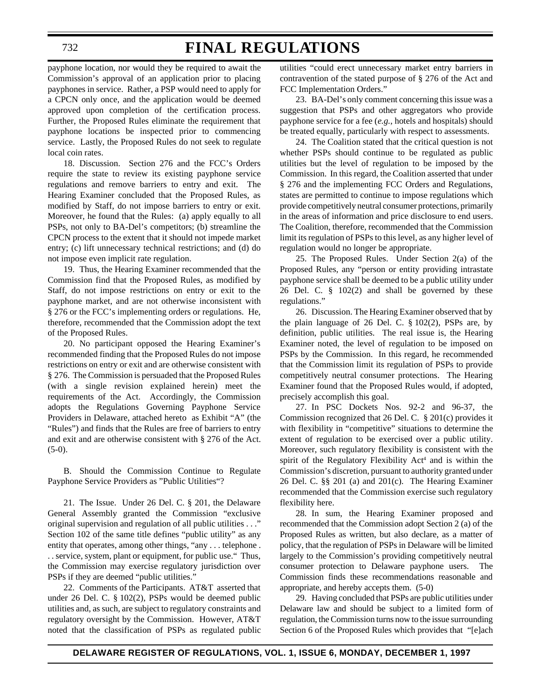#### 732

### **FINAL REGULATIONS**

payphone location, nor would they be required to await the Commission's approval of an application prior to placing payphones in service. Rather, a PSP would need to apply for a CPCN only once, and the application would be deemed approved upon completion of the certification process. Further, the Proposed Rules eliminate the requirement that payphone locations be inspected prior to commencing service. Lastly, the Proposed Rules do not seek to regulate local coin rates.

18. Discussion. Section 276 and the FCC's Orders require the state to review its existing payphone service regulations and remove barriers to entry and exit. The Hearing Examiner concluded that the Proposed Rules, as modified by Staff, do not impose barriers to entry or exit. Moreover, he found that the Rules: (a) apply equally to all PSPs, not only to BA-Del's competitors; (b) streamline the CPCN process to the extent that it should not impede market entry; (c) lift unnecessary technical restrictions; and (d) do not impose even implicit rate regulation.

19. Thus, the Hearing Examiner recommended that the Commission find that the Proposed Rules, as modified by Staff, do not impose restrictions on entry or exit to the payphone market, and are not otherwise inconsistent with § 276 or the FCC's implementing orders or regulations. He, therefore, recommended that the Commission adopt the text of the Proposed Rules.

20. No participant opposed the Hearing Examiner's recommended finding that the Proposed Rules do not impose restrictions on entry or exit and are otherwise consistent with § 276. The Commission is persuaded that the Proposed Rules (with a single revision explained herein) meet the requirements of the Act. Accordingly, the Commission adopts the Regulations Governing Payphone Service Providers in Delaware, attached hereto as Exhibit "A" (the "Rules") and finds that the Rules are free of barriers to entry and exit and are otherwise consistent with § 276 of the Act.  $(5-0).$ 

B. Should the Commission Continue to Regulate Payphone Service Providers as "Public Utilities"?

21. The Issue. Under 26 Del. C. § 201, the Delaware General Assembly granted the Commission "exclusive original supervision and regulation of all public utilities . . ." Section 102 of the same title defines "public utility" as any entity that operates, among other things, "any . . . telephone . . . service, system, plant or equipment, for public use." Thus, the Commission may exercise regulatory jurisdiction over PSPs if they are deemed "public utilities."

22. Comments of the Participants. AT&T asserted that under 26 Del. C. § 102(2), PSPs would be deemed public utilities and, as such, are subject to regulatory constraints and regulatory oversight by the Commission. However, AT&T noted that the classification of PSPs as regulated public

utilities "could erect unnecessary market entry barriers in contravention of the stated purpose of § 276 of the Act and FCC Implementation Orders."

23. BA-Del's only comment concerning this issue was a suggestion that PSPs and other aggregators who provide payphone service for a fee (*e.g.*, hotels and hospitals) should be treated equally, particularly with respect to assessments.

24. The Coalition stated that the critical question is not whether PSPs should continue to be regulated as public utilities but the level of regulation to be imposed by the Commission. In this regard, the Coalition asserted that under § 276 and the implementing FCC Orders and Regulations, states are permitted to continue to impose regulations which provide competitively neutral consumer protections, primarily in the areas of information and price disclosure to end users. The Coalition, therefore, recommended that the Commission limit its regulation of PSPs to this level, as any higher level of regulation would no longer be appropriate.

25. The Proposed Rules. Under Section 2(a) of the Proposed Rules, any "person or entity providing intrastate payphone service shall be deemed to be a public utility under 26 Del. C. § 102(2) and shall be governed by these regulations."

26. Discussion. The Hearing Examiner observed that by the plain language of 26 Del. C. § 102(2), PSPs are, by definition, public utilities. The real issue is, the Hearing Examiner noted, the level of regulation to be imposed on PSPs by the Commission. In this regard, he recommended that the Commission limit its regulation of PSPs to provide competitively neutral consumer protections. The Hearing Examiner found that the Proposed Rules would, if adopted, precisely accomplish this goal.

27. In PSC Dockets Nos. 92-2 and 96-37, the Commission recognized that 26 Del. C. § 201(c) provides it with flexibility in "competitive" situations to determine the extent of regulation to be exercised over a public utility. Moreover, such regulatory flexibility is consistent with the spirit of the Regulatory Flexibility Act<sup>4</sup> and is within the Commission's discretion, pursuant to authority granted under 26 Del. C. §§ 201 (a) and 201(c). The Hearing Examiner recommended that the Commission exercise such regulatory flexibility here.

28. In sum, the Hearing Examiner proposed and recommended that the Commission adopt Section 2 (a) of the Proposed Rules as written, but also declare, as a matter of policy, that the regulation of PSPs in Delaware will be limited largely to the Commission's providing competitively neutral consumer protection to Delaware payphone users. The Commission finds these recommendations reasonable and appropriate, and hereby accepts them. (5-0)

29. Having concluded that PSPs are public utilities under Delaware law and should be subject to a limited form of regulation, the Commission turns now to the issue surrounding Section 6 of the Proposed Rules which provides that "[e]ach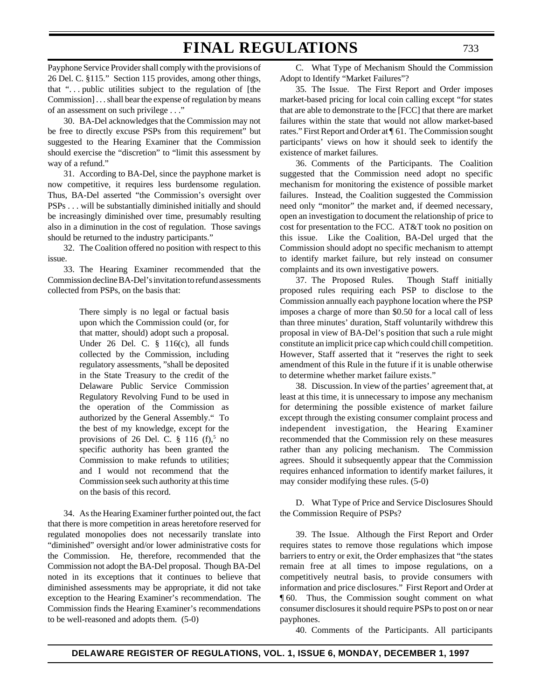Payphone Service Provider shall comply with the provisions of 26 Del. C. §115." Section 115 provides, among other things, that ". . . public utilities subject to the regulation of [the Commission] . . . shall bear the expense of regulation by means of an assessment on such privilege . . ."

30. BA-Del acknowledges that the Commission may not be free to directly excuse PSPs from this requirement" but suggested to the Hearing Examiner that the Commission should exercise the "discretion" to "limit this assessment by way of a refund."

31. According to BA-Del, since the payphone market is now competitive, it requires less burdensome regulation. Thus, BA-Del asserted "the Commission's oversight over PSPs . . . will be substantially diminished initially and should be increasingly diminished over time, presumably resulting also in a diminution in the cost of regulation. Those savings should be returned to the industry participants."

32. The Coalition offered no position with respect to this issue.

33. The Hearing Examiner recommended that the Commission decline BA-Del's invitation to refund assessments collected from PSPs, on the basis that:

> There simply is no legal or factual basis upon which the Commission could (or, for that matter, should) adopt such a proposal. Under 26 Del. C. § 116(c), all funds collected by the Commission, including regulatory assessments, "shall be deposited in the State Treasury to the credit of the Delaware Public Service Commission Regulatory Revolving Fund to be used in the operation of the Commission as authorized by the General Assembly." To the best of my knowledge, except for the provisions of 26 Del. C.  $\S$  116 (f),<sup>5</sup> no specific authority has been granted the Commission to make refunds to utilities; and I would not recommend that the Commission seek such authority at this time on the basis of this record.

34. As the Hearing Examiner further pointed out, the fact that there is more competition in areas heretofore reserved for regulated monopolies does not necessarily translate into "diminished" oversight and/or lower administrative costs for the Commission. He, therefore, recommended that the Commission not adopt the BA-Del proposal. Though BA-Del noted in its exceptions that it continues to believe that diminished assessments may be appropriate, it did not take exception to the Hearing Examiner's recommendation. The Commission finds the Hearing Examiner's recommendations to be well-reasoned and adopts them. (5-0)

C. What Type of Mechanism Should the Commission Adopt to Identify "Market Failures"?

35. The Issue. The First Report and Order imposes market-based pricing for local coin calling except "for states that are able to demonstrate to the [FCC] that there are market failures within the state that would not allow market-based rates." First Report and Order at ¶ 61. The Commission sought participants' views on how it should seek to identify the existence of market failures.

36. Comments of the Participants. The Coalition suggested that the Commission need adopt no specific mechanism for monitoring the existence of possible market failures. Instead, the Coalition suggested the Commission need only "monitor" the market and, if deemed necessary, open an investigation to document the relationship of price to cost for presentation to the FCC. AT&T took no position on this issue. Like the Coalition, BA-Del urged that the Commission should adopt no specific mechanism to attempt to identify market failure, but rely instead on consumer complaints and its own investigative powers.

37. The Proposed Rules. Though Staff initially proposed rules requiring each PSP to disclose to the Commission annually each payphone location where the PSP imposes a charge of more than \$0.50 for a local call of less than three minutes' duration, Staff voluntarily withdrew this proposal in view of BA-Del's position that such a rule might constitute an implicit price cap which could chill competition. However, Staff asserted that it "reserves the right to seek amendment of this Rule in the future if it is unable otherwise to determine whether market failure exists."

38. Discussion. In view of the parties' agreement that, at least at this time, it is unnecessary to impose any mechanism for determining the possible existence of market failure except through the existing consumer complaint process and independent investigation, the Hearing Examiner recommended that the Commission rely on these measures rather than any policing mechanism. The Commission agrees. Should it subsequently appear that the Commission requires enhanced information to identify market failures, it may consider modifying these rules. (5-0)

D. What Type of Price and Service Disclosures Should the Commission Require of PSPs?

39. The Issue. Although the First Report and Order requires states to remove those regulations which impose barriers to entry or exit, the Order emphasizes that "the states remain free at all times to impose regulations, on a competitively neutral basis, to provide consumers with information and price disclosures." First Report and Order at ¶ 60. Thus, the Commission sought comment on what consumer disclosures it should require PSPs to post on or near payphones.

40. Comments of the Participants. All participants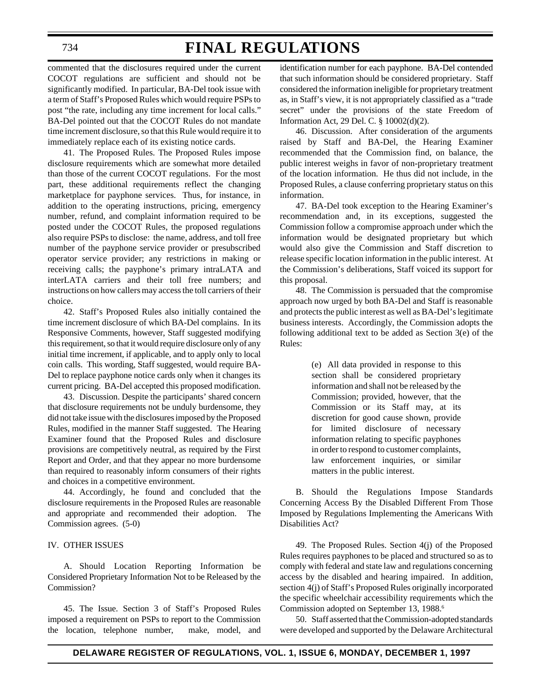commented that the disclosures required under the current COCOT regulations are sufficient and should not be significantly modified. In particular, BA-Del took issue with a term of Staff's Proposed Rules which would require PSPs to post "the rate, including any time increment for local calls." BA-Del pointed out that the COCOT Rules do not mandate time increment disclosure, so that this Rule would require it to immediately replace each of its existing notice cards.

41. The Proposed Rules. The Proposed Rules impose disclosure requirements which are somewhat more detailed than those of the current COCOT regulations. For the most part, these additional requirements reflect the changing marketplace for payphone services. Thus, for instance, in addition to the operating instructions, pricing, emergency number, refund, and complaint information required to be posted under the COCOT Rules, the proposed regulations also require PSPs to disclose: the name, address, and toll free number of the payphone service provider or presubscribed operator service provider; any restrictions in making or receiving calls; the payphone's primary intraLATA and interLATA carriers and their toll free numbers; and instructions on how callers may access the toll carriers of their choice.

42. Staff's Proposed Rules also initially contained the time increment disclosure of which BA-Del complains. In its Responsive Comments, however, Staff suggested modifying this requirement, so that it would require disclosure only of any initial time increment, if applicable, and to apply only to local coin calls. This wording, Staff suggested, would require BA-Del to replace payphone notice cards only when it changes its current pricing. BA-Del accepted this proposed modification.

43. Discussion. Despite the participants' shared concern that disclosure requirements not be unduly burdensome, they did not take issue with the disclosures imposed by the Proposed Rules, modified in the manner Staff suggested. The Hearing Examiner found that the Proposed Rules and disclosure provisions are competitively neutral, as required by the First Report and Order, and that they appear no more burdensome than required to reasonably inform consumers of their rights and choices in a competitive environment.

44. Accordingly, he found and concluded that the disclosure requirements in the Proposed Rules are reasonable and appropriate and recommended their adoption. The Commission agrees. (5-0)

#### IV. OTHER ISSUES

A. Should Location Reporting Information be Considered Proprietary Information Not to be Released by the Commission?

45. The Issue. Section 3 of Staff's Proposed Rules imposed a requirement on PSPs to report to the Commission the location, telephone number, make, model, and

identification number for each payphone. BA-Del contended that such information should be considered proprietary. Staff considered the information ineligible for proprietary treatment as, in Staff's view, it is not appropriately classified as a "trade secret" under the provisions of the state Freedom of Information Act, 29 Del. C. § 10002(d)(2).

46. Discussion. After consideration of the arguments raised by Staff and BA-Del, the Hearing Examiner recommended that the Commission find, on balance, the public interest weighs in favor of non-proprietary treatment of the location information. He thus did not include, in the Proposed Rules, a clause conferring proprietary status on this information.

47. BA-Del took exception to the Hearing Examiner's recommendation and, in its exceptions, suggested the Commission follow a compromise approach under which the information would be designated proprietary but which would also give the Commission and Staff discretion to release specific location information in the public interest. At the Commission's deliberations, Staff voiced its support for this proposal.

48. The Commission is persuaded that the compromise approach now urged by both BA-Del and Staff is reasonable and protects the public interest as well as BA-Del's legitimate business interests. Accordingly, the Commission adopts the following additional text to be added as Section 3(e) of the Rules:

> (e) All data provided in response to this section shall be considered proprietary information and shall not be released by the Commission; provided, however, that the Commission or its Staff may, at its discretion for good cause shown, provide for limited disclosure of necessary information relating to specific payphones in order to respond to customer complaints, law enforcement inquiries, or similar matters in the public interest.

B. Should the Regulations Impose Standards Concerning Access By the Disabled Different From Those Imposed by Regulations Implementing the Americans With Disabilities Act?

49. The Proposed Rules. Section 4(j) of the Proposed Rules requires payphones to be placed and structured so as to comply with federal and state law and regulations concerning access by the disabled and hearing impaired. In addition, section 4(j) of Staff's Proposed Rules originally incorporated the specific wheelchair accessibility requirements which the Commission adopted on September 13, 1988.<sup>6</sup>

50. Staff asserted that the Commission-adopted standards were developed and supported by the Delaware Architectural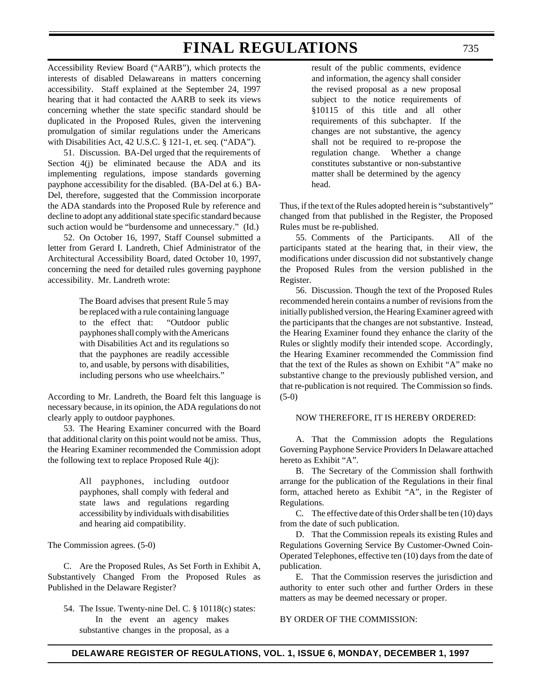Accessibility Review Board ("AARB"), which protects the interests of disabled Delawareans in matters concerning accessibility. Staff explained at the September 24, 1997 hearing that it had contacted the AARB to seek its views concerning whether the state specific standard should be duplicated in the Proposed Rules, given the intervening promulgation of similar regulations under the Americans with Disabilities Act, 42 U.S.C. § 121-1, et. seq. ("ADA").

51. Discussion. BA-Del urged that the requirements of Section 4(j) be eliminated because the ADA and its implementing regulations, impose standards governing payphone accessibility for the disabled. (BA-Del at 6.) BA-Del, therefore, suggested that the Commission incorporate the ADA standards into the Proposed Rule by reference and decline to adopt any additional state specific standard because such action would be "burdensome and unnecessary." (Id.)

52. On October 16, 1997, Staff Counsel submitted a letter from Gerard I. Landreth, Chief Administrator of the Architectural Accessibility Board, dated October 10, 1997, concerning the need for detailed rules governing payphone accessibility. Mr. Landreth wrote:

> The Board advises that present Rule 5 may be replaced with a rule containing language to the effect that: "Outdoor public payphones shall comply with the Americans with Disabilities Act and its regulations so that the payphones are readily accessible to, and usable, by persons with disabilities, including persons who use wheelchairs."

According to Mr. Landreth, the Board felt this language is necessary because, in its opinion, the ADA regulations do not clearly apply to outdoor payphones.

53. The Hearing Examiner concurred with the Board that additional clarity on this point would not be amiss. Thus, the Hearing Examiner recommended the Commission adopt the following text to replace Proposed Rule 4(j):

> All payphones, including outdoor payphones, shall comply with federal and state laws and regulations regarding accessibility by individuals with disabilities and hearing aid compatibility.

The Commission agrees. (5-0)

C. Are the Proposed Rules, As Set Forth in Exhibit A, Substantively Changed From the Proposed Rules as Published in the Delaware Register?

54. The Issue. Twenty-nine Del. C. § 10118(c) states: In the event an agency makes substantive changes in the proposal, as a

result of the public comments, evidence and information, the agency shall consider the revised proposal as a new proposal subject to the notice requirements of §10115 of this title and all other requirements of this subchapter. If the changes are not substantive, the agency shall not be required to re-propose the regulation change. Whether a change constitutes substantive or non-substantive matter shall be determined by the agency head.

Thus, if the text of the Rules adopted herein is "substantively" changed from that published in the Register, the Proposed Rules must be re-published.

55. Comments of the Participants. All of the participants stated at the hearing that, in their view, the modifications under discussion did not substantively change the Proposed Rules from the version published in the Register.

56. Discussion. Though the text of the Proposed Rules recommended herein contains a number of revisions from the initially published version, the Hearing Examiner agreed with the participants that the changes are not substantive. Instead, the Hearing Examiner found they enhance the clarity of the Rules or slightly modify their intended scope. Accordingly, the Hearing Examiner recommended the Commission find that the text of the Rules as shown on Exhibit "A" make no substantive change to the previously published version, and that re-publication is not required. The Commission so finds. (5-0)

#### NOW THEREFORE, IT IS HEREBY ORDERED:

A. That the Commission adopts the Regulations Governing Payphone Service Providers In Delaware attached hereto as Exhibit "A".

B. The Secretary of the Commission shall forthwith arrange for the publication of the Regulations in their final form, attached hereto as Exhibit "A", in the Register of Regulations.

C. The effective date of this Order shall be ten (10) days from the date of such publication.

D. That the Commission repeals its existing Rules and Regulations Governing Service By Customer-Owned Coin-Operated Telephones, effective ten (10) days from the date of publication.

E. That the Commission reserves the jurisdiction and authority to enter such other and further Orders in these matters as may be deemed necessary or proper.

BY ORDER OF THE COMMISSION: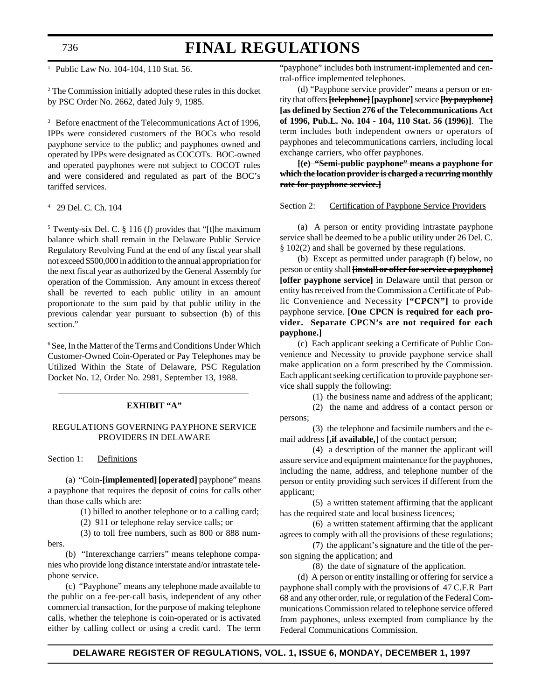1 Public Law No. 104-104, 110 Stat. 56.

<sup>2</sup> The Commission initially adopted these rules in this docket by PSC Order No. 2662, dated July 9, 1985.

<sup>3</sup> Before enactment of the Telecommunications Act of 1996, IPPs were considered customers of the BOCs who resold payphone service to the public; and payphones owned and operated by IPPs were designated as COCOTs. BOC-owned and operated payphones were not subject to COCOT rules and were considered and regulated as part of the BOC's tariffed services.

4 29 Del. C. Ch. 104

<sup>5</sup> Twenty-six Del. C. § 116 (f) provides that "[t]he maximum balance which shall remain in the Delaware Public Service Regulatory Revolving Fund at the end of any fiscal year shall not exceed \$500,000 in addition to the annual appropriation for the next fiscal year as authorized by the General Assembly for operation of the Commission. Any amount in excess thereof shall be reverted to each public utility in an amount proportionate to the sum paid by that public utility in the previous calendar year pursuant to subsection (b) of this section."

6 See, In the Matter of the Terms and Conditions Under Which Customer-Owned Coin-Operated or Pay Telephones may be Utilized Within the State of Delaware, PSC Regulation Docket No. 12, Order No. 2981, September 13, 1988.

#### **EXHIBIT "A"**

#### REGULATIONS GOVERNING PAYPHONE SERVICE PROVIDERS IN DELAWARE

Section 1: Definitions

(a) "Coin-**[implemented][operated]** payphone" means a payphone that requires the deposit of coins for calls other than those calls which are:

(1) billed to another telephone or to a calling card;

(2) 911 or telephone relay service calls; or

(3) to toll free numbers, such as 800 or 888 numbers.

(b) "Interexchange carriers" means telephone companies who provide long distance interstate and/or intrastate telephone service.

(c) "Payphone" means any telephone made available to the public on a fee-per-call basis, independent of any other commercial transaction, for the purpose of making telephone calls, whether the telephone is coin-operated or is activated either by calling collect or using a credit card. The term

"payphone" includes both instrument-implemented and central-office implemented telephones.

(d) "Payphone service provider" means a person or entity that offers **[telephone][payphone]** service **[by payphone] [as defined by Section 276 of the Telecommunications Act of 1996, Pub.L. No. 104 - 104, 110 Stat. 56 (1996)]**. The term includes both independent owners or operators of payphones and telecommunications carriers, including local exchange carriers, who offer payphones.

**[(e) "Semi-public payphone" means a payphone for which the location provider is charged a recurring monthly rate for payphone service.]**

Section 2: Certification of Payphone Service Providers

(a) A person or entity providing intrastate payphone service shall be deemed to be a public utility under 26 Del. C. § 102(2) and shall be governed by these regulations.

(b) Except as permitted under paragraph (f) below, no person or entity shall **[install or offer for service a payphone] [offer payphone service]** in Delaware until that person or entity has received from the Commission a Certificate of Public Convenience and Necessity **["CPCN"]** to provide payphone service. **[One CPCN is required for each provider. Separate CPCN's are not required for each payphone.]**

(c) Each applicant seeking a Certificate of Public Convenience and Necessity to provide payphone service shall make application on a form prescribed by the Commission. Each applicant seeking certification to provide payphone service shall supply the following:

(1) the business name and address of the applicant;

(2) the name and address of a contact person or persons;

(3) the telephone and facsimile numbers and the email address **[,if available,**] of the contact person;

(4) a description of the manner the applicant will assure service and equipment maintenance for the payphones, including the name, address, and telephone number of the person or entity providing such services if different from the applicant;

(5) a written statement affirming that the applicant has the required state and local business licences;

(6) a written statement affirming that the applicant agrees to comply with all the provisions of these regulations;

(7) the applicant's signature and the title of the person signing the application; and

(8) the date of signature of the application.

(d) A person or entity installing or offering for service a payphone shall comply with the provisions of 47 C.F.R Part 68 and any other order, rule, or regulation of the Federal Communications Commission related to telephone service offered from payphones, unless exempted from compliance by the Federal Communications Commission.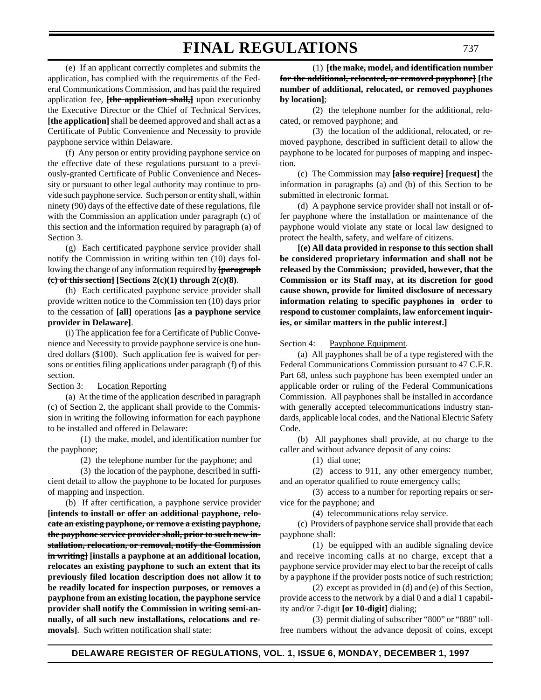(e) If an applicant correctly completes and submits the application, has complied with the requirements of the Federal Communications Commission, and has paid the required application fee, **[the application shall,]** upon executionby the Executive Director or the Chief of Technical Services, **[the application]** shall be deemed approved and shall act as a Certificate of Public Convenience and Necessity to provide payphone service within Delaware.

(f) Any person or entity providing payphone service on the effective date of these regulations pursuant to a previously-granted Certificate of Public Convenience and Necessity or pursuant to other legal authority may continue to provide such payphone service. Such person or entity shall, within ninety (90) days of the effective date of these regulations, file with the Commission an application under paragraph (c) of this section and the information required by paragraph (a) of Section 3.

(g) Each certificated payphone service provider shall notify the Commission in writing within ten (10) days following the change of any information required by **[paragraph (c) of this section] [Sections 2(c)(1) through 2(c)(8)**.

(h) Each certificated payphone service provider shall provide written notice to the Commission ten (10) days prior to the cessation of **[all]** operations **[as a payphone service provider in Delaware]**.

(i) The application fee for a Certificate of Public Convenience and Necessity to provide payphone service is one hundred dollars (\$100). Such application fee is waived for persons or entities filing applications under paragraph (f) of this section.

#### Section 3: Location Reporting

(a) At the time of the application described in paragraph (c) of Section 2, the applicant shall provide to the Commission in writing the following information for each payphone to be installed and offered in Delaware:

(1) the make, model, and identification number for the payphone;

(2) the telephone number for the payphone; and

(3) the location of the payphone, described in sufficient detail to allow the payphone to be located for purposes of mapping and inspection.

(b) If after certification, a payphone service provider **[intends to install or offer an additional payphone, relocate an existing payphone, or remove a existing payphone, the payphone service provider shall, prior to such new installation, relocation, or removal, notify the Commission in writing] [installs a payphone at an additional location, relocates an existing payphone to such an extent that its previously filed location description does not allow it to be readily located for inspection purposes, or removes a payphone from an existing location, the payphone service provider shall notify the Commission in writing semi-annually, of all such new installations, relocations and removals]**. Such written notification shall state:

(1) **[the make, model, and identification number for the additional, relocated, or removed payphone] [the number of additional, relocated, or removed payphones by location]**;

(2) the telephone number for the additional, relocated, or removed payphone; and

(3) the location of the additional, relocated, or removed payphone, described in sufficient detail to allow the payphone to be located for purposes of mapping and inspection.

(c) The Commission may **[also require] [request]** the information in paragraphs (a) and (b) of this Section to be submitted in electronic format.

(d) A payphone service provider shall not install or offer payphone where the installation or maintenance of the payphone would violate any state or local law designed to protect the health, safety, and welfare of citizens.

**[(e) All data provided in response to this section shall be considered proprietary information and shall not be released by the Commission; provided, however, that the Commission or its Staff may, at its discretion for good cause shown, provide for limited disclosure of necessary information relating to specific payphones in order to respond to customer complaints, law enforcement inquiries, or similar matters in the public interest.]**

#### Section 4: Payphone Equipment.

(a) All payphones shall be of a type registered with the Federal Communications Commission pursuant to 47 C.F.R. Part 68, unless such payphone has been exempted under an applicable order or ruling of the Federal Communications Commission. All payphones shall be installed in accordance with generally accepted telecommunications industry standards, applicable local codes, and the National Electric Safety Code.

(b) All payphones shall provide, at no charge to the caller and without advance deposit of any coins:

(1) dial tone;

(2) access to 911, any other emergency number, and an operator qualified to route emergency calls;

(3) access to a number for reporting repairs or service for the payphone; and

(4) telecommunications relay service.

(c) Providers of payphone service shall provide that each payphone shall:

(1) be equipped with an audible signaling device and receive incoming calls at no charge, except that a payphone service provider may elect to bar the receipt of calls by a payphone if the provider posts notice of such restriction;

(2) except as provided in (d) and (e) of this Section, provide access to the network by a dial 0 and a dial 1 capability and/or 7-digit **[or 10-digit]** dialing;

(3) permit dialing of subscriber "800" or "888" tollfree numbers without the advance deposit of coins, except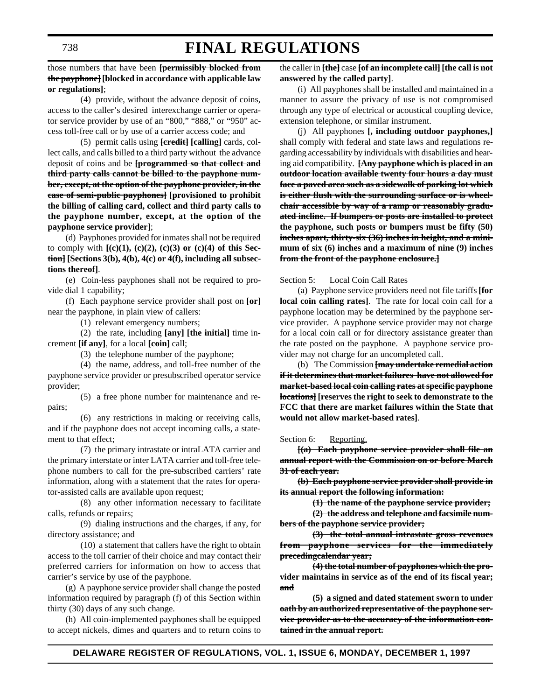#### those numbers that have been **[permissibly blocked from the payphone] [blocked in accordance with applicable law or regulations]**;

(4) provide, without the advance deposit of coins, access to the caller's desired interexchange carrier or operator service provider by use of an "800," "888," or "950" access toll-free call or by use of a carrier access code; and

(5) permit calls using **[credit] [calling]** cards, collect calls, and calls billed to a third party without the advance deposit of coins and be **[programmed so that collect and third party calls cannot be billed to the payphone number, except, at the option of the payphone provider, in the case of semi-public payphones] [provisioned to prohibit the billing of calling card, collect and third party calls to the payphone number, except, at the option of the payphone service provider]**;

(d) Payphones provided for inmates shall not be required to comply with **[(c)(1), (c)(2), (c)(3) or (c)(4) of this Section] [Sections 3(b), 4(b), 4(c) or 4(f), including all subsections thereof]**.

(e) Coin-less payphones shall not be required to provide dial 1 capability;

(f) Each payphone service provider shall post on **[or]** near the payphone, in plain view of callers:

(1) relevant emergency numbers;

(2) the rate, including **[any] [the initial]** time increment **[if any]**, for a local **[coin]** call;

(3) the telephone number of the payphone;

(4) the name, address, and toll-free number of the payphone service provider or presubscribed operator service provider;

(5) a free phone number for maintenance and repairs;

(6) any restrictions in making or receiving calls, and if the payphone does not accept incoming calls, a statement to that effect;

(7) the primary intrastate or intraLATA carrier and the primary interstate or inter LATA carrier and toll-free telephone numbers to call for the pre-subscribed carriers' rate information, along with a statement that the rates for operator-assisted calls are available upon request;

(8) any other information necessary to facilitate calls, refunds or repairs;

(9) dialing instructions and the charges, if any, for directory assistance; and

(10) a statement that callers have the right to obtain access to the toll carrier of their choice and may contact their preferred carriers for information on how to access that carrier's service by use of the payphone.

(g) A payphone service provider shall change the posted information required by paragraph (f) of this Section within thirty (30) days of any such change.

(h) All coin-implemented payphones shall be equipped to accept nickels, dimes and quarters and to return coins to

the caller in **[the]** case **[of an incomplete call] [the call is not answered by the called party]**.

(i) All payphones shall be installed and maintained in a manner to assure the privacy of use is not compromised through any type of electrical or acoustical coupling device, extension telephone, or similar instrument.

(j) All payphones **[, including outdoor payphones,]** shall comply with federal and state laws and regulations regarding accessability by individuals with disabilities and hearing aid compatibility. **[Any payphone which is placed in an outdoor location available twenty four hours a day must face a paved area such as a sidewalk of parking lot which is either flush with the surrounding surface or is wheelchair accessible by way of a ramp or reasonably graduated incline. If bumpers or posts are installed to protect the payphone, such posts or bumpers must be fifty (50) inches apart, thirty-six (36) inches in height, and a minimum of six (6) inches and a maximum of nine (9) inches from the front of the payphone enclosure.]**

#### Section 5: Local Coin Call Rates

(a) Payphone service providers need not file tariffs **[for local coin calling rates]**. The rate for local coin call for a payphone location may be determined by the payphone service provider. A payphone service provider may not charge for a local coin call or for directory assistance greater than the rate posted on the payphone. A payphone service provider may not charge for an uncompleted call.

(b) The Commission **[may undertake remedial action if it determines that market failures have not allowed for market-based local coin calling rates at specific payphone locations] [reserves the right to seek to demonstrate to the FCC that there are market failures within the State that would not allow market-based rates]**.

Section 6: Reporting.

**[(a) Each payphone service provider shall file an annual report with the Commission on or before March 31 of each year.**

**(b) Each payphone service provider shall provide in its annual report the following information:**

**(1) the name of the payphone service provider;**

**(2) the address and telephone and facsimile numbers of the payphone service provider;**

**(3) the total annual intrastate gross revenues from payphone services for the immediately precedingcalendar year;**

**(4) the total number of payphones which the provider maintains in service as of the end of its fiscal year; and**

**(5) a signed and dated statement sworn to under oath by an authorized representative of the payphone service provider as to the accuracy of the information contained in the annual report.**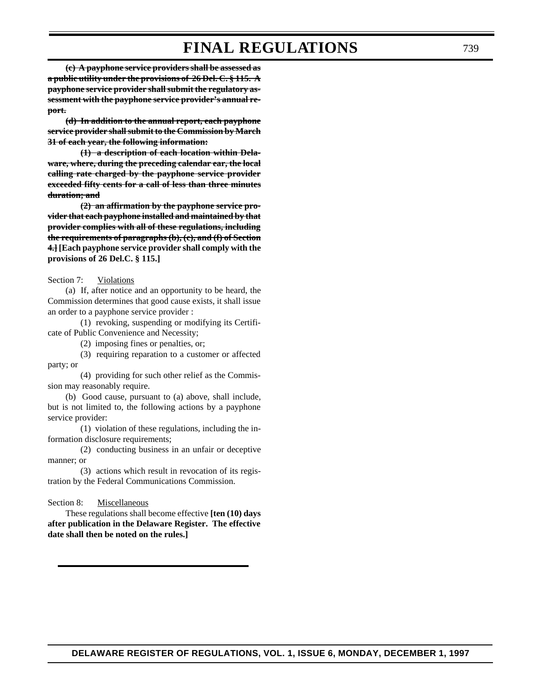**(c) A payphone service providers shall be assessed as a public utility under the provisions of 26 Del. C. § 115. A payphone service provider shall submit the regulatory assessment with the payphone service provider's annual report.**

**(d) In addition to the annual report, each payphone service provider shall submit to the Commission by March 31 of each year, the following information:**

**(1) a description of each location within Delaware, where, during the preceding calendar ear, the local calling rate charged by the payphone service provider exceeded fifty cents for a call of less than three minutes duration; and**

**(2) an affirmation by the payphone service provider that each payphone installed and maintained by that provider complies with all of these regulations, including the requirements of paragraphs (b), (c), and (f) of Section 4.] [Each payphone service provider shall comply with the provisions of 26 Del.C. § 115.]**

#### Section 7: Violations

(a) If, after notice and an opportunity to be heard, the Commission determines that good cause exists, it shall issue an order to a payphone service provider :

(1) revoking, suspending or modifying its Certificate of Public Convenience and Necessity;

(2) imposing fines or penalties, or;

(3) requiring reparation to a customer or affected party; or

(4) providing for such other relief as the Commission may reasonably require.

(b) Good cause, pursuant to (a) above, shall include, but is not limited to, the following actions by a payphone service provider:

(1) violation of these regulations, including the information disclosure requirements;

(2) conducting business in an unfair or deceptive manner; or

(3) actions which result in revocation of its registration by the Federal Communications Commission.

Section 8: Miscellaneous

These regulations shall become effective **[ten (10) days after publication in the Delaware Register. The effective date shall then be noted on the rules.]**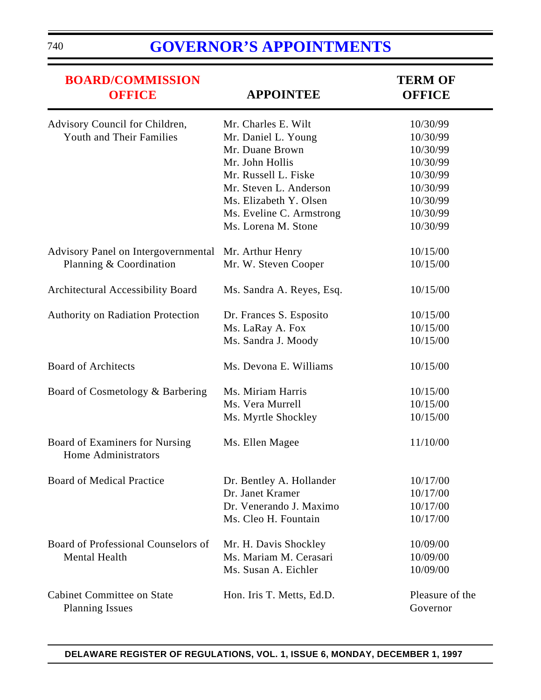| <b>BOARD/COMMISSION</b><br><b>OFFICE</b>                     | <b>APPOINTEE</b>          | <b>TERM OF</b><br><b>OFFICE</b> |
|--------------------------------------------------------------|---------------------------|---------------------------------|
| Advisory Council for Children,                               | Mr. Charles E. Wilt       | 10/30/99                        |
| <b>Youth and Their Families</b>                              | Mr. Daniel L. Young       | 10/30/99                        |
|                                                              | Mr. Duane Brown           | 10/30/99                        |
|                                                              | Mr. John Hollis           | 10/30/99                        |
|                                                              | Mr. Russell L. Fiske      | 10/30/99                        |
|                                                              | Mr. Steven L. Anderson    | 10/30/99                        |
|                                                              | Ms. Elizabeth Y. Olsen    | 10/30/99                        |
|                                                              | Ms. Eveline C. Armstrong  | 10/30/99                        |
|                                                              | Ms. Lorena M. Stone       | 10/30/99                        |
| <b>Advisory Panel on Intergovernmental</b>                   | Mr. Arthur Henry          | 10/15/00                        |
| Planning & Coordination                                      | Mr. W. Steven Cooper      | 10/15/00                        |
| Architectural Accessibility Board                            | Ms. Sandra A. Reyes, Esq. | 10/15/00                        |
| Authority on Radiation Protection                            | Dr. Frances S. Esposito   | 10/15/00                        |
|                                                              | Ms. LaRay A. Fox          | 10/15/00                        |
|                                                              | Ms. Sandra J. Moody       | 10/15/00                        |
| <b>Board of Architects</b>                                   | Ms. Devona E. Williams    | 10/15/00                        |
| Board of Cosmetology & Barbering                             | Ms. Miriam Harris         | 10/15/00                        |
|                                                              | Ms. Vera Murrell          | 10/15/00                        |
|                                                              | Ms. Myrtle Shockley       | 10/15/00                        |
| Board of Examiners for Nursing<br><b>Home Administrators</b> | Ms. Ellen Magee           | 11/10/00                        |
| <b>Board of Medical Practice</b>                             | Dr. Bentley A. Hollander  | 10/17/00                        |
|                                                              | Dr. Janet Kramer          | 10/17/00                        |
|                                                              | Dr. Venerando J. Maximo   | 10/17/00                        |
|                                                              | Ms. Cleo H. Fountain      | 10/17/00                        |
| Board of Professional Counselors of                          | Mr. H. Davis Shockley     | 10/09/00                        |
| <b>Mental Health</b>                                         | Ms. Mariam M. Cerasari    | 10/09/00                        |
|                                                              | Ms. Susan A. Eichler      | 10/09/00                        |
| <b>Cabinet Committee on State</b><br><b>Planning Issues</b>  | Hon. Iris T. Metts, Ed.D. | Pleasure of the<br>Governor     |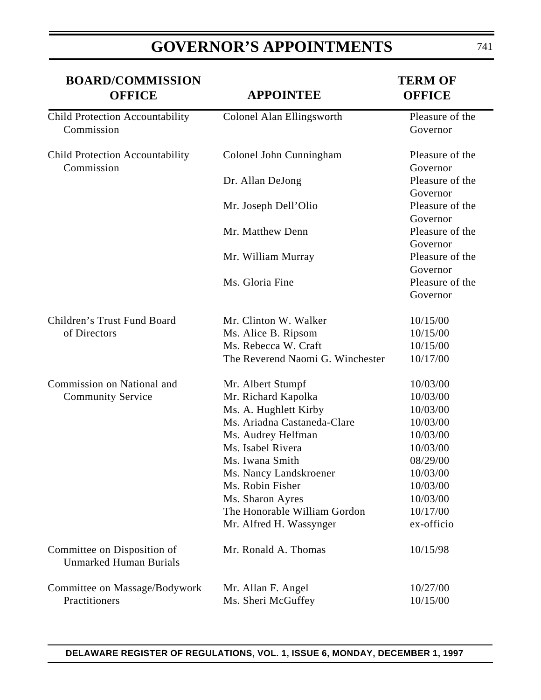| <b>BOARD/COMMISSION</b>                                      |                                  | <b>TERM OF</b>  |
|--------------------------------------------------------------|----------------------------------|-----------------|
| <b>OFFICE</b>                                                | <b>APPOINTEE</b>                 | <b>OFFICE</b>   |
| <b>Child Protection Accountability</b>                       | <b>Colonel Alan Ellingsworth</b> | Pleasure of the |
| Commission                                                   |                                  | Governor        |
| <b>Child Protection Accountability</b>                       | Colonel John Cunningham          | Pleasure of the |
| Commission                                                   |                                  | Governor        |
|                                                              | Dr. Allan DeJong                 | Pleasure of the |
|                                                              |                                  | Governor        |
|                                                              | Mr. Joseph Dell'Olio             | Pleasure of the |
|                                                              |                                  | Governor        |
|                                                              | Mr. Matthew Denn                 | Pleasure of the |
|                                                              |                                  | Governor        |
|                                                              | Mr. William Murray               | Pleasure of the |
|                                                              |                                  | Governor        |
|                                                              | Ms. Gloria Fine                  | Pleasure of the |
|                                                              |                                  | Governor        |
| Children's Trust Fund Board                                  | Mr. Clinton W. Walker            | 10/15/00        |
| of Directors                                                 | Ms. Alice B. Ripsom              | 10/15/00        |
|                                                              | Ms. Rebecca W. Craft             | 10/15/00        |
|                                                              | The Reverend Naomi G. Winchester | 10/17/00        |
| Commission on National and                                   | Mr. Albert Stumpf                | 10/03/00        |
| <b>Community Service</b>                                     | Mr. Richard Kapolka              | 10/03/00        |
|                                                              | Ms. A. Hughlett Kirby            | 10/03/00        |
|                                                              | Ms. Ariadna Castaneda-Clare      | 10/03/00        |
|                                                              | Ms. Audrey Helfman               | 10/03/00        |
|                                                              | Ms. Isabel Rivera                | 10/03/00        |
|                                                              | Ms. Iwana Smith                  | 08/29/00        |
|                                                              | Ms. Nancy Landskroener           | 10/03/00        |
|                                                              | Ms. Robin Fisher                 | 10/03/00        |
|                                                              | Ms. Sharon Ayres                 | 10/03/00        |
|                                                              | The Honorable William Gordon     | 10/17/00        |
|                                                              | Mr. Alfred H. Wassynger          | ex-officio      |
| Committee on Disposition of<br><b>Unmarked Human Burials</b> | Mr. Ronald A. Thomas             | 10/15/98        |
| Committee on Massage/Bodywork                                | Mr. Allan F. Angel               | 10/27/00        |
| Practitioners                                                | Ms. Sheri McGuffey               | 10/15/00        |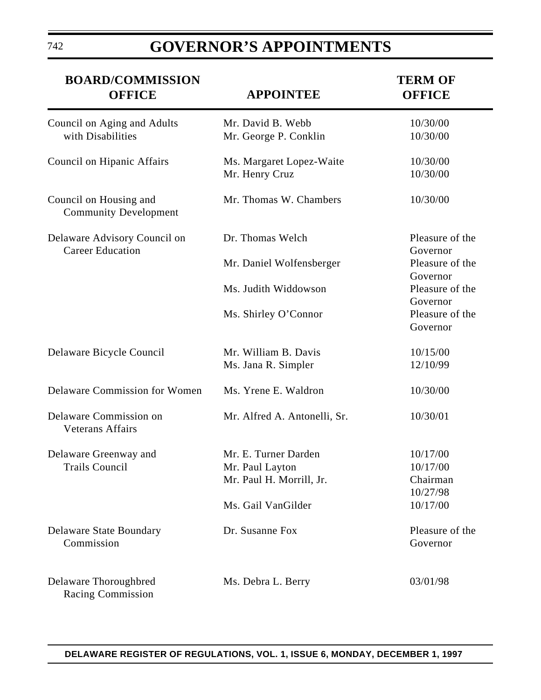| <b>BOARD/COMMISSION</b><br><b>OFFICE</b>               | <b>APPOINTEE</b>             | <b>TERM OF</b><br><b>OFFICE</b> |
|--------------------------------------------------------|------------------------------|---------------------------------|
| Council on Aging and Adults                            | Mr. David B. Webb            | 10/30/00                        |
| with Disabilities                                      | Mr. George P. Conklin        | 10/30/00                        |
| Council on Hipanic Affairs                             | Ms. Margaret Lopez-Waite     | 10/30/00                        |
|                                                        | Mr. Henry Cruz               | 10/30/00                        |
| Council on Housing and<br><b>Community Development</b> | Mr. Thomas W. Chambers       | 10/30/00                        |
| Delaware Advisory Council on                           | Dr. Thomas Welch             | Pleasure of the                 |
| <b>Career Education</b>                                |                              | Governor                        |
|                                                        | Mr. Daniel Wolfensberger     | Pleasure of the                 |
|                                                        |                              | Governor                        |
|                                                        | Ms. Judith Widdowson         | Pleasure of the                 |
|                                                        |                              | Governor                        |
|                                                        | Ms. Shirley O'Connor         | Pleasure of the                 |
|                                                        |                              | Governor                        |
| Delaware Bicycle Council                               | Mr. William B. Davis         | 10/15/00                        |
|                                                        | Ms. Jana R. Simpler          | 12/10/99                        |
| <b>Delaware Commission for Women</b>                   | Ms. Yrene E. Waldron         | 10/30/00                        |
| Delaware Commission on<br><b>Veterans Affairs</b>      | Mr. Alfred A. Antonelli, Sr. | 10/30/01                        |
| Delaware Greenway and<br><b>Trails Council</b>         | Mr. E. Turner Darden         | 10/17/00                        |
|                                                        | Mr. Paul Layton              | 10/17/00                        |
|                                                        | Mr. Paul H. Morrill, Jr.     | Chairman                        |
|                                                        |                              | 10/27/98                        |
|                                                        | Ms. Gail VanGilder           | 10/17/00                        |
| Delaware State Boundary                                | Dr. Susanne Fox              | Pleasure of the                 |
| Commission                                             |                              | Governor                        |
| Delaware Thoroughbred<br>Racing Commission             | Ms. Debra L. Berry           | 03/01/98                        |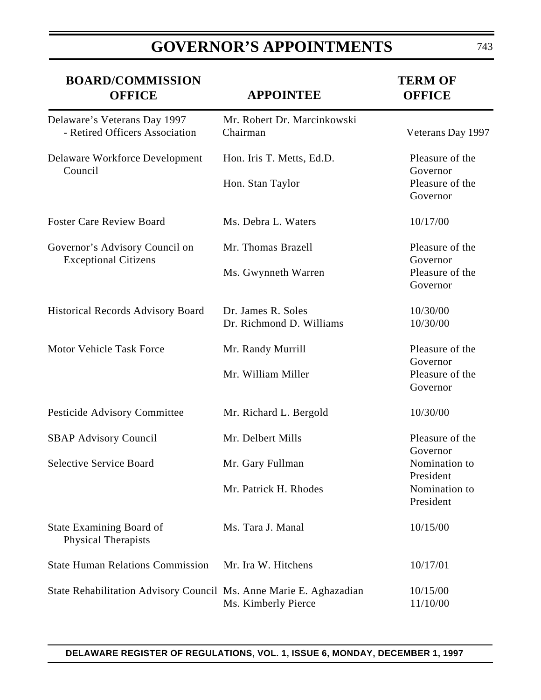| <b>BOARD/COMMISSION</b><br><b>OFFICE</b>                           | <b>APPOINTEE</b>                               | <b>TERM OF</b><br><b>OFFICE</b> |
|--------------------------------------------------------------------|------------------------------------------------|---------------------------------|
| Delaware's Veterans Day 1997<br>- Retired Officers Association     | Mr. Robert Dr. Marcinkowski<br>Chairman        | Veterans Day 1997               |
| Delaware Workforce Development<br>Council                          | Hon. Iris T. Metts, Ed.D.                      | Pleasure of the<br>Governor     |
|                                                                    | Hon. Stan Taylor                               | Pleasure of the<br>Governor     |
| <b>Foster Care Review Board</b>                                    | Ms. Debra L. Waters                            | 10/17/00                        |
| Governor's Advisory Council on<br><b>Exceptional Citizens</b>      | Mr. Thomas Brazell                             | Pleasure of the<br>Governor     |
|                                                                    | Ms. Gwynneth Warren                            | Pleasure of the<br>Governor     |
| <b>Historical Records Advisory Board</b>                           | Dr. James R. Soles<br>Dr. Richmond D. Williams | 10/30/00<br>10/30/00            |
| <b>Motor Vehicle Task Force</b>                                    | Mr. Randy Murrill                              | Pleasure of the<br>Governor     |
|                                                                    | Mr. William Miller                             | Pleasure of the<br>Governor     |
| Pesticide Advisory Committee                                       | Mr. Richard L. Bergold                         | 10/30/00                        |
| <b>SBAP Advisory Council</b>                                       | Mr. Delbert Mills                              | Pleasure of the<br>Governor     |
| <b>Selective Service Board</b>                                     | Mr. Gary Fullman                               | Nomination to<br>President      |
|                                                                    | Mr. Patrick H. Rhodes                          | Nomination to<br>President      |
| <b>State Examining Board of</b><br><b>Physical Therapists</b>      | Ms. Tara J. Manal                              | 10/15/00                        |
| <b>State Human Relations Commission</b>                            | Mr. Ira W. Hitchens                            | 10/17/01                        |
| State Rehabilitation Advisory Council Ms. Anne Marie E. Aghazadian | Ms. Kimberly Pierce                            | 10/15/00<br>11/10/00            |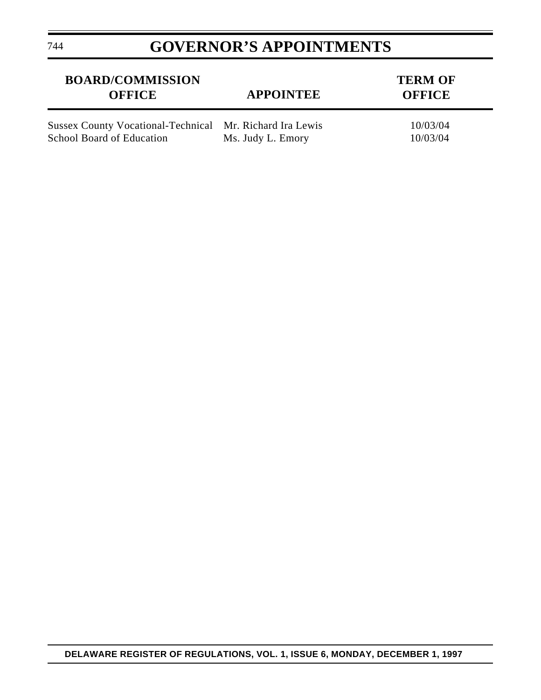| <b>BOARD/COMMISSION</b><br><b>OFFICE</b>                                                     | <b>APPOINTEE</b>  | <b>TERM OF</b><br><b>OFFICE</b> |
|----------------------------------------------------------------------------------------------|-------------------|---------------------------------|
| Sussex County Vocational-Technical Mr. Richard Ira Lewis<br><b>School Board of Education</b> | Ms. Judy L. Emory | 10/03/04<br>10/03/04            |

**DELAWARE REGISTER OF REGULATIONS, VOL. 1, ISSUE 6, MONDAY, DECEMBER 1, 1997**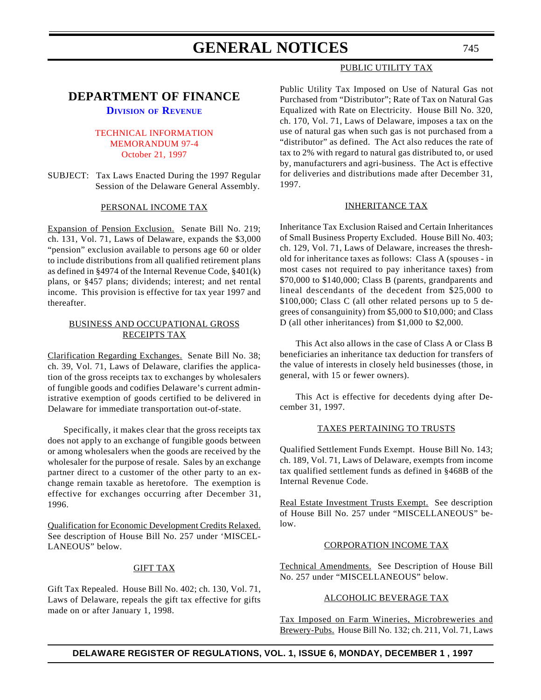#### PUBLIC UTILITY TAX

### **DEPARTMENT OF FINANCE**

**DIVISION OF [REVENUE](http://www.state.de.us/govern/agencies/revenue/revenue.htm)**

#### [TECHNICAL INFORMATION](#page-4-0) MEMORANDUM 97-4 October 21, 1997

SUBJECT: Tax Laws Enacted During the 1997 Regular Session of the Delaware General Assembly.

#### PERSONAL INCOME TAX

Expansion of Pension Exclusion. Senate Bill No. 219; ch. 131, Vol. 71, Laws of Delaware, expands the \$3,000 "pension" exclusion available to persons age 60 or older to include distributions from all qualified retirement plans as defined in §4974 of the Internal Revenue Code, §401(k) plans, or §457 plans; dividends; interest; and net rental income. This provision is effective for tax year 1997 and thereafter.

#### BUSINESS AND OCCUPATIONAL GROSS RECEIPTS TAX

Clarification Regarding Exchanges. Senate Bill No. 38; ch. 39, Vol. 71, Laws of Delaware, clarifies the application of the gross receipts tax to exchanges by wholesalers of fungible goods and codifies Delaware's current administrative exemption of goods certified to be delivered in Delaware for immediate transportation out-of-state.

Specifically, it makes clear that the gross receipts tax does not apply to an exchange of fungible goods between or among wholesalers when the goods are received by the wholesaler for the purpose of resale. Sales by an exchange partner direct to a customer of the other party to an exchange remain taxable as heretofore. The exemption is effective for exchanges occurring after December 31, 1996.

Qualification for Economic Development Credits Relaxed. See description of House Bill No. 257 under 'MISCEL-LANEOUS" below.

#### GIFT TAX

Gift Tax Repealed. House Bill No. 402; ch. 130, Vol. 71, Laws of Delaware, repeals the gift tax effective for gifts made on or after January 1, 1998.

Public Utility Tax Imposed on Use of Natural Gas not Purchased from "Distributor"; Rate of Tax on Natural Gas Equalized with Rate on Electricity. House Bill No. 320, ch. 170, Vol. 71, Laws of Delaware, imposes a tax on the use of natural gas when such gas is not purchased from a "distributor" as defined. The Act also reduces the rate of tax to 2% with regard to natural gas distributed to, or used by, manufacturers and agri-business. The Act is effective for deliveries and distributions made after December 31, 1997.

#### INHERITANCE TAX

Inheritance Tax Exclusion Raised and Certain Inheritances of Small Business Property Excluded. House Bill No. 403; ch. 129, Vol. 71, Laws of Delaware, increases the threshold for inheritance taxes as follows: Class A (spouses - in most cases not required to pay inheritance taxes) from \$70,000 to \$140,000; Class B (parents, grandparents and lineal descendants of the decedent from \$25,000 to \$100,000; Class C (all other related persons up to 5 degrees of consanguinity) from \$5,000 to \$10,000; and Class D (all other inheritances) from \$1,000 to \$2,000.

This Act also allows in the case of Class A or Class B beneficiaries an inheritance tax deduction for transfers of the value of interests in closely held businesses (those, in general, with 15 or fewer owners).

This Act is effective for decedents dying after December 31, 1997.

#### TAXES PERTAINING TO TRUSTS

Qualified Settlement Funds Exempt. House Bill No. 143; ch. 189, Vol. 71, Laws of Delaware, exempts from income tax qualified settlement funds as defined in §468B of the Internal Revenue Code.

Real Estate Investment Trusts Exempt. See description of House Bill No. 257 under "MISCELLANEOUS" below.

#### CORPORATION INCOME TAX

Technical Amendments. See Description of House Bill No. 257 under "MISCELLANEOUS" below.

#### ALCOHOLIC BEVERAGE TAX

Tax Imposed on Farm Wineries, Microbreweries and Brewery-Pubs. House Bill No. 132; ch. 211, Vol. 71, Laws

#### **DELAWARE REGISTER OF REGULATIONS, VOL. 1, ISSUE 6, MONDAY, DECEMBER 1 , 1997**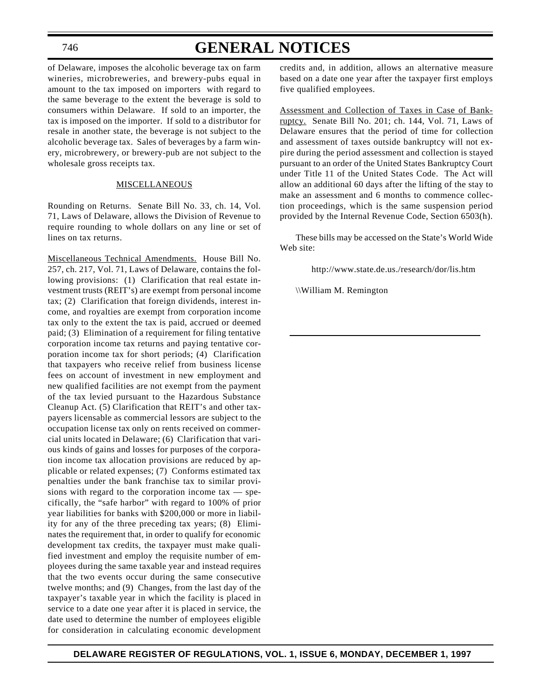#### 746

### **GENERAL NOTICES**

of Delaware, imposes the alcoholic beverage tax on farm wineries, microbreweries, and brewery-pubs equal in amount to the tax imposed on importers with regard to the same beverage to the extent the beverage is sold to consumers within Delaware. If sold to an importer, the tax is imposed on the importer. If sold to a distributor for resale in another state, the beverage is not subject to the alcoholic beverage tax. Sales of beverages by a farm winery, microbrewery, or brewery-pub are not subject to the wholesale gross receipts tax.

#### MISCELLANEOUS

Rounding on Returns. Senate Bill No. 33, ch. 14, Vol. 71, Laws of Delaware, allows the Division of Revenue to require rounding to whole dollars on any line or set of lines on tax returns.

Miscellaneous Technical Amendments. House Bill No. 257, ch. 217, Vol. 71, Laws of Delaware, contains the following provisions: (1) Clarification that real estate investment trusts (REIT's) are exempt from personal income tax; (2) Clarification that foreign dividends, interest income, and royalties are exempt from corporation income tax only to the extent the tax is paid, accrued or deemed paid; (3) Elimination of a requirement for filing tentative corporation income tax returns and paying tentative corporation income tax for short periods; (4) Clarification that taxpayers who receive relief from business license fees on account of investment in new employment and new qualified facilities are not exempt from the payment of the tax levied pursuant to the Hazardous Substance Cleanup Act. (5) Clarification that REIT's and other taxpayers licensable as commercial lessors are subject to the occupation license tax only on rents received on commercial units located in Delaware; (6) Clarification that various kinds of gains and losses for purposes of the corporation income tax allocation provisions are reduced by applicable or related expenses; (7) Conforms estimated tax penalties under the bank franchise tax to similar provisions with regard to the corporation income tax  $-$  specifically, the "safe harbor" with regard to 100% of prior year liabilities for banks with \$200,000 or more in liability for any of the three preceding tax years; (8) Eliminates the requirement that, in order to qualify for economic development tax credits, the taxpayer must make qualified investment and employ the requisite number of employees during the same taxable year and instead requires that the two events occur during the same consecutive twelve months; and (9) Changes, from the last day of the taxpayer's taxable year in which the facility is placed in service to a date one year after it is placed in service, the date used to determine the number of employees eligible for consideration in calculating economic development credits and, in addition, allows an alternative measure based on a date one year after the taxpayer first employs five qualified employees.

Assessment and Collection of Taxes in Case of Bankruptcy. Senate Bill No. 201; ch. 144, Vol. 71, Laws of Delaware ensures that the period of time for collection and assessment of taxes outside bankruptcy will not expire during the period assessment and collection is stayed pursuant to an order of the United States Bankruptcy Court under Title 11 of the United States Code. The Act will allow an additional 60 days after the lifting of the stay to make an assessment and 6 months to commence collection proceedings, which is the same suspension period provided by the Internal Revenue Code, Section 6503(h).

These bills may be accessed on the State's World Wide Web site:

http://www.state.de.us./research/dor/lis.htm

\\William M. Remington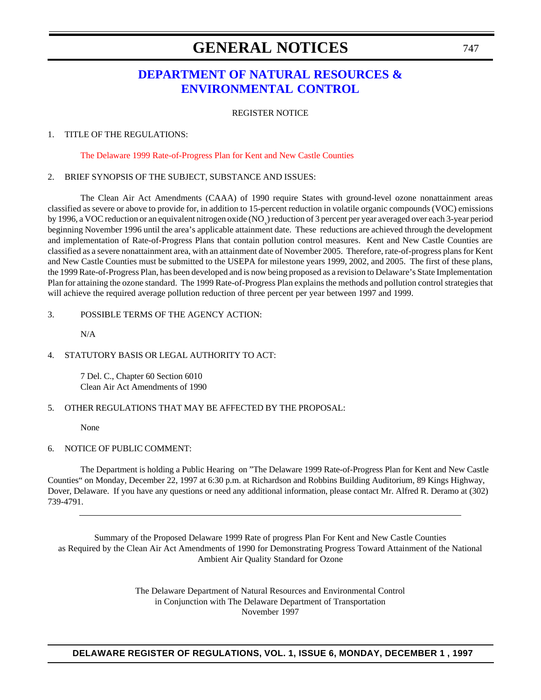### **[DEPARTMENT OF NATURAL RESOURCES &](http://www.dnrec.state.de.us/) ENVIRONMENTAL CONTROL**

### REGISTER NOTICE

### 1. TITLE OF THE REGULATIONS:

[The Delaware 1999 Rate-of-Progress Plan for Kent and New Castle Counties](#page-4-0)

### 2. BRIEF SYNOPSIS OF THE SUBJECT, SUBSTANCE AND ISSUES:

The Clean Air Act Amendments (CAAA) of 1990 require States with ground-level ozone nonattainment areas classified as severe or above to provide for, in addition to 15-percent reduction in volatile organic compounds (VOC) emissions by 1996, a VOC reduction or an equivalent nitrogen oxide (NO<sub>x</sub>) reduction of 3 percent per year averaged over each 3-year period beginning November 1996 until the area's applicable attainment date. These reductions are achieved through the development and implementation of Rate-of-Progress Plans that contain pollution control measures. Kent and New Castle Counties are classified as a severe nonattainment area, with an attainment date of November 2005. Therefore, rate-of-progress plans for Kent and New Castle Counties must be submitted to the USEPA for milestone years 1999, 2002, and 2005. The first of these plans, the 1999 Rate-of-Progress Plan, has been developed and is now being proposed as a revision to Delaware's State Implementation Plan for attaining the ozone standard. The 1999 Rate-of-Progress Plan explains the methods and pollution control strategies that will achieve the required average pollution reduction of three percent per year between 1997 and 1999.

### 3. POSSIBLE TERMS OF THE AGENCY ACTION:

N/A

### 4. STATUTORY BASIS OR LEGAL AUTHORITY TO ACT:

7 Del. C., Chapter 60 Section 6010 Clean Air Act Amendments of 1990

### 5. OTHER REGULATIONS THAT MAY BE AFFECTED BY THE PROPOSAL:

None

### 6. NOTICE OF PUBLIC COMMENT:

The Department is holding a Public Hearing on "The Delaware 1999 Rate-of-Progress Plan for Kent and New Castle Counties" on Monday, December 22, 1997 at 6:30 p.m. at Richardson and Robbins Building Auditorium, 89 Kings Highway, Dover, Delaware. If you have any questions or need any additional information, please contact Mr. Alfred R. Deramo at (302) 739-4791.

Summary of the Proposed Delaware 1999 Rate of progress Plan For Kent and New Castle Counties as Required by the Clean Air Act Amendments of 1990 for Demonstrating Progress Toward Attainment of the National Ambient Air Quality Standard for Ozone

> The Delaware Department of Natural Resources and Environmental Control in Conjunction with The Delaware Department of Transportation November 1997

747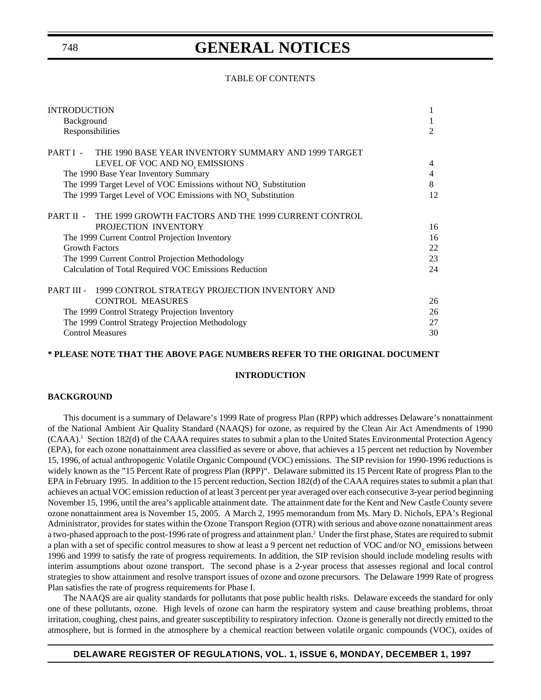### TABLE OF CONTENTS

| <b>INTRODUCTION</b>                                                         |    |
|-----------------------------------------------------------------------------|----|
| Background                                                                  |    |
| Responsibilities                                                            | 2  |
| PART I - THE 1990 BASE YEAR INVENTORY SUMMARY AND 1999 TARGET               |    |
| LEVEL OF VOC AND NO <sub>v</sub> EMISSIONS                                  | 4  |
| The 1990 Base Year Inventory Summary                                        | 4  |
| The 1999 Target Level of VOC Emissions without NO <sub>z</sub> Substitution | 8  |
| The 1999 Target Level of VOC Emissions with NO <sub>v</sub> Substitution    | 12 |
| PART II - THE 1999 GROWTH FACTORS AND THE 1999 CURRENT CONTROL              |    |
| PROJECTION INVENTORY                                                        | 16 |
| The 1999 Current Control Projection Inventory                               | 16 |
| <b>Growth Factors</b>                                                       | 22 |
| The 1999 Current Control Projection Methodology                             | 23 |
| Calculation of Total Required VOC Emissions Reduction                       | 24 |
| PART III -<br>1999 CONTROL STRATEGY PROJECTION INVENTORY AND                |    |
| <b>CONTROL MEASURES</b>                                                     | 26 |
| The 1999 Control Strategy Projection Inventory                              | 26 |
| The 1999 Control Strategy Projection Methodology                            | 27 |
| <b>Control Measures</b>                                                     | 30 |

### **\* PLEASE NOTE THAT THE ABOVE PAGE NUMBERS REFER TO THE ORIGINAL DOCUMENT**

### **INTRODUCTION**

### **BACKGROUND**

This document is a summary of Delaware's 1999 Rate of progress Plan (RPP) which addresses Delaware's nonattainment of the National Ambient Air Quality Standard (NAAQS) for ozone, as required by the Clean Air Act Amendments of 1990 (CAAA).1 Section 182(d) of the CAAA requires states to submit a plan to the United States Environmental Protection Agency (EPA), for each ozone nonattainment area classified as severe or above, that achieves a 15 percent net reduction by November 15, 1996, of actual anthropogenic Volatile Organic Compound (VOC) emissions. The SIP revision for 1990-1996 reductions is widely known as the "15 Percent Rate of progress Plan (RPP)". Delaware submitted its 15 Percent Rate of progress Plan to the EPA in February 1995. In addition to the 15 percent reduction, Section 182(d) of the CAAA requires states to submit a plan that achieves an actual VOC emission reduction of at least 3 percent per year averaged over each consecutive 3-year period beginning November 15, 1996, until the area's applicable attainment date. The attainment date for the Kent and New Castle County severe ozone nonattainment area is November 15, 2005. A March 2, 1995 memorandum from Ms. Mary D. Nichols, EPA's Regional Administrator, provides for states within the Ozone Transport Region (OTR) with serious and above ozone nonattainment areas a two-phased approach to the post-1996 rate of progress and attainment plan.<sup>2</sup> Under the first phase, States are required to submit a plan with a set of specific control measures to show at least a 9 percent net reduction of VOC and/or  $\rm NO_x$  emissions between 1996 and 1999 to satisfy the rate of progress requirements. In addition, the SIP revision should include modeling results with interim assumptions about ozone transport. The second phase is a 2-year process that assesses regional and local control strategies to show attainment and resolve transport issues of ozone and ozone precursors. The Delaware 1999 Rate of progress Plan satisfies the rate of progress requirements for Phase I.

The NAAQS are air quality standards for pollutants that pose public health risks. Delaware exceeds the standard for only one of these pollutants, ozone. High levels of ozone can harm the respiratory system and cause breathing problems, throat irritation, coughing, chest pains, and greater susceptibility to respiratory infection. Ozone is generally not directly emitted to the atmosphere, but is formed in the atmosphere by a chemical reaction between volatile organic compounds (VOC), oxides of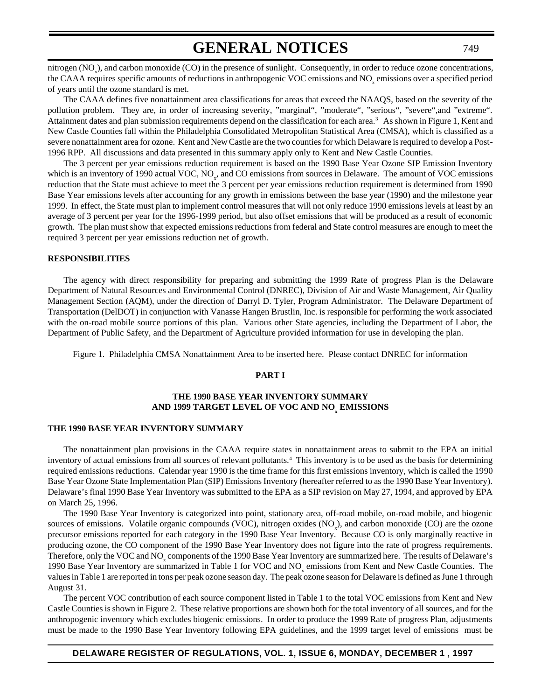nitrogen  $(NO_x)$ , and carbon monoxide  $(CO)$  in the presence of sunlight. Consequently, in order to reduce ozone concentrations, the CAAA requires specific amounts of reductions in anthropogenic VOC emissions and NO<sub>x</sub> emissions over a specified period of years until the ozone standard is met.

The CAAA defines five nonattainment area classifications for areas that exceed the NAAQS, based on the severity of the pollution problem. They are, in order of increasing severity, "marginal", "moderate", "serious", "severe",and "extreme". Attainment dates and plan submission requirements depend on the classification for each area.<sup>3</sup> As shown in Figure 1, Kent and New Castle Counties fall within the Philadelphia Consolidated Metropolitan Statistical Area (CMSA), which is classified as a severe nonattainment area for ozone. Kent and New Castle are the two counties for which Delaware is required to develop a Post-1996 RPP. All discussions and data presented in this summary apply only to Kent and New Castle Counties.

The 3 percent per year emissions reduction requirement is based on the 1990 Base Year Ozone SIP Emission Inventory which is an inventory of 1990 actual VOC,  $NO_x$ , and CO emissions from sources in Delaware. The amount of VOC emissions reduction that the State must achieve to meet the 3 percent per year emissions reduction requirement is determined from 1990 Base Year emissions levels after accounting for any growth in emissions between the base year (1990) and the milestone year 1999. In effect, the State must plan to implement control measures that will not only reduce 1990 emissions levels at least by an average of 3 percent per year for the 1996-1999 period, but also offset emissions that will be produced as a result of economic growth. The plan must show that expected emissions reductions from federal and State control measures are enough to meet the required 3 percent per year emissions reduction net of growth.

#### **RESPONSIBILITIES**

The agency with direct responsibility for preparing and submitting the 1999 Rate of progress Plan is the Delaware Department of Natural Resources and Environmental Control (DNREC), Division of Air and Waste Management, Air Quality Management Section (AQM), under the direction of Darryl D. Tyler, Program Administrator. The Delaware Department of Transportation (DelDOT) in conjunction with Vanasse Hangen Brustlin, Inc. is responsible for performing the work associated with the on-road mobile source portions of this plan. Various other State agencies, including the Department of Labor, the Department of Public Safety, and the Department of Agriculture provided information for use in developing the plan.

Figure 1. Philadelphia CMSA Nonattainment Area to be inserted here. Please contact DNREC for information

### **PART I**

### **THE 1990 BASE YEAR INVENTORY SUMMARY** AND 1999 TARGET LEVEL OF VOC AND NO<sub>x</sub> EMISSIONS

### **THE 1990 BASE YEAR INVENTORY SUMMARY**

The nonattainment plan provisions in the CAAA require states in nonattainment areas to submit to the EPA an initial inventory of actual emissions from all sources of relevant pollutants.4 This inventory is to be used as the basis for determining required emissions reductions. Calendar year 1990 is the time frame for this first emissions inventory, which is called the 1990 Base Year Ozone State Implementation Plan (SIP) Emissions Inventory (hereafter referred to as the 1990 Base Year Inventory). Delaware's final 1990 Base Year Inventory was submitted to the EPA as a SIP revision on May 27, 1994, and approved by EPA on March 25, 1996.

The 1990 Base Year Inventory is categorized into point, stationary area, off-road mobile, on-road mobile, and biogenic sources of emissions. Volatile organic compounds (VOC), nitrogen oxides  $(NO_x)$ , and carbon monoxide  $(CO)$  are the ozone precursor emissions reported for each category in the 1990 Base Year Inventory. Because CO is only marginally reactive in producing ozone, the CO component of the 1990 Base Year Inventory does not figure into the rate of progress requirements. Therefore, only the VOC and NO<sub>x</sub> components of the 1990 Base Year Inventory are summarized here. The results of Delaware's 1990 Base Year Inventory are summarized in Table 1 for VOC and  $NO<sub>x</sub>$  emissions from Kent and New Castle Counties. The values in Table 1 are reported in tons per peak ozone season day. The peak ozone season for Delaware is defined as June 1 through August 31.

The percent VOC contribution of each source component listed in Table 1 to the total VOC emissions from Kent and New Castle Counties is shown in Figure 2. These relative proportions are shown both for the total inventory of all sources, and for the anthropogenic inventory which excludes biogenic emissions. In order to produce the 1999 Rate of progress Plan, adjustments must be made to the 1990 Base Year Inventory following EPA guidelines, and the 1999 target level of emissions must be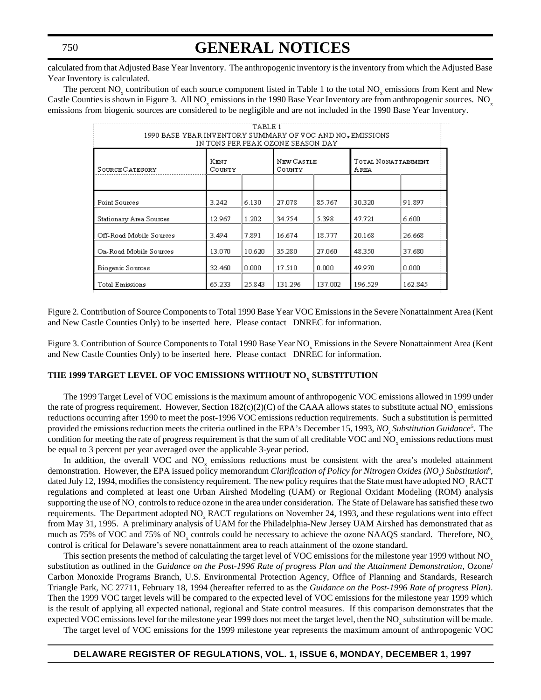750

### **GENERAL NOTICES**

calculated from that Adjusted Base Year Inventory. The anthropogenic inventory is the inventory from which the Adjusted Base Year Inventory is calculated.

The percent  $NO_x$  contribution of each source component listed in Table 1 to the total  $NO_x$  emissions from Kent and New Castle Counties is shown in Figure 3. All NO<sub>x</sub> emissions in the 1990 Base Year Inventory are from anthropogenic sources. NO<sub>x</sub> emissions from biogenic sources are considered to be negligible and are not included in the 1990 Base Year Inventory.

| TABLE 1<br>1990 BASE YEAR INVENTORY SUMMARY OF VOC AND NO, EMISSIONS<br>IN TONS PER PEAK OZONE SEASON DAY |                                                       |        |         |         |                     |         |  |
|-----------------------------------------------------------------------------------------------------------|-------------------------------------------------------|--------|---------|---------|---------------------|---------|--|
| SOURCE CATEGORY                                                                                           | KENT<br>NEW CASTLE<br>COUNTY<br>COUNTY<br><b>AREA</b> |        |         |         | TOTAL NONATTAINMENT |         |  |
|                                                                                                           |                                                       |        |         |         |                     |         |  |
| Point Sources                                                                                             | 3.242                                                 | 6.130  | 27.078  | 85.767  | 30.320              | 91.897  |  |
| Stationary Area Sources                                                                                   | 12.967                                                | 1.202  | 34.754  | 5.398   | 47.721              | 6.600   |  |
| Off-Road Mobile Sources                                                                                   | 3.494                                                 | 7.891  | 16.674  | 18.777  | 20.168              | 26.668  |  |
| On-Road Mobile Sources                                                                                    | 13.070                                                | 10.620 | 35.280  | 27.060  | 48.350              | 37.680  |  |
| Biogenic Sources                                                                                          | 32.460                                                | 0.000  | 17.510  | 0.000   | 49.970              | 0.000   |  |
| Total Emissions                                                                                           | 65.233                                                | 25.843 | 131.296 | 137.002 | 196.529             | 162.845 |  |

Figure 2. Contribution of Source Components to Total 1990 Base Year VOC Emissions in the Severe Nonattainment Area (Kent and New Castle Counties Only) to be inserted here. Please contact DNREC for information.

Figure 3. Contribution of Source Components to Total 1990 Base Year NO<sub>x</sub> Emissions in the Severe Nonattainment Area (Kent and New Castle Counties Only) to be inserted here. Please contact DNREC for information.

### THE 1999 TARGET LEVEL OF VOC EMISSIONS WITHOUT NO<sub>x</sub> SUBSTITUTION

The 1999 Target Level of VOC emissions is the maximum amount of anthropogenic VOC emissions allowed in 1999 under the rate of progress requirement. However, Section  $182(c)(2)(C)$  of the CAAA allows states to substitute actual NO<sub>x</sub> emissions reductions occurring after 1990 to meet the post-1996 VOC emissions reduction requirements. Such a substitution is permitted provided the emissions reduction meets the criteria outlined in the EPA's December 15, 1993, *NO<sub>x</sub> Substitution Guidance*<sup>5</sup>. The condition for meeting the rate of progress requirement is that the sum of all creditable VOC and  $NO<sub>x</sub>$  emissions reductions must be equal to 3 percent per year averaged over the applicable 3-year period.

In addition, the overall VOC and  $NO<sub>x</sub>$  emissions reductions must be consistent with the area's modeled attainment demonstration. However, the EPA issued policy memorandum *Clarification of Policy for Nitrogen Oxides (NO<sub>x</sub>) Substitution<sup>6</sup>,* dated July 12, 1994, modifies the consistency requirement. The new policy requires that the State must have adopted NO<sub>x</sub> RACT regulations and completed at least one Urban Airshed Modeling (UAM) or Regional Oxidant Modeling (ROM) analysis supporting the use of NO<sub>x</sub> controls to reduce ozone in the area under consideration. The State of Delaware has satisfied these two requirements. The Department adopted  $NO<sub>x</sub>$  RACT regulations on November 24, 1993, and these regulations went into effect from May 31, 1995. A preliminary analysis of UAM for the Philadelphia-New Jersey UAM Airshed has demonstrated that as much as 75% of VOC and 75% of NO<sub>x</sub> controls could be necessary to achieve the ozone NAAQS standard. Therefore, NO<sub>x</sub> control is critical for Delaware's severe nonattainment area to reach attainment of the ozone standard.

This section presents the method of calculating the target level of VOC emissions for the milestone year 1999 without NO<sub>x</sub> substitution as outlined in the *Guidance on the Post-1996 Rate of progress Plan and the Attainment Demonstration*, Ozone/ Carbon Monoxide Programs Branch, U.S. Environmental Protection Agency, Office of Planning and Standards, Research Triangle Park, NC 27711, February 18, 1994 (hereafter referred to as the *Guidance on the Post-1996 Rate of progress Plan)*. Then the 1999 VOC target levels will be compared to the expected level of VOC emissions for the milestone year 1999 which is the result of applying all expected national, regional and State control measures. If this comparison demonstrates that the expected VOC emissions level for the milestone year 1999 does not meet the target level, then the NO<sub>x</sub> substitution will be made.

The target level of VOC emissions for the 1999 milestone year represents the maximum amount of anthropogenic VOC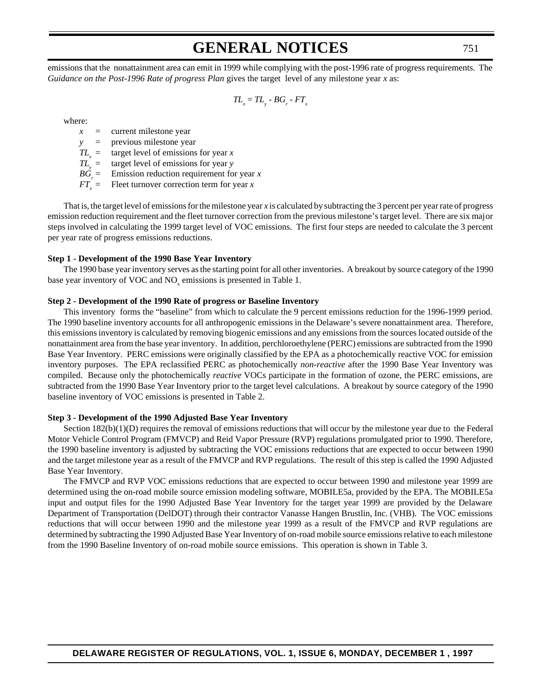emissions that the nonattainment area can emit in 1999 while complying with the post-1996 rate of progress requirements. The *Guidance on the Post-1996 Rate of progress Plan* gives the target level of any milestone year *x* as:

$$
TL_{x} = TL_{y} - BG_{r} - FT_{x}
$$

where:

*x* = current milestone year

*y* = previous milestone year

 $TL_x$  = target level of emissions for year *x*<br> $TL_y$  = target level of emissions for year *y* 

 $TL_y$  = target level of emissions for year *y*  $BG_z$  = Emission reduction requirement for

 $BG_r =$  Emission reduction requirement for year *x*  $FT_r =$  Fleet turnover correction term for year *x* 

*Fleet turnover correction term for year x* 

That is, the target level of emissions for the milestone year *x* is calculated by subtracting the 3 percent per year rate of progress emission reduction requirement and the fleet turnover correction from the previous milestone's target level. There are six major steps involved in calculating the 1999 target level of VOC emissions. The first four steps are needed to calculate the 3 percent per year rate of progress emissions reductions.

### **Step 1 - Development of the 1990 Base Year Inventory**

The 1990 base year inventory serves as the starting point for all other inventories. A breakout by source category of the 1990 base year inventory of VOC and  $NO<sub>x</sub>$  emissions is presented in Table 1.

### **Step 2 - Development of the 1990 Rate of progress or Baseline Inventory**

This inventory forms the "baseline" from which to calculate the 9 percent emissions reduction for the 1996-1999 period. The 1990 baseline inventory accounts for all anthropogenic emissions in the Delaware's severe nonattainment area. Therefore, this emissions inventory is calculated by removing biogenic emissions and any emissions from the sources located outside of the nonattainment area from the base year inventory. In addition, perchloroethylene (PERC) emissions are subtracted from the 1990 Base Year Inventory. PERC emissions were originally classified by the EPA as a photochemically reactive VOC for emission inventory purposes. The EPA reclassified PERC as photochemically *non-reactive* after the 1990 Base Year Inventory was compiled. Because only the photochemically *reactive* VOCs participate in the formation of ozone, the PERC emissions, are subtracted from the 1990 Base Year Inventory prior to the target level calculations. A breakout by source category of the 1990 baseline inventory of VOC emissions is presented in Table 2.

#### **Step 3 - Development of the 1990 Adjusted Base Year Inventory**

Section 182(b)(1)(D) requires the removal of emissions reductions that will occur by the milestone year due to the Federal Motor Vehicle Control Program (FMVCP) and Reid Vapor Pressure (RVP) regulations promulgated prior to 1990. Therefore, the 1990 baseline inventory is adjusted by subtracting the VOC emissions reductions that are expected to occur between 1990 and the target milestone year as a result of the FMVCP and RVP regulations. The result of this step is called the 1990 Adjusted Base Year Inventory.

The FMVCP and RVP VOC emissions reductions that are expected to occur between 1990 and milestone year 1999 are determined using the on-road mobile source emission modeling software, MOBILE5a, provided by the EPA. The MOBILE5a input and output files for the 1990 Adjusted Base Year Inventory for the target year 1999 are provided by the Delaware Department of Transportation (DelDOT) through their contractor Vanasse Hangen Brustlin, Inc. (VHB). The VOC emissions reductions that will occur between 1990 and the milestone year 1999 as a result of the FMVCP and RVP regulations are determined by subtracting the 1990 Adjusted Base Year Inventory of on-road mobile source emissions relative to each milestone from the 1990 Baseline Inventory of on-road mobile source emissions. This operation is shown in Table 3.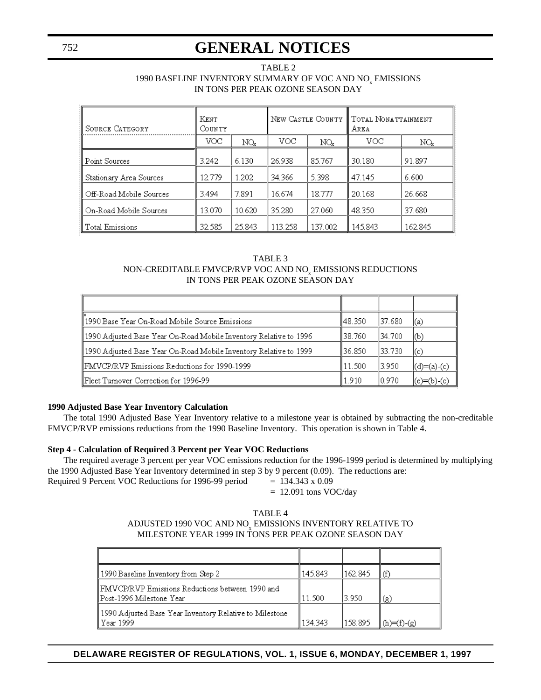### TABLE 2 1990 BASELINE INVENTORY SUMMARY OF VOC AND NO $_{\mathrm{x}}$  EMISSIONS IN TONS PER PEAK OZONE SEASON DAY

| <b>SOURCE CATEGORY</b>  | KENT<br>COUNTY |        |         |         | New Castle County    Total Nonattainment<br>Area |         |
|-------------------------|----------------|--------|---------|---------|--------------------------------------------------|---------|
|                         | VOC            | NQ.    | VOC     | NQ.     | VOC                                              | NQ.     |
| Point Sources           | 3.242          | 6.130  | 26.938  | 85.767  | 30.180                                           | 91.897  |
| Stationary Area Sources | 12.779         | 1.202  | 34.366  | 5.398   | 47.145                                           | 6.600   |
| Off-Road Mobile Sources | 3.494          | 7.891  | 16.674  | 18.777  | 20.168                                           | 26.668  |
| On-Road Mobile Sources  | 13.070         | 10.620 | 35.280  | 27.060  | 48.350                                           | 37.680  |
| Total Emissions         | 32.585         | 25.843 | 113.258 | 137.002 | 145.843                                          | 162.845 |

### TABLE 3 NON-CREDITABLE FMVCP/RVP VOC AND NO $_{\mathrm{x}}$  EMISSIONS REDUCTIONS IN TONS PER PEAK OZONE SEASON DAY

| ∥1990 Base Year On-Road Mobile Source Emissions                    | 148.350 | 37.680  | (a)              |
|--------------------------------------------------------------------|---------|---------|------------------|
| ∥1990 Adjusted Base Year On-Road Mobile Inventory Relative to 1996 | 138.760 | 134.700 | (Ъ)              |
| 1990 Adjusted Base Year On-Road Mobile Inventory Relative to 1999  | 36.850  | 33.730  | l(c)             |
| FMVCP/RVP Emissions Reductions for 1990-1999<br>11.500             |         | 3.950   | $ (d)=(a)-(c)$   |
| Fleet Turnover Correction for 1996-99                              | 1.910   | 10.970  | $ (e)= (b)-(c) $ |

### **1990 Adjusted Base Year Inventory Calculation**

The total 1990 Adjusted Base Year Inventory relative to a milestone year is obtained by subtracting the non-creditable FMVCP/RVP emissions reductions from the 1990 Baseline Inventory. This operation is shown in Table 4.

### **Step 4 - Calculation of Required 3 Percent per Year VOC Reductions**

The required average 3 percent per year VOC emissions reduction for the 1996-1999 period is determined by multiplying the 1990 Adjusted Base Year Inventory determined in step 3 by 9 percent (0.09). The reductions are:

Required 9 Percent VOC Reductions for 1996-99 period  $= 134.343 \times 0.09$ 

 $= 12.091$  tons VOC/day

### TABLE 4

ADJUSTED 1990 VOC AND NO $_{\rm x}$  EMISSIONS INVENTORY RELATIVE TO MILESTONE YEAR 1999 IN TONS PER PEAK OZONE SEASON DAY

| 1990 Baseline Inventory from Step 2                                           | 145843  | 162.845 |         |
|-------------------------------------------------------------------------------|---------|---------|---------|
| FMVCP/RVP Emissions Reductions between 1990 and<br>  Post-1996 Milestone Year | 11.500  | 13.950  | l (g)   |
| 1990 Adjusted Base Year Inventory Relative to Milestone <br>∥Year 1999        | 134 343 | 158.895 | (f)-(g) |

### **DELAWARE REGISTER OF REGULATIONS, VOL. 1, ISSUE 6, MONDAY, DECEMBER 1, 1997**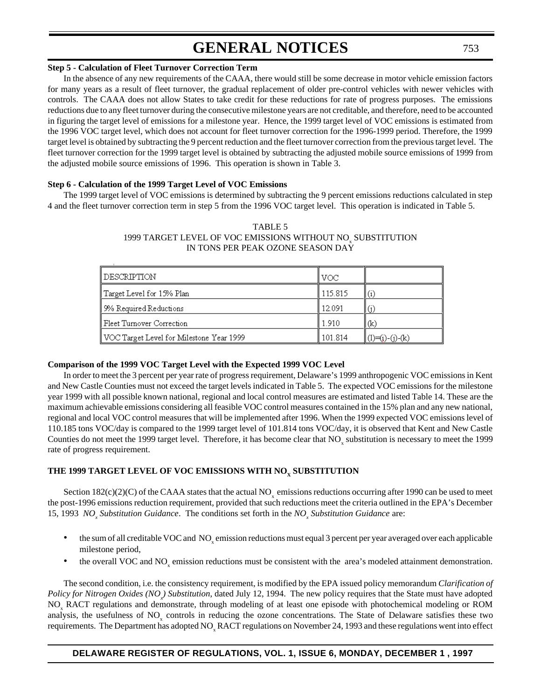### **Step 5 - Calculation of Fleet Turnover Correction Term**

In the absence of any new requirements of the CAAA, there would still be some decrease in motor vehicle emission factors for many years as a result of fleet turnover, the gradual replacement of older pre-control vehicles with newer vehicles with controls. The CAAA does not allow States to take credit for these reductions for rate of progress purposes. The emissions reductions due to any fleet turnover during the consecutive milestone years are not creditable, and therefore, need to be accounted in figuring the target level of emissions for a milestone year. Hence, the 1999 target level of VOC emissions is estimated from the 1996 VOC target level, which does not account for fleet turnover correction for the 1996-1999 period. Therefore, the 1999 target level is obtained by subtracting the 9 percent reduction and the fleet turnover correction from the previous target level. The fleet turnover correction for the 1999 target level is obtained by subtracting the adjusted mobile source emissions of 1999 from the adjusted mobile source emissions of 1996. This operation is shown in Table 3.

### **Step 6 - Calculation of the 1999 Target Level of VOC Emissions**

The 1999 target level of VOC emissions is determined by subtracting the 9 percent emissions reductions calculated in step 4 and the fleet turnover correction term in step 5 from the 1996 VOC target level. This operation is indicated in Table 5.

### TABLE 5 1999 TARGET LEVEL OF VOC EMISSIONS WITHOUT NO $_{\mathrm{x}}$  SUBSTITUTION IN TONS PER PEAK OZONE SEASON DAY

| DESCRIPTION                              | VOC     |                   |
|------------------------------------------|---------|-------------------|
| ∥Target Level for 15% Plan               | 115.815 |                   |
| 9% Required Reductions                   | 12.091  |                   |
| Fleet Turnover Correction                | 1.910   | l (k)             |
| VOC Target Level for Milestone Year 1999 | 101.814 | $(1)=(j)-(j)-(k)$ |

### **Comparison of the 1999 VOC Target Level with the Expected 1999 VOC Level**

In order to meet the 3 percent per year rate of progress requirement, Delaware's 1999 anthropogenic VOC emissions in Kent and New Castle Counties must not exceed the target levels indicated in Table 5. The expected VOC emissions for the milestone year 1999 with all possible known national, regional and local control measures are estimated and listed Table 14. These are the maximum achievable emissions considering all feasible VOC control measures contained in the 15% plan and any new national, regional and local VOC control measures that will be implemented after 1996. When the 1999 expected VOC emissions level of 110.185 tons VOC/day is compared to the 1999 target level of 101.814 tons VOC/day, it is observed that Kent and New Castle Counties do not meet the 1999 target level. Therefore, it has become clear that  $NO<sub>x</sub>$  substitution is necessary to meet the 1999 rate of progress requirement.

### THE 1999 TARGET LEVEL OF VOC EMISSIONS WITH NO<sub>x</sub> SUBSTITUTION

Section 182(c)(2)(C) of the CAAA states that the actual NO<sub>x</sub> emissions reductions occurring after 1990 can be used to meet the post-1996 emissions reduction requirement, provided that such reductions meet the criteria outlined in the EPA's December 15, 1993 *NO<sub>x</sub>* Substitution Guidance. The conditions set forth in the *NO<sub>x</sub>* Substitution Guidance are:

- the sum of all creditable VOC and NO<sub>x</sub> emission reductions must equal 3 percent per year averaged over each applicable milestone period,
- the overall VOC and NO<sub>x</sub> emission reductions must be consistent with the area's modeled attainment demonstration.

The second condition, i.e. the consistency requirement, is modified by the EPA issued policy memorandum *Clarification of Policy for Nitrogen Oxides (NO<sub>x</sub>)* Substitution, dated July 12, 1994. The new policy requires that the State must have adopted NO<sub>x</sub> RACT regulations and demonstrate, through modeling of at least one episode with photochemical modeling or ROM analysis, the usefulness of  $NO<sub>x</sub>$  controls in reducing the ozone concentrations. The State of Delaware satisfies these two requirements. The Department has adopted NO<sub>x</sub> RACT regulations on November 24, 1993 and these regulations went into effect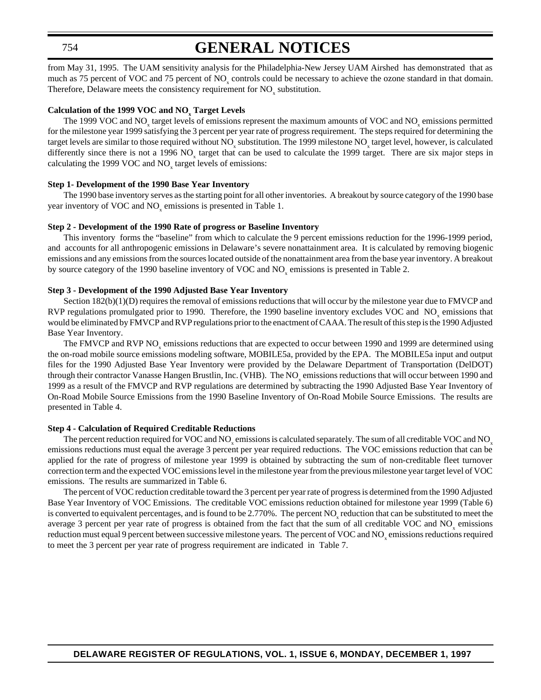754

## **GENERAL NOTICES**

from May 31, 1995. The UAM sensitivity analysis for the Philadelphia-New Jersey UAM Airshed has demonstrated that as much as 75 percent of VOC and 75 percent of  $NO_x$  controls could be necessary to achieve the ozone standard in that domain. Therefore, Delaware meets the consistency requirement for  $NO<sub>x</sub>$  substitution.

### Calculation of the 1999 VOC and NO<sub>x</sub> Target Levels

The 1999 VOC and NO<sub>x</sub> target levels of emissions represent the maximum amounts of VOC and NO<sub>x</sub> emissions permitted for the milestone year 1999 satisfying the 3 percent per year rate of progress requirement. The steps required for determining the target levels are similar to those required without  $NO_x^x$  substitution. The 1999 milestone  $NO_x^x$  target level, however, is calculated differently since there is not a 1996  $NO_x$  target that can be used to calculate the 1999 target. There are six major steps in calculating the 1999 VOC and  $NO<sub>x</sub>$  target levels of emissions:

### **Step 1- Development of the 1990 Base Year Inventory**

The 1990 base inventory serves as the starting point for all other inventories. A breakout by source category of the 1990 base year inventory of VOC and  $NO<sub>x</sub>$  emissions is presented in Table 1.

### **Step 2 - Development of the 1990 Rate of progress or Baseline Inventory**

This inventory forms the "baseline" from which to calculate the 9 percent emissions reduction for the 1996-1999 period, and accounts for all anthropogenic emissions in Delaware's severe nonattainment area. It is calculated by removing biogenic emissions and any emissions from the sources located outside of the nonattainment area from the base year inventory. A breakout by source category of the 1990 baseline inventory of VOC and  $NO<sub>x</sub>$  emissions is presented in Table 2.

### **Step 3 - Development of the 1990 Adjusted Base Year Inventory**

Section 182(b)(1)(D) requires the removal of emissions reductions that will occur by the milestone year due to FMVCP and RVP regulations promulgated prior to 1990. Therefore, the 1990 baseline inventory excludes VOC and  $NO<sub>x</sub>$  emissions that would be eliminated by FMVCP and RVP regulations prior to the enactment of CAAA. The result of this step is the 1990 Adjusted Base Year Inventory.

The FMVCP and RVP NO<sub>x</sub> emissions reductions that are expected to occur between 1990 and 1999 are determined using the on-road mobile source emissions modeling software, MOBILE5a, provided by the EPA. The MOBILE5a input and output files for the 1990 Adjusted Base Year Inventory were provided by the Delaware Department of Transportation (DelDOT) through their contractor Vanasse Hangen Brustlin, Inc. (VHB). The NO<sub>x</sub> emissions reductions that will occur between 1990 and 1999 as a result of the FMVCP and RVP regulations are determined by subtracting the 1990 Adjusted Base Year Inventory of On-Road Mobile Source Emissions from the 1990 Baseline Inventory of On-Road Mobile Source Emissions. The results are presented in Table 4.

### **Step 4 - Calculation of Required Creditable Reductions**

The percent reduction required for VOC and NO<sub>x</sub> emissions is calculated separately. The sum of all creditable VOC and NO<sub>x</sub> emissions reductions must equal the average 3 percent per year required reductions. The VOC emissions reduction that can be applied for the rate of progress of milestone year 1999 is obtained by subtracting the sum of non-creditable fleet turnover correction term and the expected VOC emissions level in the milestone year from the previous milestone year target level of VOC emissions. The results are summarized in Table 6.

The percent of VOC reduction creditable toward the 3 percent per year rate of progress is determined from the 1990 Adjusted Base Year Inventory of VOC Emissions. The creditable VOC emissions reduction obtained for milestone year 1999 (Table 6) is converted to equivalent percentages, and is found to be 2.770%. The percent  $NO_x^x$  reduction that can be substituted to meet the average 3 percent per year rate of progress is obtained from the fact that the sum of all creditable VOC and  $NO<sub>x</sub>$  emissions reduction must equal 9 percent between successive milestone years. The percent of VOC and NO  $_{\rm x}$  emissions reductions required to meet the 3 percent per year rate of progress requirement are indicated in Table 7.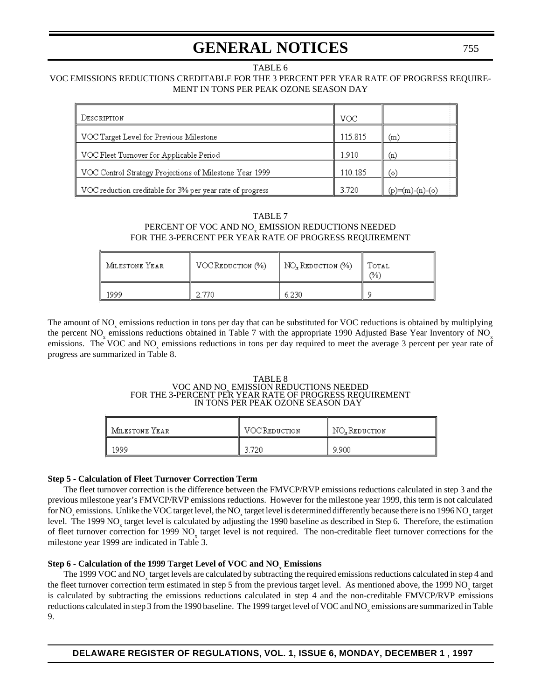TABLE 6

### VOC EMISSIONS REDUCTIONS CREDITABLE FOR THE 3 PERCENT PER YEAR RATE OF PROGRESS REQUIRE-MENT IN TONS PER PEAK OZONE SEASON DAY

| DESCRIPTION                                               | VOC     |                 |
|-----------------------------------------------------------|---------|-----------------|
| VOC Target Level for Previous Milestone                   | 115.815 | (m)             |
| VOC Fleet Turnover for Applicable Period                  | 1.910   | (n)             |
| VOC Control Strategy Projections of Milestone Year 1999   | 110.185 | 60)             |
| VOC reduction creditable for 3% per year rate of progress | 3.720   | $(p)=m-(n)-(o)$ |

### TABLE 7 PERCENT OF VOC AND NO $_{\rm x}$  EMISSION REDUCTIONS NEEDED FOR THE 3-PERCENT PER YEAR RATE OF PROGRESS REQUIREMENT

| MILESTONE YEAR | VOC REDUCTION (%) | $NO_x$ Reduction $(\%)$ | Total<br>-96) |
|----------------|-------------------|-------------------------|---------------|
| .aao           | ን 77ሰ             | 6.230                   |               |

The amount of  $NO<sub>x</sub>$  emissions reduction in tons per day that can be substituted for VOC reductions is obtained by multiplying the percent NO<sub>x</sub> emissions reductions obtained in Table 7 with the appropriate 1990 Adjusted Base Year Inventory of NO<sub>x</sub> emissions. The VOC and NO<sub>x</sub> emissions reductions in tons per day required to meet the average 3 percent per year rate of progress are summarized in Table 8.

#### TABLE 8 VOC AND NO EMISSION REDUCTIONS NEEDED FOR THE 3-PERCENT PER YEAR RATE OF PROGRESS REQUIREMENT IN TONS PER PEAK OZONE SEASON DAY

| MILESTONE YEAR | VOCREDUCTION | NO. REDUCTION |
|----------------|--------------|---------------|
| 1999           | 3.720        | 9.900         |

### **Step 5 - Calculation of Fleet Turnover Correction Term**

The fleet turnover correction is the difference between the FMVCP/RVP emissions reductions calculated in step 3 and the previous milestone year's FMVCP/RVP emissions reductions. However for the milestone year 1999, this term is not calculated for NO<sub>x</sub> emissions. Unlike the VOC target level, the NO<sub>x</sub> target level is determined differently because there is no 1996 NO<sub>x</sub> target level. The 1999 NO<sub>x</sub> target level is calculated by adjusting the 1990 baseline as described in Step 6. Therefore, the estimation of fleet turnover correction for 1999  $NO_x$  target level is not required. The non-creditable fleet turnover corrections for the milestone year 1999 are indicated in Table 3.

### Step 6 - Calculation of the 1999 Target Level of VOC and NO<sub>x</sub> Emissions

The 1999 VOC and NO<sub>x</sub> target levels are calculated by subtracting the required emissions reductions calculated in step 4 and the fleet turnover correction term estimated in step 5 from the previous target level. As mentioned above, the 1999  $NO_x$  target is calculated by subtracting the emissions reductions calculated in step 4 and the non-creditable FMVCP/RVP emissions reductions calculated in step 3 from the 1990 baseline. The 1999 target level of VOC and NO  $_{\rm x}$  emissions are summarized in Table 9.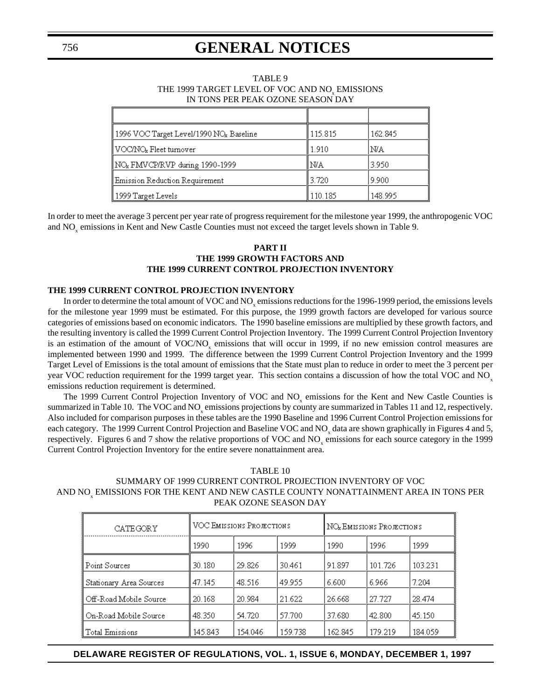| TABLE 9                                       |
|-----------------------------------------------|
| THE 1999 TARGET LEVEL OF VOC AND NO EMISSIONS |
| IN TONS PER PEAK OZONE SEASON DAY             |

| ∥1996 VOC Target Level/1990 NO <sub>x</sub> Baseline | 115.815 | 162.845 |
|------------------------------------------------------|---------|---------|
| $\parallel$ VOC/NO <sub>x</sub> Fleet turnover       | 1.910   | N/A     |
| NO <sub>x</sub> FMVCP/RVP during 1990-1999           | ΝA      | 3.950   |
| Emission Reduction Requirement                       | 3.720   | 9.900   |
| 1999 Target Levels                                   | 110.185 | 148.995 |

In order to meet the average 3 percent per year rate of progress requirement for the milestone year 1999, the anthropogenic VOC and  $NO<sub>x</sub>$  emissions in Kent and New Castle Counties must not exceed the target levels shown in Table 9.

### **PART II THE 1999 GROWTH FACTORS AND THE 1999 CURRENT CONTROL PROJECTION INVENTORY**

### **THE 1999 CURRENT CONTROL PROJECTION INVENTORY**

In order to determine the total amount of VOC and NO<sub>x</sub> emissions reductions for the 1996-1999 period, the emissions levels for the milestone year 1999 must be estimated. For this purpose, the 1999 growth factors are developed for various source categories of emissions based on economic indicators. The 1990 baseline emissions are multiplied by these growth factors, and the resulting inventory is called the 1999 Current Control Projection Inventory. The 1999 Current Control Projection Inventory is an estimation of the amount of  $VOC/NO<sub>x</sub>$  emissions that will occur in 1999, if no new emission control measures are implemented between 1990 and 1999. The difference between the 1999 Current Control Projection Inventory and the 1999 Target Level of Emissions is the total amount of emissions that the State must plan to reduce in order to meet the 3 percent per year VOC reduction requirement for the 1999 target year. This section contains a discussion of how the total VOC and NO<sub>x</sub> emissions reduction requirement is determined.

The 1999 Current Control Projection Inventory of VOC and  $NO<sub>x</sub>$  emissions for the Kent and New Castle Counties is summarized in Table 10. The VOC and  $NO_x$  emissions projections by county are summarized in Tables 11 and 12, respectively. Also included for comparison purposes in these tables are the 1990 Baseline and 1996 Current Control Projection emissions for each category. The 1999 Current Control Projection and Baseline VOC and NO<sub>x</sub> data are shown graphically in Figures 4 and 5, respectively. Figures 6 and 7 show the relative proportions of VOC and  $NO<sub>x</sub>$  emissions for each source category in the 1999 Current Control Projection Inventory for the entire severe nonattainment area.

### TABLE 10 SUMMARY OF 1999 CURRENT CONTROL PROJECTION INVENTORY OF VOC AND NO $_{\mathrm{x}}$  EMISSIONS FOR THE KENT AND NEW CASTLE COUNTY NONATTAINMENT AREA IN TONS PER PEAK OZONE SEASON DAY

| CATEGORY                 | VOC EMISSIONS PROJECTIONS |         |         | NO <sub>x</sub> Emissions Projections |         |         |
|--------------------------|---------------------------|---------|---------|---------------------------------------|---------|---------|
|                          | 1990                      | 1996    | 1999    | 1990                                  | 1996    | 1999    |
| ∥Point Sources           | 30.180                    | 29.826  | 30.461  | 91.897                                | 101.726 | 103.231 |
| Stationary Area Sources  | 47.145                    | 48.516  | 49.955  | 6.600                                 | 6.966   | 7.204   |
| ∥ Off-Road Mobile Source | 20.168                    | 20.984  | 21.622  | 26.668                                | 27.727  | 28.474  |
| ∥ On-Road Mobile Source  | 48.350                    | 54.720  | 57.700  | 37.680                                | 42.800  | 45.150  |
| ∥Total Emissions         | 145.843                   | 154.046 | 159.738 | 162.845                               | 179.219 | 184.059 |

**DELAWARE REGISTER OF REGULATIONS, VOL. 1, ISSUE 6, MONDAY, DECEMBER 1, 1997**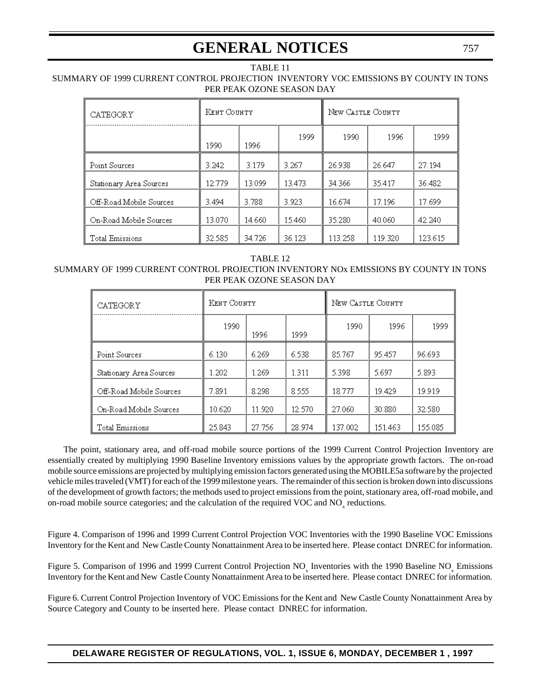### TABLE 11 SUMMARY OF 1999 CURRENT CONTROL PROJECTION INVENTORY VOC EMISSIONS BY COUNTY IN TONS PER PEAK OZONE SEASON DAY

| CATEGORY                | KENT COUNTY |        | NEW CASTLE COUNTY |         |         |         |
|-------------------------|-------------|--------|-------------------|---------|---------|---------|
|                         | 1990        | 1996   | 1999              | 1990    | 1996    | 1999    |
| Point Sources           | 3.242       | 3.179  | 3.267             | 26.938  | 26.647  | 27.194  |
| Stationary Area Sources | 12.779      | 13.099 | 13.473            | 34.366  | 35.417  | 36.482  |
| Off-Road Mobile Sources | 3.494       | 3.788  | 3.923             | 16.674  | 17.196  | 17.699  |
| On-Road Mobile Sources  | 13.070      | 14.660 | 15.460            | 35.280  | 40.060  | 42.240  |
| Total Emissions         | 32.585      | 34.726 | 36.123            | 113.258 | 119.320 | 123.615 |

### TABLE 12

### SUMMARY OF 1999 CURRENT CONTROL PROJECTION INVENTORY NOx EMISSIONS BY COUNTY IN TONS PER PEAK OZONE SEASON DAY

| CATEGORY                | KENT COUNTY |        |        | New Castle County |         |         |
|-------------------------|-------------|--------|--------|-------------------|---------|---------|
|                         | 1990        | 1996   | 1999   | 1990              | 1996    | 1999    |
| Point Sources           | 6.130       | 6.269  | 6.538  | 85.767            | 95.457  | 96.693  |
| Stationary Area Sources | 1.202       | 1.269  | 1.311  | 5.398             | 5.697   | 5.893   |
| Off-Road Mobile Sources | 7.891       | 8.298  | 8.555  | 18.777            | 19.429  | 19.919  |
| On-Road Mobile Sources  | 10.620      | 11.920 | 12.570 | 27.060            | 30.880  | 32.580  |
| Total Emissions         | 25.843      | 27.756 | 28.974 | 137.002           | 151.463 | 155.085 |

The point, stationary area, and off-road mobile source portions of the 1999 Current Control Projection Inventory are essentially created by multiplying 1990 Baseline Inventory emissions values by the appropriate growth factors. The on-road mobile source emissions are projected by multiplying emission factors generated using the MOBILE5a software by the projected vehicle miles traveled (VMT) for each of the 1999 milestone years. The remainder of this section is broken down into discussions of the development of growth factors; the methods used to project emissions from the point, stationary area, off-road mobile, and on-road mobile source categories; and the calculation of the required VOC and  $NO<sub>x</sub>$  reductions.

Figure 4. Comparison of 1996 and 1999 Current Control Projection VOC Inventories with the 1990 Baseline VOC Emissions Inventory for the Kent and New Castle County Nonattainment Area to be inserted here. Please contact DNREC for information.

Figure 5. Comparison of 1996 and 1999 Current Control Projection NO<sub>x</sub> Inventories with the 1990 Baseline NO<sub>x</sub> Emissions Inventory for the Kent and New Castle County Nonattainment Area to be inserted here. Please contact DNREC for information.

Figure 6. Current Control Projection Inventory of VOC Emissions for the Kent and New Castle County Nonattainment Area by Source Category and County to be inserted here. Please contact DNREC for information.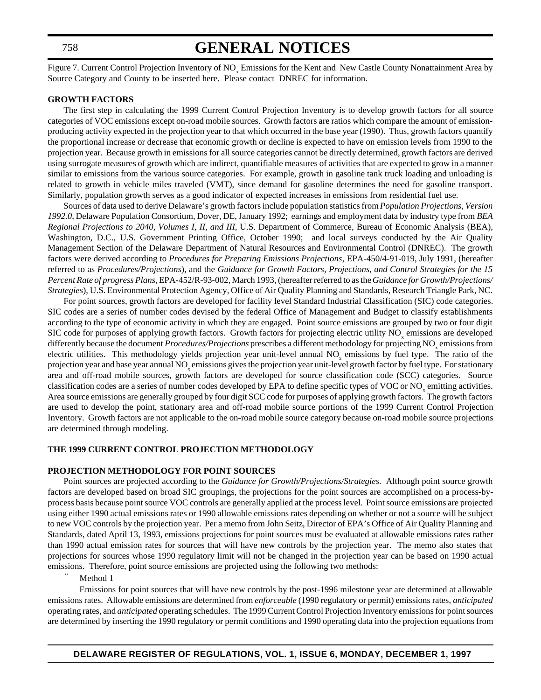Figure 7. Current Control Projection Inventory of NO<sub>x</sub> Emissions for the Kent and New Castle County Nonattainment Area by Source Category and County to be inserted here. Please contact DNREC for information.

### **GROWTH FACTORS**

The first step in calculating the 1999 Current Control Projection Inventory is to develop growth factors for all source categories of VOC emissions except on-road mobile sources. Growth factors are ratios which compare the amount of emissionproducing activity expected in the projection year to that which occurred in the base year (1990). Thus, growth factors quantify the proportional increase or decrease that economic growth or decline is expected to have on emission levels from 1990 to the projection year. Because growth in emissions for all source categories cannot be directly determined, growth factors are derived using surrogate measures of growth which are indirect, quantifiable measures of activities that are expected to grow in a manner similar to emissions from the various source categories. For example, growth in gasoline tank truck loading and unloading is related to growth in vehicle miles traveled (VMT), since demand for gasoline determines the need for gasoline transport. Similarly, population growth serves as a good indicator of expected increases in emissions from residential fuel use.

Sources of data used to derive Delaware's growth factors include population statistics from *Population Projections, Version 1992.0*, Delaware Population Consortium, Dover, DE, January 1992; earnings and employment data by industry type from *BEA Regional Projections to 2040, Volumes I, II, and III*, U.S. Department of Commerce, Bureau of Economic Analysis (BEA), Washington, D.C., U.S. Government Printing Office, October 1990; and local surveys conducted by the Air Quality Management Section of the Delaware Department of Natural Resources and Environmental Control (DNREC). The growth factors were derived according to *Procedures for Preparing Emissions Projections*, EPA-450/4-91-019, July 1991, (hereafter referred to as *Procedures/Projections*), and the *Guidance for Growth Factors, Projections, and Control Strategies for the 15 Percent Rate of progress Plans*, EPA-452/R-93-002, March 1993, (hereafter referred to as the *Guidance for Growth/Projections/ Strategies*), U.S. Environmental Protection Agency, Office of Air Quality Planning and Standards, Research Triangle Park, NC.

For point sources, growth factors are developed for facility level Standard Industrial Classification (SIC) code categories. SIC codes are a series of number codes devised by the federal Office of Management and Budget to classify establishments according to the type of economic activity in which they are engaged. Point source emissions are grouped by two or four digit SIC code for purposes of applying growth factors. Growth factors for projecting electric utility  $NO<sub>x</sub>$  emissions are developed differently because the document *Procedures/Projections* prescribes a different methodology for projecting NO<sub>x</sub> emissions from electric utilities. This methodology yields projection year unit-level annual  $NO<sub>x</sub>$  emissions by fuel type. The ratio of the projection year and base year annual  $\rm NO_x$  emissions gives the projection year unit-level growth factor by fuel type. For stationary area and off-road mobile sources, growth factors are developed for source classification code (SCC) categories. Source classification codes are a series of number codes developed by EPA to define specific types of VOC or  $NO_x$  emitting activities. Area source emissions are generally grouped by four digit SCC code for purposes of applying growth factors. The growth factors are used to develop the point, stationary area and off-road mobile source portions of the 1999 Current Control Projection Inventory. Growth factors are not applicable to the on-road mobile source category because on-road mobile source projections are determined through modeling.

### **THE 1999 CURRENT CONTROL PROJECTION METHODOLOGY**

#### **PROJECTION METHODOLOGY FOR POINT SOURCES**

Point sources are projected according to the *Guidance for Growth/Projections/Strategies*. Although point source growth factors are developed based on broad SIC groupings, the projections for the point sources are accomplished on a process-byprocess basis because point source VOC controls are generally applied at the process level. Point source emissions are projected using either 1990 actual emissions rates or 1990 allowable emissions rates depending on whether or not a source will be subject to new VOC controls by the projection year. Per a memo from John Seitz, Director of EPA's Office of Air Quality Planning and Standards, dated April 13, 1993, emissions projections for point sources must be evaluated at allowable emissions rates rather than 1990 actual emission rates for sources that will have new controls by the projection year. The memo also states that projections for sources whose 1990 regulatory limit will not be changed in the projection year can be based on 1990 actual emissions. Therefore, point source emissions are projected using the following two methods:

Method 1

Emissions for point sources that will have new controls by the post-1996 milestone year are determined at allowable emissions rates. Allowable emissions are determined from *enforceable* (1990 regulatory or permit) emissions rates, *anticipated* operating rates, and *anticipated* operating schedules. The 1999 Current Control Projection Inventory emissions for point sources are determined by inserting the 1990 regulatory or permit conditions and 1990 operating data into the projection equations from

#### 758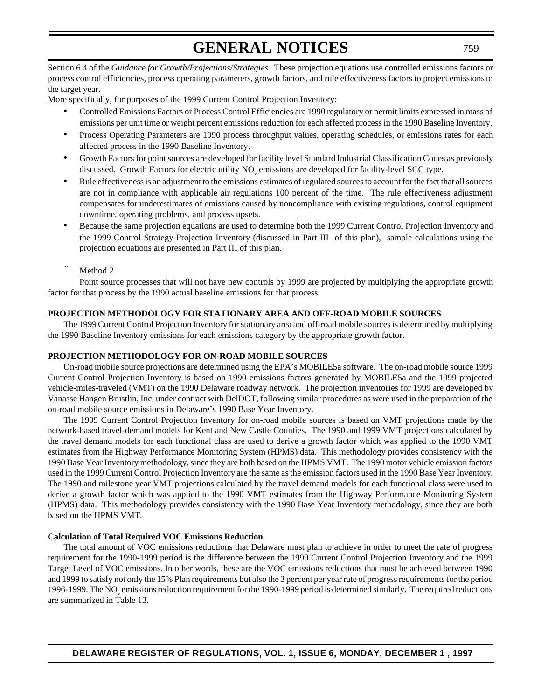Section 6.4 of the *Guidance for Growth/Projections/Strategies*. These projection equations use controlled emissions factors or process control efficiencies, process operating parameters, growth factors, and rule effectiveness factors to project emissions to the target year.

More specifically, for purposes of the 1999 Current Control Projection Inventory:

- Controlled Emissions Factors or Process Control Efficiencies are 1990 regulatory or permit limits expressed in mass of emissions per unit time or weight percent emissions reduction for each affected process in the 1990 Baseline Inventory.
- Process Operating Parameters are 1990 process throughput values, operating schedules, or emissions rates for each affected process in the 1990 Baseline Inventory.
- Growth Factors for point sources are developed for facility level Standard Industrial Classification Codes as previously discussed. Growth Factors for electric utility  $NO<sub>x</sub>$  emissions are developed for facility-level SCC type.
- Rule effectiveness is an adjustment to the emissions estimates of regulated sources to account for the fact that all sources are not in compliance with applicable air regulations 100 percent of the time. The rule effectiveness adjustment compensates for underestimates of emissions caused by noncompliance with existing regulations, control equipment downtime, operating problems, and process upsets.
- Because the same projection equations are used to determine both the 1999 Current Control Projection Inventory and the 1999 Control Strategy Projection Inventory (discussed in Part III of this plan), sample calculations using the projection equations are presented in Part III of this plan.
- Method 2

Point source processes that will not have new controls by 1999 are projected by multiplying the appropriate growth factor for that process by the 1990 actual baseline emissions for that process.

### **PROJECTION METHODOLOGY FOR STATIONARY AREA AND OFF-ROAD MOBILE SOURCES**

The 1999 Current Control Projection Inventory for stationary area and off-road mobile sources is determined by multiplying the 1990 Baseline Inventory emissions for each emissions category by the appropriate growth factor.

### **PROJECTION METHODOLOGY FOR ON-ROAD MOBILE SOURCES**

On-road mobile source projections are determined using the EPA's MOBILE5a software. The on-road mobile source 1999 Current Control Projection Inventory is based on 1990 emissions factors generated by MOBILE5a and the 1999 projected vehicle-miles-traveled (VMT) on the 1990 Delaware roadway network. The projection inventories for 1999 are developed by Vanasse Hangen Brustlin, Inc. under contract with DelDOT, following similar procedures as were used in the preparation of the on-road mobile source emissions in Delaware's 1990 Base Year Inventory.

The 1999 Current Control Projection Inventory for on-road mobile sources is based on VMT projections made by the network-based travel-demand models for Kent and New Castle Counties. The 1990 and 1999 VMT projections calculated by the travel demand models for each functional class are used to derive a growth factor which was applied to the 1990 VMT estimates from the Highway Performance Monitoring System (HPMS) data. This methodology provides consistency with the 1990 Base Year Inventory methodology, since they are both based on the HPMS VMT. The 1990 motor vehicle emission factors used in the 1999 Current Control Projection Inventory are the same as the emission factors used in the 1990 Base Year Inventory. The 1990 and milestone year VMT projections calculated by the travel demand models for each functional class were used to derive a growth factor which was applied to the 1990 VMT estimates from the Highway Performance Monitoring System (HPMS) data. This methodology provides consistency with the 1990 Base Year Inventory methodology, since they are both based on the HPMS VMT.

### **Calculation of Total Required VOC Emissions Reduction**

The total amount of VOC emissions reductions that Delaware must plan to achieve in order to meet the rate of progress requirement for the 1990-1999 period is the difference between the 1999 Current Control Projection Inventory and the 1999 Target Level of VOC emissions. In other words, these are the VOC emissions reductions that must be achieved between 1990 and 1999 to satisfy not only the 15% Plan requirements but also the 3 percent per year rate of progress requirements for the period 1996-1999. The NO<sub>x</sub> emissions reduction requirement for the 1990-1999 period is determined similarly. The required reductions are summarized in Table 13.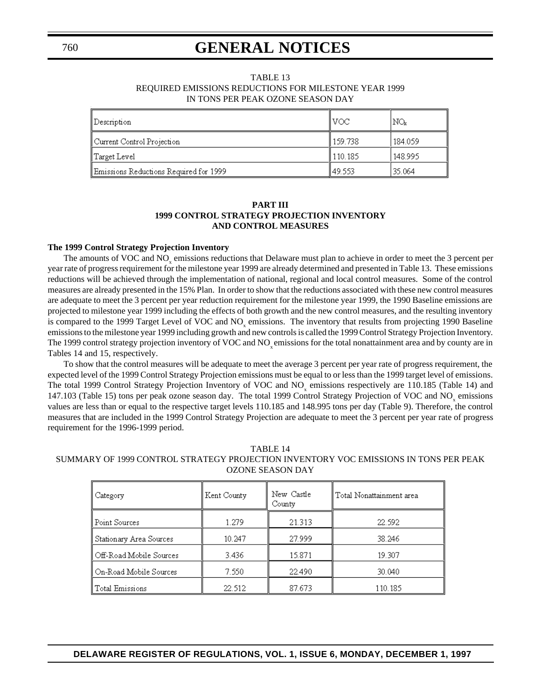TABLE 13 REQUIRED EMISSIONS REDUCTIONS FOR MILESTONE YEAR 1999 IN TONS PER PEAK OZONE SEASON DAY

| $\mathbb D$ escription                 | ∥VOC     | INQ.    |
|----------------------------------------|----------|---------|
| ∥Current Control Projection            | ∥159.738 | 184.059 |
| Target Level                           | 110.185  | 148.995 |
| Emissions Reductions Required for 1999 | 149.553  | 35.064  |

### **PART III 1999 CONTROL STRATEGY PROJECTION INVENTORY AND CONTROL MEASURES**

### **The 1999 Control Strategy Projection Inventory**

The amounts of VOC and  $NO<sub>x</sub>$  emissions reductions that Delaware must plan to achieve in order to meet the 3 percent per year rate of progress requirement for the milestone year 1999 are already determined and presented in Table 13. These emissions reductions will be achieved through the implementation of national, regional and local control measures. Some of the control measures are already presented in the 15% Plan. In order to show that the reductions associated with these new control measures are adequate to meet the 3 percent per year reduction requirement for the milestone year 1999, the 1990 Baseline emissions are projected to milestone year 1999 including the effects of both growth and the new control measures, and the resulting inventory is compared to the 1999 Target Level of VOC and  $NO<sub>x</sub>$  emissions. The inventory that results from projecting 1990 Baseline emissions to the milestone year 1999 including growth and new controls is called the 1999 Control Strategy Projection Inventory. The 1999 control strategy projection inventory of VOC and NO<sub>y</sub> emissions for the total nonattainment area and by county are in Tables 14 and 15, respectively.

To show that the control measures will be adequate to meet the average 3 percent per year rate of progress requirement, the expected level of the 1999 Control Strategy Projection emissions must be equal to or less than the 1999 target level of emissions. The total 1999 Control Strategy Projection Inventory of VOC and  $NO<sub>x</sub>$  emissions respectively are 110.185 (Table 14) and 147.103 (Table 15) tons per peak ozone season day. The total 1999 Control Strategy Projection of VOC and NO<sub>x</sub> emissions values are less than or equal to the respective target levels 110.185 and 148.995 tons per day (Table 9). Therefore, the control measures that are included in the 1999 Control Strategy Projection are adequate to meet the 3 percent per year rate of progress requirement for the 1996-1999 period.

| TABLE 14                                                                             |  |
|--------------------------------------------------------------------------------------|--|
| SUMMARY OF 1999 CONTROL STRATEGY PROJECTION INVENTORY VOC EMISSIONS IN TONS PER PEAK |  |
| OZONE SEASON DAY                                                                     |  |
|                                                                                      |  |

| Category                | Kent County | New Castle<br>County | ∥Total Nonattainment area |
|-------------------------|-------------|----------------------|---------------------------|
| Point Sources           | 1.279       | 21.313               | 22.592                    |
| Stationary Area Sources | 10.247      | 27.999               | 38.246                    |
| Off-Road Mobile Sources | 3.436       | 15.871               | 19.307                    |
| On-Road Mobile Sources  | 7.550       | 22.490               | 30.040                    |
| Total Emissions         | 22.512      | 87.673               | 110.185                   |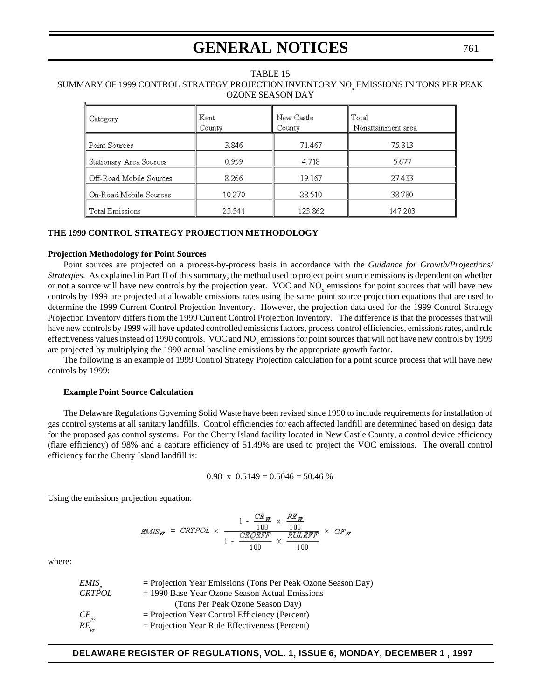### TABLE 15 SUMMARY OF 1999 CONTROL STRATEGY PROJECTION INVENTORY NO $_{\rm x}$  EMISSIONS IN TONS PER PEAK OZONE SEASON DAY

| Category                | Kent<br>County | New Castle<br>County | l Total<br>Nonattainment area |
|-------------------------|----------------|----------------------|-------------------------------|
| Point Sources           | 3.846          | 71.467               | 75.313                        |
| Stationary Area Sources | 0.959          | 4.718                | 5.677                         |
| Off-Road Mobile Sources | 8.266          | 19.167               | 27.433                        |
| On-Road Mobile Sources  | 10.270         | 28.510               | 38.780                        |
| Total Emissions         | 23.341         | 123.862              | 147.203                       |

### **THE 1999 CONTROL STRATEGY PROJECTION METHODOLOGY**

### **Projection Methodology for Point Sources**

Point sources are projected on a process-by-process basis in accordance with the *Guidance for Growth/Projections/ Strategies*. As explained in Part II of this summary, the method used to project point source emissions is dependent on whether or not a source will have new controls by the projection year. VOC and  $NO<sub>x</sub>$  emissions for point sources that will have new controls by 1999 are projected at allowable emissions rates using the same point source projection equations that are used to determine the 1999 Current Control Projection Inventory. However, the projection data used for the 1999 Control Strategy Projection Inventory differs from the 1999 Current Control Projection Inventory. The difference is that the processes that will have new controls by 1999 will have updated controlled emissions factors, process control efficiencies, emissions rates, and rule effectiveness values instead of 1990 controls. VOC and NO<sub>x</sub> emissions for point sources that will not have new controls by 1999 are projected by multiplying the 1990 actual baseline emissions by the appropriate growth factor.

The following is an example of 1999 Control Strategy Projection calculation for a point source process that will have new controls by 1999:

#### **Example Point Source Calculation**

The Delaware Regulations Governing Solid Waste have been revised since 1990 to include requirements for installation of gas control systems at all sanitary landfills. Control efficiencies for each affected landfill are determined based on design data for the proposed gas control systems. For the Cherry Island facility located in New Castle County, a control device efficiency (flare efficiency) of 98% and a capture efficiency of 51.49% are used to project the VOC emissions. The overall control efficiency for the Cherry Island landfill is:

$$
0.98 \times 0.5149 = 0.5046 = 50.46 %
$$

Using the emissions projection equation:

$$
EMIS_{\mathcal{W}} = CRTPOL \times \frac{1 - \frac{CE_{\mathcal{W}}}{100} \times \frac{RE_{\mathcal{W}}}{100}}{1 - \frac{CEQEFF}{100} \times \frac{RULEFF}{100}} \times GF_{\mathcal{W}}
$$

where:

| EMIS <sub>.</sub>        | $=$ Projection Year Emissions (Tons Per Peak Ozone Season Day) |
|--------------------------|----------------------------------------------------------------|
| CRTPOL                   | $= 1990$ Base Year Ozone Season Actual Emissions               |
|                          | (Tons Per Peak Ozone Season Day)                               |
|                          | $=$ Projection Year Control Efficiency (Percent)               |
| $\frac{CE_{\rho y}}{RE}$ | $=$ Projection Year Rule Effectiveness (Percent)               |
|                          |                                                                |

### **DELAWARE REGISTER OF REGULATIONS, VOL. 1, ISSUE 6, MONDAY, DECEMBER 1 , 1997**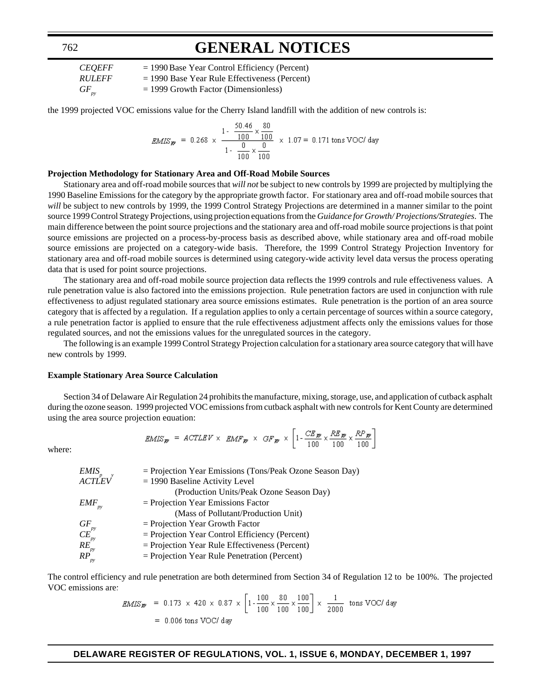762

## **GENERAL NOTICES**

| <b>CEOEFF</b> | $= 1990$ Base Year Control Efficiency (Percent) |
|---------------|-------------------------------------------------|
| <b>RULEFF</b> | $= 1990$ Base Year Rule Effectiveness (Percent) |
| $GF_{_{py}}$  | $= 1999$ Growth Factor (Dimensionless)          |

the 1999 projected VOC emissions value for the Cherry Island landfill with the addition of new controls is:

$$
EMIS_{\mathcal{B}'} = 0.268 \times \frac{1 - \frac{50.46}{100} \times \frac{80}{100}}{1 - \frac{0}{100} \times \frac{0}{100}} \times 1.07 = 0.171 \text{ tons VOC/ day}
$$

#### **Projection Methodology for Stationary Area and Off-Road Mobile Sources**

Stationary area and off-road mobile sources that *will not* be subject to new controls by 1999 are projected by multiplying the 1990 Baseline Emissions for the category by the appropriate growth factor. For stationary area and off-road mobile sources that *will* be subject to new controls by 1999, the 1999 Control Strategy Projections are determined in a manner similar to the point source 1999 Control Strategy Projections, using projection equations from the *Guidance for Growth/ Projections/Strategies*. The main difference between the point source projections and the stationary area and off-road mobile source projections is that point source emissions are projected on a process-by-process basis as described above, while stationary area and off-road mobile source emissions are projected on a category-wide basis. Therefore, the 1999 Control Strategy Projection Inventory for stationary area and off-road mobile sources is determined using category-wide activity level data versus the process operating data that is used for point source projections.

The stationary area and off-road mobile source projection data reflects the 1999 controls and rule effectiveness values. A rule penetration value is also factored into the emissions projection. Rule penetration factors are used in conjunction with rule effectiveness to adjust regulated stationary area source emissions estimates. Rule penetration is the portion of an area source category that is affected by a regulation. If a regulation applies to only a certain percentage of sources within a source category, a rule penetration factor is applied to ensure that the rule effectiveness adjustment affects only the emissions values for those regulated sources, and not the emissions values for the unregulated sources in the category.

The following is an example 1999 Control Strategy Projection calculation for a stationary area source category that will have new controls by 1999.

#### **Example Stationary Area Source Calculation**

Section 34 of Delaware Air Regulation 24 prohibits the manufacture, mixing, storage, use, and application of cutback asphalt during the ozone season. 1999 projected VOC emissions from cutback asphalt with new controls for Kent County are determined using the area source projection equation:

$$
EMIS_{\mathcal{W}} = ACTLEY \times EMP_{\mathcal{W}} \times GF_{\mathcal{W}} \times \left[1 - \frac{CE_{\mathcal{W}}}{100} \times \frac{RE_{\mathcal{W}}}{100} \times \frac{RP_{\mathcal{W}}}{100}\right]
$$

where:

| $EMIS_{n}$                        | = Projection Year Emissions (Tons/Peak Ozone Season Day) |
|-----------------------------------|----------------------------------------------------------|
| <i>ACTLEV</i>                     | $= 1990$ Baseline Activity Level                         |
|                                   | (Production Units/Peak Ozone Season Day)                 |
| EMF                               | $=$ Projection Year Emissions Factor                     |
|                                   | (Mass of Pollutant/Production Unit)                      |
| $\frac{GF_{\rho y}}{CE_{\rho y}}$ | $=$ Projection Year Growth Factor                        |
|                                   | $=$ Projection Year Control Efficiency (Percent)         |
| $RE^{py}$                         | $=$ Projection Year Rule Effectiveness (Percent)         |
| $\overline{RP}^{py}$<br><i>py</i> | $=$ Projection Year Rule Penetration (Percent)           |
|                                   |                                                          |

The control efficiency and rule penetration are both determined from Section 34 of Regulation 12 to be 100%. The projected VOC emissions are:

$$
EMIS_{\mathcal{W}} = 0.173 \times 420 \times 0.87 \times \left[1 - \frac{100}{100} \times \frac{80}{100} \times \frac{100}{100}\right] \times \frac{1}{2000} \text{ tons VOC/day}
$$
  
= 0.006 tons VOC/daw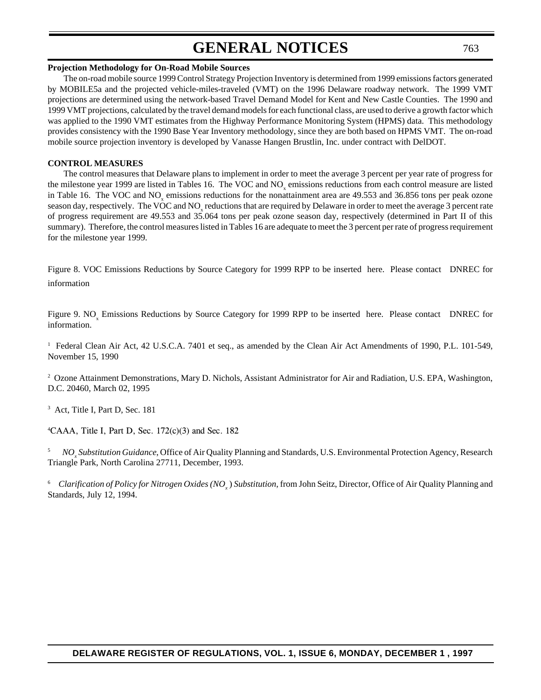### **Projection Methodology for On-Road Mobile Sources**

The on-road mobile source 1999 Control Strategy Projection Inventory is determined from 1999 emissions factors generated by MOBILE5a and the projected vehicle-miles-traveled (VMT) on the 1996 Delaware roadway network. The 1999 VMT projections are determined using the network-based Travel Demand Model for Kent and New Castle Counties. The 1990 and 1999 VMT projections, calculated by the travel demand models for each functional class, are used to derive a growth factor which was applied to the 1990 VMT estimates from the Highway Performance Monitoring System (HPMS) data. This methodology provides consistency with the 1990 Base Year Inventory methodology, since they are both based on HPMS VMT. The on-road mobile source projection inventory is developed by Vanasse Hangen Brustlin, Inc. under contract with DelDOT.

### **CONTROL MEASURES**

The control measures that Delaware plans to implement in order to meet the average 3 percent per year rate of progress for the milestone year 1999 are listed in Tables 16. The VOC and  $NO<sub>x</sub>$  emissions reductions from each control measure are listed in Table 16. The VOC and NO<sub>x</sub> emissions reductions for the nonattainment area are 49.553 and 36.856 tons per peak ozone season day, respectively. The VOC and NO<sub>x</sub> reductions that are required by Delaware in order to meet the average 3 percent rate of progress requirement are 49.553 and 35.064 tons per peak ozone season day, respectively (determined in Part II of this summary). Therefore, the control measures listed in Tables 16 are adequate to meet the 3 percent per rate of progress requirement for the milestone year 1999.

Figure 8. VOC Emissions Reductions by Source Category for 1999 RPP to be inserted here. Please contact DNREC for information

Figure 9. NO<sub>x</sub> Emissions Reductions by Source Category for 1999 RPP to be inserted here. Please contact DNREC for information.

1 Federal Clean Air Act, 42 U.S.C.A. 7401 et seq., as amended by the Clean Air Act Amendments of 1990, P.L. 101-549, November 15, 1990

2 Ozone Attainment Demonstrations, Mary D. Nichols, Assistant Administrator for Air and Radiation, U.S. EPA, Washington, D.C. 20460, March 02, 1995

3 Act, Title I, Part D, Sec. 181

4 CAAA, Title I, Part D, Sec. 172(c)(3) and Sec. 182

5 *NO<sub>x</sub>* Substitution Guidance, Office of Air Quality Planning and Standards, U.S. Environmental Protection Agency, Research Triangle Park, North Carolina 27711, December, 1993.

<sup>6</sup> Clarification of Policy for Nitrogen Oxides (NO<sub>x</sub>) Substitution, from John Seitz, Director, Office of Air Quality Planning and Standards, July 12, 1994.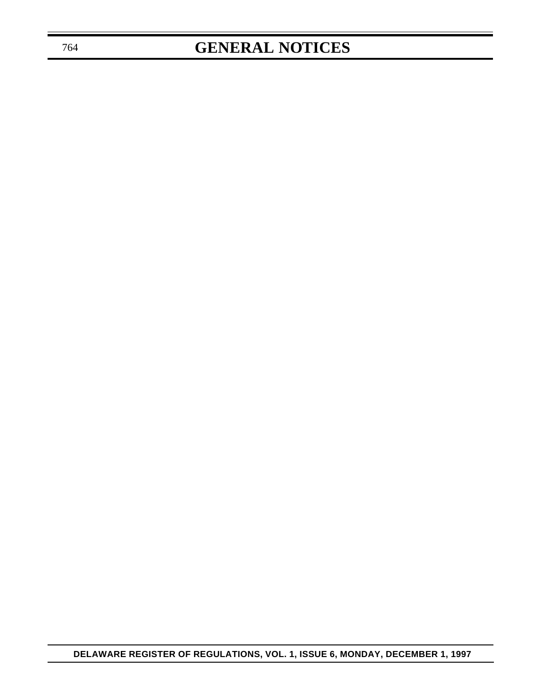764

**DELAWARE REGISTER OF REGULATIONS, VOL. 1, ISSUE 6, MONDAY, DECEMBER 1, 1997**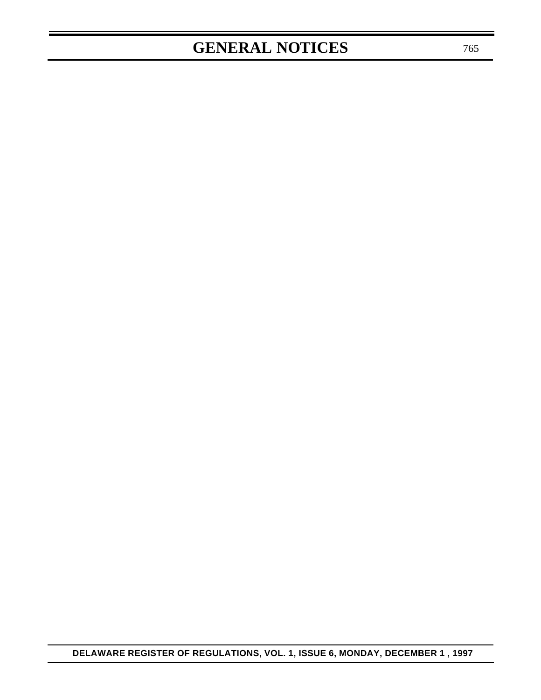**DELAWARE REGISTER OF REGULATIONS, VOL. 1, ISSUE 6, MONDAY, DECEMBER 1 , 1997**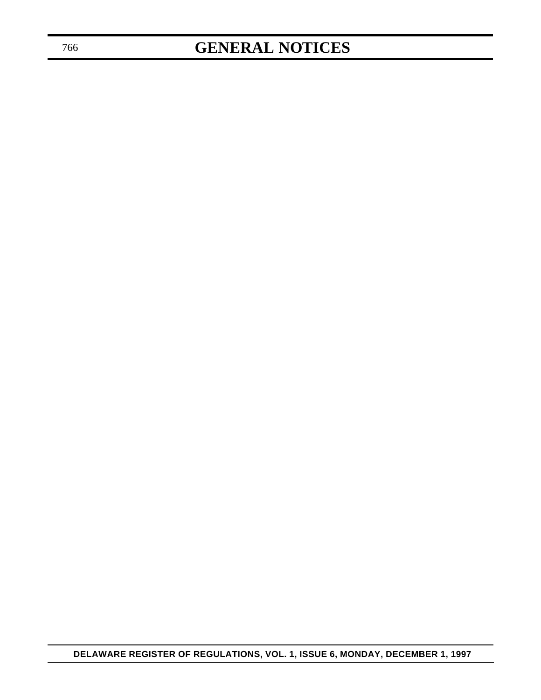766

**DELAWARE REGISTER OF REGULATIONS, VOL. 1, ISSUE 6, MONDAY, DECEMBER 1, 1997**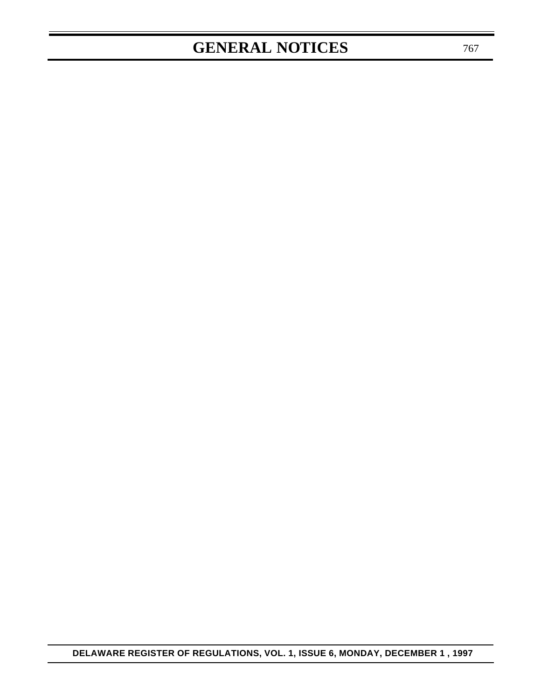767

**DELAWARE REGISTER OF REGULATIONS, VOL. 1, ISSUE 6, MONDAY, DECEMBER 1 , 1997**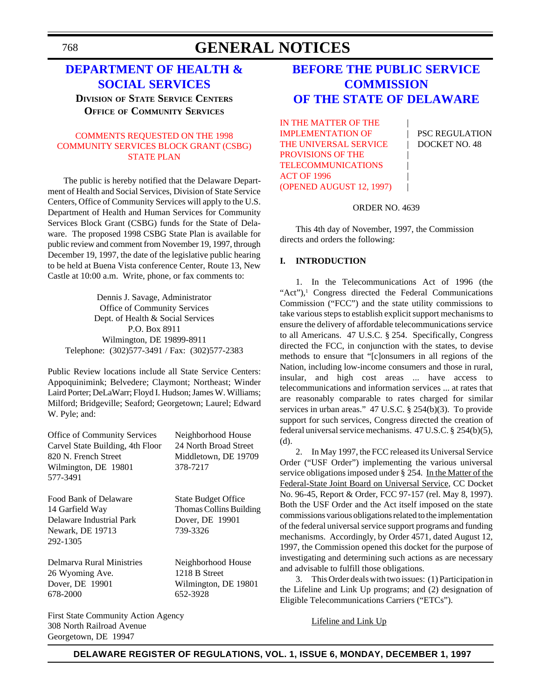### **[DEPARTMENT OF HEALTH &](http://www.state.de.us/govern/agencies/dhss/irm/dssc/dsschome.htm) SOCIAL SERVICES**

**DIVISION OF STATE SERVICE CENTERS OFFICE OF COMMUNITY SERVICES**

### COMMENTS REQUESTED ON THE 1998 [COMMUNITY SERVICES BLOCK GRANT \(CSBG\)](#page-4-0) STATE PLAN

The public is hereby notified that the Delaware Department of Health and Social Services, Division of State Service Centers, Office of Community Services will apply to the U.S. Department of Health and Human Services for Community Services Block Grant (CSBG) funds for the State of Delaware. The proposed 1998 CSBG State Plan is available for public review and comment from November 19, 1997, through December 19, 1997, the date of the legislative public hearing to be held at Buena Vista conference Center, Route 13, New Castle at 10:00 a.m. Write, phone, or fax comments to:

Dennis J. Savage, Administrator Office of Community Services Dept. of Health & Social Services P.O. Box 8911 Wilmington, DE 19899-8911 Telephone: (302)577-3491 / Fax: (302)577-2383

Public Review locations include all State Service Centers: Appoquinimink; Belvedere; Claymont; Northeast; Winder Laird Porter; DeLaWarr; Floyd I. Hudson; James W. Williams; Milford; Bridgeville; Seaford; Georgetown; Laurel; Edward W. Pyle; and:

| Office of Community Services     | Neighborhood House             |
|----------------------------------|--------------------------------|
| Carvel State Building, 4th Floor | 24 North Broad Street          |
| 820 N. French Street             | Middletown, DE 19709           |
| Wilmington, DE 19801             | 378-7217                       |
| 577-3491                         |                                |
|                                  |                                |
| Food Bank of Delaware            | <b>State Budget Office</b>     |
| 14 Garfield Way                  | <b>Thomas Collins Building</b> |
| Delaware Industrial Park         | Dover, DE 19901                |
| Newark, DE 19713                 | 739-3326                       |
| 292-1305                         |                                |
|                                  |                                |
| Delmarya Rural Ministries        | Neighborhood House             |
| 26 Wyoming Ave.                  | 1218 B Street                  |

Dover, DE 19901 Wilmington, DE 19801 678-2000 652-3928

First State Community Action Agency 308 North Railroad Avenue Georgetown, DE 19947

### **[BEFORE THE PUBLIC SERVICE](http://www.state.de.us/govern/agencies/pubservc/delpsc.htm) COMMISSION OF THE STATE OF DELAWARE**

IN THE MATTER OF THE IMPLEMENTATION OF PSC REGULATION THE UNIVERSAL SERVICE | DOCKET NO. 48 PROVISIONS OF THE TELECOMMUNICATIONS | **ACT OF 1996** [\(OPENED AUGUST 12, 1997\)](#page-4-0) |

ORDER NO. 4639

This 4th day of November, 1997, the Commission directs and orders the following:

### **I. INTRODUCTION**

1. In the Telecommunications Act of 1996 (the "Act"),<sup>1</sup> Congress directed the Federal Communications Commission ("FCC") and the state utility commissions to take various steps to establish explicit support mechanisms to ensure the delivery of affordable telecommunications service to all Americans. 47 U.S.C. § 254. Specifically, Congress directed the FCC, in conjunction with the states, to devise methods to ensure that "[c]onsumers in all regions of the Nation, including low-income consumers and those in rural, insular, and high cost areas ... have access to telecommunications and information services ... at rates that are reasonably comparable to rates charged for similar services in urban areas." 47 U.S.C. § 254(b)(3). To provide support for such services, Congress directed the creation of federal universal service mechanisms. 47 U.S.C. § 254(b)(5), (d).

2. In May 1997, the FCC released its Universal Service Order ("USF Order") implementing the various universal service obligations imposed under § 254. In the Matter of the Federal-State Joint Board on Universal Service, CC Docket No. 96-45, Report & Order, FCC 97-157 (rel. May 8, 1997). Both the USF Order and the Act itself imposed on the state commissions various obligations related to the implementation of the federal universal service support programs and funding mechanisms. Accordingly, by Order 4571, dated August 12, 1997, the Commission opened this docket for the purpose of investigating and determining such actions as are necessary and advisable to fulfill those obligations.

3. This Order deals with two issues: (1) Participation in the Lifeline and Link Up programs; and (2) designation of Eligible Telecommunications Carriers ("ETCs").

Lifeline and Link Up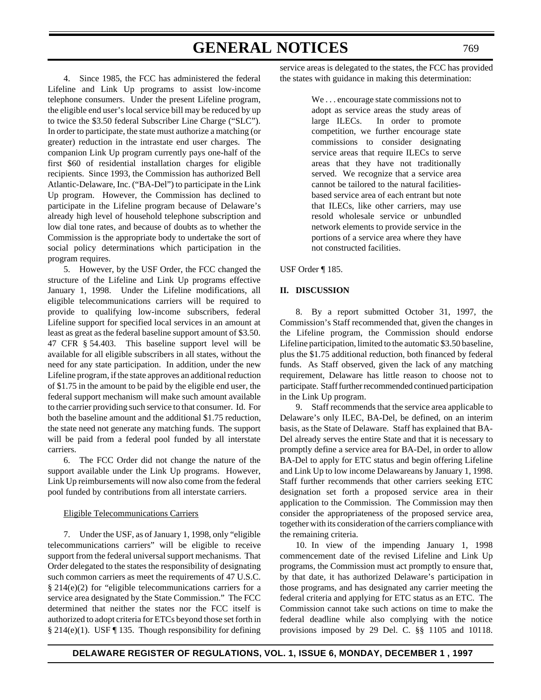4. Since 1985, the FCC has administered the federal Lifeline and Link Up programs to assist low-income telephone consumers. Under the present Lifeline program, the eligible end user's local service bill may be reduced by up to twice the \$3.50 federal Subscriber Line Charge ("SLC"). In order to participate, the state must authorize a matching (or greater) reduction in the intrastate end user charges. The companion Link Up program currently pays one-half of the first \$60 of residential installation charges for eligible recipients. Since 1993, the Commission has authorized Bell Atlantic-Delaware, Inc. ("BA-Del") to participate in the Link Up program. However, the Commission has declined to participate in the Lifeline program because of Delaware's already high level of household telephone subscription and low dial tone rates, and because of doubts as to whether the Commission is the appropriate body to undertake the sort of social policy determinations which participation in the program requires.

5. However, by the USF Order, the FCC changed the structure of the Lifeline and Link Up programs effective January 1, 1998. Under the Lifeline modifications, all eligible telecommunications carriers will be required to provide to qualifying low-income subscribers, federal Lifeline support for specified local services in an amount at least as great as the federal baseline support amount of \$3.50. 47 CFR § 54.403. This baseline support level will be available for all eligible subscribers in all states, without the need for any state participation. In addition, under the new Lifeline program, if the state approves an additional reduction of \$1.75 in the amount to be paid by the eligible end user, the federal support mechanism will make such amount available to the carrier providing such service to that consumer. Id. For both the baseline amount and the additional \$1.75 reduction, the state need not generate any matching funds. The support will be paid from a federal pool funded by all interstate carriers.

6. The FCC Order did not change the nature of the support available under the Link Up programs. However, Link Up reimbursements will now also come from the federal pool funded by contributions from all interstate carriers.

### Eligible Telecommunications Carriers

7. Under the USF, as of January 1, 1998, only "eligible telecommunications carriers" will be eligible to receive support from the federal universal support mechanisms. That Order delegated to the states the responsibility of designating such common carriers as meet the requirements of 47 U.S.C. § 214(e)(2) for "eligible telecommunications carriers for a service area designated by the State Commission." The FCC determined that neither the states nor the FCC itself is authorized to adopt criteria for ETCs beyond those set forth in § 214(e)(1). USF ¶ 135. Though responsibility for defining

service areas is delegated to the states, the FCC has provided the states with guidance in making this determination:

> We . . . encourage state commissions not to adopt as service areas the study areas of large ILECs. In order to promote competition, we further encourage state commissions to consider designating service areas that require ILECs to serve areas that they have not traditionally served. We recognize that a service area cannot be tailored to the natural facilitiesbased service area of each entrant but note that ILECs, like other carriers, may use resold wholesale service or unbundled network elements to provide service in the portions of a service area where they have not constructed facilities.

USF Order ¶ 185.

### **II. DISCUSSION**

8. By a report submitted October 31, 1997, the Commission's Staff recommended that, given the changes in the Lifeline program, the Commission should endorse Lifeline participation, limited to the automatic \$3.50 baseline, plus the \$1.75 additional reduction, both financed by federal funds. As Staff observed, given the lack of any matching requirement, Delaware has little reason to choose not to participate. Staff further recommended continued participation in the Link Up program.

9. Staff recommends that the service area applicable to Delaware's only ILEC, BA-Del, be defined, on an interim basis, as the State of Delaware. Staff has explained that BA-Del already serves the entire State and that it is necessary to promptly define a service area for BA-Del, in order to allow BA-Del to apply for ETC status and begin offering Lifeline and Link Up to low income Delawareans by January 1, 1998. Staff further recommends that other carriers seeking ETC designation set forth a proposed service area in their application to the Commission. The Commission may then consider the appropriateness of the proposed service area, together with its consideration of the carriers compliance with the remaining criteria.

10. In view of the impending January 1, 1998 commencement date of the revised Lifeline and Link Up programs, the Commission must act promptly to ensure that, by that date, it has authorized Delaware's participation in those programs, and has designated any carrier meeting the federal criteria and applying for ETC status as an ETC. The Commission cannot take such actions on time to make the federal deadline while also complying with the notice provisions imposed by 29 Del. C. §§ 1105 and 10118.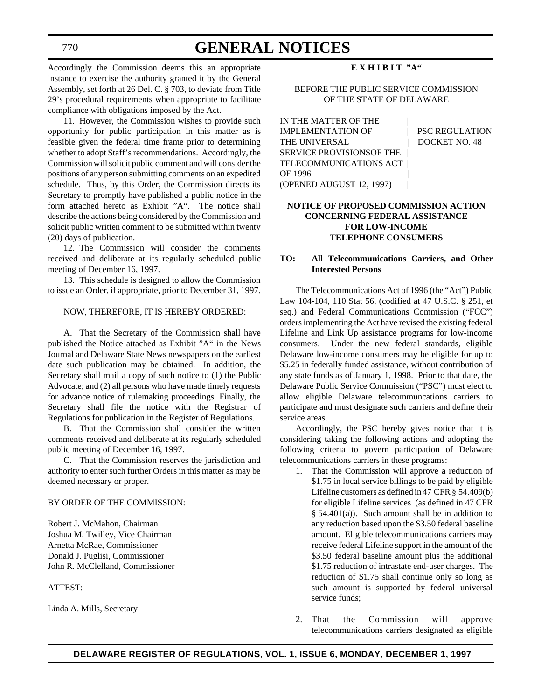Accordingly the Commission deems this an appropriate instance to exercise the authority granted it by the General Assembly, set forth at 26 Del. C. § 703, to deviate from Title 29's procedural requirements when appropriate to facilitate compliance with obligations imposed by the Act.

11. However, the Commission wishes to provide such opportunity for public participation in this matter as is feasible given the federal time frame prior to determining whether to adopt Staff's recommendations. Accordingly, the Commission will solicit public comment and will consider the positions of any person submitting comments on an expedited schedule. Thus, by this Order, the Commission directs its Secretary to promptly have published a public notice in the form attached hereto as Exhibit "A". The notice shall describe the actions being considered by the Commission and solicit public written comment to be submitted within twenty (20) days of publication.

12. The Commission will consider the comments received and deliberate at its regularly scheduled public meeting of December 16, 1997.

13. This schedule is designed to allow the Commission to issue an Order, if appropriate, prior to December 31, 1997.

### NOW, THEREFORE, IT IS HEREBY ORDERED:

A. That the Secretary of the Commission shall have published the Notice attached as Exhibit "A" in the News Journal and Delaware State News newspapers on the earliest date such publication may be obtained. In addition, the Secretary shall mail a copy of such notice to (1) the Public Advocate; and (2) all persons who have made timely requests for advance notice of rulemaking proceedings. Finally, the Secretary shall file the notice with the Registrar of Regulations for publication in the Register of Regulations.

B. That the Commission shall consider the written comments received and deliberate at its regularly scheduled public meeting of December 16, 1997.

C. That the Commission reserves the jurisdiction and authority to enter such further Orders in this matter as may be deemed necessary or proper.

### BY ORDER OF THE COMMISSION:

Robert J. McMahon, Chairman Joshua M. Twilley, Vice Chairman Arnetta McRae, Commissioner Donald J. Puglisi, Commissioner John R. McClelland, Commissioner

### ATTEST:

Linda A. Mills, Secretary

### **E X H I B I T "A"**

BEFORE THE PUBLIC SERVICE COMMISSION OF THE STATE OF DELAWARE

IN THE MATTER OF THE IMPLEMENTATION OF PSC REGULATION THE UNIVERSAL | DOCKET NO. 48 SERVICE PROVISIONSOF THE TELECOMMUNICATIONS ACT | OF 1996 (OPENED AUGUST 12, 1997) |

### **NOTICE OF PROPOSED COMMISSION ACTION CONCERNING FEDERAL ASSISTANCE FOR LOW-INCOME TELEPHONE CONSUMERS**

### **TO: All Telecommunications Carriers, and Other Interested Persons**

The Telecommunications Act of 1996 (the "Act") Public Law 104-104, 110 Stat 56, (codified at 47 U.S.C. § 251, et seq.) and Federal Communications Commission ("FCC") orders implementing the Act have revised the existing federal Lifeline and Link Up assistance programs for low-income consumers. Under the new federal standards, eligible Delaware low-income consumers may be eligible for up to \$5.25 in federally funded assistance, without contribution of any state funds as of January 1, 1998. Prior to that date, the Delaware Public Service Commission ("PSC") must elect to allow eligible Delaware telecommuncations carriers to participate and must designate such carriers and define their service areas.

Accordingly, the PSC hereby gives notice that it is considering taking the following actions and adopting the following criteria to govern participation of Delaware telecommunications carriers in these programs:

- 1. That the Commission will approve a reduction of \$1.75 in local service billings to be paid by eligible Lifeline customers as defined in 47 CFR § 54.409(b) for eligible Lifeline services (as defined in 47 CFR  $§$  54.401(a)). Such amount shall be in addition to any reduction based upon the \$3.50 federal baseline amount. Eligible telecommunications carriers may receive federal Lifeline support in the amount of the \$3.50 federal baseline amount plus the additional \$1.75 reduction of intrastate end-user charges. The reduction of \$1.75 shall continue only so long as such amount is supported by federal universal service funds;
- 2. That the Commission will approve telecommunications carriers designated as eligible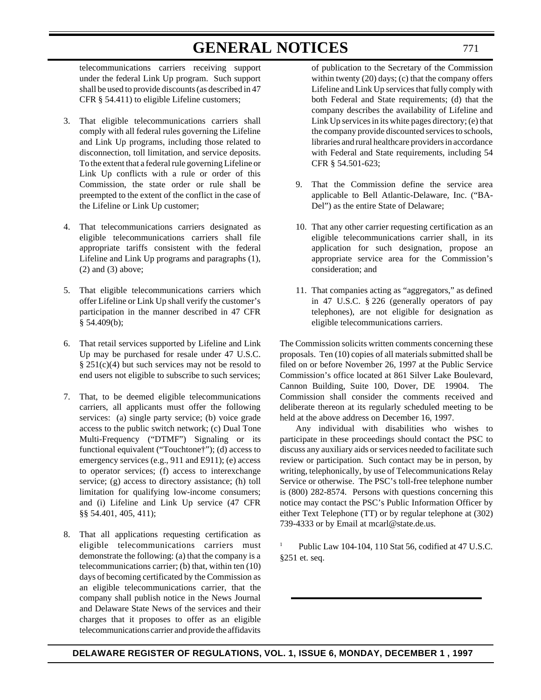telecommunications carriers receiving support under the federal Link Up program. Such support shall be used to provide discounts (as described in 47 CFR § 54.411) to eligible Lifeline customers;

- 3. That eligible telecommunications carriers shall comply with all federal rules governing the Lifeline and Link Up programs, including those related to disconnection, toll limitation, and service deposits. To the extent that a federal rule governing Lifeline or Link Up conflicts with a rule or order of this Commission, the state order or rule shall be preempted to the extent of the conflict in the case of the Lifeline or Link Up customer;
- 4. That telecommunications carriers designated as eligible telecommunications carriers shall file appropriate tariffs consistent with the federal Lifeline and Link Up programs and paragraphs (1),  $(2)$  and  $(3)$  above;
- 5. That eligible telecommunications carriers which offer Lifeline or Link Up shall verify the customer's participation in the manner described in 47 CFR § 54.409(b);
- 6. That retail services supported by Lifeline and Link Up may be purchased for resale under 47 U.S.C. § 251(c)(4) but such services may not be resold to end users not eligible to subscribe to such services;
- 7. That, to be deemed eligible telecommunications carriers, all applicants must offer the following services: (a) single party service; (b) voice grade access to the public switch network; (c) Dual Tone Multi-Frequency ("DTMF") Signaling or its functional equivalent ("Touchtone†"); (d) access to emergency services (e.g., 911 and E911); (e) access to operator services; (f) access to interexchange service; (g) access to directory assistance; (h) toll limitation for qualifying low-income consumers; and (i) Lifeline and Link Up service (47 CFR §§ 54.401, 405, 411);
- 8. That all applications requesting certification as eligible telecommunications carriers must demonstrate the following: (a) that the company is a telecommunications carrier; (b) that, within ten (10) days of becoming certificated by the Commission as an eligible telecommunications carrier, that the company shall publish notice in the News Journal and Delaware State News of the services and their charges that it proposes to offer as an eligible telecommunications carrier and provide the affidavits

of publication to the Secretary of the Commission within twenty (20) days; (c) that the company offers Lifeline and Link Up services that fully comply with both Federal and State requirements; (d) that the company describes the availability of Lifeline and Link Up services in its white pages directory; (e) that the company provide discounted services to schools, libraries and rural healthcare providers in accordance with Federal and State requirements, including 54 CFR § 54.501-623;

- 9. That the Commission define the service area applicable to Bell Atlantic-Delaware, Inc. ("BA-Del") as the entire State of Delaware;
- 10. That any other carrier requesting certification as an eligible telecommunications carrier shall, in its application for such designation, propose an appropriate service area for the Commission's consideration; and
- 11. That companies acting as "aggregators," as defined in 47 U.S.C. § 226 (generally operators of pay telephones), are not eligible for designation as eligible telecommunications carriers.

The Commission solicits written comments concerning these proposals. Ten (10) copies of all materials submitted shall be filed on or before November 26, 1997 at the Public Service Commission's office located at 861 Silver Lake Boulevard, Cannon Building, Suite 100, Dover, DE 19904. The Commission shall consider the comments received and deliberate thereon at its regularly scheduled meeting to be held at the above address on December 16, 1997.

Any individual with disabilities who wishes to participate in these proceedings should contact the PSC to discuss any auxiliary aids or services needed to facilitate such review or participation. Such contact may be in person, by writing, telephonically, by use of Telecommunications Relay Service or otherwise. The PSC's toll-free telephone number is (800) 282-8574. Persons with questions concerning this notice may contact the PSC's Public Information Officer by either Text Telephone (TT) or by regular telephone at (302) 739-4333 or by Email at mcarl@state.de.us.

1 Public Law 104-104, 110 Stat 56, codified at 47 U.S.C. §251 et. seq.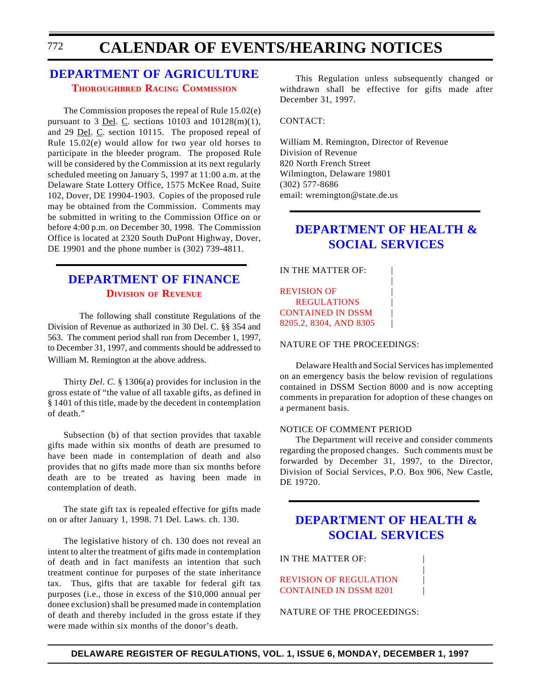### **[DEPARTMENT OF AGRICULTURE](http://www.state.de.us/deptagri/deptagri.htm) [THOROUGHBRED](#page-4-0) RACING COMMISSION**

The Commission proposes the repeal of Rule 15.02(e) pursuant to 3 <u>Del</u>. C. sections 10103 and  $10128(m)(1)$ , and 29 Del. C. section 10115. The proposed repeal of Rule 15.02(e) would allow for two year old horses to participate in the bleeder program. The proposed Rule will be considered by the Commission at its next regularly scheduled meeting on January 5, 1997 at 11:00 a.m. at the Delaware State Lottery Office, 1575 McKee Road, Suite 102, Dover, DE 19904-1903. Copies of the proposed rule may be obtained from the Commission. Comments may be submitted in writing to the Commission Office on or before 4:00 p.m. on December 30, 1998. The Commission Office is located at 2320 South DuPont Highway, Dover, DE 19901 and the phone number is (302) 739-4811.

### **[DEPARTMENT OF FINANCE](http://www.state.de.us/govern/agencies/revenue/revenue.htm) DIVISION OF [REVENUE](#page-4-0)**

The following shall constitute Regulations of the Division of Revenue as authorized in 30 Del. C. §§ 354 and 563. The comment period shall run from December 1, 1997, to December 31, 1997, and comments should be addressed to William M. Remington at the above address.

Thirty *Del. C.* § 1306(a) provides for inclusion in the gross estate of "the value of all taxable gifts, as defined in § 1401 of this title, made by the decedent in contemplation of death."

Subsection (b) of that section provides that taxable gifts made within six months of death are presumed to have been made in contemplation of death and also provides that no gifts made more than six months before death are to be treated as having been made in contemplation of death.

The state gift tax is repealed effective for gifts made on or after January 1, 1998. 71 Del. Laws. ch. 130.

The legislative history of ch. 130 does not reveal an intent to alter the treatment of gifts made in contemplation of death and in fact manifests an intention that such treatment continue for purposes of the state inheritance tax. Thus, gifts that are taxable for federal gift tax purposes (i.e., those in excess of the \$10,000 annual per donee exclusion) shall be presumed made in contemplation of death and thereby included in the gross estate if they were made within six months of the donor's death.

This Regulation unless subsequently changed or withdrawn shall be effective for gifts made after December 31, 1997.

### CONTACT:

William M. Remington, Director of Revenue Division of Revenue 820 North French Street Wilmington, Delaware 19801 (302) 577-8686 email: wremington@state.de.us

### **[DEPARTMENT OF HEALTH &](http://www.state.de.us/govern/agencies/dhss/irm/dhss.htm) SOCIAL SERVICES**

|

IN THE MATTER OF:

REVISION OF | **REGULATIONS** CONTAINED IN DSSM | [8205.2, 8304, AND 8305](#page-4-0) |

### NATURE OF THE PROCEEDINGS:

Delaware Health and Social Services has implemented on an emergency basis the below revision of regulations contained in DSSM Section 8000 and is now accepting comments in preparation for adoption of these changes on a permanent basis.

### NOTICE OF COMMENT PERIOD

The Department will receive and consider comments regarding the proposed changes. Such comments must be forwarded by December 31, 1997, to the Director, Division of Social Services, P.O. Box 906, New Castle, DE 19720.

### **[DEPARTMENT OF HEALTH &](http://www.state.de.us/govern/agencies/dhss/irm/dhss.htm) SOCIAL SERVICES**

|

IN THE MATTER OF:

[REVISION OF REGULATION](#page-4-0) CONTAINED IN DSSM 8201 |

NATURE OF THE PROCEEDINGS: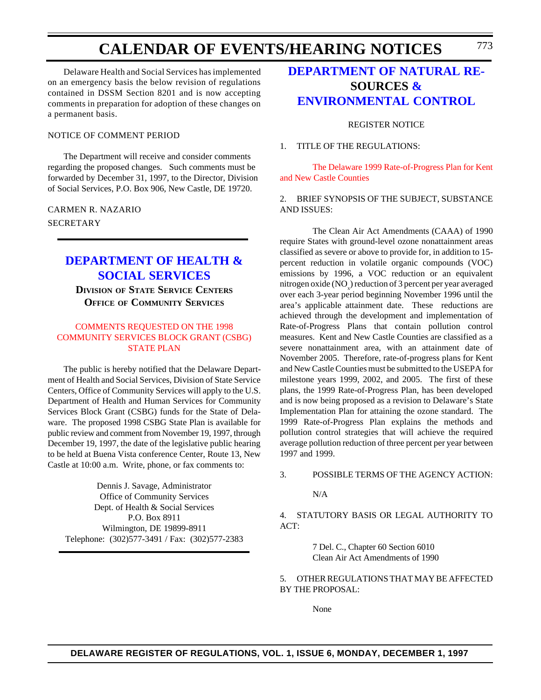Delaware Health and Social Services has implemented on an emergency basis the below revision of regulations contained in DSSM Section 8201 and is now accepting comments in preparation for adoption of these changes on a permanent basis.

### NOTICE OF COMMENT PERIOD

The Department will receive and consider comments regarding the proposed changes. Such comments must be forwarded by December 31, 1997, to the Director, Division of Social Services, P.O. Box 906, New Castle, DE 19720.

CARMEN R. NAZARIO **SECRETARY** 

### **[DEPARTMENT OF HEALTH &](http://www.state.de.us/govern/agencies/dhss/irm/dssc/dsschome.htm) SOCIAL SERVICES**

**DIVISION OF STATE SERVICE CENTERS OFFICE OF COMMUNITY SERVICES**

### COMMENTS REQUESTED ON THE 1998 [COMMUNITY SERVICES BLOCK GRANT \(CSBG\)](#page-4-0) STATE PLAN

The public is hereby notified that the Delaware Department of Health and Social Services, Division of State Service Centers, Office of Community Services will apply to the U.S. Department of Health and Human Services for Community Services Block Grant (CSBG) funds for the State of Delaware. The proposed 1998 CSBG State Plan is available for public review and comment from November 19, 1997, through December 19, 1997, the date of the legislative public hearing to be held at Buena Vista conference Center, Route 13, New Castle at 10:00 a.m. Write, phone, or fax comments to:

Dennis J. Savage, Administrator Office of Community Services Dept. of Health & Social Services P.O. Box 8911 Wilmington, DE 19899-8911 Telephone: (302)577-3491 / Fax: (302)577-2383

### **[DEPARTMENT OF NATURAL RE-](http://www.dnrec.state.de.us/)SOURCES & ENVIRONMENTAL CONTROL**

### REGISTER NOTICE

1. TITLE OF THE REGULATIONS:

[The Delaware 1999 Rate-of-Progress Plan for Kent](#page-4-0) and New Castle Counties

### 2. BRIEF SYNOPSIS OF THE SUBJECT, SUBSTANCE AND ISSUES:

The Clean Air Act Amendments (CAAA) of 1990 require States with ground-level ozone nonattainment areas classified as severe or above to provide for, in addition to 15 percent reduction in volatile organic compounds (VOC) emissions by 1996, a VOC reduction or an equivalent nitrogen oxide (NO<sub>x</sub>) reduction of 3 percent per year averaged over each 3-year period beginning November 1996 until the area's applicable attainment date. These reductions are achieved through the development and implementation of Rate-of-Progress Plans that contain pollution control measures. Kent and New Castle Counties are classified as a severe nonattainment area, with an attainment date of November 2005. Therefore, rate-of-progress plans for Kent and New Castle Counties must be submitted to the USEPA for milestone years 1999, 2002, and 2005. The first of these plans, the 1999 Rate-of-Progress Plan, has been developed and is now being proposed as a revision to Delaware's State Implementation Plan for attaining the ozone standard. The 1999 Rate-of-Progress Plan explains the methods and pollution control strategies that will achieve the required average pollution reduction of three percent per year between 1997 and 1999.

### 3. POSSIBLE TERMS OF THE AGENCY ACTION:

N/A

4. STATUTORY BASIS OR LEGAL AUTHORITY TO ACT:

> 7 Del. C., Chapter 60 Section 6010 Clean Air Act Amendments of 1990

5. OTHER REGULATIONS THAT MAY BE AFFECTED BY THE PROPOSAL:

None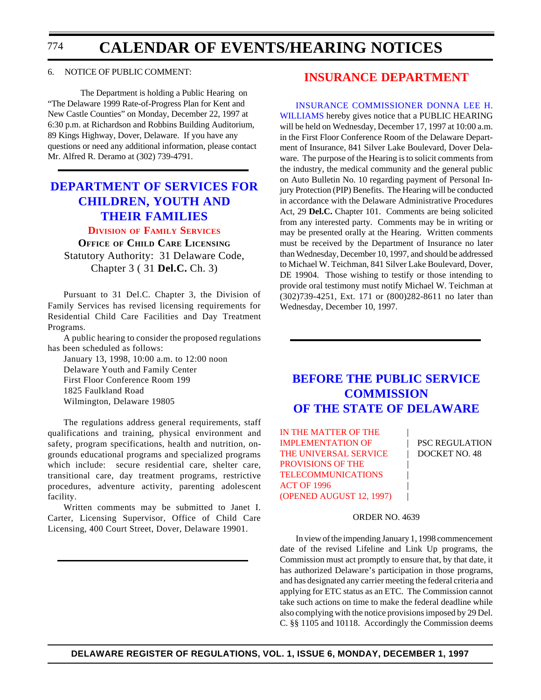### 6. NOTICE OF PUBLIC COMMENT:

The Department is holding a Public Hearing on "The Delaware 1999 Rate-of-Progress Plan for Kent and New Castle Counties" on Monday, December 22, 1997 at 6:30 p.m. at Richardson and Robbins Building Auditorium, 89 Kings Highway, Dover, Delaware. If you have any questions or need any additional information, please contact Mr. Alfred R. Deramo at (302) 739-4791.

### **[DEPARTMENT OF SERVICES FOR](http://www.state.de.us/kids/index.htm) CHILDREN, YOUTH AND THEIR FAMILIES**

**DIVISION OF FAMILY [SERVICES](#page-4-0)**

**OFFICE OF CHILD CARE LICENSING** Statutory Authority: 31 Delaware Code, Chapter 3 ( 31 **Del.C.** Ch. 3)

Pursuant to 31 Del.C. Chapter 3, the Division of Family Services has revised licensing requirements for Residential Child Care Facilities and Day Treatment Programs.

A public hearing to consider the proposed regulations has been scheduled as follows:

January 13, 1998, 10:00 a.m. to 12:00 noon Delaware Youth and Family Center First Floor Conference Room 199 1825 Faulkland Road Wilmington, Delaware 19805

The regulations address general requirements, staff qualifications and training, physical environment and safety, program specifications, health and nutrition, ongrounds educational programs and specialized programs which include: secure residential care, shelter care, transitional care, day treatment programs, restrictive procedures, adventure activity, parenting adolescent facility.

Written comments may be submitted to Janet I. Carter, Licensing Supervisor, Office of Child Care Licensing, 400 Court Street, Dover, Delaware 19901.

### **[INSURANCE DEPARTMENT](#page-4-0)**

### INSURANCE COMMISSIONER DONNA LEE H.

[WILLIAMS hereby gives notice that a PUBLIC HEARING](http://www.state.de.us/govern/elecoffl/inscom.htm) will be held on Wednesday, December 17, 1997 at 10:00 a.m. in the First Floor Conference Room of the Delaware Department of Insurance, 841 Silver Lake Boulevard, Dover Delaware. The purpose of the Hearing is to solicit comments from the industry, the medical community and the general public on Auto Bulletin No. 10 regarding payment of Personal Injury Protection (PIP) Benefits. The Hearing will be conducted in accordance with the Delaware Administrative Procedures Act, 29 **Del.C.** Chapter 101. Comments are being solicited from any interested party. Comments may be in writing or may be presented orally at the Hearing. Written comments must be received by the Department of Insurance no later than Wednesday, December 10, 1997, and should be addressed to Michael W. Teichman, 841 Silver Lake Boulevard, Dover, DE 19904. Those wishing to testify or those intending to provide oral testimony must notify Michael W. Teichman at (302)739-4251, Ext. 171 or (800)282-8611 no later than Wednesday, December 10, 1997.

### **[BEFORE THE PUBLIC SERVICE](http://www.state.de.us/govern/agencies/pubservc/delpsc.htm) COMMISSION OF THE STATE OF DELAWARE**

IN THE MATTER OF THE IMPLEMENTATION OF PSC REGULATION THE UNIVERSAL SERVICE | DOCKET NO. 48 PROVISIONS OF THE **TELECOMMUNICATIONS ACT OF 1996** [\(OPENED AUGUST 12, 1997\)](#page-4-0) |

### ORDER NO. 4639

In view of the impending January 1, 1998 commencement date of the revised Lifeline and Link Up programs, the Commission must act promptly to ensure that, by that date, it has authorized Delaware's participation in those programs, and has designated any carrier meeting the federal criteria and applying for ETC status as an ETC. The Commission cannot take such actions on time to make the federal deadline while also complying with the notice provisions imposed by 29 Del. C. §§ 1105 and 10118. Accordingly the Commission deems